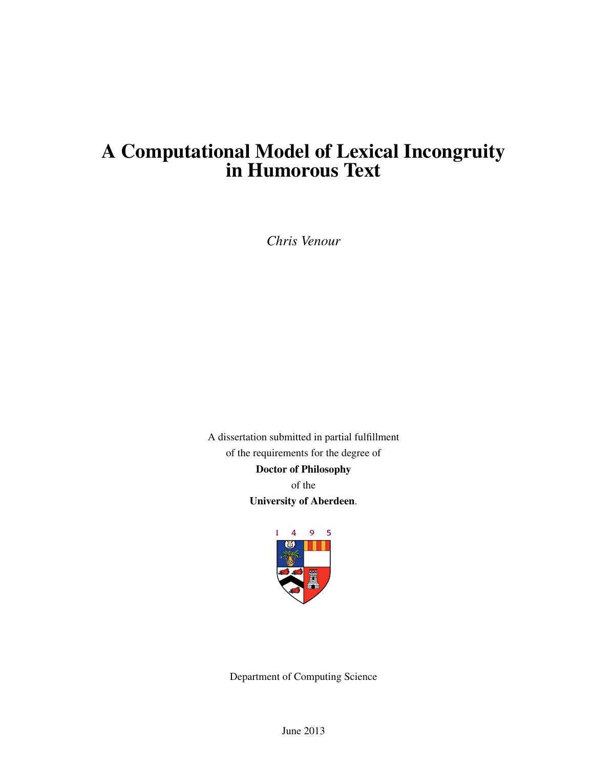# A Computational Model of Lexical Incongruity in Humorous Text

*Chris Venour*

A dissertation submitted in partial fulfillment of the requirements for the degree of Doctor of Philosophy of the University of Aberdeen.



Department of Computing Science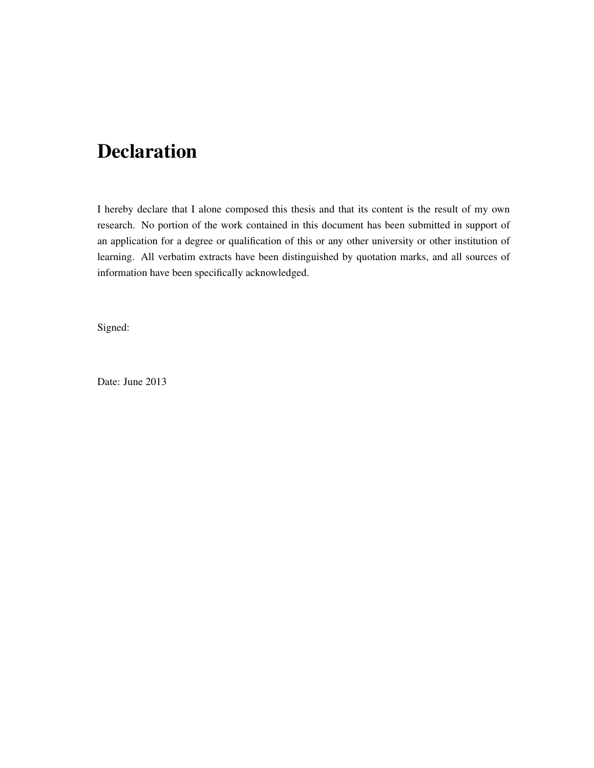# Declaration

I hereby declare that I alone composed this thesis and that its content is the result of my own research. No portion of the work contained in this document has been submitted in support of an application for a degree or qualification of this or any other university or other institution of learning. All verbatim extracts have been distinguished by quotation marks, and all sources of information have been specifically acknowledged.

Signed:

Date: June 2013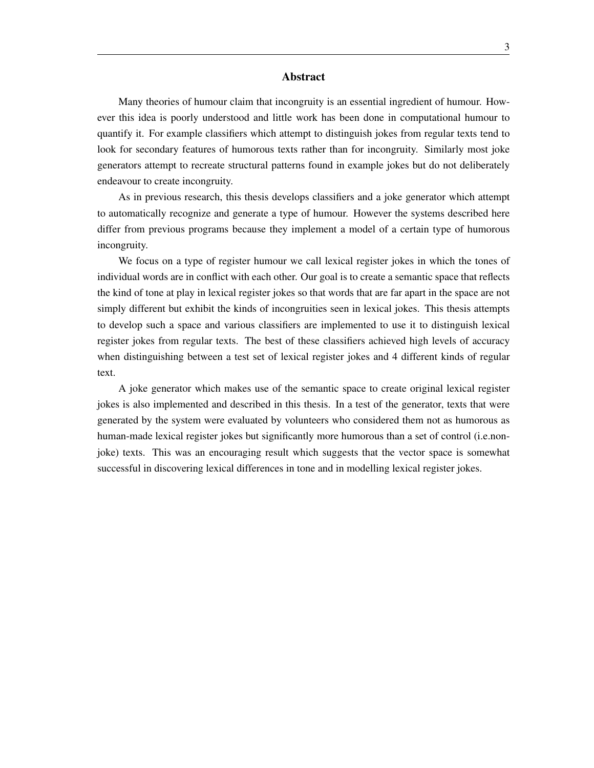### Abstract

Many theories of humour claim that incongruity is an essential ingredient of humour. However this idea is poorly understood and little work has been done in computational humour to quantify it. For example classifiers which attempt to distinguish jokes from regular texts tend to look for secondary features of humorous texts rather than for incongruity. Similarly most joke generators attempt to recreate structural patterns found in example jokes but do not deliberately endeavour to create incongruity.

As in previous research, this thesis develops classifiers and a joke generator which attempt to automatically recognize and generate a type of humour. However the systems described here differ from previous programs because they implement a model of a certain type of humorous incongruity.

We focus on a type of register humour we call lexical register jokes in which the tones of individual words are in conflict with each other. Our goal is to create a semantic space that reflects the kind of tone at play in lexical register jokes so that words that are far apart in the space are not simply different but exhibit the kinds of incongruities seen in lexical jokes. This thesis attempts to develop such a space and various classifiers are implemented to use it to distinguish lexical register jokes from regular texts. The best of these classifiers achieved high levels of accuracy when distinguishing between a test set of lexical register jokes and 4 different kinds of regular text.

A joke generator which makes use of the semantic space to create original lexical register jokes is also implemented and described in this thesis. In a test of the generator, texts that were generated by the system were evaluated by volunteers who considered them not as humorous as human-made lexical register jokes but significantly more humorous than a set of control (i.e.nonjoke) texts. This was an encouraging result which suggests that the vector space is somewhat successful in discovering lexical differences in tone and in modelling lexical register jokes.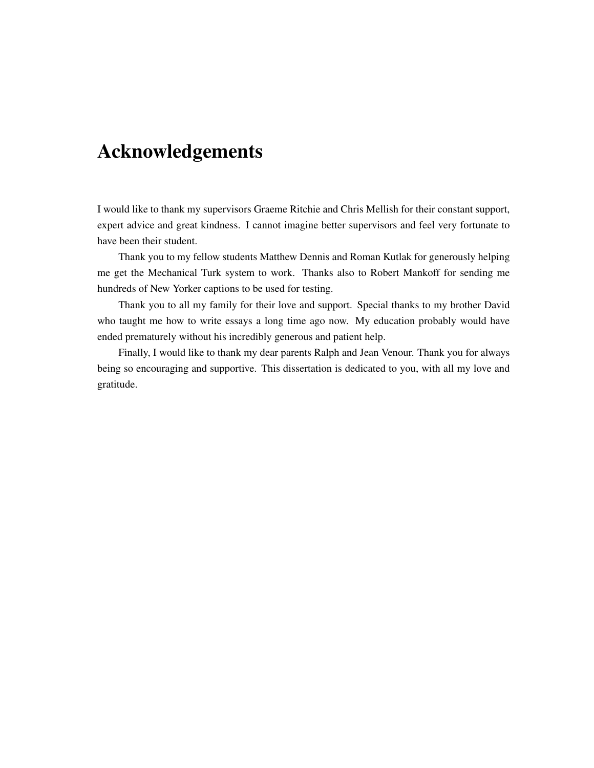# Acknowledgements

I would like to thank my supervisors Graeme Ritchie and Chris Mellish for their constant support, expert advice and great kindness. I cannot imagine better supervisors and feel very fortunate to have been their student.

Thank you to my fellow students Matthew Dennis and Roman Kutlak for generously helping me get the Mechanical Turk system to work. Thanks also to Robert Mankoff for sending me hundreds of New Yorker captions to be used for testing.

Thank you to all my family for their love and support. Special thanks to my brother David who taught me how to write essays a long time ago now. My education probably would have ended prematurely without his incredibly generous and patient help.

Finally, I would like to thank my dear parents Ralph and Jean Venour. Thank you for always being so encouraging and supportive. This dissertation is dedicated to you, with all my love and gratitude.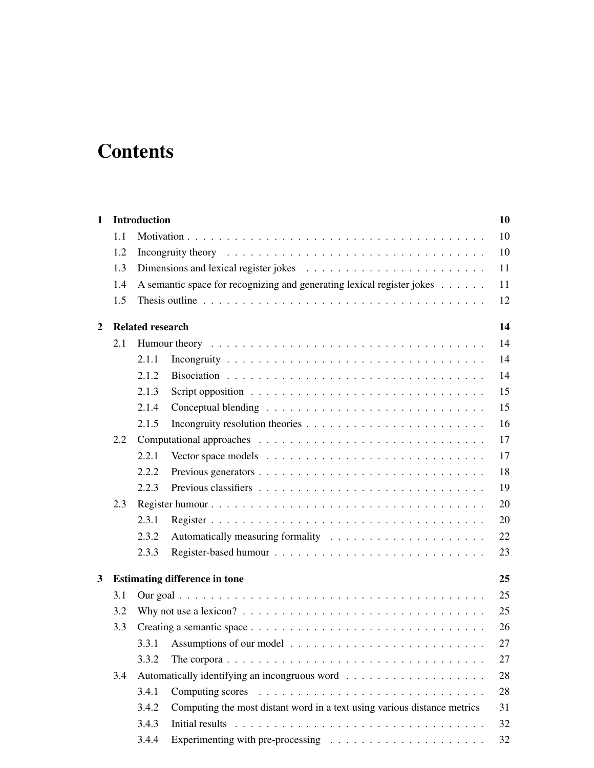# **Contents**

| $\mathbf{1}$   |                                                                               | <b>Introduction</b>     |                                                                                                |  |  |  |  |  |  |  |  |  |
|----------------|-------------------------------------------------------------------------------|-------------------------|------------------------------------------------------------------------------------------------|--|--|--|--|--|--|--|--|--|
|                | 1.1                                                                           |                         |                                                                                                |  |  |  |  |  |  |  |  |  |
|                | 1.2                                                                           | 10                      |                                                                                                |  |  |  |  |  |  |  |  |  |
|                | 1.3                                                                           |                         |                                                                                                |  |  |  |  |  |  |  |  |  |
|                | A semantic space for recognizing and generating lexical register jokes<br>1.4 |                         |                                                                                                |  |  |  |  |  |  |  |  |  |
|                | 1.5                                                                           |                         |                                                                                                |  |  |  |  |  |  |  |  |  |
| $\overline{2}$ |                                                                               | <b>Related research</b> |                                                                                                |  |  |  |  |  |  |  |  |  |
|                | 2.1                                                                           |                         |                                                                                                |  |  |  |  |  |  |  |  |  |
|                |                                                                               | 2.1.1                   |                                                                                                |  |  |  |  |  |  |  |  |  |
|                |                                                                               | 2.1.2                   |                                                                                                |  |  |  |  |  |  |  |  |  |
|                |                                                                               | 2.1.3                   |                                                                                                |  |  |  |  |  |  |  |  |  |
|                |                                                                               | 2.1.4                   |                                                                                                |  |  |  |  |  |  |  |  |  |
|                |                                                                               | 2.1.5                   |                                                                                                |  |  |  |  |  |  |  |  |  |
|                | 2.2                                                                           |                         |                                                                                                |  |  |  |  |  |  |  |  |  |
|                |                                                                               | 2.2.1                   |                                                                                                |  |  |  |  |  |  |  |  |  |
|                |                                                                               | 2.2.2                   |                                                                                                |  |  |  |  |  |  |  |  |  |
|                |                                                                               | 2.2.3                   |                                                                                                |  |  |  |  |  |  |  |  |  |
|                | 2.3                                                                           |                         |                                                                                                |  |  |  |  |  |  |  |  |  |
|                |                                                                               | 2.3.1                   |                                                                                                |  |  |  |  |  |  |  |  |  |
|                |                                                                               | 2.3.2                   |                                                                                                |  |  |  |  |  |  |  |  |  |
|                |                                                                               | 2.3.3                   |                                                                                                |  |  |  |  |  |  |  |  |  |
| 3              |                                                                               |                         | <b>Estimating difference in tone</b>                                                           |  |  |  |  |  |  |  |  |  |
|                | 3.1                                                                           |                         |                                                                                                |  |  |  |  |  |  |  |  |  |
|                | 3.2                                                                           |                         | Why not use a lexicon? $\ldots \ldots \ldots \ldots \ldots \ldots \ldots \ldots \ldots \ldots$ |  |  |  |  |  |  |  |  |  |
|                | 3.3                                                                           |                         |                                                                                                |  |  |  |  |  |  |  |  |  |
|                |                                                                               | 3.3.1                   |                                                                                                |  |  |  |  |  |  |  |  |  |
|                |                                                                               | 3.3.2                   | The corpora $\ldots \ldots \ldots \ldots \ldots \ldots \ldots \ldots \ldots \ldots \ldots$     |  |  |  |  |  |  |  |  |  |
|                | 3.4                                                                           |                         |                                                                                                |  |  |  |  |  |  |  |  |  |
|                |                                                                               | 3.4.1                   |                                                                                                |  |  |  |  |  |  |  |  |  |
|                |                                                                               | 3.4.2                   | Computing the most distant word in a text using various distance metrics                       |  |  |  |  |  |  |  |  |  |
|                |                                                                               | 3.4.3                   |                                                                                                |  |  |  |  |  |  |  |  |  |
|                |                                                                               | 3.4.4                   |                                                                                                |  |  |  |  |  |  |  |  |  |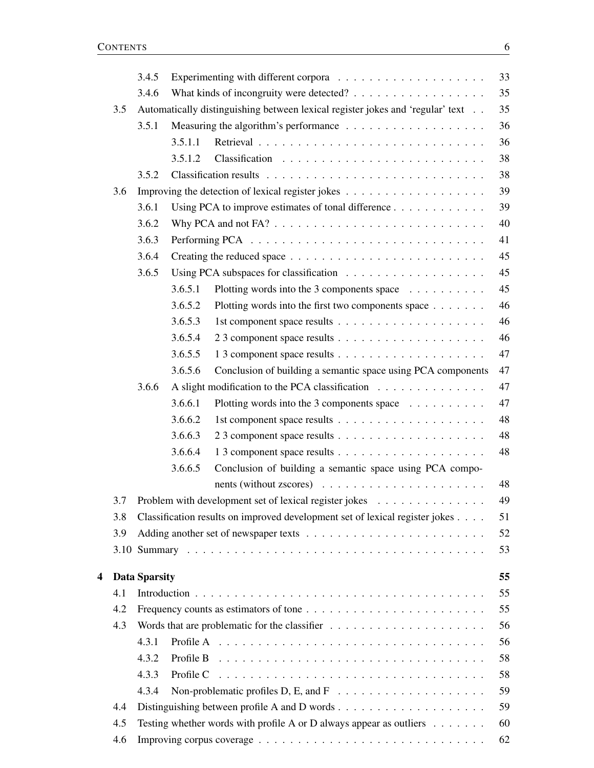|   |     | 3.4.5                |         |                                                                                                 | 33 |  |  |  |
|---|-----|----------------------|---------|-------------------------------------------------------------------------------------------------|----|--|--|--|
|   |     | 3.4.6                |         |                                                                                                 |    |  |  |  |
|   | 3.5 |                      |         | Automatically distinguishing between lexical register jokes and 'regular' text                  | 35 |  |  |  |
|   |     | 3.5.1                |         |                                                                                                 | 36 |  |  |  |
|   |     |                      | 3.5.1.1 |                                                                                                 | 36 |  |  |  |
|   |     |                      | 3.5.1.2 |                                                                                                 | 38 |  |  |  |
|   |     | 3.5.2                |         |                                                                                                 | 38 |  |  |  |
|   | 3.6 |                      |         |                                                                                                 | 39 |  |  |  |
|   |     | 3.6.1                |         | Using PCA to improve estimates of tonal difference                                              | 39 |  |  |  |
|   |     | 3.6.2                |         |                                                                                                 | 40 |  |  |  |
|   |     | 3.6.3                |         |                                                                                                 | 41 |  |  |  |
|   |     | 3.6.4                |         |                                                                                                 | 45 |  |  |  |
|   |     | 3.6.5                |         |                                                                                                 | 45 |  |  |  |
|   |     |                      | 3.6.5.1 | Plotting words into the 3 components space                                                      | 45 |  |  |  |
|   |     |                      | 3.6.5.2 | Plotting words into the first two components space                                              | 46 |  |  |  |
|   |     |                      | 3.6.5.3 |                                                                                                 | 46 |  |  |  |
|   |     |                      | 3.6.5.4 |                                                                                                 | 46 |  |  |  |
|   |     |                      | 3.6.5.5 |                                                                                                 | 47 |  |  |  |
|   |     |                      | 3.6.5.6 | Conclusion of building a semantic space using PCA components                                    | 47 |  |  |  |
|   |     | 3.6.6                |         | A slight modification to the PCA classification                                                 | 47 |  |  |  |
|   |     |                      | 3.6.6.1 | Plotting words into the 3 components space                                                      | 47 |  |  |  |
|   |     |                      | 3.6.6.2 |                                                                                                 | 48 |  |  |  |
|   |     |                      | 3.6.6.3 |                                                                                                 | 48 |  |  |  |
|   |     |                      | 3.6.6.4 |                                                                                                 | 48 |  |  |  |
|   |     |                      | 3.6.6.5 | Conclusion of building a semantic space using PCA compo-                                        |    |  |  |  |
|   |     |                      |         | nents (without zscores) $\ldots \ldots \ldots \ldots \ldots \ldots \ldots$                      | 48 |  |  |  |
|   | 3.7 |                      |         | Problem with development set of lexical register jokes                                          | 49 |  |  |  |
|   | 3.8 |                      |         | Classification results on improved development set of lexical register jokes                    | 51 |  |  |  |
|   | 3.9 |                      |         |                                                                                                 | 52 |  |  |  |
|   |     |                      |         |                                                                                                 | 53 |  |  |  |
| 4 |     | <b>Data Sparsity</b> |         |                                                                                                 | 55 |  |  |  |
|   | 4.1 |                      |         |                                                                                                 | 55 |  |  |  |
|   | 4.2 |                      |         |                                                                                                 | 55 |  |  |  |
|   | 4.3 | 56                   |         |                                                                                                 |    |  |  |  |
|   |     | 4.3.1                |         |                                                                                                 | 56 |  |  |  |
|   |     | 4.3.2                |         | Profile B $\ldots \ldots \ldots \ldots \ldots \ldots \ldots \ldots \ldots \ldots \ldots \ldots$ | 58 |  |  |  |
|   |     | 4.3.3                |         |                                                                                                 | 58 |  |  |  |
|   |     | 4.3.4                |         |                                                                                                 | 59 |  |  |  |
|   | 4.4 |                      |         |                                                                                                 | 59 |  |  |  |
|   | 4.5 |                      |         | Testing whether words with profile A or D always appear as outliers $\dots \dots$               | 60 |  |  |  |
|   | 4.6 |                      |         |                                                                                                 | 62 |  |  |  |
|   |     |                      |         |                                                                                                 |    |  |  |  |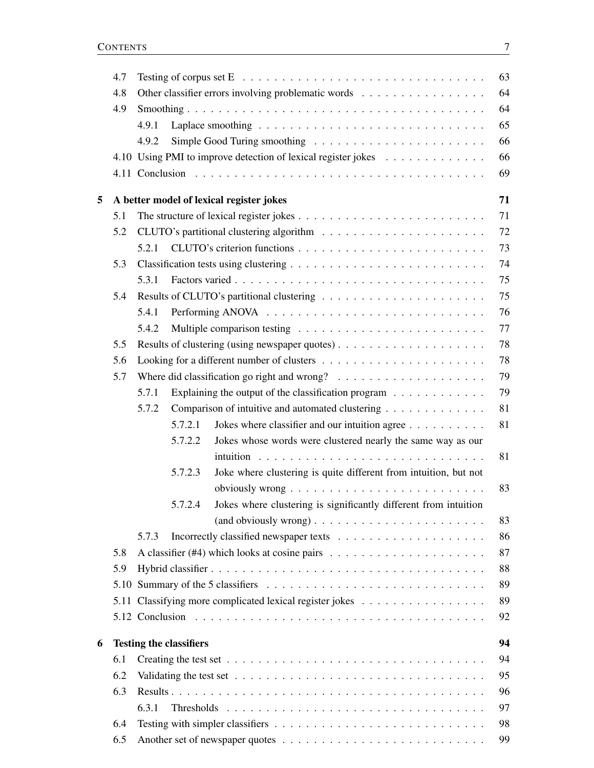|   | 4.7 | 63                                                                                                            |  |  |  |  |  |  |  |
|---|-----|---------------------------------------------------------------------------------------------------------------|--|--|--|--|--|--|--|
|   | 4.8 | Other classifier errors involving problematic words                                                           |  |  |  |  |  |  |  |
|   | 4.9 |                                                                                                               |  |  |  |  |  |  |  |
|   |     | 65<br>4.9.1                                                                                                   |  |  |  |  |  |  |  |
|   |     | 66<br>4.9.2                                                                                                   |  |  |  |  |  |  |  |
|   |     | 66<br>4.10 Using PMI to improve detection of lexical register jokes                                           |  |  |  |  |  |  |  |
|   |     | 69                                                                                                            |  |  |  |  |  |  |  |
| 5 |     | 71<br>A better model of lexical register jokes                                                                |  |  |  |  |  |  |  |
|   | 5.1 | 71                                                                                                            |  |  |  |  |  |  |  |
|   | 5.2 | 72                                                                                                            |  |  |  |  |  |  |  |
|   |     | 73<br>5.2.1                                                                                                   |  |  |  |  |  |  |  |
|   | 5.3 | 74                                                                                                            |  |  |  |  |  |  |  |
|   |     | 75<br>5.3.1                                                                                                   |  |  |  |  |  |  |  |
|   | 5.4 | 75                                                                                                            |  |  |  |  |  |  |  |
|   |     | 76<br>5.4.1                                                                                                   |  |  |  |  |  |  |  |
|   |     | 77<br>5.4.2                                                                                                   |  |  |  |  |  |  |  |
|   | 5.5 | 78                                                                                                            |  |  |  |  |  |  |  |
|   | 5.6 | 78                                                                                                            |  |  |  |  |  |  |  |
|   | 5.7 | 79<br>Where did classification go right and wrong? $\ldots \ldots \ldots \ldots \ldots \ldots$                |  |  |  |  |  |  |  |
|   |     | 79<br>Explaining the output of the classification program<br>5.7.1                                            |  |  |  |  |  |  |  |
|   |     | 81<br>5.7.2<br>Comparison of intuitive and automated clustering                                               |  |  |  |  |  |  |  |
|   |     | 5.7.2.1<br>81<br>Jokes where classifier and our intuition agree                                               |  |  |  |  |  |  |  |
|   |     | 5.7.2.2<br>Jokes whose words were clustered nearly the same way as our                                        |  |  |  |  |  |  |  |
|   |     | 81                                                                                                            |  |  |  |  |  |  |  |
|   |     | Joke where clustering is quite different from intuition, but not<br>5.7.2.3                                   |  |  |  |  |  |  |  |
|   |     | 83<br>obviously wrong $\ldots \ldots \ldots \ldots \ldots \ldots \ldots \ldots$                               |  |  |  |  |  |  |  |
|   |     | Jokes where clustering is significantly different from intuition<br>5.7.2.4                                   |  |  |  |  |  |  |  |
|   |     | 83                                                                                                            |  |  |  |  |  |  |  |
|   |     | 86<br>5.7.3                                                                                                   |  |  |  |  |  |  |  |
|   | 5.8 | 87                                                                                                            |  |  |  |  |  |  |  |
|   | 5.9 | 88                                                                                                            |  |  |  |  |  |  |  |
|   |     | 89                                                                                                            |  |  |  |  |  |  |  |
|   |     | 5.11 Classifying more complicated lexical register jokes<br>89                                                |  |  |  |  |  |  |  |
|   |     | 92                                                                                                            |  |  |  |  |  |  |  |
| 6 |     | 94<br><b>Testing the classifiers</b>                                                                          |  |  |  |  |  |  |  |
|   | 6.1 | 94                                                                                                            |  |  |  |  |  |  |  |
|   | 6.2 | 95<br>Validating the test set $\dots \dots \dots \dots \dots \dots \dots \dots \dots \dots \dots \dots \dots$ |  |  |  |  |  |  |  |
|   | 6.3 | 96                                                                                                            |  |  |  |  |  |  |  |
|   |     | 97<br>6.3.1                                                                                                   |  |  |  |  |  |  |  |
|   | 6.4 | 98                                                                                                            |  |  |  |  |  |  |  |
|   | 6.5 | 99                                                                                                            |  |  |  |  |  |  |  |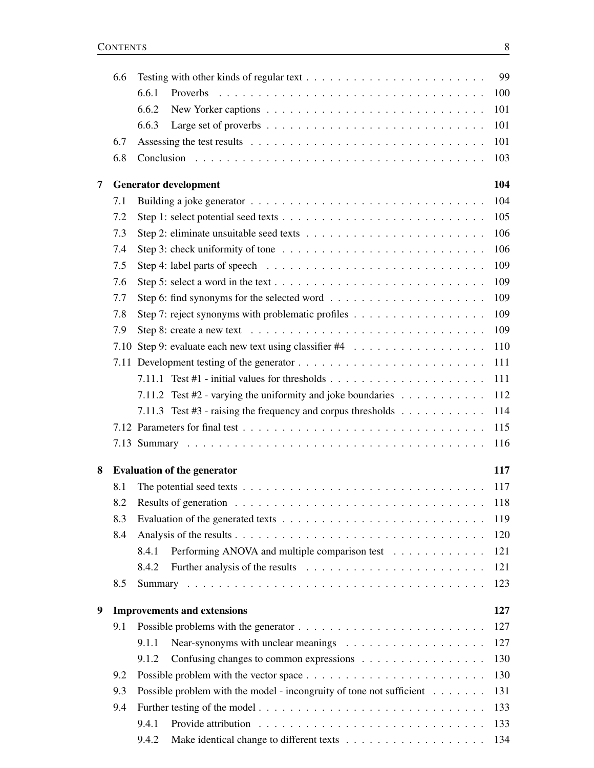|   | 6.6 |       | 99<br>Testing with other kinds of regular text $\dots \dots \dots \dots \dots \dots \dots \dots \dots$                             |  |
|---|-----|-------|------------------------------------------------------------------------------------------------------------------------------------|--|
|   |     | 6.6.1 | 100                                                                                                                                |  |
|   |     | 6.6.2 | 101                                                                                                                                |  |
|   |     | 6.6.3 | 101                                                                                                                                |  |
|   | 6.7 |       | 101                                                                                                                                |  |
|   | 6.8 |       | 103                                                                                                                                |  |
| 7 |     |       | 104<br><b>Generator development</b>                                                                                                |  |
|   | 7.1 |       | 104<br>Building a joke generator $\ldots \ldots \ldots \ldots \ldots \ldots \ldots \ldots \ldots \ldots \ldots$                    |  |
|   | 7.2 |       | 105                                                                                                                                |  |
|   | 7.3 |       | 106                                                                                                                                |  |
|   | 7.4 |       | 106<br>Step 3: check uniformity of tone $\ldots \ldots \ldots \ldots \ldots \ldots \ldots \ldots \ldots$                           |  |
|   | 7.5 |       | 109                                                                                                                                |  |
|   | 7.6 |       | 109                                                                                                                                |  |
|   | 7.7 |       | 109                                                                                                                                |  |
|   | 7.8 |       | 109<br>Step 7: reject synonyms with problematic profiles                                                                           |  |
|   | 7.9 |       | 109                                                                                                                                |  |
|   |     |       | 110                                                                                                                                |  |
|   |     |       | 111                                                                                                                                |  |
|   |     |       | 111                                                                                                                                |  |
|   |     |       | 112<br>7.11.2 Test #2 - varying the uniformity and joke boundaries                                                                 |  |
|   |     |       | 114<br>7.11.3 Test #3 - raising the frequency and corpus thresholds $\dots \dots \dots$                                            |  |
|   |     |       | 115                                                                                                                                |  |
|   |     |       | 116                                                                                                                                |  |
| 8 |     |       | 117<br><b>Evaluation of the generator</b>                                                                                          |  |
|   | 8.1 |       | The potential seed texts $\ldots$ $\ldots$ $\ldots$ $\ldots$ $\ldots$ $\ldots$ $\ldots$ $\ldots$ $\ldots$ $\ldots$ $\ldots$<br>117 |  |
|   | 8.2 |       | Results of generation<br>118                                                                                                       |  |
|   | 8.3 |       | 119                                                                                                                                |  |
|   | 8.4 |       | 120                                                                                                                                |  |
|   |     | 8.4.1 | 121<br>Performing ANOVA and multiple comparison test                                                                               |  |
|   |     | 8.4.2 | 121                                                                                                                                |  |
|   | 8.5 |       | 123                                                                                                                                |  |
| 9 |     |       | <b>Improvements and extensions</b><br>127                                                                                          |  |
|   | 9.1 |       | 127                                                                                                                                |  |
|   |     | 9.1.1 | 127                                                                                                                                |  |
|   |     | 9.1.2 | 130<br>Confusing changes to common expressions                                                                                     |  |
|   | 9.2 |       | 130                                                                                                                                |  |
|   | 9.3 |       | 131<br>Possible problem with the model - incongruity of tone not sufficient                                                        |  |
|   | 9.4 |       | 133                                                                                                                                |  |
|   |     | 9.4.1 | 133                                                                                                                                |  |
|   |     | 9.4.2 | 134                                                                                                                                |  |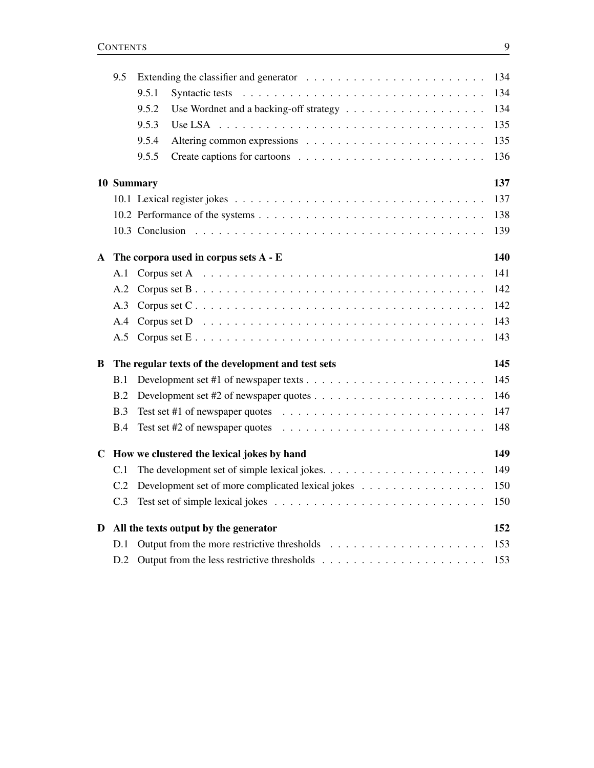|   | 9.5 | 134             |                                                                                                  |     |  |  |  |  |  |  |
|---|-----|-----------------|--------------------------------------------------------------------------------------------------|-----|--|--|--|--|--|--|
|   |     | 9.5.1           | Syntactic tests                                                                                  | 134 |  |  |  |  |  |  |
|   |     | 9.5.2           |                                                                                                  | 134 |  |  |  |  |  |  |
|   |     | 9.5.3           |                                                                                                  | 135 |  |  |  |  |  |  |
|   |     | 9.5.4           |                                                                                                  | 135 |  |  |  |  |  |  |
|   |     | 9.5.5           |                                                                                                  | 136 |  |  |  |  |  |  |
|   |     | 10 Summary      |                                                                                                  | 137 |  |  |  |  |  |  |
|   |     |                 |                                                                                                  | 137 |  |  |  |  |  |  |
|   |     |                 |                                                                                                  | 138 |  |  |  |  |  |  |
|   |     | 10.3 Conclusion |                                                                                                  | 139 |  |  |  |  |  |  |
| A |     |                 | The corpora used in corpus sets $A - E$                                                          | 140 |  |  |  |  |  |  |
|   | A.1 |                 |                                                                                                  | 141 |  |  |  |  |  |  |
|   | A.2 |                 |                                                                                                  | 142 |  |  |  |  |  |  |
|   | A.3 |                 |                                                                                                  | 142 |  |  |  |  |  |  |
|   | A.4 |                 |                                                                                                  | 143 |  |  |  |  |  |  |
|   | A.5 |                 |                                                                                                  | 143 |  |  |  |  |  |  |
| B |     |                 | The regular texts of the development and test sets                                               | 145 |  |  |  |  |  |  |
|   | B.1 |                 |                                                                                                  | 145 |  |  |  |  |  |  |
|   | B.2 |                 |                                                                                                  | 146 |  |  |  |  |  |  |
|   | B.3 |                 | Test set #1 of newspaper quotes $\ldots \ldots \ldots \ldots \ldots \ldots \ldots \ldots \ldots$ | 147 |  |  |  |  |  |  |
|   | B.4 |                 |                                                                                                  | 148 |  |  |  |  |  |  |
| C |     |                 | How we clustered the lexical jokes by hand                                                       | 149 |  |  |  |  |  |  |
|   | C.1 |                 |                                                                                                  | 149 |  |  |  |  |  |  |
|   | C.2 |                 | Development set of more complicated lexical jokes                                                | 150 |  |  |  |  |  |  |
|   | C.3 |                 |                                                                                                  | 150 |  |  |  |  |  |  |
| D |     |                 | All the texts output by the generator                                                            | 152 |  |  |  |  |  |  |
|   | D.1 |                 |                                                                                                  | 153 |  |  |  |  |  |  |
|   | D.2 |                 |                                                                                                  | 153 |  |  |  |  |  |  |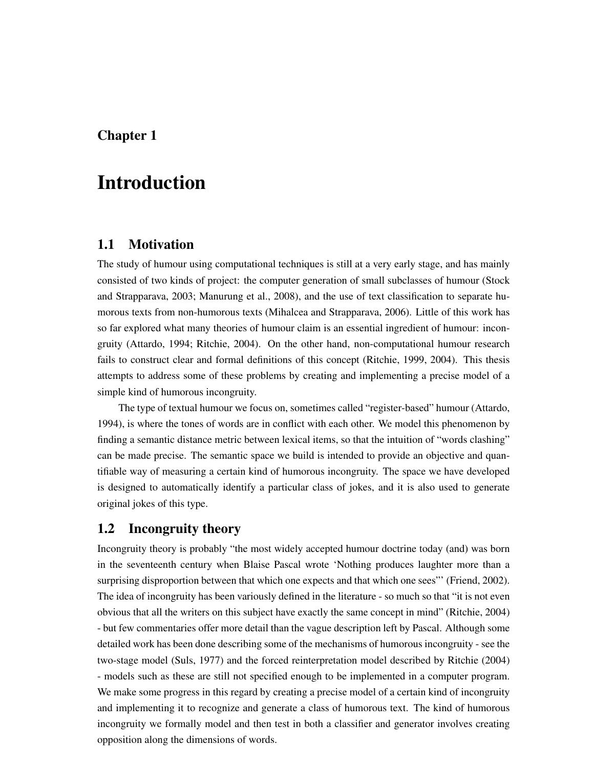# Chapter 1

# Introduction

## 1.1 Motivation

The study of humour using computational techniques is still at a very early stage, and has mainly consisted of two kinds of project: the computer generation of small subclasses of humour (Stock and Strapparava, 2003; Manurung et al., 2008), and the use of text classification to separate humorous texts from non-humorous texts (Mihalcea and Strapparava, 2006). Little of this work has so far explored what many theories of humour claim is an essential ingredient of humour: incongruity (Attardo, 1994; Ritchie, 2004). On the other hand, non-computational humour research fails to construct clear and formal definitions of this concept (Ritchie, 1999, 2004). This thesis attempts to address some of these problems by creating and implementing a precise model of a simple kind of humorous incongruity.

The type of textual humour we focus on, sometimes called "register-based" humour (Attardo, 1994), is where the tones of words are in conflict with each other. We model this phenomenon by finding a semantic distance metric between lexical items, so that the intuition of "words clashing" can be made precise. The semantic space we build is intended to provide an objective and quantifiable way of measuring a certain kind of humorous incongruity. The space we have developed is designed to automatically identify a particular class of jokes, and it is also used to generate original jokes of this type.

## 1.2 Incongruity theory

Incongruity theory is probably "the most widely accepted humour doctrine today (and) was born in the seventeenth century when Blaise Pascal wrote 'Nothing produces laughter more than a surprising disproportion between that which one expects and that which one sees"' (Friend, 2002). The idea of incongruity has been variously defined in the literature - so much so that "it is not even obvious that all the writers on this subject have exactly the same concept in mind" (Ritchie, 2004) - but few commentaries offer more detail than the vague description left by Pascal. Although some detailed work has been done describing some of the mechanisms of humorous incongruity - see the two-stage model (Suls, 1977) and the forced reinterpretation model described by Ritchie (2004) - models such as these are still not specified enough to be implemented in a computer program. We make some progress in this regard by creating a precise model of a certain kind of incongruity and implementing it to recognize and generate a class of humorous text. The kind of humorous incongruity we formally model and then test in both a classifier and generator involves creating opposition along the dimensions of words.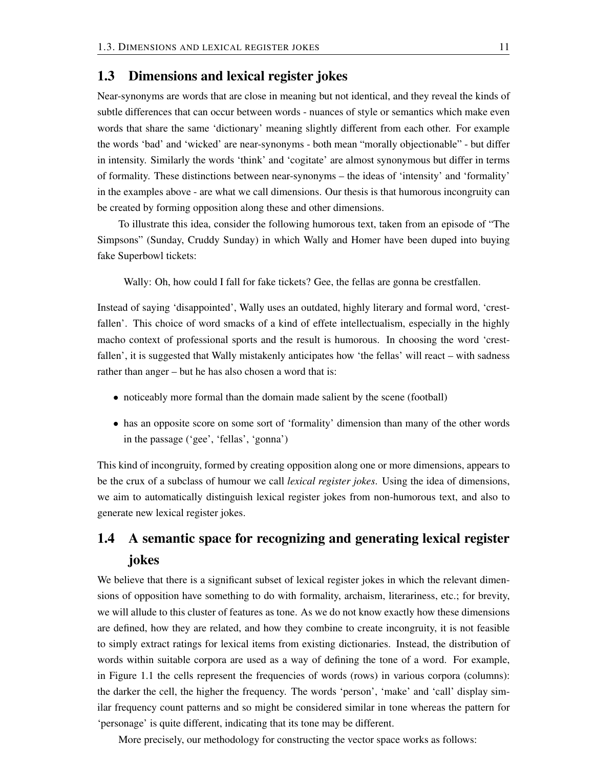## 1.3 Dimensions and lexical register jokes

Near-synonyms are words that are close in meaning but not identical, and they reveal the kinds of subtle differences that can occur between words - nuances of style or semantics which make even words that share the same 'dictionary' meaning slightly different from each other. For example the words 'bad' and 'wicked' are near-synonyms - both mean "morally objectionable" - but differ in intensity. Similarly the words 'think' and 'cogitate' are almost synonymous but differ in terms of formality. These distinctions between near-synonyms – the ideas of 'intensity' and 'formality' in the examples above - are what we call dimensions. Our thesis is that humorous incongruity can be created by forming opposition along these and other dimensions.

To illustrate this idea, consider the following humorous text, taken from an episode of "The Simpsons" (Sunday, Cruddy Sunday) in which Wally and Homer have been duped into buying fake Superbowl tickets:

Wally: Oh, how could I fall for fake tickets? Gee, the fellas are gonna be crestfallen.

Instead of saying 'disappointed', Wally uses an outdated, highly literary and formal word, 'crestfallen'. This choice of word smacks of a kind of effete intellectualism, especially in the highly macho context of professional sports and the result is humorous. In choosing the word 'crestfallen', it is suggested that Wally mistakenly anticipates how 'the fellas' will react – with sadness rather than anger – but he has also chosen a word that is:

- noticeably more formal than the domain made salient by the scene (football)
- has an opposite score on some sort of 'formality' dimension than many of the other words in the passage ('gee', 'fellas', 'gonna')

This kind of incongruity, formed by creating opposition along one or more dimensions, appears to be the crux of a subclass of humour we call *lexical register jokes*. Using the idea of dimensions, we aim to automatically distinguish lexical register jokes from non-humorous text, and also to generate new lexical register jokes.

# 1.4 A semantic space for recognizing and generating lexical register jokes

We believe that there is a significant subset of lexical register jokes in which the relevant dimensions of opposition have something to do with formality, archaism, literariness, etc.; for brevity, we will allude to this cluster of features as tone. As we do not know exactly how these dimensions are defined, how they are related, and how they combine to create incongruity, it is not feasible to simply extract ratings for lexical items from existing dictionaries. Instead, the distribution of words within suitable corpora are used as a way of defining the tone of a word. For example, in Figure 1.1 the cells represent the frequencies of words (rows) in various corpora (columns): the darker the cell, the higher the frequency. The words 'person', 'make' and 'call' display similar frequency count patterns and so might be considered similar in tone whereas the pattern for 'personage' is quite different, indicating that its tone may be different.

More precisely, our methodology for constructing the vector space works as follows: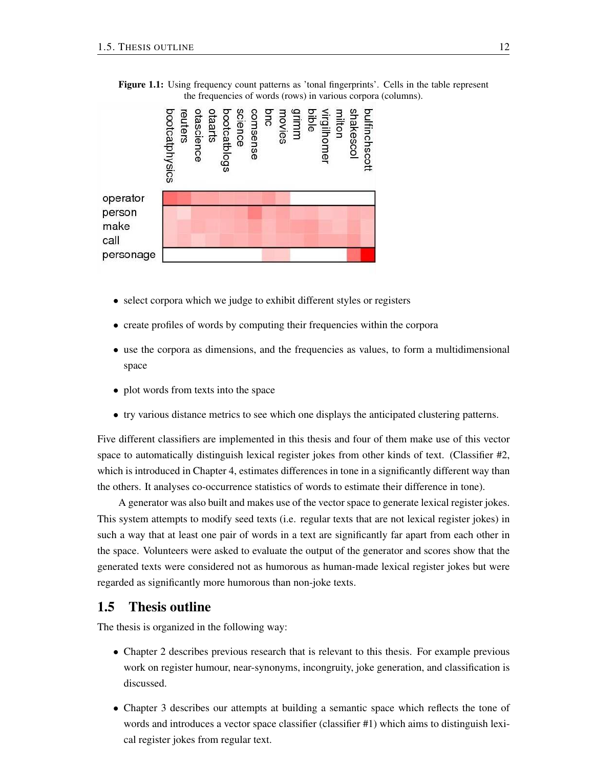

Figure 1.1: Using frequency count patterns as 'tonal fingerprints'. Cells in the table represent the frequencies of words (rows) in various corpora (columns).

- select corpora which we judge to exhibit different styles or registers
- create profiles of words by computing their frequencies within the corpora
- use the corpora as dimensions, and the frequencies as values, to form a multidimensional space
- plot words from texts into the space
- try various distance metrics to see which one displays the anticipated clustering patterns.

Five different classifiers are implemented in this thesis and four of them make use of this vector space to automatically distinguish lexical register jokes from other kinds of text. (Classifier #2, which is introduced in Chapter 4, estimates differences in tone in a significantly different way than the others. It analyses co-occurrence statistics of words to estimate their difference in tone).

A generator was also built and makes use of the vector space to generate lexical register jokes. This system attempts to modify seed texts (i.e. regular texts that are not lexical register jokes) in such a way that at least one pair of words in a text are significantly far apart from each other in the space. Volunteers were asked to evaluate the output of the generator and scores show that the generated texts were considered not as humorous as human-made lexical register jokes but were regarded as significantly more humorous than non-joke texts.

## 1.5 Thesis outline

The thesis is organized in the following way:

- Chapter 2 describes previous research that is relevant to this thesis. For example previous work on register humour, near-synonyms, incongruity, joke generation, and classification is discussed.
- Chapter 3 describes our attempts at building a semantic space which reflects the tone of words and introduces a vector space classifier (classifier #1) which aims to distinguish lexical register jokes from regular text.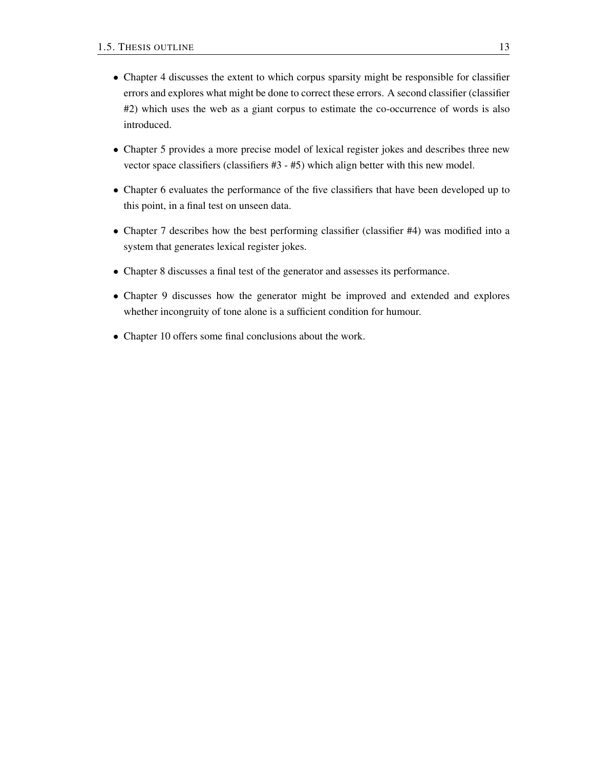- Chapter 4 discusses the extent to which corpus sparsity might be responsible for classifier errors and explores what might be done to correct these errors. A second classifier (classifier #2) which uses the web as a giant corpus to estimate the co-occurrence of words is also introduced.
- Chapter 5 provides a more precise model of lexical register jokes and describes three new vector space classifiers (classifiers #3 - #5) which align better with this new model.
- Chapter 6 evaluates the performance of the five classifiers that have been developed up to this point, in a final test on unseen data.
- Chapter 7 describes how the best performing classifier (classifier #4) was modified into a system that generates lexical register jokes.
- Chapter 8 discusses a final test of the generator and assesses its performance.
- Chapter 9 discusses how the generator might be improved and extended and explores whether incongruity of tone alone is a sufficient condition for humour.
- Chapter 10 offers some final conclusions about the work.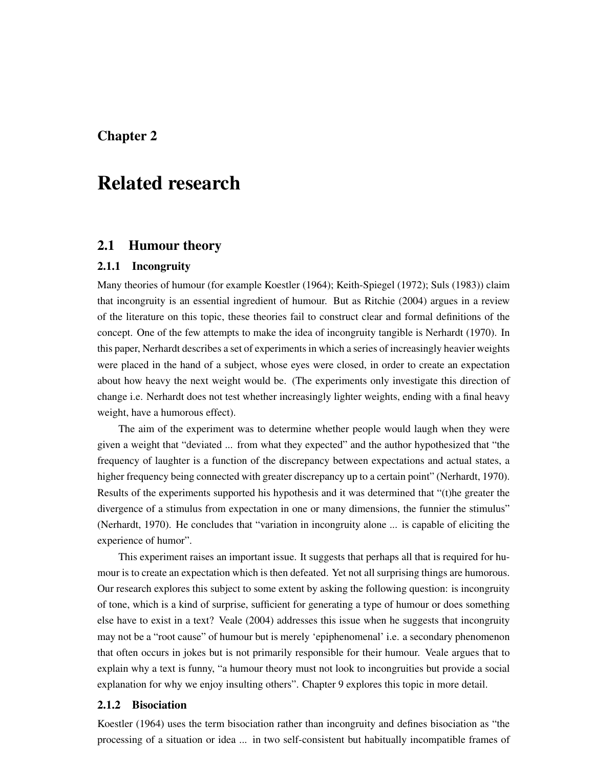# Chapter 2

# Related research

## 2.1 Humour theory

### 2.1.1 Incongruity

Many theories of humour (for example Koestler (1964); Keith-Spiegel (1972); Suls (1983)) claim that incongruity is an essential ingredient of humour. But as Ritchie (2004) argues in a review of the literature on this topic, these theories fail to construct clear and formal definitions of the concept. One of the few attempts to make the idea of incongruity tangible is Nerhardt (1970). In this paper, Nerhardt describes a set of experiments in which a series of increasingly heavier weights were placed in the hand of a subject, whose eyes were closed, in order to create an expectation about how heavy the next weight would be. (The experiments only investigate this direction of change i.e. Nerhardt does not test whether increasingly lighter weights, ending with a final heavy weight, have a humorous effect).

The aim of the experiment was to determine whether people would laugh when they were given a weight that "deviated ... from what they expected" and the author hypothesized that "the frequency of laughter is a function of the discrepancy between expectations and actual states, a higher frequency being connected with greater discrepancy up to a certain point" (Nerhardt, 1970). Results of the experiments supported his hypothesis and it was determined that "(t)he greater the divergence of a stimulus from expectation in one or many dimensions, the funnier the stimulus" (Nerhardt, 1970). He concludes that "variation in incongruity alone ... is capable of eliciting the experience of humor".

This experiment raises an important issue. It suggests that perhaps all that is required for humour is to create an expectation which is then defeated. Yet not all surprising things are humorous. Our research explores this subject to some extent by asking the following question: is incongruity of tone, which is a kind of surprise, sufficient for generating a type of humour or does something else have to exist in a text? Veale (2004) addresses this issue when he suggests that incongruity may not be a "root cause" of humour but is merely 'epiphenomenal' i.e. a secondary phenomenon that often occurs in jokes but is not primarily responsible for their humour. Veale argues that to explain why a text is funny, "a humour theory must not look to incongruities but provide a social explanation for why we enjoy insulting others". Chapter 9 explores this topic in more detail.

### 2.1.2 Bisociation

Koestler (1964) uses the term bisociation rather than incongruity and defines bisociation as "the processing of a situation or idea ... in two self-consistent but habitually incompatible frames of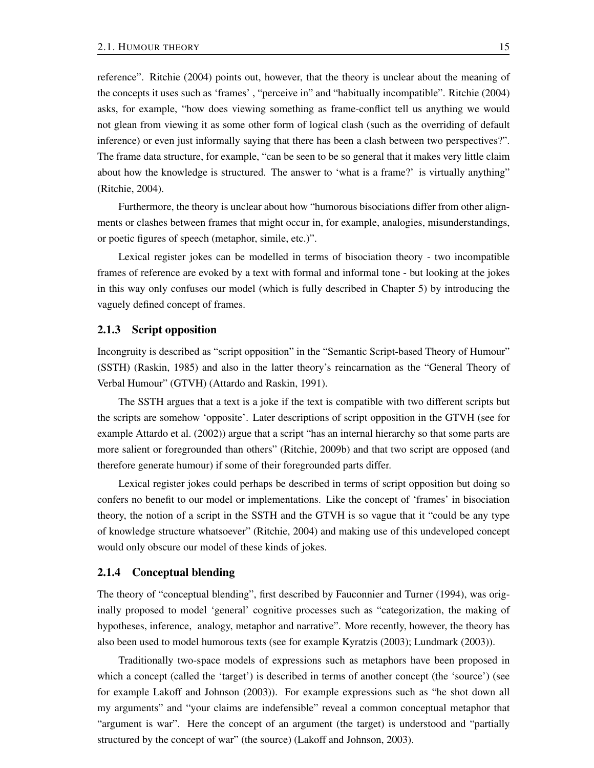reference". Ritchie (2004) points out, however, that the theory is unclear about the meaning of the concepts it uses such as 'frames' , "perceive in" and "habitually incompatible". Ritchie (2004) asks, for example, "how does viewing something as frame-conflict tell us anything we would not glean from viewing it as some other form of logical clash (such as the overriding of default inference) or even just informally saying that there has been a clash between two perspectives?". The frame data structure, for example, "can be seen to be so general that it makes very little claim about how the knowledge is structured. The answer to 'what is a frame?' is virtually anything" (Ritchie, 2004).

Furthermore, the theory is unclear about how "humorous bisociations differ from other alignments or clashes between frames that might occur in, for example, analogies, misunderstandings, or poetic figures of speech (metaphor, simile, etc.)".

Lexical register jokes can be modelled in terms of bisociation theory - two incompatible frames of reference are evoked by a text with formal and informal tone - but looking at the jokes in this way only confuses our model (which is fully described in Chapter 5) by introducing the vaguely defined concept of frames.

#### 2.1.3 Script opposition

Incongruity is described as "script opposition" in the "Semantic Script-based Theory of Humour" (SSTH) (Raskin, 1985) and also in the latter theory's reincarnation as the "General Theory of Verbal Humour" (GTVH) (Attardo and Raskin, 1991).

The SSTH argues that a text is a joke if the text is compatible with two different scripts but the scripts are somehow 'opposite'. Later descriptions of script opposition in the GTVH (see for example Attardo et al. (2002)) argue that a script "has an internal hierarchy so that some parts are more salient or foregrounded than others" (Ritchie, 2009b) and that two script are opposed (and therefore generate humour) if some of their foregrounded parts differ.

Lexical register jokes could perhaps be described in terms of script opposition but doing so confers no benefit to our model or implementations. Like the concept of 'frames' in bisociation theory, the notion of a script in the SSTH and the GTVH is so vague that it "could be any type of knowledge structure whatsoever" (Ritchie, 2004) and making use of this undeveloped concept would only obscure our model of these kinds of jokes.

#### 2.1.4 Conceptual blending

The theory of "conceptual blending", first described by Fauconnier and Turner (1994), was originally proposed to model 'general' cognitive processes such as "categorization, the making of hypotheses, inference, analogy, metaphor and narrative". More recently, however, the theory has also been used to model humorous texts (see for example Kyratzis (2003); Lundmark (2003)).

Traditionally two-space models of expressions such as metaphors have been proposed in which a concept (called the 'target') is described in terms of another concept (the 'source') (see for example Lakoff and Johnson (2003)). For example expressions such as "he shot down all my arguments" and "your claims are indefensible" reveal a common conceptual metaphor that "argument is war". Here the concept of an argument (the target) is understood and "partially structured by the concept of war" (the source) (Lakoff and Johnson, 2003).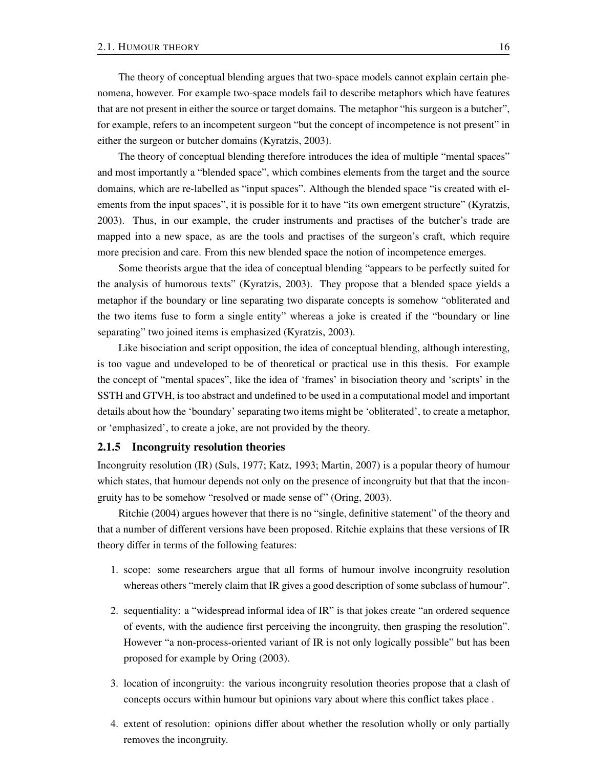The theory of conceptual blending argues that two-space models cannot explain certain phenomena, however. For example two-space models fail to describe metaphors which have features that are not present in either the source or target domains. The metaphor "his surgeon is a butcher", for example, refers to an incompetent surgeon "but the concept of incompetence is not present" in either the surgeon or butcher domains (Kyratzis, 2003).

The theory of conceptual blending therefore introduces the idea of multiple "mental spaces" and most importantly a "blended space", which combines elements from the target and the source domains, which are re-labelled as "input spaces". Although the blended space "is created with elements from the input spaces", it is possible for it to have "its own emergent structure" (Kyratzis, 2003). Thus, in our example, the cruder instruments and practises of the butcher's trade are mapped into a new space, as are the tools and practises of the surgeon's craft, which require more precision and care. From this new blended space the notion of incompetence emerges.

Some theorists argue that the idea of conceptual blending "appears to be perfectly suited for the analysis of humorous texts" (Kyratzis, 2003). They propose that a blended space yields a metaphor if the boundary or line separating two disparate concepts is somehow "obliterated and the two items fuse to form a single entity" whereas a joke is created if the "boundary or line separating" two joined items is emphasized (Kyratzis, 2003).

Like bisociation and script opposition, the idea of conceptual blending, although interesting, is too vague and undeveloped to be of theoretical or practical use in this thesis. For example the concept of "mental spaces", like the idea of 'frames' in bisociation theory and 'scripts' in the SSTH and GTVH, is too abstract and undefined to be used in a computational model and important details about how the 'boundary' separating two items might be 'obliterated', to create a metaphor, or 'emphasized', to create a joke, are not provided by the theory.

#### 2.1.5 Incongruity resolution theories

Incongruity resolution (IR) (Suls, 1977; Katz, 1993; Martin, 2007) is a popular theory of humour which states, that humour depends not only on the presence of incongruity but that that the incongruity has to be somehow "resolved or made sense of" (Oring, 2003).

Ritchie (2004) argues however that there is no "single, definitive statement" of the theory and that a number of different versions have been proposed. Ritchie explains that these versions of IR theory differ in terms of the following features:

- 1. scope: some researchers argue that all forms of humour involve incongruity resolution whereas others "merely claim that IR gives a good description of some subclass of humour".
- 2. sequentiality: a "widespread informal idea of IR" is that jokes create "an ordered sequence of events, with the audience first perceiving the incongruity, then grasping the resolution". However "a non-process-oriented variant of IR is not only logically possible" but has been proposed for example by Oring (2003).
- 3. location of incongruity: the various incongruity resolution theories propose that a clash of concepts occurs within humour but opinions vary about where this conflict takes place .
- 4. extent of resolution: opinions differ about whether the resolution wholly or only partially removes the incongruity.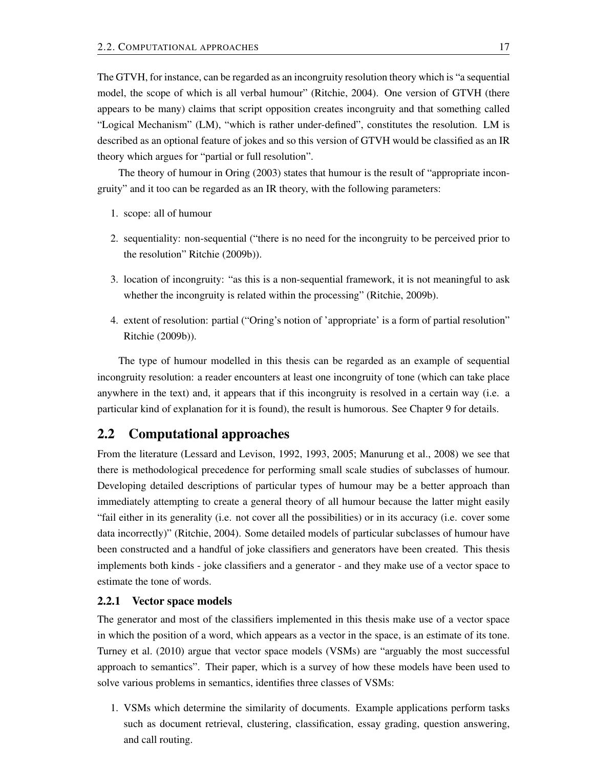The GTVH, for instance, can be regarded as an incongruity resolution theory which is "a sequential model, the scope of which is all verbal humour" (Ritchie, 2004). One version of GTVH (there appears to be many) claims that script opposition creates incongruity and that something called "Logical Mechanism" (LM), "which is rather under-defined", constitutes the resolution. LM is described as an optional feature of jokes and so this version of GTVH would be classified as an IR theory which argues for "partial or full resolution".

The theory of humour in Oring (2003) states that humour is the result of "appropriate incongruity" and it too can be regarded as an IR theory, with the following parameters:

- 1. scope: all of humour
- 2. sequentiality: non-sequential ("there is no need for the incongruity to be perceived prior to the resolution" Ritchie (2009b)).
- 3. location of incongruity: "as this is a non-sequential framework, it is not meaningful to ask whether the incongruity is related within the processing" (Ritchie, 2009b).
- 4. extent of resolution: partial ("Oring's notion of 'appropriate' is a form of partial resolution" Ritchie (2009b)).

The type of humour modelled in this thesis can be regarded as an example of sequential incongruity resolution: a reader encounters at least one incongruity of tone (which can take place anywhere in the text) and, it appears that if this incongruity is resolved in a certain way (i.e. a particular kind of explanation for it is found), the result is humorous. See Chapter 9 for details.

## 2.2 Computational approaches

From the literature (Lessard and Levison, 1992, 1993, 2005; Manurung et al., 2008) we see that there is methodological precedence for performing small scale studies of subclasses of humour. Developing detailed descriptions of particular types of humour may be a better approach than immediately attempting to create a general theory of all humour because the latter might easily "fail either in its generality (i.e. not cover all the possibilities) or in its accuracy (i.e. cover some data incorrectly)" (Ritchie, 2004). Some detailed models of particular subclasses of humour have been constructed and a handful of joke classifiers and generators have been created. This thesis implements both kinds - joke classifiers and a generator - and they make use of a vector space to estimate the tone of words.

#### 2.2.1 Vector space models

The generator and most of the classifiers implemented in this thesis make use of a vector space in which the position of a word, which appears as a vector in the space, is an estimate of its tone. Turney et al. (2010) argue that vector space models (VSMs) are "arguably the most successful approach to semantics". Their paper, which is a survey of how these models have been used to solve various problems in semantics, identifies three classes of VSMs:

1. VSMs which determine the similarity of documents. Example applications perform tasks such as document retrieval, clustering, classification, essay grading, question answering, and call routing.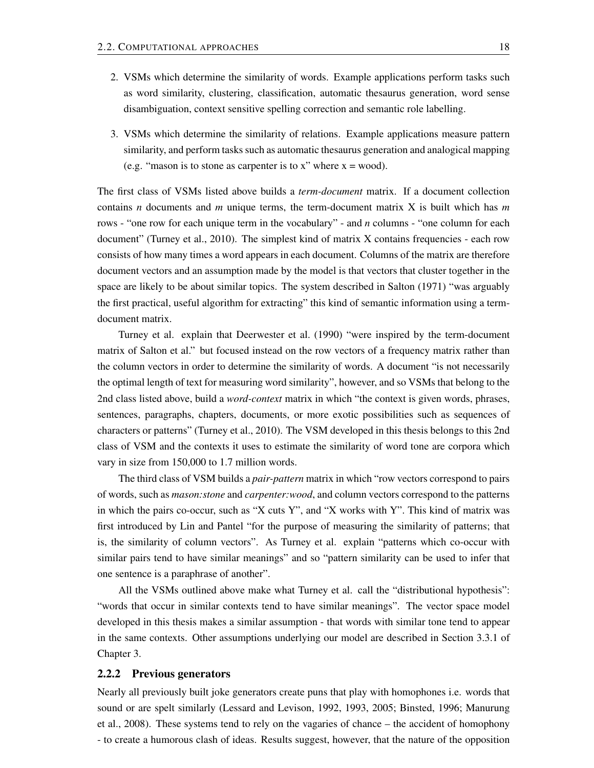- 2. VSMs which determine the similarity of words. Example applications perform tasks such as word similarity, clustering, classification, automatic thesaurus generation, word sense disambiguation, context sensitive spelling correction and semantic role labelling.
- 3. VSMs which determine the similarity of relations. Example applications measure pattern similarity, and perform tasks such as automatic thesaurus generation and analogical mapping (e.g. "mason is to stone as carpenter is to x" where  $x = wood$ ).

The first class of VSMs listed above builds a *term-document* matrix. If a document collection contains *n* documents and *m* unique terms, the term-document matrix X is built which has *m* rows - "one row for each unique term in the vocabulary" - and *n* columns - "one column for each document" (Turney et al., 2010). The simplest kind of matrix X contains frequencies - each row consists of how many times a word appears in each document. Columns of the matrix are therefore document vectors and an assumption made by the model is that vectors that cluster together in the space are likely to be about similar topics. The system described in Salton (1971) "was arguably the first practical, useful algorithm for extracting" this kind of semantic information using a termdocument matrix.

Turney et al. explain that Deerwester et al. (1990) "were inspired by the term-document matrix of Salton et al." but focused instead on the row vectors of a frequency matrix rather than the column vectors in order to determine the similarity of words. A document "is not necessarily the optimal length of text for measuring word similarity", however, and so VSMs that belong to the 2nd class listed above, build a *word-context* matrix in which "the context is given words, phrases, sentences, paragraphs, chapters, documents, or more exotic possibilities such as sequences of characters or patterns" (Turney et al., 2010). The VSM developed in this thesis belongs to this 2nd class of VSM and the contexts it uses to estimate the similarity of word tone are corpora which vary in size from 150,000 to 1.7 million words.

The third class of VSM builds a *pair-pattern* matrix in which "row vectors correspond to pairs of words, such as *mason:stone* and *carpenter:wood*, and column vectors correspond to the patterns in which the pairs co-occur, such as "X cuts Y", and "X works with Y". This kind of matrix was first introduced by Lin and Pantel "for the purpose of measuring the similarity of patterns; that is, the similarity of column vectors". As Turney et al. explain "patterns which co-occur with similar pairs tend to have similar meanings" and so "pattern similarity can be used to infer that one sentence is a paraphrase of another".

All the VSMs outlined above make what Turney et al. call the "distributional hypothesis": "words that occur in similar contexts tend to have similar meanings". The vector space model developed in this thesis makes a similar assumption - that words with similar tone tend to appear in the same contexts. Other assumptions underlying our model are described in Section 3.3.1 of Chapter 3.

#### 2.2.2 Previous generators

Nearly all previously built joke generators create puns that play with homophones i.e. words that sound or are spelt similarly (Lessard and Levison, 1992, 1993, 2005; Binsted, 1996; Manurung et al., 2008). These systems tend to rely on the vagaries of chance – the accident of homophony - to create a humorous clash of ideas. Results suggest, however, that the nature of the opposition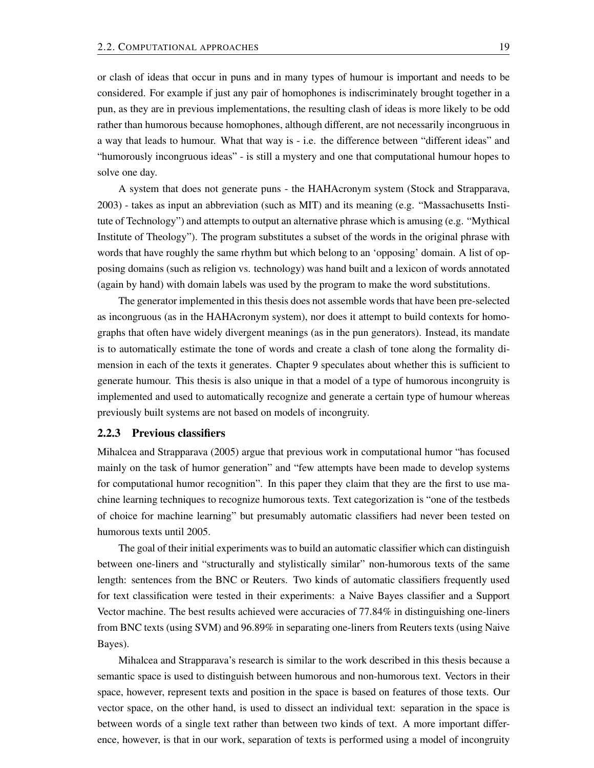or clash of ideas that occur in puns and in many types of humour is important and needs to be considered. For example if just any pair of homophones is indiscriminately brought together in a pun, as they are in previous implementations, the resulting clash of ideas is more likely to be odd rather than humorous because homophones, although different, are not necessarily incongruous in a way that leads to humour. What that way is - i.e. the difference between "different ideas" and "humorously incongruous ideas" - is still a mystery and one that computational humour hopes to solve one day.

A system that does not generate puns - the HAHAcronym system (Stock and Strapparava, 2003) - takes as input an abbreviation (such as MIT) and its meaning (e.g. "Massachusetts Institute of Technology") and attempts to output an alternative phrase which is amusing (e.g. "Mythical Institute of Theology"). The program substitutes a subset of the words in the original phrase with words that have roughly the same rhythm but which belong to an 'opposing' domain. A list of opposing domains (such as religion vs. technology) was hand built and a lexicon of words annotated (again by hand) with domain labels was used by the program to make the word substitutions.

The generator implemented in this thesis does not assemble words that have been pre-selected as incongruous (as in the HAHAcronym system), nor does it attempt to build contexts for homographs that often have widely divergent meanings (as in the pun generators). Instead, its mandate is to automatically estimate the tone of words and create a clash of tone along the formality dimension in each of the texts it generates. Chapter 9 speculates about whether this is sufficient to generate humour. This thesis is also unique in that a model of a type of humorous incongruity is implemented and used to automatically recognize and generate a certain type of humour whereas previously built systems are not based on models of incongruity.

#### 2.2.3 Previous classifiers

Mihalcea and Strapparava (2005) argue that previous work in computational humor "has focused mainly on the task of humor generation" and "few attempts have been made to develop systems for computational humor recognition". In this paper they claim that they are the first to use machine learning techniques to recognize humorous texts. Text categorization is "one of the testbeds of choice for machine learning" but presumably automatic classifiers had never been tested on humorous texts until 2005.

The goal of their initial experiments was to build an automatic classifier which can distinguish between one-liners and "structurally and stylistically similar" non-humorous texts of the same length: sentences from the BNC or Reuters. Two kinds of automatic classifiers frequently used for text classification were tested in their experiments: a Naive Bayes classifier and a Support Vector machine. The best results achieved were accuracies of 77.84% in distinguishing one-liners from BNC texts (using SVM) and 96.89% in separating one-liners from Reuters texts (using Naive Bayes).

Mihalcea and Strapparava's research is similar to the work described in this thesis because a semantic space is used to distinguish between humorous and non-humorous text. Vectors in their space, however, represent texts and position in the space is based on features of those texts. Our vector space, on the other hand, is used to dissect an individual text: separation in the space is between words of a single text rather than between two kinds of text. A more important difference, however, is that in our work, separation of texts is performed using a model of incongruity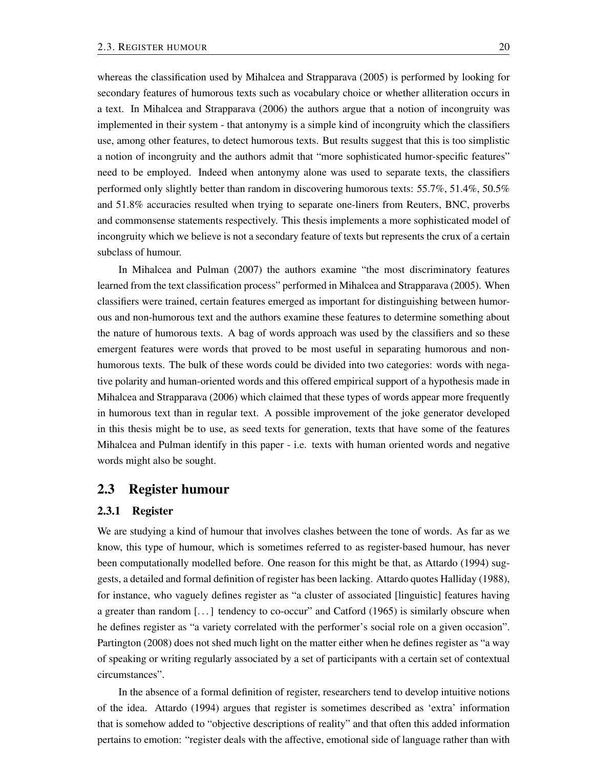whereas the classification used by Mihalcea and Strapparava (2005) is performed by looking for secondary features of humorous texts such as vocabulary choice or whether alliteration occurs in a text. In Mihalcea and Strapparava (2006) the authors argue that a notion of incongruity was implemented in their system - that antonymy is a simple kind of incongruity which the classifiers use, among other features, to detect humorous texts. But results suggest that this is too simplistic a notion of incongruity and the authors admit that "more sophisticated humor-specific features" need to be employed. Indeed when antonymy alone was used to separate texts, the classifiers performed only slightly better than random in discovering humorous texts: 55.7%, 51.4%, 50.5% and 51.8% accuracies resulted when trying to separate one-liners from Reuters, BNC, proverbs and commonsense statements respectively. This thesis implements a more sophisticated model of incongruity which we believe is not a secondary feature of texts but represents the crux of a certain subclass of humour.

In Mihalcea and Pulman (2007) the authors examine "the most discriminatory features learned from the text classification process" performed in Mihalcea and Strapparava (2005). When classifiers were trained, certain features emerged as important for distinguishing between humorous and non-humorous text and the authors examine these features to determine something about the nature of humorous texts. A bag of words approach was used by the classifiers and so these emergent features were words that proved to be most useful in separating humorous and nonhumorous texts. The bulk of these words could be divided into two categories: words with negative polarity and human-oriented words and this offered empirical support of a hypothesis made in Mihalcea and Strapparava (2006) which claimed that these types of words appear more frequently in humorous text than in regular text. A possible improvement of the joke generator developed in this thesis might be to use, as seed texts for generation, texts that have some of the features Mihalcea and Pulman identify in this paper - i.e. texts with human oriented words and negative words might also be sought.

### 2.3 Register humour

### 2.3.1 Register

We are studying a kind of humour that involves clashes between the tone of words. As far as we know, this type of humour, which is sometimes referred to as register-based humour, has never been computationally modelled before. One reason for this might be that, as Attardo (1994) suggests, a detailed and formal definition of register has been lacking. Attardo quotes Halliday (1988), for instance, who vaguely defines register as "a cluster of associated [linguistic] features having a greater than random  $[...]$  tendency to co-occur" and Catford (1965) is similarly obscure when he defines register as "a variety correlated with the performer's social role on a given occasion". Partington (2008) does not shed much light on the matter either when he defines register as "a way of speaking or writing regularly associated by a set of participants with a certain set of contextual circumstances".

In the absence of a formal definition of register, researchers tend to develop intuitive notions of the idea. Attardo (1994) argues that register is sometimes described as 'extra' information that is somehow added to "objective descriptions of reality" and that often this added information pertains to emotion: "register deals with the affective, emotional side of language rather than with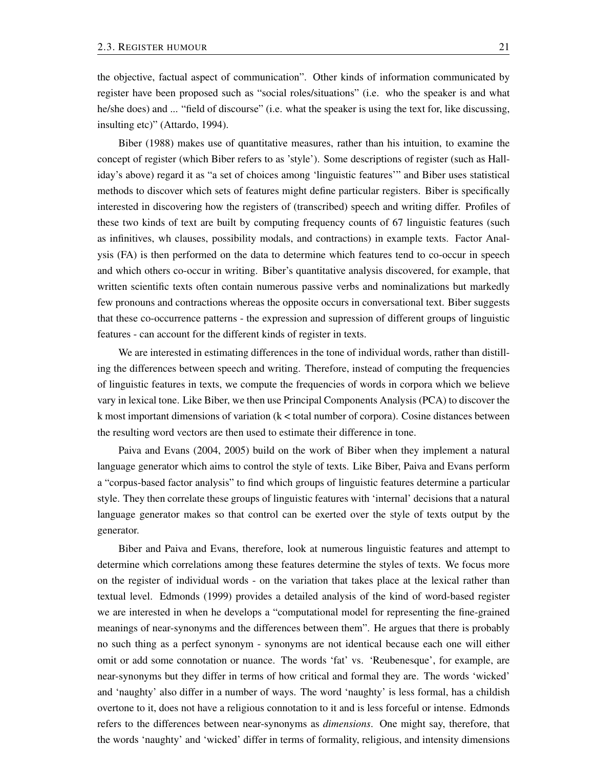the objective, factual aspect of communication". Other kinds of information communicated by register have been proposed such as "social roles/situations" (i.e. who the speaker is and what he/she does) and ... "field of discourse" (i.e. what the speaker is using the text for, like discussing, insulting etc)" (Attardo, 1994).

Biber (1988) makes use of quantitative measures, rather than his intuition, to examine the concept of register (which Biber refers to as 'style'). Some descriptions of register (such as Halliday's above) regard it as "a set of choices among 'linguistic features'" and Biber uses statistical methods to discover which sets of features might define particular registers. Biber is specifically interested in discovering how the registers of (transcribed) speech and writing differ. Profiles of these two kinds of text are built by computing frequency counts of 67 linguistic features (such as infinitives, wh clauses, possibility modals, and contractions) in example texts. Factor Analysis (FA) is then performed on the data to determine which features tend to co-occur in speech and which others co-occur in writing. Biber's quantitative analysis discovered, for example, that written scientific texts often contain numerous passive verbs and nominalizations but markedly few pronouns and contractions whereas the opposite occurs in conversational text. Biber suggests that these co-occurrence patterns - the expression and supression of different groups of linguistic features - can account for the different kinds of register in texts.

We are interested in estimating differences in the tone of individual words, rather than distilling the differences between speech and writing. Therefore, instead of computing the frequencies of linguistic features in texts, we compute the frequencies of words in corpora which we believe vary in lexical tone. Like Biber, we then use Principal Components Analysis (PCA) to discover the k most important dimensions of variation  $(k <$  total number of corpora). Cosine distances between the resulting word vectors are then used to estimate their difference in tone.

Paiva and Evans (2004, 2005) build on the work of Biber when they implement a natural language generator which aims to control the style of texts. Like Biber, Paiva and Evans perform a "corpus-based factor analysis" to find which groups of linguistic features determine a particular style. They then correlate these groups of linguistic features with 'internal' decisions that a natural language generator makes so that control can be exerted over the style of texts output by the generator.

Biber and Paiva and Evans, therefore, look at numerous linguistic features and attempt to determine which correlations among these features determine the styles of texts. We focus more on the register of individual words - on the variation that takes place at the lexical rather than textual level. Edmonds (1999) provides a detailed analysis of the kind of word-based register we are interested in when he develops a "computational model for representing the fine-grained meanings of near-synonyms and the differences between them". He argues that there is probably no such thing as a perfect synonym - synonyms are not identical because each one will either omit or add some connotation or nuance. The words 'fat' vs. 'Reubenesque', for example, are near-synonyms but they differ in terms of how critical and formal they are. The words 'wicked' and 'naughty' also differ in a number of ways. The word 'naughty' is less formal, has a childish overtone to it, does not have a religious connotation to it and is less forceful or intense. Edmonds refers to the differences between near-synonyms as *dimensions*. One might say, therefore, that the words 'naughty' and 'wicked' differ in terms of formality, religious, and intensity dimensions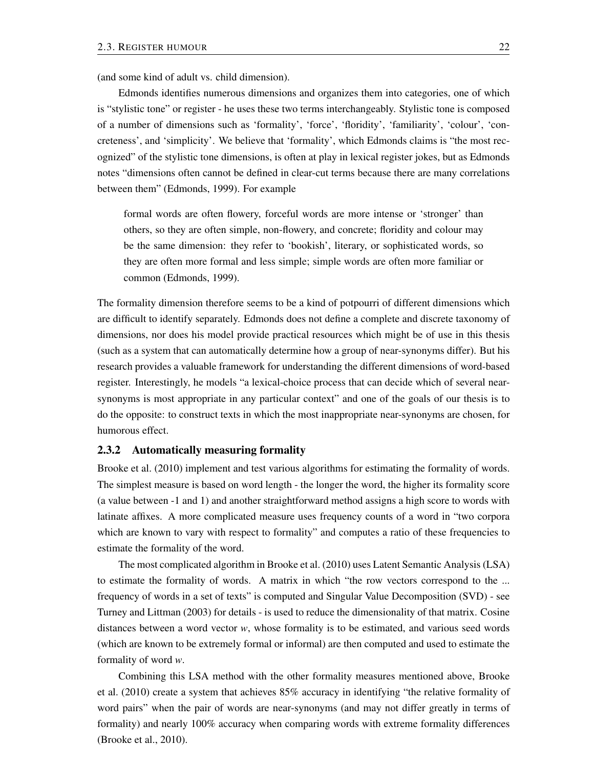(and some kind of adult vs. child dimension).

Edmonds identifies numerous dimensions and organizes them into categories, one of which is "stylistic tone" or register - he uses these two terms interchangeably. Stylistic tone is composed of a number of dimensions such as 'formality', 'force', 'floridity', 'familiarity', 'colour', 'concreteness', and 'simplicity'. We believe that 'formality', which Edmonds claims is "the most recognized" of the stylistic tone dimensions, is often at play in lexical register jokes, but as Edmonds notes "dimensions often cannot be defined in clear-cut terms because there are many correlations between them" (Edmonds, 1999). For example

formal words are often flowery, forceful words are more intense or 'stronger' than others, so they are often simple, non-flowery, and concrete; floridity and colour may be the same dimension: they refer to 'bookish', literary, or sophisticated words, so they are often more formal and less simple; simple words are often more familiar or common (Edmonds, 1999).

The formality dimension therefore seems to be a kind of potpourri of different dimensions which are difficult to identify separately. Edmonds does not define a complete and discrete taxonomy of dimensions, nor does his model provide practical resources which might be of use in this thesis (such as a system that can automatically determine how a group of near-synonyms differ). But his research provides a valuable framework for understanding the different dimensions of word-based register. Interestingly, he models "a lexical-choice process that can decide which of several nearsynonyms is most appropriate in any particular context" and one of the goals of our thesis is to do the opposite: to construct texts in which the most inappropriate near-synonyms are chosen, for humorous effect.

#### 2.3.2 Automatically measuring formality

Brooke et al. (2010) implement and test various algorithms for estimating the formality of words. The simplest measure is based on word length - the longer the word, the higher its formality score (a value between -1 and 1) and another straightforward method assigns a high score to words with latinate affixes. A more complicated measure uses frequency counts of a word in "two corpora which are known to vary with respect to formality" and computes a ratio of these frequencies to estimate the formality of the word.

The most complicated algorithm in Brooke et al. (2010) uses Latent Semantic Analysis (LSA) to estimate the formality of words. A matrix in which "the row vectors correspond to the ... frequency of words in a set of texts" is computed and Singular Value Decomposition (SVD) - see Turney and Littman (2003) for details - is used to reduce the dimensionality of that matrix. Cosine distances between a word vector *w*, whose formality is to be estimated, and various seed words (which are known to be extremely formal or informal) are then computed and used to estimate the formality of word *w*.

Combining this LSA method with the other formality measures mentioned above, Brooke et al. (2010) create a system that achieves 85% accuracy in identifying "the relative formality of word pairs" when the pair of words are near-synonyms (and may not differ greatly in terms of formality) and nearly 100% accuracy when comparing words with extreme formality differences (Brooke et al., 2010).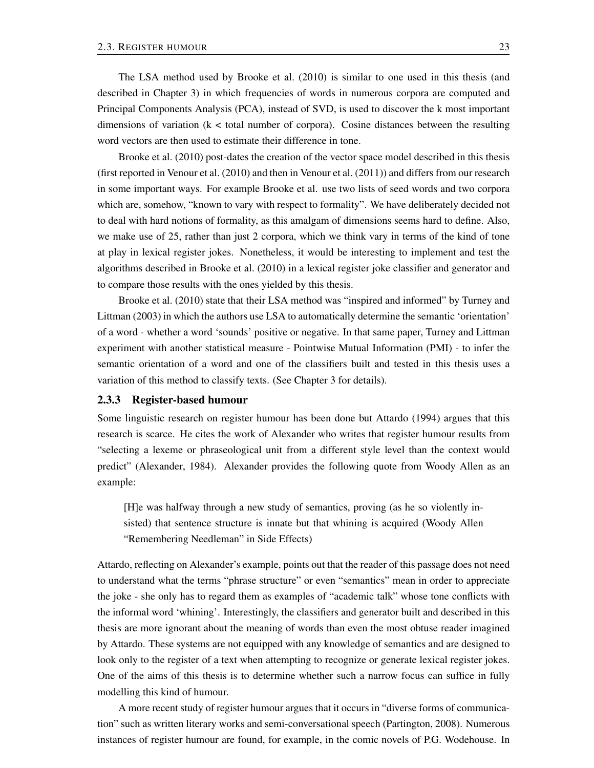The LSA method used by Brooke et al. (2010) is similar to one used in this thesis (and described in Chapter 3) in which frequencies of words in numerous corpora are computed and Principal Components Analysis (PCA), instead of SVD, is used to discover the k most important dimensions of variation  $(k <$  total number of corpora). Cosine distances between the resulting word vectors are then used to estimate their difference in tone.

Brooke et al. (2010) post-dates the creation of the vector space model described in this thesis (first reported in Venour et al. (2010) and then in Venour et al. (2011)) and differs from our research in some important ways. For example Brooke et al. use two lists of seed words and two corpora which are, somehow, "known to vary with respect to formality". We have deliberately decided not to deal with hard notions of formality, as this amalgam of dimensions seems hard to define. Also, we make use of 25, rather than just 2 corpora, which we think vary in terms of the kind of tone at play in lexical register jokes. Nonetheless, it would be interesting to implement and test the algorithms described in Brooke et al. (2010) in a lexical register joke classifier and generator and to compare those results with the ones yielded by this thesis.

Brooke et al. (2010) state that their LSA method was "inspired and informed" by Turney and Littman (2003) in which the authors use LSA to automatically determine the semantic 'orientation' of a word - whether a word 'sounds' positive or negative. In that same paper, Turney and Littman experiment with another statistical measure - Pointwise Mutual Information (PMI) - to infer the semantic orientation of a word and one of the classifiers built and tested in this thesis uses a variation of this method to classify texts. (See Chapter 3 for details).

### 2.3.3 Register-based humour

Some linguistic research on register humour has been done but Attardo (1994) argues that this research is scarce. He cites the work of Alexander who writes that register humour results from "selecting a lexeme or phraseological unit from a different style level than the context would predict" (Alexander, 1984). Alexander provides the following quote from Woody Allen as an example:

[H]e was halfway through a new study of semantics, proving (as he so violently insisted) that sentence structure is innate but that whining is acquired (Woody Allen "Remembering Needleman" in Side Effects)

Attardo, reflecting on Alexander's example, points out that the reader of this passage does not need to understand what the terms "phrase structure" or even "semantics" mean in order to appreciate the joke - she only has to regard them as examples of "academic talk" whose tone conflicts with the informal word 'whining'. Interestingly, the classifiers and generator built and described in this thesis are more ignorant about the meaning of words than even the most obtuse reader imagined by Attardo. These systems are not equipped with any knowledge of semantics and are designed to look only to the register of a text when attempting to recognize or generate lexical register jokes. One of the aims of this thesis is to determine whether such a narrow focus can suffice in fully modelling this kind of humour.

A more recent study of register humour argues that it occurs in "diverse forms of communication" such as written literary works and semi-conversational speech (Partington, 2008). Numerous instances of register humour are found, for example, in the comic novels of P.G. Wodehouse. In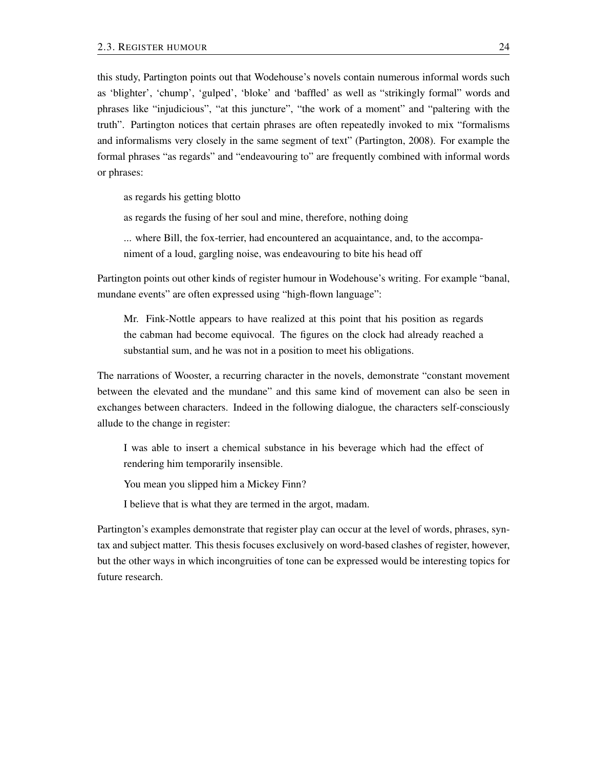this study, Partington points out that Wodehouse's novels contain numerous informal words such as 'blighter', 'chump', 'gulped', 'bloke' and 'baffled' as well as "strikingly formal" words and phrases like "injudicious", "at this juncture", "the work of a moment" and "paltering with the truth". Partington notices that certain phrases are often repeatedly invoked to mix "formalisms and informalisms very closely in the same segment of text" (Partington, 2008). For example the formal phrases "as regards" and "endeavouring to" are frequently combined with informal words or phrases:

as regards his getting blotto

as regards the fusing of her soul and mine, therefore, nothing doing

... where Bill, the fox-terrier, had encountered an acquaintance, and, to the accompaniment of a loud, gargling noise, was endeavouring to bite his head off

Partington points out other kinds of register humour in Wodehouse's writing. For example "banal, mundane events" are often expressed using "high-flown language":

Mr. Fink-Nottle appears to have realized at this point that his position as regards the cabman had become equivocal. The figures on the clock had already reached a substantial sum, and he was not in a position to meet his obligations.

The narrations of Wooster, a recurring character in the novels, demonstrate "constant movement between the elevated and the mundane" and this same kind of movement can also be seen in exchanges between characters. Indeed in the following dialogue, the characters self-consciously allude to the change in register:

I was able to insert a chemical substance in his beverage which had the effect of rendering him temporarily insensible.

You mean you slipped him a Mickey Finn?

I believe that is what they are termed in the argot, madam.

Partington's examples demonstrate that register play can occur at the level of words, phrases, syntax and subject matter. This thesis focuses exclusively on word-based clashes of register, however, but the other ways in which incongruities of tone can be expressed would be interesting topics for future research.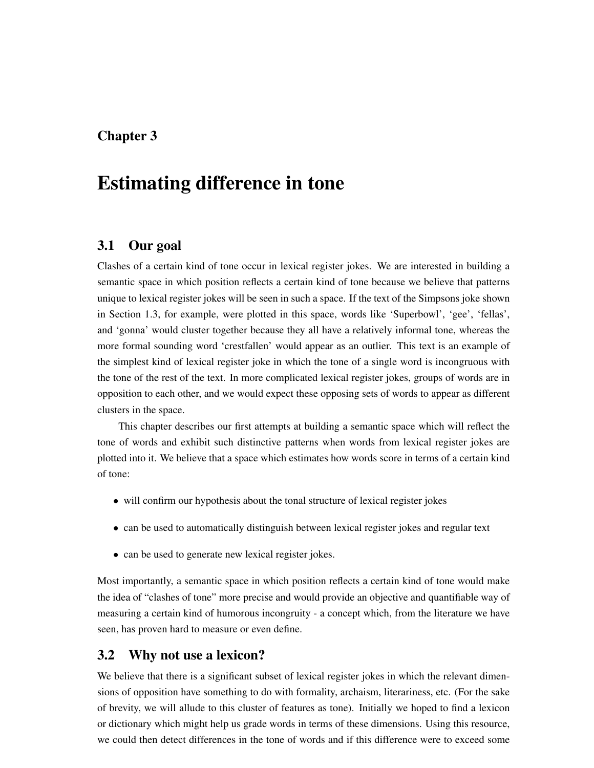# Chapter 3

# Estimating difference in tone

## 3.1 Our goal

Clashes of a certain kind of tone occur in lexical register jokes. We are interested in building a semantic space in which position reflects a certain kind of tone because we believe that patterns unique to lexical register jokes will be seen in such a space. If the text of the Simpsons joke shown in Section 1.3, for example, were plotted in this space, words like 'Superbowl', 'gee', 'fellas', and 'gonna' would cluster together because they all have a relatively informal tone, whereas the more formal sounding word 'crestfallen' would appear as an outlier. This text is an example of the simplest kind of lexical register joke in which the tone of a single word is incongruous with the tone of the rest of the text. In more complicated lexical register jokes, groups of words are in opposition to each other, and we would expect these opposing sets of words to appear as different clusters in the space.

This chapter describes our first attempts at building a semantic space which will reflect the tone of words and exhibit such distinctive patterns when words from lexical register jokes are plotted into it. We believe that a space which estimates how words score in terms of a certain kind of tone:

- will confirm our hypothesis about the tonal structure of lexical register jokes
- can be used to automatically distinguish between lexical register jokes and regular text
- can be used to generate new lexical register jokes.

Most importantly, a semantic space in which position reflects a certain kind of tone would make the idea of "clashes of tone" more precise and would provide an objective and quantifiable way of measuring a certain kind of humorous incongruity - a concept which, from the literature we have seen, has proven hard to measure or even define.

## 3.2 Why not use a lexicon?

We believe that there is a significant subset of lexical register jokes in which the relevant dimensions of opposition have something to do with formality, archaism, literariness, etc. (For the sake of brevity, we will allude to this cluster of features as tone). Initially we hoped to find a lexicon or dictionary which might help us grade words in terms of these dimensions. Using this resource, we could then detect differences in the tone of words and if this difference were to exceed some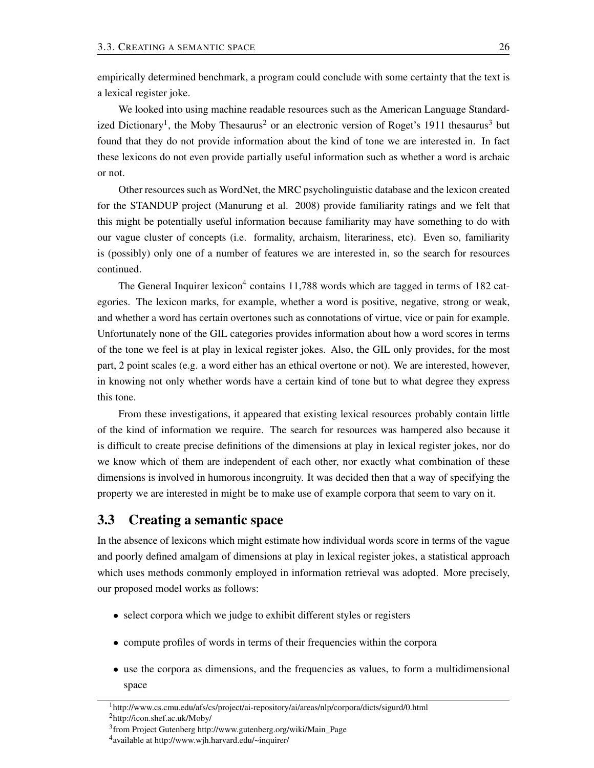empirically determined benchmark, a program could conclude with some certainty that the text is a lexical register joke.

We looked into using machine readable resources such as the American Language Standardized Dictionary<sup>1</sup>, the Moby Thesaurus<sup>2</sup> or an electronic version of Roget's 1911 thesaurus<sup>3</sup> but found that they do not provide information about the kind of tone we are interested in. In fact these lexicons do not even provide partially useful information such as whether a word is archaic or not.

Other resources such as WordNet, the MRC psycholinguistic database and the lexicon created for the STANDUP project (Manurung et al. 2008) provide familiarity ratings and we felt that this might be potentially useful information because familiarity may have something to do with our vague cluster of concepts (i.e. formality, archaism, literariness, etc). Even so, familiarity is (possibly) only one of a number of features we are interested in, so the search for resources continued.

The General Inquirer lexicon<sup>4</sup> contains 11,788 words which are tagged in terms of 182 categories. The lexicon marks, for example, whether a word is positive, negative, strong or weak, and whether a word has certain overtones such as connotations of virtue, vice or pain for example. Unfortunately none of the GIL categories provides information about how a word scores in terms of the tone we feel is at play in lexical register jokes. Also, the GIL only provides, for the most part, 2 point scales (e.g. a word either has an ethical overtone or not). We are interested, however, in knowing not only whether words have a certain kind of tone but to what degree they express this tone.

From these investigations, it appeared that existing lexical resources probably contain little of the kind of information we require. The search for resources was hampered also because it is difficult to create precise definitions of the dimensions at play in lexical register jokes, nor do we know which of them are independent of each other, nor exactly what combination of these dimensions is involved in humorous incongruity. It was decided then that a way of specifying the property we are interested in might be to make use of example corpora that seem to vary on it.

# 3.3 Creating a semantic space

In the absence of lexicons which might estimate how individual words score in terms of the vague and poorly defined amalgam of dimensions at play in lexical register jokes, a statistical approach which uses methods commonly employed in information retrieval was adopted. More precisely, our proposed model works as follows:

- select corpora which we judge to exhibit different styles or registers
- compute profiles of words in terms of their frequencies within the corpora
- use the corpora as dimensions, and the frequencies as values, to form a multidimensional space

<sup>1</sup>http://www.cs.cmu.edu/afs/cs/project/ai-repository/ai/areas/nlp/corpora/dicts/sigurd/0.html <sup>2</sup>http://icon.shef.ac.uk/Moby/

<sup>&</sup>lt;sup>3</sup> from Project Gutenberg http://www.gutenberg.org/wiki/Main\_Page

<sup>4</sup> available at http://www.wjh.harvard.edu/~inquirer/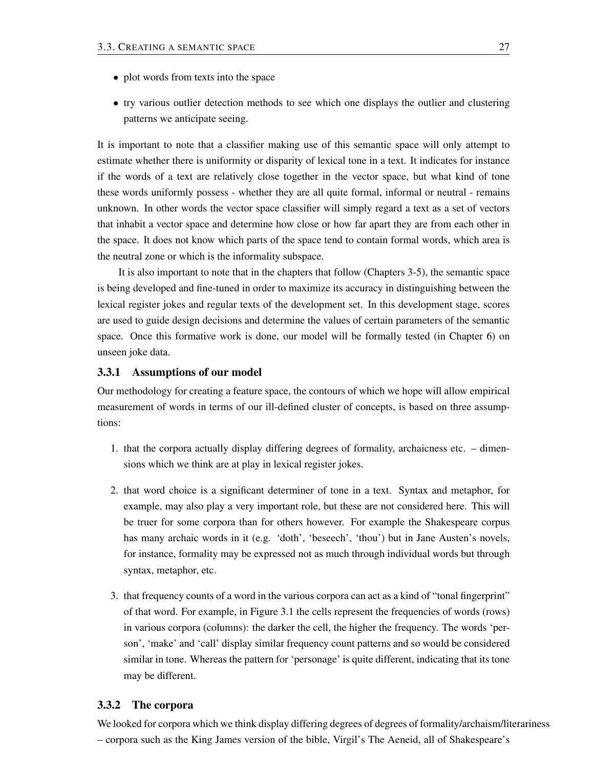- plot words from texts into the space
- try various outlier detection methods to see which one displays the outlier and clustering patterns we anticipate seeing.

It is important to note that a classifier making use of this semantic space will only attempt to estimate whether there is uniformity or disparity of lexical tone in a text. It indicates for instance if the words of a text are relatively close together in the vector space, but what kind of tone these words uniformly possess - whether they are all quite formal, informal or neutral - remains unknown. In other words the vector space classifier will simply regard a text as a set of vectors that inhabit a vector space and determine how close or how far apart they are from each other in the space. It does not know which parts of the space tend to contain formal words, which area is the neutral zone or which is the informality subspace.

It is also important to note that in the chapters that follow (Chapters 3-5), the semantic space is being developed and fine-tuned in order to maximize its accuracy in distinguishing between the lexical register jokes and regular texts of the development set. In this development stage, scores are used to guide design decisions and determine the values of certain parameters of the semantic space. Once this formative work is done, our model will be formally tested (in Chapter 6) on unseen joke data.

#### 3.3.1 Assumptions of our model

Our methodology for creating a feature space, the contours of which we hope will allow empirical measurement of words in terms of our ill-defined cluster of concepts, is based on three assumptions:

- 1. that the corpora actually display differing degrees of formality, archaicness etc. dimensions which we think are at play in lexical register jokes.
- 2. that word choice is a significant determiner of tone in a text. Syntax and metaphor, for example, may also play a very important role, but these are not considered here. This will be truer for some corpora than for others however. For example the Shakespeare corpus has many archaic words in it (e.g. 'doth', 'beseech', 'thou') but in Jane Austen's novels, for instance, formality may be expressed not as much through individual words but through syntax, metaphor, etc.
- 3. that frequency counts of a word in the various corpora can act as a kind of "tonal fingerprint" of that word. For example, in Figure 3.1 the cells represent the frequencies of words (rows) in various corpora (columns): the darker the cell, the higher the frequency. The words 'person', 'make' and 'call' display similar frequency count patterns and so would be considered similar in tone. Whereas the pattern for 'personage' is quite different, indicating that its tone may be different.

### 3.3.2 The corpora

We looked for corpora which we think display differing degrees of degrees of formality/archaism/literariness – corpora such as the King James version of the bible, Virgil's The Aeneid, all of Shakespeare's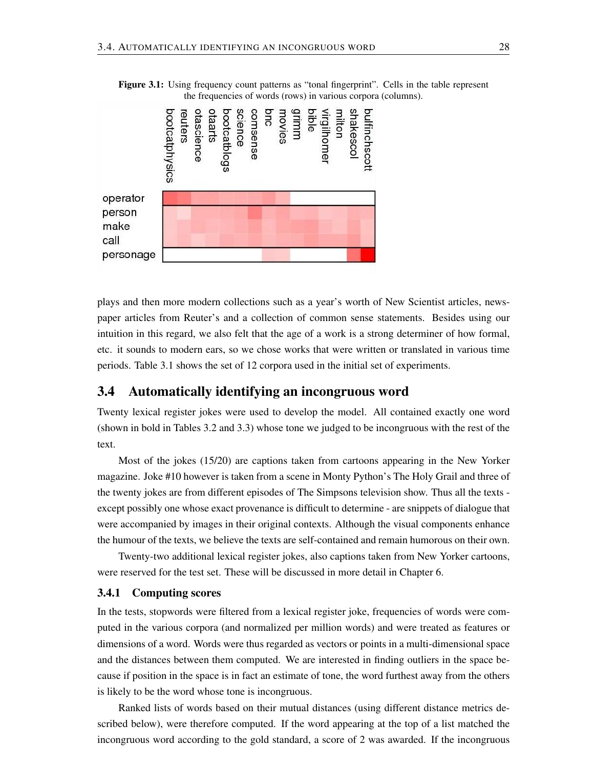

Figure 3.1: Using frequency count patterns as "tonal fingerprint". Cells in the table represent the frequencies of words (rows) in various corpora (columns).

plays and then more modern collections such as a year's worth of New Scientist articles, newspaper articles from Reuter's and a collection of common sense statements. Besides using our intuition in this regard, we also felt that the age of a work is a strong determiner of how formal, etc. it sounds to modern ears, so we chose works that were written or translated in various time periods. Table 3.1 shows the set of 12 corpora used in the initial set of experiments.

### 3.4 Automatically identifying an incongruous word

Twenty lexical register jokes were used to develop the model. All contained exactly one word (shown in bold in Tables 3.2 and 3.3) whose tone we judged to be incongruous with the rest of the text.

Most of the jokes (15/20) are captions taken from cartoons appearing in the New Yorker magazine. Joke #10 however is taken from a scene in Monty Python's The Holy Grail and three of the twenty jokes are from different episodes of The Simpsons television show. Thus all the texts except possibly one whose exact provenance is difficult to determine - are snippets of dialogue that were accompanied by images in their original contexts. Although the visual components enhance the humour of the texts, we believe the texts are self-contained and remain humorous on their own.

Twenty-two additional lexical register jokes, also captions taken from New Yorker cartoons, were reserved for the test set. These will be discussed in more detail in Chapter 6.

#### 3.4.1 Computing scores

In the tests, stopwords were filtered from a lexical register joke, frequencies of words were computed in the various corpora (and normalized per million words) and were treated as features or dimensions of a word. Words were thus regarded as vectors or points in a multi-dimensional space and the distances between them computed. We are interested in finding outliers in the space because if position in the space is in fact an estimate of tone, the word furthest away from the others is likely to be the word whose tone is incongruous.

Ranked lists of words based on their mutual distances (using different distance metrics described below), were therefore computed. If the word appearing at the top of a list matched the incongruous word according to the gold standard, a score of 2 was awarded. If the incongruous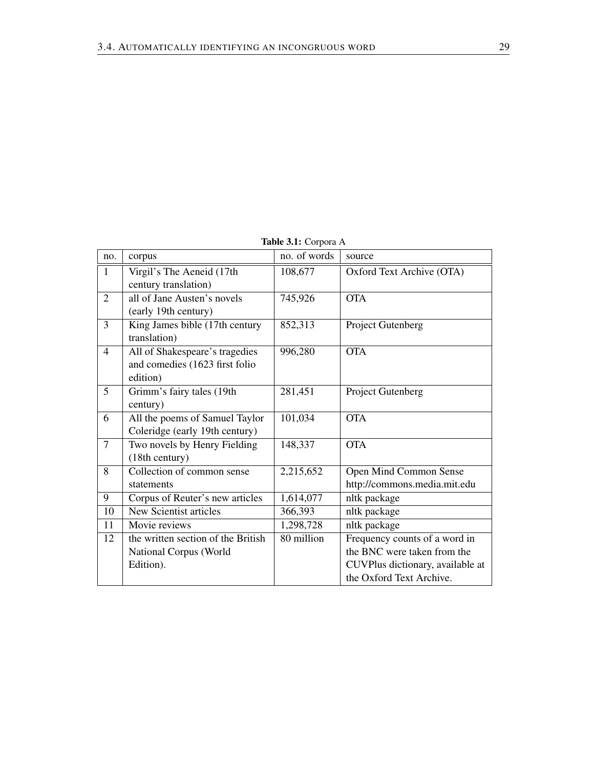| Table 3.1: Corpora A |
|----------------------|
|                      |

| no.            | corpus                                             | no. of words | source                           |
|----------------|----------------------------------------------------|--------------|----------------------------------|
| $\mathbf{1}$   | Virgil's The Aeneid (17th                          | 108,677      | Oxford Text Archive (OTA)        |
|                | century translation)                               |              |                                  |
| $\overline{2}$ | all of Jane Austen's novels                        | 745,926      | <b>OTA</b>                       |
|                | (early 19th century)                               |              |                                  |
| $\overline{3}$ | $\overline{\text{King}}$ James bible (17th century | 852,313      | Project Gutenberg                |
|                | translation)                                       |              |                                  |
| $\overline{4}$ | All of Shakespeare's tragedies                     | 996,280      | <b>OTA</b>                       |
|                | and comedies (1623 first folio                     |              |                                  |
|                | edition)                                           |              |                                  |
| $\mathfrak{S}$ | Grimm's fairy tales (19th                          | 281,451      | Project Gutenberg                |
|                | century)                                           |              |                                  |
| 6              | All the poems of Samuel Taylor                     | 101,034      | <b>OTA</b>                       |
|                | Coleridge (early 19th century)                     |              |                                  |
| $\overline{7}$ | Two novels by Henry Fielding                       | 148,337      | <b>OTA</b>                       |
|                | (18th century)                                     |              |                                  |
| 8              | Collection of common sense                         | 2,215,652    | Open Mind Common Sense           |
|                | statements                                         |              | http://commons.media.mit.edu     |
| 9              | Corpus of Reuter's new articles                    | 1,614,077    | nltk package                     |
| 10             | New Scientist articles                             | 366,393      | nltk package                     |
| 11             | Movie reviews                                      | 1,298,728    | nltk package                     |
| 12             | the written section of the British                 | 80 million   | Frequency counts of a word in    |
|                | National Corpus (World                             |              | the BNC were taken from the      |
|                | Edition).                                          |              | CUVPlus dictionary, available at |
|                |                                                    |              | the Oxford Text Archive.         |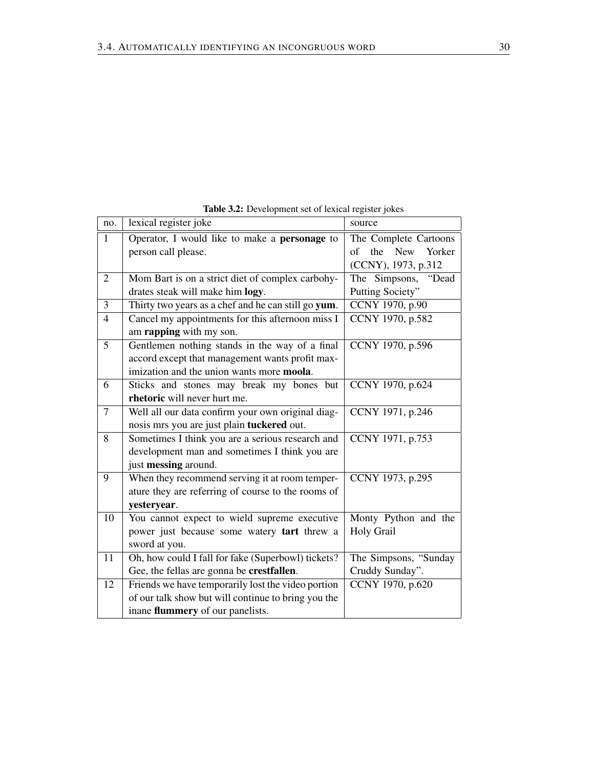|                | <b>radic dia.</b> Development set of rexious register forces |                                   |  |  |  |  |  |  |
|----------------|--------------------------------------------------------------|-----------------------------------|--|--|--|--|--|--|
| no.            | lexical register joke                                        | source                            |  |  |  |  |  |  |
| $\mathbf{1}$   | Operator, I would like to make a <b>personage</b> to         | The Complete Cartoons             |  |  |  |  |  |  |
|                | person call please.                                          | the<br><b>New</b><br>Yorker<br>of |  |  |  |  |  |  |
|                |                                                              | (CCNY), 1973, p.312               |  |  |  |  |  |  |
| $\overline{2}$ | Mom Bart is on a strict diet of complex carbohy-             | The Simpsons, "Dead               |  |  |  |  |  |  |
|                | drates steak will make him logy.                             | Putting Society"                  |  |  |  |  |  |  |
| 3              | Thirty two years as a chef and he can still go yum.          | CCNY 1970, p.90                   |  |  |  |  |  |  |
| $\overline{4}$ | Cancel my appointments for this afternoon miss I             | CCNY 1970, p.582                  |  |  |  |  |  |  |
|                | am rapping with my son.                                      |                                   |  |  |  |  |  |  |
| 5              | Gentlemen nothing stands in the way of a final               | CCNY 1970, p.596                  |  |  |  |  |  |  |
|                | accord except that management wants profit max-              |                                   |  |  |  |  |  |  |
|                | imization and the union wants more moola.                    |                                   |  |  |  |  |  |  |
| 6              | Sticks and stones may break my bones but                     | CCNY 1970, p.624                  |  |  |  |  |  |  |
|                | rhetoric will never hurt me.                                 |                                   |  |  |  |  |  |  |
| $\tau$         | Well all our data confirm your own original diag-            | CCNY 1971, p.246                  |  |  |  |  |  |  |
|                | nosis mrs you are just plain tuckered out.                   |                                   |  |  |  |  |  |  |
| 8              | Sometimes I think you are a serious research and             | CCNY 1971, p.753                  |  |  |  |  |  |  |
|                | development man and sometimes I think you are                |                                   |  |  |  |  |  |  |
|                | just messing around.                                         |                                   |  |  |  |  |  |  |
| 9              | When they recommend serving it at room temper-               | CCNY 1973, p.295                  |  |  |  |  |  |  |
|                | ature they are referring of course to the rooms of           |                                   |  |  |  |  |  |  |
|                | yesteryear.                                                  |                                   |  |  |  |  |  |  |
| 10             | You cannot expect to wield supreme executive                 | Monty Python and the              |  |  |  |  |  |  |
|                | power just because some watery tart threw a                  | Holy Grail                        |  |  |  |  |  |  |
|                | sword at you.                                                |                                   |  |  |  |  |  |  |
| 11             | Oh, how could I fall for fake (Superbowl) tickets?           | The Simpsons, "Sunday             |  |  |  |  |  |  |
|                | Gee, the fellas are gonna be crestfallen.                    | Cruddy Sunday".                   |  |  |  |  |  |  |
| 12             | Friends we have temporarily lost the video portion           | CCNY 1970, p.620                  |  |  |  |  |  |  |
|                | of our talk show but will continue to bring you the          |                                   |  |  |  |  |  |  |
|                | inane flummery of our panelists.                             |                                   |  |  |  |  |  |  |

Table 3.2: Development set of lexical register jokes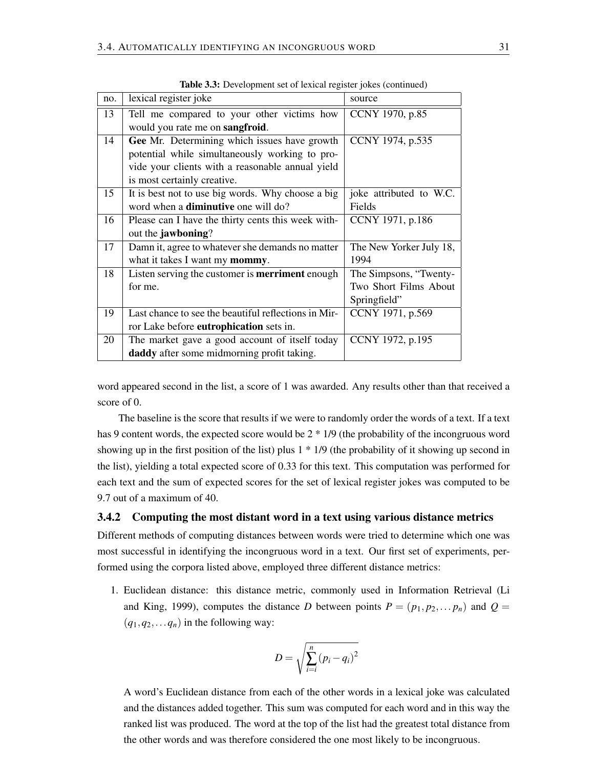| no. | lexical register joke                                  | source                  |
|-----|--------------------------------------------------------|-------------------------|
| 13  | Tell me compared to your other victims how             | CCNY 1970, p.85         |
|     | would you rate me on <b>sangfroid</b> .                |                         |
| 14  | Gee Mr. Determining which issues have growth           | CCNY 1974, p.535        |
|     | potential while simultaneously working to pro-         |                         |
|     | vide your clients with a reasonable annual yield       |                         |
|     | is most certainly creative.                            |                         |
| 15  | It is best not to use big words. Why choose a big      | joke attributed to W.C. |
|     | word when a <b>diminutive</b> one will do?             | Fields                  |
| 16  | Please can I have the thirty cents this week with-     | CCNY 1971, p.186        |
|     | out the <b>jawboning</b> ?                             |                         |
| 17  | Damn it, agree to whatever she demands no matter       | The New Yorker July 18, |
|     | what it takes I want my mommy.                         | 1994                    |
| 18  | Listen serving the customer is <b>merriment</b> enough | The Simpsons, "Twenty-  |
|     | for me.                                                | Two Short Films About   |
|     |                                                        | Springfield"            |
| 19  | Last chance to see the beautiful reflections in Mir-   | CCNY 1971, p.569        |
|     | ror Lake before eutrophication sets in.                |                         |
| 20  | The market gave a good account of itself today         | CCNY 1972, p.195        |
|     | daddy after some midmorning profit taking.             |                         |

Table 3.3: Development set of lexical register jokes (continued)

word appeared second in the list, a score of 1 was awarded. Any results other than that received a score of 0.

The baseline is the score that results if we were to randomly order the words of a text. If a text has 9 content words, the expected score would be  $2 * 1/9$  (the probability of the incongruous word showing up in the first position of the list) plus  $1 * 1/9$  (the probability of it showing up second in the list), yielding a total expected score of 0.33 for this text. This computation was performed for each text and the sum of expected scores for the set of lexical register jokes was computed to be 9.7 out of a maximum of 40.

#### 3.4.2 Computing the most distant word in a text using various distance metrics

Different methods of computing distances between words were tried to determine which one was most successful in identifying the incongruous word in a text. Our first set of experiments, performed using the corpora listed above, employed three different distance metrics:

1. Euclidean distance: this distance metric, commonly used in Information Retrieval (Li and King, 1999), computes the distance *D* between points  $P = (p_1, p_2, \dots, p_n)$  and  $Q =$  $(q_1, q_2, \ldots q_n)$  in the following way:

$$
D = \sqrt{\sum_{i=i}^{n} (p_i - q_i)^2}
$$

A word's Euclidean distance from each of the other words in a lexical joke was calculated and the distances added together. This sum was computed for each word and in this way the ranked list was produced. The word at the top of the list had the greatest total distance from the other words and was therefore considered the one most likely to be incongruous.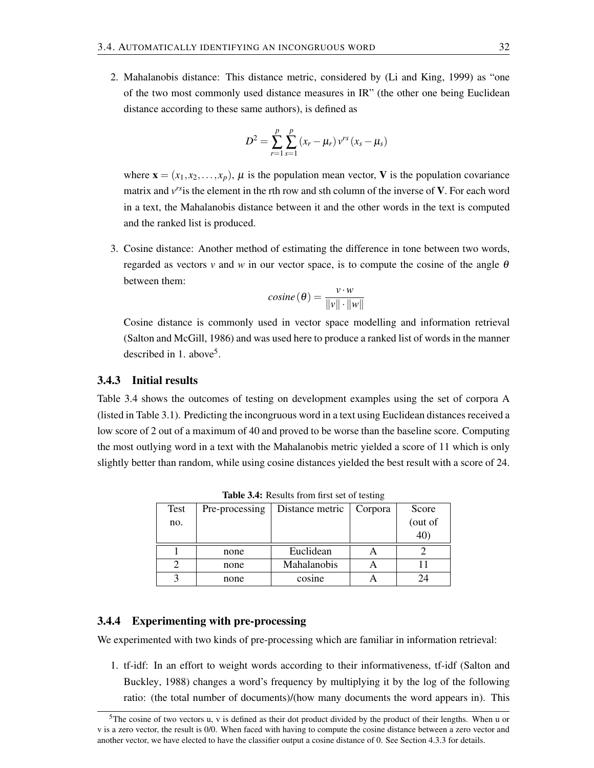2. Mahalanobis distance: This distance metric, considered by (Li and King, 1999) as "one of the two most commonly used distance measures in IR" (the other one being Euclidean distance according to these same authors), is defined as

$$
D^{2} = \sum_{r=1}^{p} \sum_{s=1}^{p} (x_{r} - \mu_{r}) v^{rs} (x_{s} - \mu_{s})
$$

where  $\mathbf{x} = (x_1, x_2, \dots, x_p)$ ,  $\mu$  is the population mean vector, **V** is the population covariance matrix and  $v^{rs}$  is the element in the rth row and sth column of the inverse of V. For each word in a text, the Mahalanobis distance between it and the other words in the text is computed and the ranked list is produced.

3. Cosine distance: Another method of estimating the difference in tone between two words, regarded as vectors *v* and *w* in our vector space, is to compute the cosine of the angle  $\theta$ between them:

$$
cosine(\theta) = \frac{v \cdot w}{\|v\| \cdot \|w\|}
$$

Cosine distance is commonly used in vector space modelling and information retrieval (Salton and McGill, 1986) and was used here to produce a ranked list of words in the manner described in 1. above<sup>5</sup>.

### 3.4.3 Initial results

Table 3.4 shows the outcomes of testing on development examples using the set of corpora A (listed in Table 3.1). Predicting the incongruous word in a text using Euclidean distances received a low score of 2 out of a maximum of 40 and proved to be worse than the baseline score. Computing the most outlying word in a text with the Mahalanobis metric yielded a score of 11 which is only slightly better than random, while using cosine distances yielded the best result with a score of 24.

| <b>Test</b> | Pre-processing | Distance metric | Corpora | Score      |
|-------------|----------------|-----------------|---------|------------|
| no.         |                |                 |         | (out of    |
|             |                |                 |         | $40^\circ$ |
|             | none           | Euclidean       |         |            |
|             | none           | Mahalanobis     |         |            |
|             | none           | cosine          |         |            |

Table 3.4: Results from first set of testing

#### 3.4.4 Experimenting with pre-processing

We experimented with two kinds of pre-processing which are familiar in information retrieval:

1. tf-idf: In an effort to weight words according to their informativeness, tf-idf (Salton and Buckley, 1988) changes a word's frequency by multiplying it by the log of the following ratio: (the total number of documents)/(how many documents the word appears in). This

<sup>&</sup>lt;sup>5</sup>The cosine of two vectors u, v is defined as their dot product divided by the product of their lengths. When u or v is a zero vector, the result is 0/0. When faced with having to compute the cosine distance between a zero vector and another vector, we have elected to have the classifier output a cosine distance of 0. See Section 4.3.3 for details.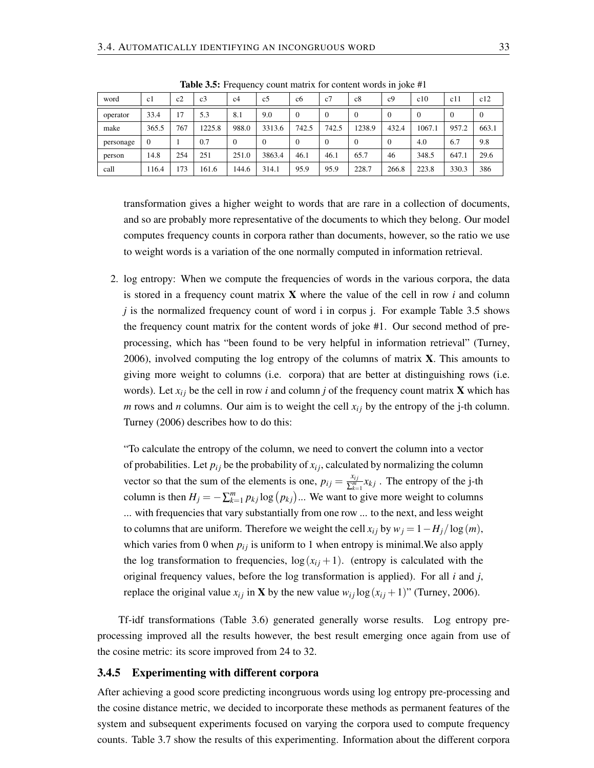| word      | c1             | c2  | c <sub>3</sub> | c4       | c5     | c <sub>6</sub> | c7             | c8     | c <sub>9</sub> | c10    | c11   | c12      |
|-----------|----------------|-----|----------------|----------|--------|----------------|----------------|--------|----------------|--------|-------|----------|
| operator  | 33.4           | 17  | 5.3            | 8.1      | 9.0    | $\theta$       | $\overline{0}$ |        | $\Omega$       | 0      | 0     | $\theta$ |
| make      | 365.5          | 767 | 1225.8         | 988.0    | 3313.6 | 742.5          | 742.5          | 1238.9 | 432.4          | 1067.1 | 957.2 | 663.1    |
| personage | $\overline{0}$ |     | 0.7            | $\Omega$ |        | $\Omega$       | $\overline{0}$ |        | $\Omega$       | 4.0    | 6.7   | 9.8      |
| person    | 14.8           | 254 | 251            | 251.0    | 3863.4 | 46.1           | 46.1           | 65.7   | 46             | 348.5  | 647.1 | 29.6     |
| call      | 116.4          | 173 | 161.6          | 144.6    | 314.1  | 95.9           | 95.9           | 228.7  | 266.8          | 223.8  | 330.3 | 386      |

Table 3.5: Frequency count matrix for content words in joke #1

transformation gives a higher weight to words that are rare in a collection of documents, and so are probably more representative of the documents to which they belong. Our model computes frequency counts in corpora rather than documents, however, so the ratio we use to weight words is a variation of the one normally computed in information retrieval.

2. log entropy: When we compute the frequencies of words in the various corpora, the data is stored in a frequency count matrix X where the value of the cell in row *i* and column *j* is the normalized frequency count of word i in corpus *j*. For example Table 3.5 shows the frequency count matrix for the content words of joke #1. Our second method of preprocessing, which has "been found to be very helpful in information retrieval" (Turney, 2006), involved computing the log entropy of the columns of matrix  $X$ . This amounts to giving more weight to columns (i.e. corpora) that are better at distinguishing rows (i.e. words). Let  $x_{ij}$  be the cell in row *i* and column *j* of the frequency count matrix **X** which has *m* rows and *n* columns. Our aim is to weight the cell  $x_i$  by the entropy of the j-th column. Turney (2006) describes how to do this:

"To calculate the entropy of the column, we need to convert the column into a vector of probabilities. Let  $p_{ij}$  be the probability of  $x_{ij}$ , calculated by normalizing the column vector so that the sum of the elements is one,  $p_{ij} = \frac{x_{ij}}{\nabla_i^m}$  $\frac{x_{ij}}{\sum_{k=1}^{m}} x_{kj}$ . The entropy of the j-th column is then  $H_j = -\sum_{k=1}^m p_{kj} \log (p_{kj}) ...$  We want to give more weight to columns ... with frequencies that vary substantially from one row ... to the next, and less weight to columns that are uniform. Therefore we weight the cell  $x_{ij}$  by  $w_j = 1 - H_j / \log(m)$ , which varies from 0 when  $p_{ij}$  is uniform to 1 when entropy is minimal. We also apply the log transformation to frequencies,  $\log(x_{ij} + 1)$ . (entropy is calculated with the original frequency values, before the log transformation is applied). For all *i* and *j*, replace the original value  $x_{ij}$  in **X** by the new value  $w_{ij} \log(x_{ij} + 1)$ " (Turney, 2006).

Tf-idf transformations (Table 3.6) generated generally worse results. Log entropy preprocessing improved all the results however, the best result emerging once again from use of the cosine metric: its score improved from 24 to 32.

### 3.4.5 Experimenting with different corpora

After achieving a good score predicting incongruous words using log entropy pre-processing and the cosine distance metric, we decided to incorporate these methods as permanent features of the system and subsequent experiments focused on varying the corpora used to compute frequency counts. Table 3.7 show the results of this experimenting. Information about the different corpora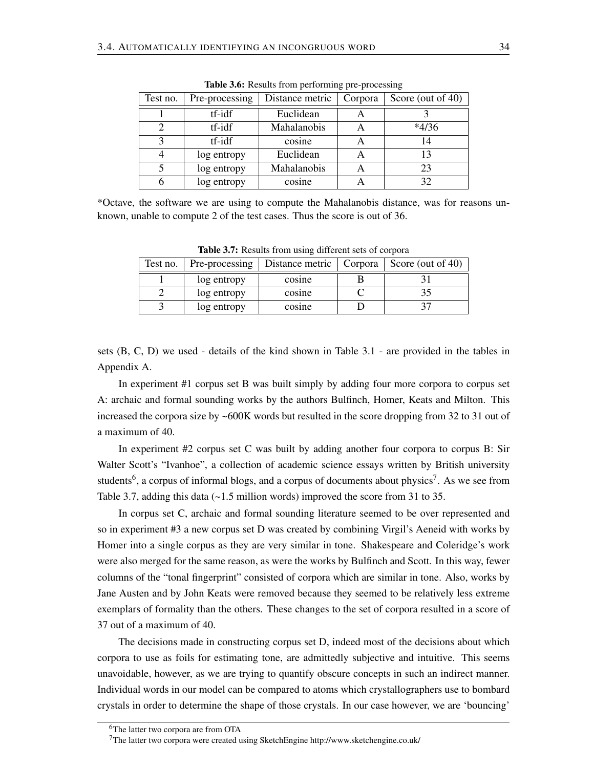| Test no.         | Pre-processing | Distance metric    | Corpora | Score (out of 40) |
|------------------|----------------|--------------------|---------|-------------------|
|                  | tf-idf         | Euclidean          |         |                   |
|                  | tf-idf         | <b>Mahalanobis</b> |         | $*4/36$           |
| $\mathbf \Omega$ | tf-idf         | cosine             |         | 14                |
|                  | log entropy    | Euclidean          |         | 13                |
|                  | log entropy    | <b>Mahalanobis</b> | А       | 23                |
|                  | log entropy    | cosine             |         | 32                |

Table 3.6: Results from performing pre-processing

\*Octave, the software we are using to compute the Mahalanobis distance, was for reasons unknown, unable to compute 2 of the test cases. Thus the score is out of 36.

| <b>Rapic 5.7.</b> Incomes from using university sets of corpora |                           |                           |  |                   |
|-----------------------------------------------------------------|---------------------------|---------------------------|--|-------------------|
|                                                                 | Test no.   Pre-processing | Distance metric   Corpora |  | Score (out of 40) |
|                                                                 | log entropy               | cosine                    |  |                   |
|                                                                 | log entropy               | cosine                    |  |                   |
|                                                                 | log entropy               | cosine                    |  |                   |

Table 3.7: Results from using different sets of corpora

sets (B, C, D) we used - details of the kind shown in Table 3.1 - are provided in the tables in Appendix A.

In experiment #1 corpus set B was built simply by adding four more corpora to corpus set A: archaic and formal sounding works by the authors Bulfinch, Homer, Keats and Milton. This increased the corpora size by ~600K words but resulted in the score dropping from 32 to 31 out of a maximum of 40.

In experiment #2 corpus set C was built by adding another four corpora to corpus B: Sir Walter Scott's "Ivanhoe", a collection of academic science essays written by British university students<sup>6</sup>, a corpus of informal blogs, and a corpus of documents about physics<sup>7</sup>. As we see from Table 3.7, adding this data  $\left(\sim 1.5 \text{ million words}\right)$  improved the score from 31 to 35.

In corpus set C, archaic and formal sounding literature seemed to be over represented and so in experiment #3 a new corpus set D was created by combining Virgil's Aeneid with works by Homer into a single corpus as they are very similar in tone. Shakespeare and Coleridge's work were also merged for the same reason, as were the works by Bulfinch and Scott. In this way, fewer columns of the "tonal fingerprint" consisted of corpora which are similar in tone. Also, works by Jane Austen and by John Keats were removed because they seemed to be relatively less extreme exemplars of formality than the others. These changes to the set of corpora resulted in a score of 37 out of a maximum of 40.

The decisions made in constructing corpus set D, indeed most of the decisions about which corpora to use as foils for estimating tone, are admittedly subjective and intuitive. This seems unavoidable, however, as we are trying to quantify obscure concepts in such an indirect manner. Individual words in our model can be compared to atoms which crystallographers use to bombard crystals in order to determine the shape of those crystals. In our case however, we are 'bouncing'

<sup>6</sup>The latter two corpora are from OTA

<sup>7</sup>The latter two corpora were created using SketchEngine http://www.sketchengine.co.uk/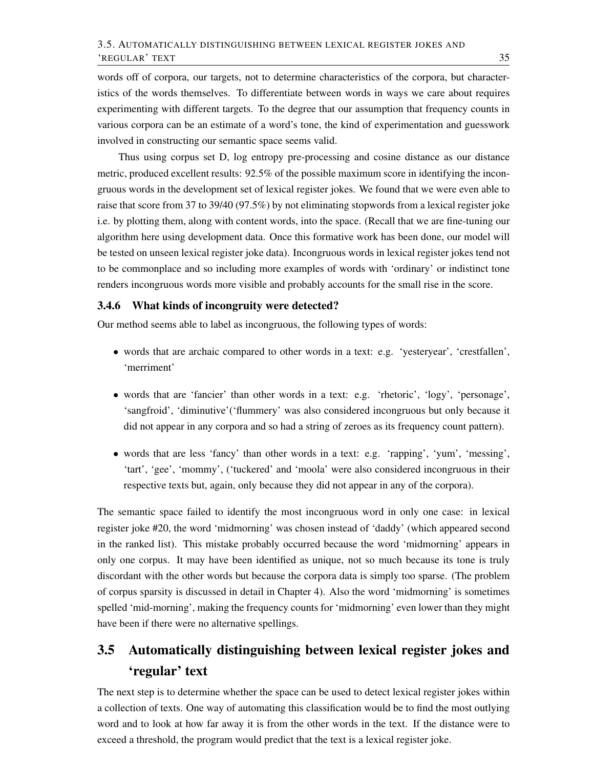words off of corpora, our targets, not to determine characteristics of the corpora, but characteristics of the words themselves. To differentiate between words in ways we care about requires experimenting with different targets. To the degree that our assumption that frequency counts in various corpora can be an estimate of a word's tone, the kind of experimentation and guesswork involved in constructing our semantic space seems valid.

Thus using corpus set D, log entropy pre-processing and cosine distance as our distance metric, produced excellent results: 92.5% of the possible maximum score in identifying the incongruous words in the development set of lexical register jokes. We found that we were even able to raise that score from 37 to 39/40 (97.5%) by not eliminating stopwords from a lexical register joke i.e. by plotting them, along with content words, into the space. (Recall that we are fine-tuning our algorithm here using development data. Once this formative work has been done, our model will be tested on unseen lexical register joke data). Incongruous words in lexical register jokes tend not to be commonplace and so including more examples of words with 'ordinary' or indistinct tone renders incongruous words more visible and probably accounts for the small rise in the score.

#### 3.4.6 What kinds of incongruity were detected?

Our method seems able to label as incongruous, the following types of words:

- words that are archaic compared to other words in a text: e.g. 'yesteryear', 'crestfallen', 'merriment'
- words that are 'fancier' than other words in a text: e.g. 'rhetoric', 'logy', 'personage', 'sangfroid', 'diminutive'('flummery' was also considered incongruous but only because it did not appear in any corpora and so had a string of zeroes as its frequency count pattern).
- words that are less 'fancy' than other words in a text: e.g. 'rapping', 'yum', 'messing', 'tart', 'gee', 'mommy', ('tuckered' and 'moola' were also considered incongruous in their respective texts but, again, only because they did not appear in any of the corpora).

The semantic space failed to identify the most incongruous word in only one case: in lexical register joke #20, the word 'midmorning' was chosen instead of 'daddy' (which appeared second in the ranked list). This mistake probably occurred because the word 'midmorning' appears in only one corpus. It may have been identified as unique, not so much because its tone is truly discordant with the other words but because the corpora data is simply too sparse. (The problem of corpus sparsity is discussed in detail in Chapter 4). Also the word 'midmorning' is sometimes spelled 'mid-morning', making the frequency counts for 'midmorning' even lower than they might have been if there were no alternative spellings.

# 3.5 Automatically distinguishing between lexical register jokes and 'regular' text

The next step is to determine whether the space can be used to detect lexical register jokes within a collection of texts. One way of automating this classification would be to find the most outlying word and to look at how far away it is from the other words in the text. If the distance were to exceed a threshold, the program would predict that the text is a lexical register joke.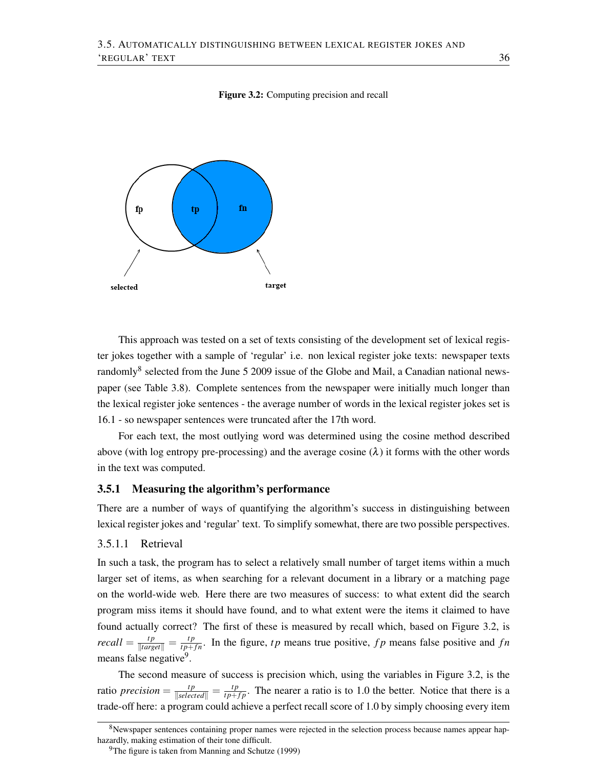#### Figure 3.2: Computing precision and recall



This approach was tested on a set of texts consisting of the development set of lexical register jokes together with a sample of 'regular' i.e. non lexical register joke texts: newspaper texts randomly<sup>8</sup> selected from the June 5 2009 issue of the Globe and Mail, a Canadian national newspaper (see Table 3.8). Complete sentences from the newspaper were initially much longer than the lexical register joke sentences - the average number of words in the lexical register jokes set is 16.1 - so newspaper sentences were truncated after the 17th word.

For each text, the most outlying word was determined using the cosine method described above (with log entropy pre-processing) and the average cosine  $(\lambda)$  it forms with the other words in the text was computed.

#### 3.5.1 Measuring the algorithm's performance

There are a number of ways of quantifying the algorithm's success in distinguishing between lexical register jokes and 'regular' text. To simplify somewhat, there are two possible perspectives.

### 3.5.1.1 Retrieval

In such a task, the program has to select a relatively small number of target items within a much larger set of items, as when searching for a relevant document in a library or a matching page on the world-wide web. Here there are two measures of success: to what extent did the search program miss items it should have found, and to what extent were the items it claimed to have found actually correct? The first of these is measured by recall which, based on Figure 3.2, is *recall* =  $\frac{tp}{|target|} = \frac{tp}{tp + fn}$ . In the figure, *tp* means true positive, *fp* means false positive and *fn* means false negative<sup>9</sup>.

The second measure of success is precision which, using the variables in Figure 3.2, is the ratio *precision* =  $\frac{tp}{|selected||} = \frac{tp}{tp+fp}$ . The nearer a ratio is to 1.0 the better. Notice that there is a trade-off here: a program could achieve a perfect recall score of 1.0 by simply choosing every item

<sup>&</sup>lt;sup>8</sup>Newspaper sentences containing proper names were rejected in the selection process because names appear haphazardly, making estimation of their tone difficult.

<sup>&</sup>lt;sup>9</sup>The figure is taken from Manning and Schutze (1999)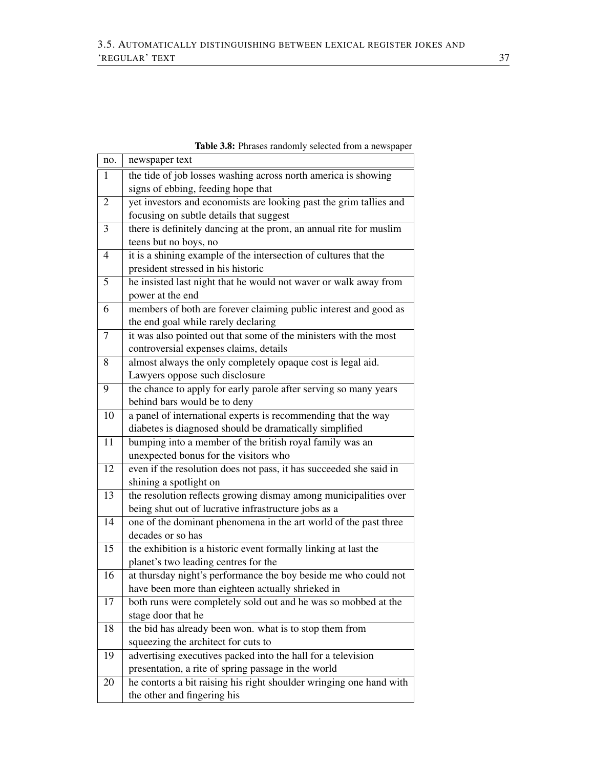| no.            | newspaper text                                                                                       |
|----------------|------------------------------------------------------------------------------------------------------|
| $\mathbf{1}$   | the tide of job losses washing across north america is showing<br>signs of ebbing, feeding hope that |
| $\overline{2}$ | yet investors and economists are looking past the grim tallies and                                   |
|                | focusing on subtle details that suggest                                                              |
| 3              | there is definitely dancing at the prom, an annual rite for muslim                                   |
|                | teens but no boys, no                                                                                |
| 4              | it is a shining example of the intersection of cultures that the                                     |
|                | president stressed in his historic                                                                   |
| 5              | he insisted last night that he would not waver or walk away from                                     |
|                | power at the end                                                                                     |
| 6              | members of both are forever claiming public interest and good as                                     |
|                | the end goal while rarely declaring                                                                  |
| $\overline{7}$ | it was also pointed out that some of the ministers with the most                                     |
|                | controversial expenses claims, details                                                               |
| 8              | almost always the only completely opaque cost is legal aid.                                          |
|                | Lawyers oppose such disclosure                                                                       |
| 9              | the chance to apply for early parole after serving so many years                                     |
|                | behind bars would be to deny                                                                         |
| 10             | a panel of international experts is recommending that the way                                        |
|                | diabetes is diagnosed should be dramatically simplified                                              |
| 11             | bumping into a member of the british royal family was an                                             |
|                | unexpected bonus for the visitors who                                                                |
| 12             | even if the resolution does not pass, it has succeeded she said in                                   |
|                | shining a spotlight on                                                                               |
| 13             | the resolution reflects growing dismay among municipalities over                                     |
|                | being shut out of lucrative infrastructure jobs as a                                                 |
| 14             | one of the dominant phenomena in the art world of the past three                                     |
|                | decades or so has                                                                                    |
| 15             | the exhibition is a historic event formally linking at last the                                      |
|                | planet's two leading centres for the                                                                 |
| 16             | at thursday night's performance the boy beside me who could not                                      |
|                | have been more than eighteen actually shrieked in                                                    |
| 17             | both runs were completely sold out and he was so mobbed at the                                       |
|                | stage door that he                                                                                   |
| 18             | the bid has already been won. what is to stop them from                                              |
|                | squeezing the architect for cuts to                                                                  |
| 19             | advertising executives packed into the hall for a television                                         |
|                | presentation, a rite of spring passage in the world                                                  |
| 20             | he contorts a bit raising his right shoulder wringing one hand with                                  |
|                | the other and fingering his                                                                          |

Table 3.8: Phrases randomly selected from a newspaper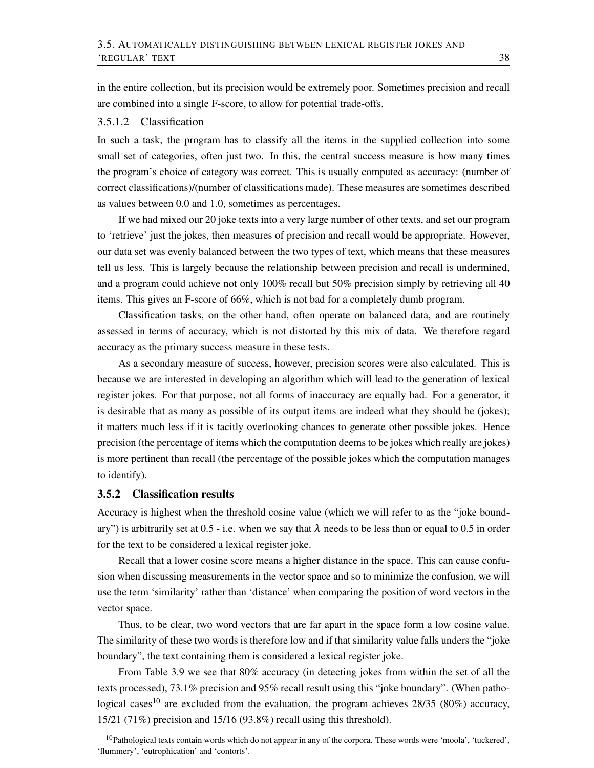in the entire collection, but its precision would be extremely poor. Sometimes precision and recall are combined into a single F-score, to allow for potential trade-offs.

#### 3.5.1.2 Classification

In such a task, the program has to classify all the items in the supplied collection into some small set of categories, often just two. In this, the central success measure is how many times the program's choice of category was correct. This is usually computed as accuracy: (number of correct classifications)/(number of classifications made). These measures are sometimes described as values between 0.0 and 1.0, sometimes as percentages.

If we had mixed our 20 joke texts into a very large number of other texts, and set our program to 'retrieve' just the jokes, then measures of precision and recall would be appropriate. However, our data set was evenly balanced between the two types of text, which means that these measures tell us less. This is largely because the relationship between precision and recall is undermined, and a program could achieve not only 100% recall but 50% precision simply by retrieving all 40 items. This gives an F-score of 66%, which is not bad for a completely dumb program.

Classification tasks, on the other hand, often operate on balanced data, and are routinely assessed in terms of accuracy, which is not distorted by this mix of data. We therefore regard accuracy as the primary success measure in these tests.

As a secondary measure of success, however, precision scores were also calculated. This is because we are interested in developing an algorithm which will lead to the generation of lexical register jokes. For that purpose, not all forms of inaccuracy are equally bad. For a generator, it is desirable that as many as possible of its output items are indeed what they should be (jokes); it matters much less if it is tacitly overlooking chances to generate other possible jokes. Hence precision (the percentage of items which the computation deems to be jokes which really are jokes) is more pertinent than recall (the percentage of the possible jokes which the computation manages to identify).

#### 3.5.2 Classification results

Accuracy is highest when the threshold cosine value (which we will refer to as the "joke boundary") is arbitrarily set at 0.5 - i.e. when we say that  $\lambda$  needs to be less than or equal to 0.5 in order for the text to be considered a lexical register joke.

Recall that a lower cosine score means a higher distance in the space. This can cause confusion when discussing measurements in the vector space and so to minimize the confusion, we will use the term 'similarity' rather than 'distance' when comparing the position of word vectors in the vector space.

Thus, to be clear, two word vectors that are far apart in the space form a low cosine value. The similarity of these two words is therefore low and if that similarity value falls unders the "joke boundary", the text containing them is considered a lexical register joke.

From Table 3.9 we see that 80% accuracy (in detecting jokes from within the set of all the texts processed), 73.1% precision and 95% recall result using this "joke boundary". (When pathological cases<sup>10</sup> are excluded from the evaluation, the program achieves  $28/35$  (80%) accuracy, 15/21 (71%) precision and 15/16 (93.8%) recall using this threshold).

 $10P$ athological texts contain words which do not appear in any of the corpora. These words were 'moola', 'tuckered', 'flummery', 'eutrophication' and 'contorts'.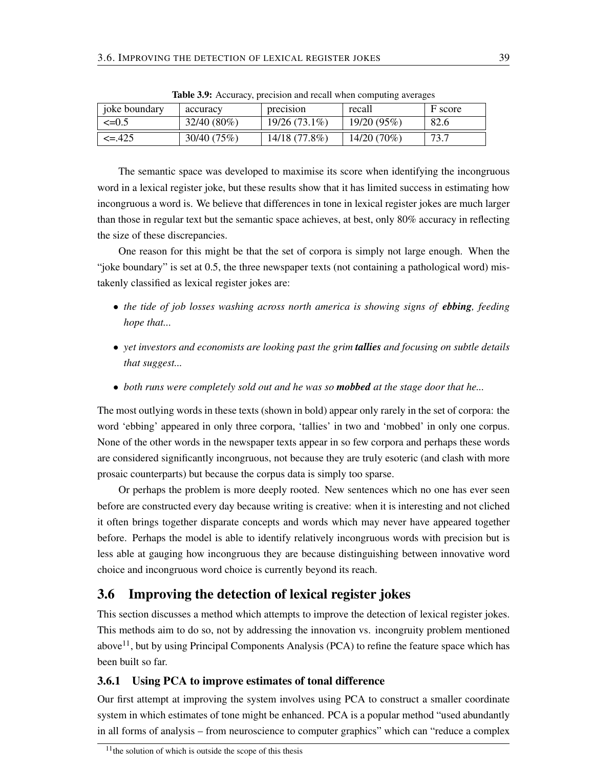| joke boundary | accuracy    | precision     | recall      | F score |
|---------------|-------------|---------------|-------------|---------|
| $\leq=0.5$    | 32/40 (80%) | 19/26 (73.1%) | 19/20(95%)  | 82.6    |
| $\leq$ -.425  | 30/40 (75%) | 14/18 (77.8%) | 14/20 (70%) | 73.7    |

Table 3.9: Accuracy, precision and recall when computing averages

The semantic space was developed to maximise its score when identifying the incongruous word in a lexical register joke, but these results show that it has limited success in estimating how incongruous a word is. We believe that differences in tone in lexical register jokes are much larger than those in regular text but the semantic space achieves, at best, only 80% accuracy in reflecting the size of these discrepancies.

One reason for this might be that the set of corpora is simply not large enough. When the "joke boundary" is set at 0.5, the three newspaper texts (not containing a pathological word) mistakenly classified as lexical register jokes are:

- *the tide of job losses washing across north america is showing signs of ebbing, feeding hope that...*
- *yet investors and economists are looking past the grim tallies and focusing on subtle details that suggest...*
- *both runs were completely sold out and he was so mobbed at the stage door that he...*

The most outlying words in these texts (shown in bold) appear only rarely in the set of corpora: the word 'ebbing' appeared in only three corpora, 'tallies' in two and 'mobbed' in only one corpus. None of the other words in the newspaper texts appear in so few corpora and perhaps these words are considered significantly incongruous, not because they are truly esoteric (and clash with more prosaic counterparts) but because the corpus data is simply too sparse.

Or perhaps the problem is more deeply rooted. New sentences which no one has ever seen before are constructed every day because writing is creative: when it is interesting and not cliched it often brings together disparate concepts and words which may never have appeared together before. Perhaps the model is able to identify relatively incongruous words with precision but is less able at gauging how incongruous they are because distinguishing between innovative word choice and incongruous word choice is currently beyond its reach.

## 3.6 Improving the detection of lexical register jokes

This section discusses a method which attempts to improve the detection of lexical register jokes. This methods aim to do so, not by addressing the innovation vs. incongruity problem mentioned above<sup>11</sup>, but by using Principal Components Analysis (PCA) to refine the feature space which has been built so far.

## 3.6.1 Using PCA to improve estimates of tonal difference

Our first attempt at improving the system involves using PCA to construct a smaller coordinate system in which estimates of tone might be enhanced. PCA is a popular method "used abundantly in all forms of analysis – from neuroscience to computer graphics" which can "reduce a complex

 $11$ <sup>the</sup> solution of which is outside the scope of this thesis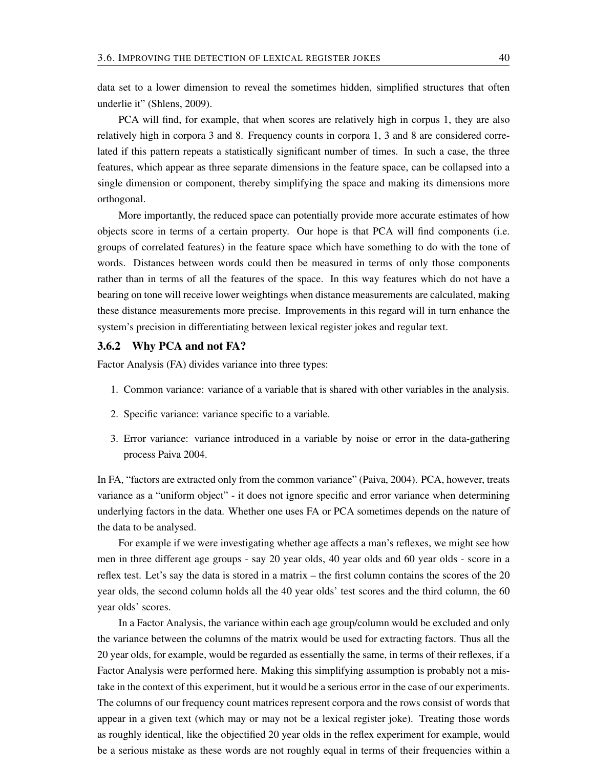data set to a lower dimension to reveal the sometimes hidden, simplified structures that often underlie it" (Shlens, 2009).

PCA will find, for example, that when scores are relatively high in corpus 1, they are also relatively high in corpora 3 and 8. Frequency counts in corpora 1, 3 and 8 are considered correlated if this pattern repeats a statistically significant number of times. In such a case, the three features, which appear as three separate dimensions in the feature space, can be collapsed into a single dimension or component, thereby simplifying the space and making its dimensions more orthogonal.

More importantly, the reduced space can potentially provide more accurate estimates of how objects score in terms of a certain property. Our hope is that PCA will find components (i.e. groups of correlated features) in the feature space which have something to do with the tone of words. Distances between words could then be measured in terms of only those components rather than in terms of all the features of the space. In this way features which do not have a bearing on tone will receive lower weightings when distance measurements are calculated, making these distance measurements more precise. Improvements in this regard will in turn enhance the system's precision in differentiating between lexical register jokes and regular text.

#### 3.6.2 Why PCA and not FA?

Factor Analysis (FA) divides variance into three types:

- 1. Common variance: variance of a variable that is shared with other variables in the analysis.
- 2. Specific variance: variance specific to a variable.
- 3. Error variance: variance introduced in a variable by noise or error in the data-gathering process Paiva 2004.

In FA, "factors are extracted only from the common variance" (Paiva, 2004). PCA, however, treats variance as a "uniform object" - it does not ignore specific and error variance when determining underlying factors in the data. Whether one uses FA or PCA sometimes depends on the nature of the data to be analysed.

For example if we were investigating whether age affects a man's reflexes, we might see how men in three different age groups - say 20 year olds, 40 year olds and 60 year olds - score in a reflex test. Let's say the data is stored in a matrix – the first column contains the scores of the 20 year olds, the second column holds all the 40 year olds' test scores and the third column, the 60 year olds' scores.

In a Factor Analysis, the variance within each age group/column would be excluded and only the variance between the columns of the matrix would be used for extracting factors. Thus all the 20 year olds, for example, would be regarded as essentially the same, in terms of their reflexes, if a Factor Analysis were performed here. Making this simplifying assumption is probably not a mistake in the context of this experiment, but it would be a serious error in the case of our experiments. The columns of our frequency count matrices represent corpora and the rows consist of words that appear in a given text (which may or may not be a lexical register joke). Treating those words as roughly identical, like the objectified 20 year olds in the reflex experiment for example, would be a serious mistake as these words are not roughly equal in terms of their frequencies within a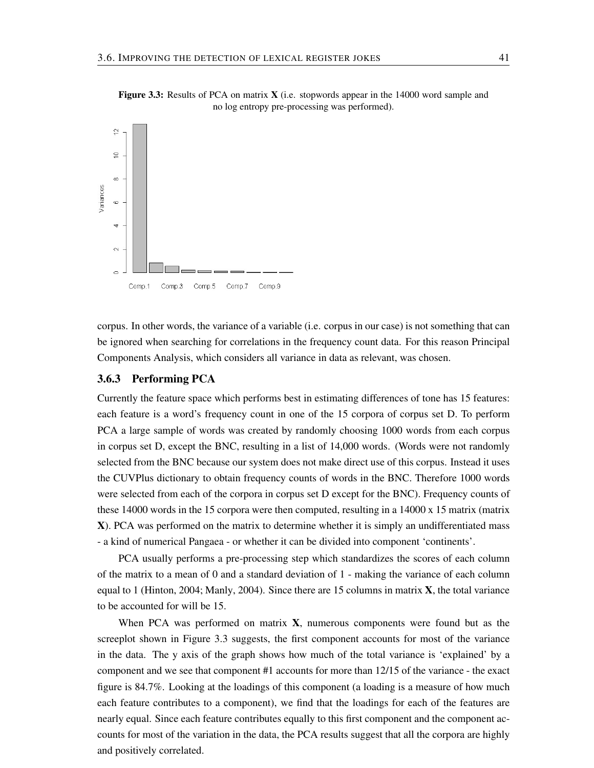

Figure 3.3: Results of PCA on matrix **X** (i.e. stopwords appear in the 14000 word sample and no log entropy pre-processing was performed).

corpus. In other words, the variance of a variable (i.e. corpus in our case) is not something that can be ignored when searching for correlations in the frequency count data. For this reason Principal Components Analysis, which considers all variance in data as relevant, was chosen.

## 3.6.3 Performing PCA

Currently the feature space which performs best in estimating differences of tone has 15 features: each feature is a word's frequency count in one of the 15 corpora of corpus set D. To perform PCA a large sample of words was created by randomly choosing 1000 words from each corpus in corpus set D, except the BNC, resulting in a list of 14,000 words. (Words were not randomly selected from the BNC because our system does not make direct use of this corpus. Instead it uses the CUVPlus dictionary to obtain frequency counts of words in the BNC. Therefore 1000 words were selected from each of the corpora in corpus set D except for the BNC). Frequency counts of these 14000 words in the 15 corpora were then computed, resulting in a 14000 x 15 matrix (matrix X). PCA was performed on the matrix to determine whether it is simply an undifferentiated mass - a kind of numerical Pangaea - or whether it can be divided into component 'continents'.

PCA usually performs a pre-processing step which standardizes the scores of each column of the matrix to a mean of 0 and a standard deviation of 1 - making the variance of each column equal to 1 (Hinton, 2004; Manly, 2004). Since there are 15 columns in matrix  $X$ , the total variance to be accounted for will be 15.

When PCA was performed on matrix  $X$ , numerous components were found but as the screeplot shown in Figure 3.3 suggests, the first component accounts for most of the variance in the data. The y axis of the graph shows how much of the total variance is 'explained' by a component and we see that component #1 accounts for more than 12/15 of the variance - the exact figure is 84.7%. Looking at the loadings of this component (a loading is a measure of how much each feature contributes to a component), we find that the loadings for each of the features are nearly equal. Since each feature contributes equally to this first component and the component accounts for most of the variation in the data, the PCA results suggest that all the corpora are highly and positively correlated.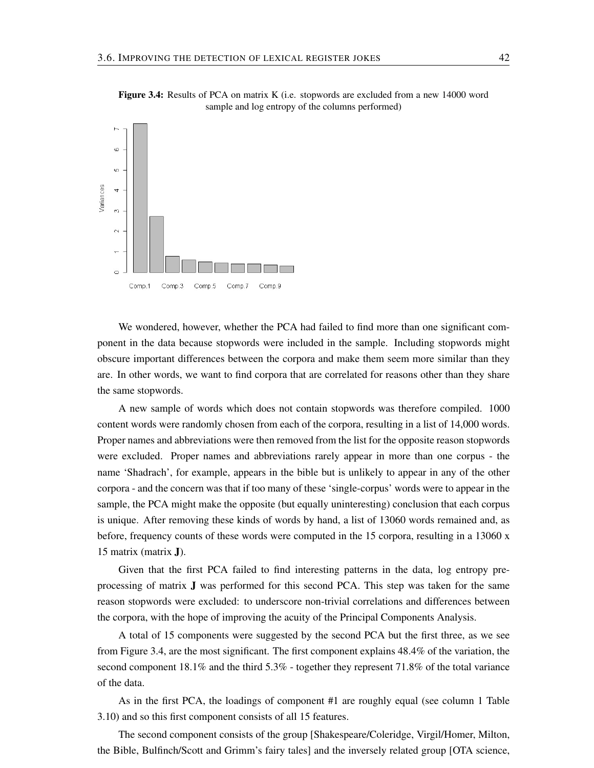

Figure 3.4: Results of PCA on matrix K (i.e. stopwords are excluded from a new 14000 word sample and log entropy of the columns performed)

We wondered, however, whether the PCA had failed to find more than one significant component in the data because stopwords were included in the sample. Including stopwords might obscure important differences between the corpora and make them seem more similar than they are. In other words, we want to find corpora that are correlated for reasons other than they share the same stopwords.

A new sample of words which does not contain stopwords was therefore compiled. 1000 content words were randomly chosen from each of the corpora, resulting in a list of 14,000 words. Proper names and abbreviations were then removed from the list for the opposite reason stopwords were excluded. Proper names and abbreviations rarely appear in more than one corpus - the name 'Shadrach', for example, appears in the bible but is unlikely to appear in any of the other corpora - and the concern was that if too many of these 'single-corpus' words were to appear in the sample, the PCA might make the opposite (but equally uninteresting) conclusion that each corpus is unique. After removing these kinds of words by hand, a list of 13060 words remained and, as before, frequency counts of these words were computed in the 15 corpora, resulting in a 13060 x 15 matrix (matrix J).

Given that the first PCA failed to find interesting patterns in the data, log entropy preprocessing of matrix J was performed for this second PCA. This step was taken for the same reason stopwords were excluded: to underscore non-trivial correlations and differences between the corpora, with the hope of improving the acuity of the Principal Components Analysis.

A total of 15 components were suggested by the second PCA but the first three, as we see from Figure 3.4, are the most significant. The first component explains 48.4% of the variation, the second component 18.1% and the third 5.3% - together they represent 71.8% of the total variance of the data.

As in the first PCA, the loadings of component #1 are roughly equal (see column 1 Table 3.10) and so this first component consists of all 15 features.

The second component consists of the group [Shakespeare/Coleridge, Virgil/Homer, Milton, the Bible, Bulfinch/Scott and Grimm's fairy tales] and the inversely related group [OTA science,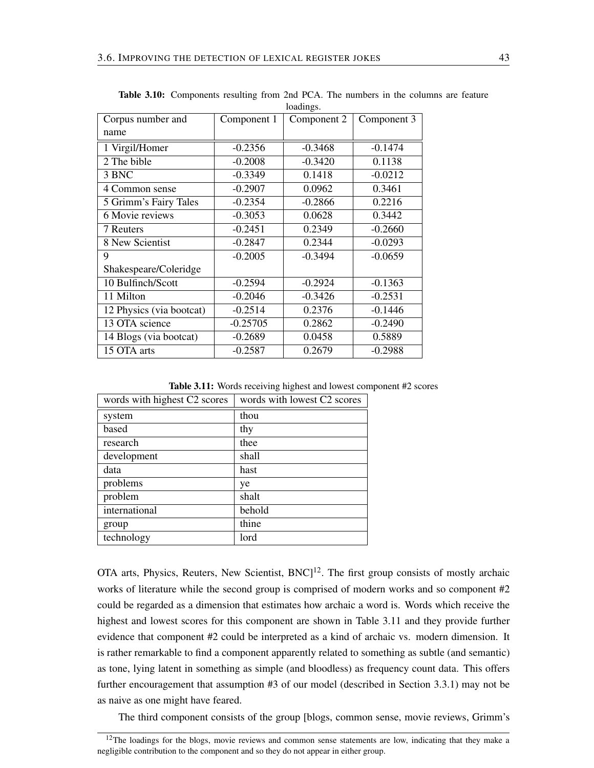|                          |             | roaumgs.    |             |
|--------------------------|-------------|-------------|-------------|
| Corpus number and        | Component 1 | Component 2 | Component 3 |
| name                     |             |             |             |
| 1 Virgil/Homer           | $-0.2356$   | $-0.3468$   | $-0.1474$   |
| 2 The bible              | $-0.2008$   | $-0.3420$   | 0.1138      |
| 3 BNC                    | $-0.3349$   | 0.1418      | $-0.0212$   |
| 4 Common sense           | $-0.2907$   | 0.0962      | 0.3461      |
| 5 Grimm's Fairy Tales    | $-0.2354$   | $-0.2866$   | 0.2216      |
| 6 Movie reviews          | $-0.3053$   | 0.0628      | 0.3442      |
| 7 Reuters                | $-0.2451$   | 0.2349      | $-0.2660$   |
| 8 New Scientist          | $-0.2847$   | 0.2344      | $-0.0293$   |
| 9                        | $-0.2005$   | $-0.3494$   | $-0.0659$   |
| Shakespeare/Coleridge    |             |             |             |
| 10 Bulfinch/Scott        | $-0.2594$   | $-0.2924$   | $-0.1363$   |
| 11 Milton                | $-0.2046$   | $-0.3426$   | $-0.2531$   |
| 12 Physics (via bootcat) | $-0.2514$   | 0.2376      | $-0.1446$   |
| 13 OTA science           | $-0.25705$  | 0.2862      | $-0.2490$   |
| 14 Blogs (via bootcat)   | $-0.2689$   | 0.0458      | 0.5889      |
| 15 OTA arts              | $-0.2587$   | 0.2679      | $-0.2988$   |
|                          |             |             |             |

Table 3.10: Components resulting from 2nd PCA. The numbers in the columns are feature loadings.

Table 3.11: Words receiving highest and lowest component #2 scores

| words with highest C2 scores | words with lowest C2 scores |
|------------------------------|-----------------------------|
| system                       | thou                        |
| based                        | thy                         |
| research                     | thee                        |
| development                  | shall                       |
| data                         | hast                        |
| problems                     | ye                          |
| problem                      | shalt                       |
| international                | behold                      |
| group                        | thine                       |
| technology                   | lord                        |

OTA arts, Physics, Reuters, New Scientist,  $BNC$ <sup>12</sup>. The first group consists of mostly archaic works of literature while the second group is comprised of modern works and so component #2 could be regarded as a dimension that estimates how archaic a word is. Words which receive the highest and lowest scores for this component are shown in Table 3.11 and they provide further evidence that component #2 could be interpreted as a kind of archaic vs. modern dimension. It is rather remarkable to find a component apparently related to something as subtle (and semantic) as tone, lying latent in something as simple (and bloodless) as frequency count data. This offers further encouragement that assumption #3 of our model (described in Section 3.3.1) may not be as naive as one might have feared.

The third component consists of the group [blogs, common sense, movie reviews, Grimm's

 $12$ The loadings for the blogs, movie reviews and common sense statements are low, indicating that they make a negligible contribution to the component and so they do not appear in either group.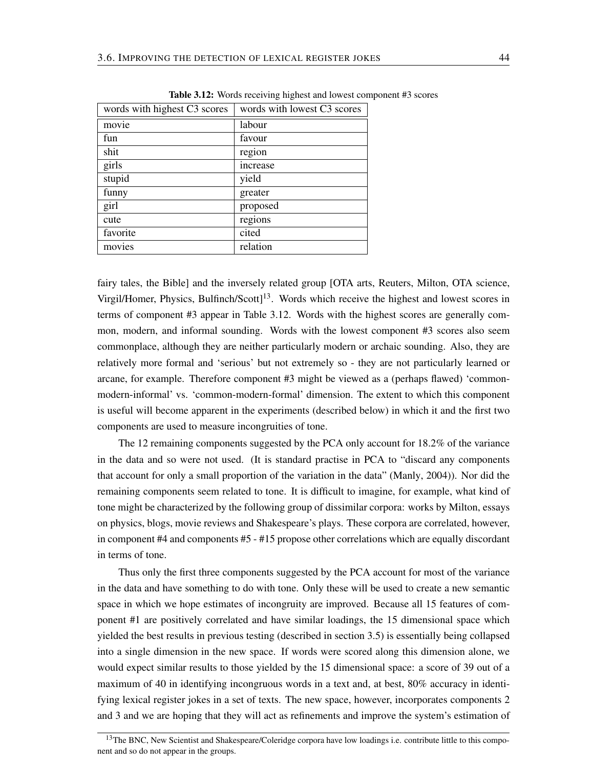| words with highest C3 scores | words with lowest C3 scores |
|------------------------------|-----------------------------|
| movie                        | labour                      |
| fun                          | favour                      |
| shit                         | region                      |
| girls                        | increase                    |
| stupid                       | yield                       |
| funny                        | greater                     |
| girl                         | proposed                    |
| cute                         | regions                     |
| favorite                     | cited                       |
| movies                       | relation                    |

Table 3.12: Words receiving highest and lowest component #3 scores

fairy tales, the Bible] and the inversely related group [OTA arts, Reuters, Milton, OTA science, Virgil/Homer, Physics, Bulfinch/Scott]<sup>13</sup>. Words which receive the highest and lowest scores in terms of component #3 appear in Table 3.12. Words with the highest scores are generally common, modern, and informal sounding. Words with the lowest component #3 scores also seem commonplace, although they are neither particularly modern or archaic sounding. Also, they are relatively more formal and 'serious' but not extremely so - they are not particularly learned or arcane, for example. Therefore component #3 might be viewed as a (perhaps flawed) 'commonmodern-informal' vs. 'common-modern-formal' dimension. The extent to which this component is useful will become apparent in the experiments (described below) in which it and the first two components are used to measure incongruities of tone.

The 12 remaining components suggested by the PCA only account for 18.2% of the variance in the data and so were not used. (It is standard practise in PCA to "discard any components that account for only a small proportion of the variation in the data" (Manly, 2004)). Nor did the remaining components seem related to tone. It is difficult to imagine, for example, what kind of tone might be characterized by the following group of dissimilar corpora: works by Milton, essays on physics, blogs, movie reviews and Shakespeare's plays. These corpora are correlated, however, in component #4 and components #5 - #15 propose other correlations which are equally discordant in terms of tone.

Thus only the first three components suggested by the PCA account for most of the variance in the data and have something to do with tone. Only these will be used to create a new semantic space in which we hope estimates of incongruity are improved. Because all 15 features of component #1 are positively correlated and have similar loadings, the 15 dimensional space which yielded the best results in previous testing (described in section 3.5) is essentially being collapsed into a single dimension in the new space. If words were scored along this dimension alone, we would expect similar results to those yielded by the 15 dimensional space: a score of 39 out of a maximum of 40 in identifying incongruous words in a text and, at best, 80% accuracy in identifying lexical register jokes in a set of texts. The new space, however, incorporates components 2 and 3 and we are hoping that they will act as refinements and improve the system's estimation of

<sup>&</sup>lt;sup>13</sup>The BNC, New Scientist and Shakespeare/Coleridge corpora have low loadings i.e. contribute little to this component and so do not appear in the groups.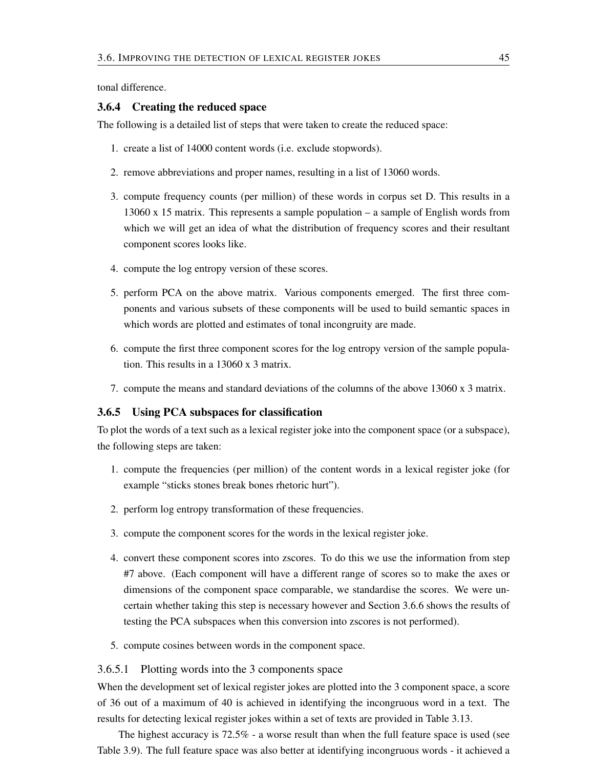tonal difference.

#### 3.6.4 Creating the reduced space

The following is a detailed list of steps that were taken to create the reduced space:

- 1. create a list of 14000 content words (i.e. exclude stopwords).
- 2. remove abbreviations and proper names, resulting in a list of 13060 words.
- 3. compute frequency counts (per million) of these words in corpus set D. This results in a 13060 x 15 matrix. This represents a sample population – a sample of English words from which we will get an idea of what the distribution of frequency scores and their resultant component scores looks like.
- 4. compute the log entropy version of these scores.
- 5. perform PCA on the above matrix. Various components emerged. The first three components and various subsets of these components will be used to build semantic spaces in which words are plotted and estimates of tonal incongruity are made.
- 6. compute the first three component scores for the log entropy version of the sample population. This results in a 13060 x 3 matrix.
- 7. compute the means and standard deviations of the columns of the above 13060 x 3 matrix.

#### 3.6.5 Using PCA subspaces for classification

To plot the words of a text such as a lexical register joke into the component space (or a subspace), the following steps are taken:

- 1. compute the frequencies (per million) of the content words in a lexical register joke (for example "sticks stones break bones rhetoric hurt").
- 2. perform log entropy transformation of these frequencies.
- 3. compute the component scores for the words in the lexical register joke.
- 4. convert these component scores into zscores. To do this we use the information from step #7 above. (Each component will have a different range of scores so to make the axes or dimensions of the component space comparable, we standardise the scores. We were uncertain whether taking this step is necessary however and Section 3.6.6 shows the results of testing the PCA subspaces when this conversion into zscores is not performed).
- 5. compute cosines between words in the component space.

#### 3.6.5.1 Plotting words into the 3 components space

When the development set of lexical register jokes are plotted into the 3 component space, a score of 36 out of a maximum of 40 is achieved in identifying the incongruous word in a text. The results for detecting lexical register jokes within a set of texts are provided in Table 3.13.

The highest accuracy is 72.5% - a worse result than when the full feature space is used (see Table 3.9). The full feature space was also better at identifying incongruous words - it achieved a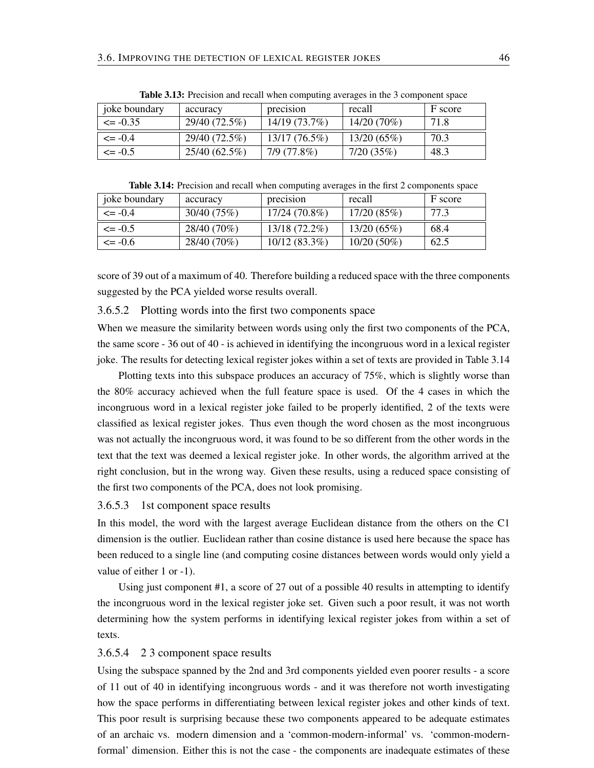| <i>i</i> oke boundary | accuracy        | precision       | recall        | F score |
|-----------------------|-----------------|-----------------|---------------|---------|
| $\leq$ -0.35          | 29/40 (72.5%)   | 14/19 (73.7%)   | $14/20(70\%)$ | 71.8    |
| $\leq$ -0.4           | 29/40 (72.5%)   | $13/17(76.5\%)$ | 13/20(65%)    | 70.3    |
| $\leq$ -0.5           | $25/40(62.5\%)$ | 7/9 (77.8%)     | 7/20(35%)     | 48.3    |

Table 3.13: Precision and recall when computing averages in the 3 component space

Table 3.14: Precision and recall when computing averages in the first 2 components space

| joke boundary | accuracy    | precision       | recall        | F score |
|---------------|-------------|-----------------|---------------|---------|
| $\leq$ -0.4   | 30/40 (75%) | 17/24 (70.8%)   | 17/20(85%)    | 77.3    |
| $\leq$ = -0.5 | 28/40 (70%) | 13/18 (72.2%)   | 13/20(65%)    | 68.4    |
| $\leq$ -0.6   | 28/40 (70%) | $10/12(83.3\%)$ | $10/20(50\%)$ | 62.5    |

score of 39 out of a maximum of 40. Therefore building a reduced space with the three components suggested by the PCA yielded worse results overall.

#### 3.6.5.2 Plotting words into the first two components space

When we measure the similarity between words using only the first two components of the PCA, the same score - 36 out of 40 - is achieved in identifying the incongruous word in a lexical register joke. The results for detecting lexical register jokes within a set of texts are provided in Table 3.14

Plotting texts into this subspace produces an accuracy of 75%, which is slightly worse than the 80% accuracy achieved when the full feature space is used. Of the 4 cases in which the incongruous word in a lexical register joke failed to be properly identified, 2 of the texts were classified as lexical register jokes. Thus even though the word chosen as the most incongruous was not actually the incongruous word, it was found to be so different from the other words in the text that the text was deemed a lexical register joke. In other words, the algorithm arrived at the right conclusion, but in the wrong way. Given these results, using a reduced space consisting of the first two components of the PCA, does not look promising.

#### 3.6.5.3 1st component space results

In this model, the word with the largest average Euclidean distance from the others on the C1 dimension is the outlier. Euclidean rather than cosine distance is used here because the space has been reduced to a single line (and computing cosine distances between words would only yield a value of either 1 or -1).

Using just component #1, a score of 27 out of a possible 40 results in attempting to identify the incongruous word in the lexical register joke set. Given such a poor result, it was not worth determining how the system performs in identifying lexical register jokes from within a set of texts.

#### 3.6.5.4 2 3 component space results

Using the subspace spanned by the 2nd and 3rd components yielded even poorer results - a score of 11 out of 40 in identifying incongruous words - and it was therefore not worth investigating how the space performs in differentiating between lexical register jokes and other kinds of text. This poor result is surprising because these two components appeared to be adequate estimates of an archaic vs. modern dimension and a 'common-modern-informal' vs. 'common-modernformal' dimension. Either this is not the case - the components are inadequate estimates of these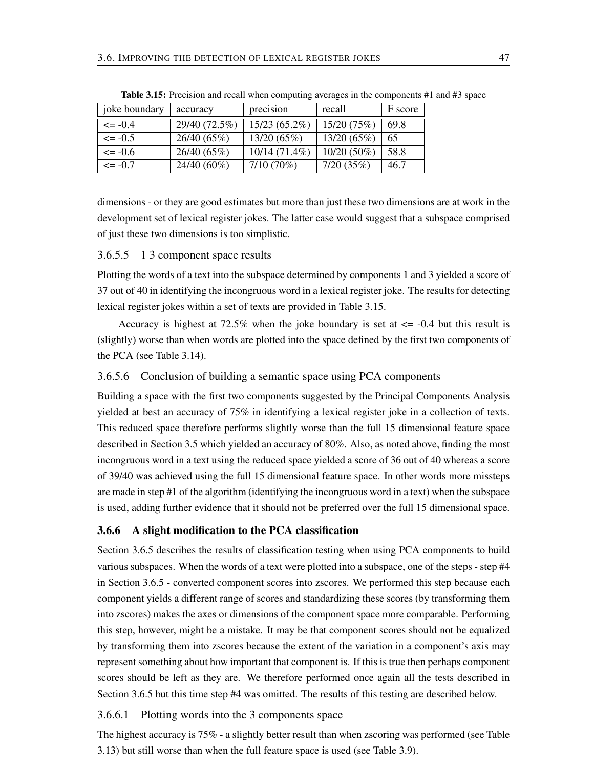| joke boundary | accuracy      | precision       | recall        | F score |
|---------------|---------------|-----------------|---------------|---------|
| $\leq$ -0.4   | 29/40 (72.5%) | 15/23 (65.2%)   | 15/20 (75%)   | 69.8    |
| $\leq$ -0.5   | 26/40 (65%)   | 13/20(65%)      | 13/20 (65%)   | 65      |
| $\leq$ -0.6   | 26/40 (65%)   | $10/14(71.4\%)$ | $10/20(50\%)$ | 58.8    |
| $\leq$ -0.7   | $24/40(60\%)$ | $7/10(70\%)$    | 7/20(35%)     | 46.7    |

Table 3.15: Precision and recall when computing averages in the components #1 and #3 space

dimensions - or they are good estimates but more than just these two dimensions are at work in the development set of lexical register jokes. The latter case would suggest that a subspace comprised of just these two dimensions is too simplistic.

#### 3.6.5.5 1 3 component space results

Plotting the words of a text into the subspace determined by components 1 and 3 yielded a score of 37 out of 40 in identifying the incongruous word in a lexical register joke. The results for detecting lexical register jokes within a set of texts are provided in Table 3.15.

Accuracy is highest at 72.5% when the joke boundary is set at  $\epsilon$  = -0.4 but this result is (slightly) worse than when words are plotted into the space defined by the first two components of the PCA (see Table 3.14).

#### 3.6.5.6 Conclusion of building a semantic space using PCA components

Building a space with the first two components suggested by the Principal Components Analysis yielded at best an accuracy of 75% in identifying a lexical register joke in a collection of texts. This reduced space therefore performs slightly worse than the full 15 dimensional feature space described in Section 3.5 which yielded an accuracy of 80%. Also, as noted above, finding the most incongruous word in a text using the reduced space yielded a score of 36 out of 40 whereas a score of 39/40 was achieved using the full 15 dimensional feature space. In other words more missteps are made in step #1 of the algorithm (identifying the incongruous word in a text) when the subspace is used, adding further evidence that it should not be preferred over the full 15 dimensional space.

#### 3.6.6 A slight modification to the PCA classification

Section 3.6.5 describes the results of classification testing when using PCA components to build various subspaces. When the words of a text were plotted into a subspace, one of the steps - step #4 in Section 3.6.5 - converted component scores into zscores. We performed this step because each component yields a different range of scores and standardizing these scores (by transforming them into zscores) makes the axes or dimensions of the component space more comparable. Performing this step, however, might be a mistake. It may be that component scores should not be equalized by transforming them into zscores because the extent of the variation in a component's axis may represent something about how important that component is. If this is true then perhaps component scores should be left as they are. We therefore performed once again all the tests described in Section 3.6.5 but this time step #4 was omitted. The results of this testing are described below.

#### 3.6.6.1 Plotting words into the 3 components space

The highest accuracy is 75% - a slightly better result than when zscoring was performed (see Table 3.13) but still worse than when the full feature space is used (see Table 3.9).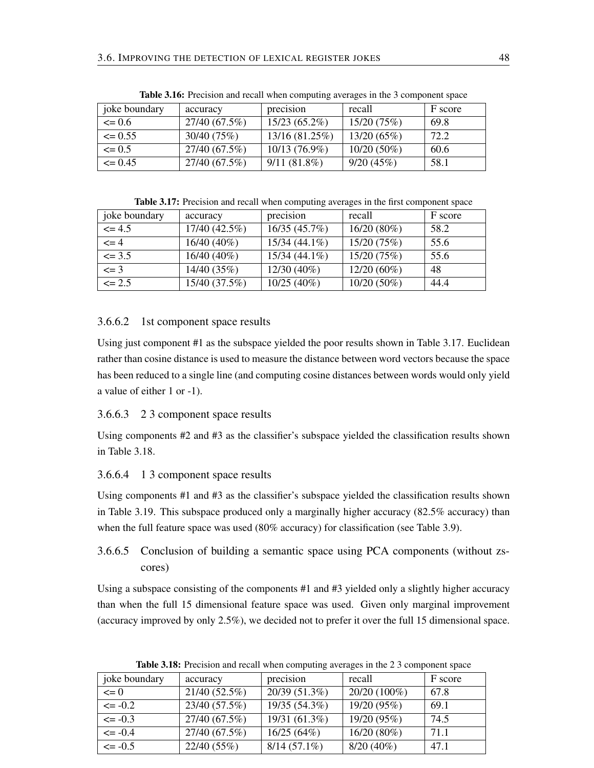| joke boundary | accuracy      | precision       | recall        | F score |
|---------------|---------------|-----------------|---------------|---------|
| $\leq 0.6$    | 27/40 (67.5%) | $15/23(65.2\%)$ | 15/20(75%)    | 69.8    |
| $\leq$ 0.55   | 30/40 (75%)   | 13/16 (81.25%)  | 13/20(65%)    | 72.2    |
| $\leq 0.5$    | 27/40 (67.5%) | 10/13 (76.9%)   | $10/20(50\%)$ | 60.6    |
| $\leq$ 0.45   | 27/40 (67.5%) | $9/11(81.8\%)$  | 9/20(45%)     | 58.1    |

Table 3.16: Precision and recall when computing averages in the 3 component space

Table 3.17: Precision and recall when computing averages in the first component space

| joke boundary | accuracy      | precision       | recall        | F score |
|---------------|---------------|-----------------|---------------|---------|
| $\leq$ 4.5    | 17/40 (42.5%) | 16/35(45.7%)    | $16/20(80\%)$ | 58.2    |
| $\leq$ = 4    | 16/40 (40%)   | $15/34(44.1\%)$ | 15/20 (75%)   | 55.6    |
| $\leq$ 3.5    | $16/40(40\%)$ | $15/34(44.1\%)$ | 15/20 (75%)   | 55.6    |
| $\leq$ = 3    | 14/40 (35%)   | $12/30(40\%)$   | $12/20(60\%)$ | 48      |
| $\leq$ 2.5    | 15/40 (37.5%) | $10/25(40\%)$   | $10/20(50\%)$ | 44.4    |

### 3.6.6.2 1st component space results

Using just component #1 as the subspace yielded the poor results shown in Table 3.17. Euclidean rather than cosine distance is used to measure the distance between word vectors because the space has been reduced to a single line (and computing cosine distances between words would only yield a value of either 1 or -1).

#### 3.6.6.3 2 3 component space results

Using components #2 and #3 as the classifier's subspace yielded the classification results shown in Table 3.18.

## 3.6.6.4 1 3 component space results

Using components #1 and #3 as the classifier's subspace yielded the classification results shown in Table 3.19. This subspace produced only a marginally higher accuracy (82.5% accuracy) than when the full feature space was used (80% accuracy) for classification (see Table 3.9).

## 3.6.6.5 Conclusion of building a semantic space using PCA components (without zscores)

Using a subspace consisting of the components #1 and #3 yielded only a slightly higher accuracy than when the full 15 dimensional feature space was used. Given only marginal improvement (accuracy improved by only 2.5%), we decided not to prefer it over the full 15 dimensional space.

| joke boundary | accuracy        | precision      | recall        | F score |
|---------------|-----------------|----------------|---------------|---------|
| $\leq 0$      | $21/40(52.5\%)$ | 20/39 (51.3%)  | 20/20 (100%)  | 67.8    |
| $\leq$ -0.2   | 23/40 (57.5%)   | 19/35 (54.3%)  | 19/20 (95%)   | 69.1    |
| $\leq$ -0.3   | 27/40 (67.5%)   | 19/31 (61.3%)  | 19/20 (95%)   | 74.5    |
| $\leq$ -0.4   | 27/40 (67.5%)   | 16/25(64%)     | $16/20(80\%)$ | 71.1    |
| $\leq$ -0.5   | 22/40 (55%)     | $8/14(57.1\%)$ | $8/20(40\%)$  | 47.1    |

Table 3.18: Precision and recall when computing averages in the 2 3 component space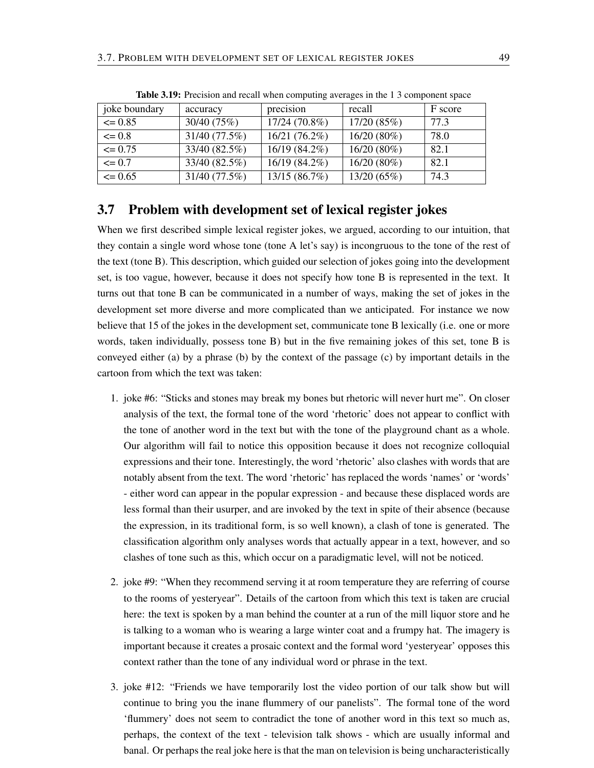| joke boundary | accuracy      | precision     | recall        | F score |
|---------------|---------------|---------------|---------------|---------|
| $\leq 0.85$   | 30/40 (75%)   | 17/24 (70.8%) | 17/20(85%)    | 77.3    |
| $\leq 0.8$    | 31/40 (77.5%) | 16/21 (76.2%) | $16/20(80\%)$ | 78.0    |
| $\leq 0.75$   | 33/40 (82.5%) | 16/19 (84.2%) | $16/20(80\%)$ | 82.1    |
| $\leq 0.7$    | 33/40 (82.5%) | 16/19 (84.2%) | $16/20(80\%)$ | 82.1    |
| $\leq$ 0.65   | 31/40 (77.5%) | 13/15 (86.7%) | 13/20 (65%)   | 74.3    |

Table 3.19: Precision and recall when computing averages in the 1 3 component space

## 3.7 Problem with development set of lexical register jokes

When we first described simple lexical register jokes, we argued, according to our intuition, that they contain a single word whose tone (tone A let's say) is incongruous to the tone of the rest of the text (tone B). This description, which guided our selection of jokes going into the development set, is too vague, however, because it does not specify how tone B is represented in the text. It turns out that tone B can be communicated in a number of ways, making the set of jokes in the development set more diverse and more complicated than we anticipated. For instance we now believe that 15 of the jokes in the development set, communicate tone B lexically (i.e. one or more words, taken individually, possess tone B) but in the five remaining jokes of this set, tone B is conveyed either (a) by a phrase (b) by the context of the passage (c) by important details in the cartoon from which the text was taken:

- 1. joke #6: "Sticks and stones may break my bones but rhetoric will never hurt me". On closer analysis of the text, the formal tone of the word 'rhetoric' does not appear to conflict with the tone of another word in the text but with the tone of the playground chant as a whole. Our algorithm will fail to notice this opposition because it does not recognize colloquial expressions and their tone. Interestingly, the word 'rhetoric' also clashes with words that are notably absent from the text. The word 'rhetoric' has replaced the words 'names' or 'words' - either word can appear in the popular expression - and because these displaced words are less formal than their usurper, and are invoked by the text in spite of their absence (because the expression, in its traditional form, is so well known), a clash of tone is generated. The classification algorithm only analyses words that actually appear in a text, however, and so clashes of tone such as this, which occur on a paradigmatic level, will not be noticed.
- 2. joke #9: "When they recommend serving it at room temperature they are referring of course to the rooms of yesteryear". Details of the cartoon from which this text is taken are crucial here: the text is spoken by a man behind the counter at a run of the mill liquor store and he is talking to a woman who is wearing a large winter coat and a frumpy hat. The imagery is important because it creates a prosaic context and the formal word 'yesteryear' opposes this context rather than the tone of any individual word or phrase in the text.
- 3. joke #12: "Friends we have temporarily lost the video portion of our talk show but will continue to bring you the inane flummery of our panelists". The formal tone of the word 'flummery' does not seem to contradict the tone of another word in this text so much as, perhaps, the context of the text - television talk shows - which are usually informal and banal. Or perhaps the real joke here is that the man on television is being uncharacteristically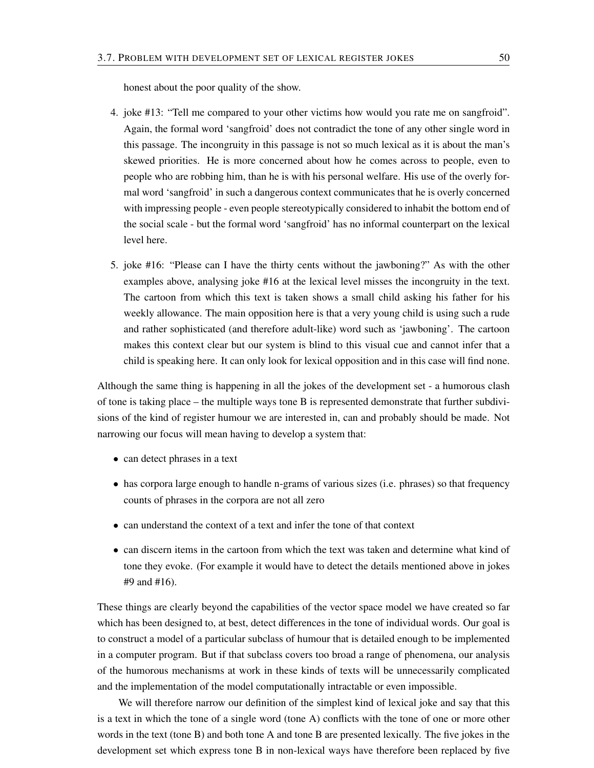honest about the poor quality of the show.

- 4. joke #13: "Tell me compared to your other victims how would you rate me on sangfroid". Again, the formal word 'sangfroid' does not contradict the tone of any other single word in this passage. The incongruity in this passage is not so much lexical as it is about the man's skewed priorities. He is more concerned about how he comes across to people, even to people who are robbing him, than he is with his personal welfare. His use of the overly formal word 'sangfroid' in such a dangerous context communicates that he is overly concerned with impressing people - even people stereotypically considered to inhabit the bottom end of the social scale - but the formal word 'sangfroid' has no informal counterpart on the lexical level here.
- 5. joke #16: "Please can I have the thirty cents without the jawboning?" As with the other examples above, analysing joke #16 at the lexical level misses the incongruity in the text. The cartoon from which this text is taken shows a small child asking his father for his weekly allowance. The main opposition here is that a very young child is using such a rude and rather sophisticated (and therefore adult-like) word such as 'jawboning'. The cartoon makes this context clear but our system is blind to this visual cue and cannot infer that a child is speaking here. It can only look for lexical opposition and in this case will find none.

Although the same thing is happening in all the jokes of the development set - a humorous clash of tone is taking place – the multiple ways tone B is represented demonstrate that further subdivisions of the kind of register humour we are interested in, can and probably should be made. Not narrowing our focus will mean having to develop a system that:

- can detect phrases in a text
- has corpora large enough to handle n-grams of various sizes (i.e. phrases) so that frequency counts of phrases in the corpora are not all zero
- can understand the context of a text and infer the tone of that context
- can discern items in the cartoon from which the text was taken and determine what kind of tone they evoke. (For example it would have to detect the details mentioned above in jokes #9 and #16).

These things are clearly beyond the capabilities of the vector space model we have created so far which has been designed to, at best, detect differences in the tone of individual words. Our goal is to construct a model of a particular subclass of humour that is detailed enough to be implemented in a computer program. But if that subclass covers too broad a range of phenomena, our analysis of the humorous mechanisms at work in these kinds of texts will be unnecessarily complicated and the implementation of the model computationally intractable or even impossible.

We will therefore narrow our definition of the simplest kind of lexical joke and say that this is a text in which the tone of a single word (tone A) conflicts with the tone of one or more other words in the text (tone B) and both tone A and tone B are presented lexically. The five jokes in the development set which express tone B in non-lexical ways have therefore been replaced by five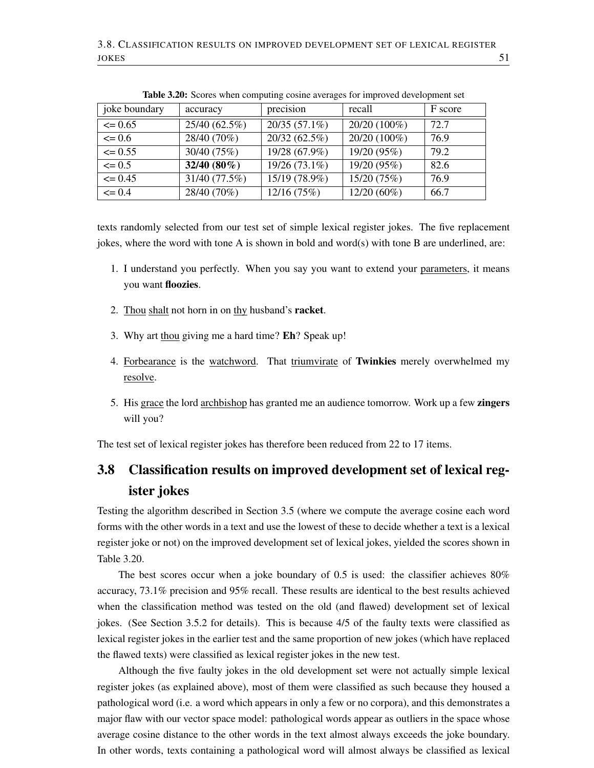| joke boundary | accuracy      | precision       | recall       | F score |
|---------------|---------------|-----------------|--------------|---------|
| $\leq$ 0.65   | 25/40 (62.5%) | $20/35(57.1\%)$ | 20/20 (100%) | 72.7    |
| $\leq 0.6$    | 28/40 (70%)   | 20/32 (62.5%)   | 20/20 (100%) | 76.9    |
| $\leq$ 0.55   | 30/40 (75%)   | 19/28 (67.9%)   | 19/20 (95%)  | 79.2    |
| $\leq 0.5$    | $32/40(80\%)$ | 19/26 (73.1%)   | 19/20 (95%)  | 82.6    |
| $\leq$ 0.45   | 31/40 (77.5%) | 15/19 (78.9%)   | 15/20 (75%)  | 76.9    |
| $\leq 0.4$    | 28/40 (70%)   | 12/16(75%)      | 12/20 (60%)  | 66.7    |

Table 3.20: Scores when computing cosine averages for improved development set

texts randomly selected from our test set of simple lexical register jokes. The five replacement jokes, where the word with tone A is shown in bold and word(s) with tone B are underlined, are:

- 1. I understand you perfectly. When you say you want to extend your parameters, it means you want floozies.
- 2. Thou shalt not horn in on thy husband's racket.
- 3. Why art thou giving me a hard time? Eh? Speak up!
- 4. Forbearance is the watchword. That triumvirate of Twinkies merely overwhelmed my resolve.
- 5. His grace the lord archbishop has granted me an audience tomorrow. Work up a few zingers will you?

The test set of lexical register jokes has therefore been reduced from 22 to 17 items.

## 3.8 Classification results on improved development set of lexical register jokes

Testing the algorithm described in Section 3.5 (where we compute the average cosine each word forms with the other words in a text and use the lowest of these to decide whether a text is a lexical register joke or not) on the improved development set of lexical jokes, yielded the scores shown in Table 3.20.

The best scores occur when a joke boundary of 0.5 is used: the classifier achieves 80% accuracy, 73.1% precision and 95% recall. These results are identical to the best results achieved when the classification method was tested on the old (and flawed) development set of lexical jokes. (See Section 3.5.2 for details). This is because 4/5 of the faulty texts were classified as lexical register jokes in the earlier test and the same proportion of new jokes (which have replaced the flawed texts) were classified as lexical register jokes in the new test.

Although the five faulty jokes in the old development set were not actually simple lexical register jokes (as explained above), most of them were classified as such because they housed a pathological word (i.e. a word which appears in only a few or no corpora), and this demonstrates a major flaw with our vector space model: pathological words appear as outliers in the space whose average cosine distance to the other words in the text almost always exceeds the joke boundary. In other words, texts containing a pathological word will almost always be classified as lexical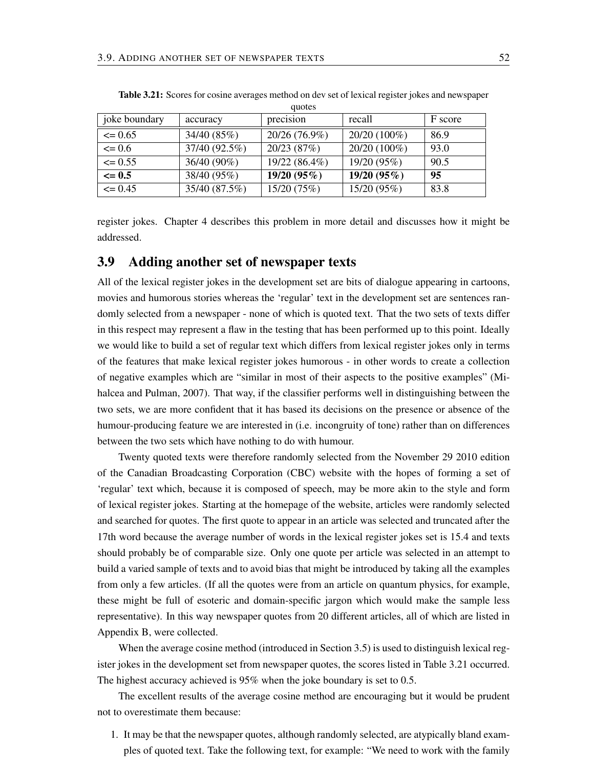|               |               | <u>uuvivo</u> |              |         |
|---------------|---------------|---------------|--------------|---------|
| joke boundary | accuracy      | precision     | recall       | F score |
| $\leq$ 0.65   | 34/40 (85%)   | 20/26 (76.9%) | 20/20 (100%) | 86.9    |
| $\leq 0.6$    | 37/40 (92.5%) | 20/23 (87%)   | 20/20 (100%) | 93.0    |
| $\leq$ 0.55   | 36/40 (90%)   | 19/22 (86.4%) | 19/20 (95%)  | 90.5    |
| $\leq$ 0.5    | 38/40 (95%)   | 19/20 (95%)   | 19/20 (95%)  | 95      |
| $\leq$ 0.45   | 35/40 (87.5%) | 15/20 (75%)   | 15/20 (95%)  | 83.8    |

Table 3.21: Scores for cosine averages method on dev set of lexical register jokes and newspaper quotes

register jokes. Chapter 4 describes this problem in more detail and discusses how it might be addressed.

## 3.9 Adding another set of newspaper texts

All of the lexical register jokes in the development set are bits of dialogue appearing in cartoons, movies and humorous stories whereas the 'regular' text in the development set are sentences randomly selected from a newspaper - none of which is quoted text. That the two sets of texts differ in this respect may represent a flaw in the testing that has been performed up to this point. Ideally we would like to build a set of regular text which differs from lexical register jokes only in terms of the features that make lexical register jokes humorous - in other words to create a collection of negative examples which are "similar in most of their aspects to the positive examples" (Mihalcea and Pulman, 2007). That way, if the classifier performs well in distinguishing between the two sets, we are more confident that it has based its decisions on the presence or absence of the humour-producing feature we are interested in (i.e. incongruity of tone) rather than on differences between the two sets which have nothing to do with humour.

Twenty quoted texts were therefore randomly selected from the November 29 2010 edition of the Canadian Broadcasting Corporation (CBC) website with the hopes of forming a set of 'regular' text which, because it is composed of speech, may be more akin to the style and form of lexical register jokes. Starting at the homepage of the website, articles were randomly selected and searched for quotes. The first quote to appear in an article was selected and truncated after the 17th word because the average number of words in the lexical register jokes set is 15.4 and texts should probably be of comparable size. Only one quote per article was selected in an attempt to build a varied sample of texts and to avoid bias that might be introduced by taking all the examples from only a few articles. (If all the quotes were from an article on quantum physics, for example, these might be full of esoteric and domain-specific jargon which would make the sample less representative). In this way newspaper quotes from 20 different articles, all of which are listed in Appendix B, were collected.

When the average cosine method (introduced in Section 3.5) is used to distinguish lexical register jokes in the development set from newspaper quotes, the scores listed in Table 3.21 occurred. The highest accuracy achieved is 95% when the joke boundary is set to 0.5.

The excellent results of the average cosine method are encouraging but it would be prudent not to overestimate them because:

1. It may be that the newspaper quotes, although randomly selected, are atypically bland examples of quoted text. Take the following text, for example: "We need to work with the family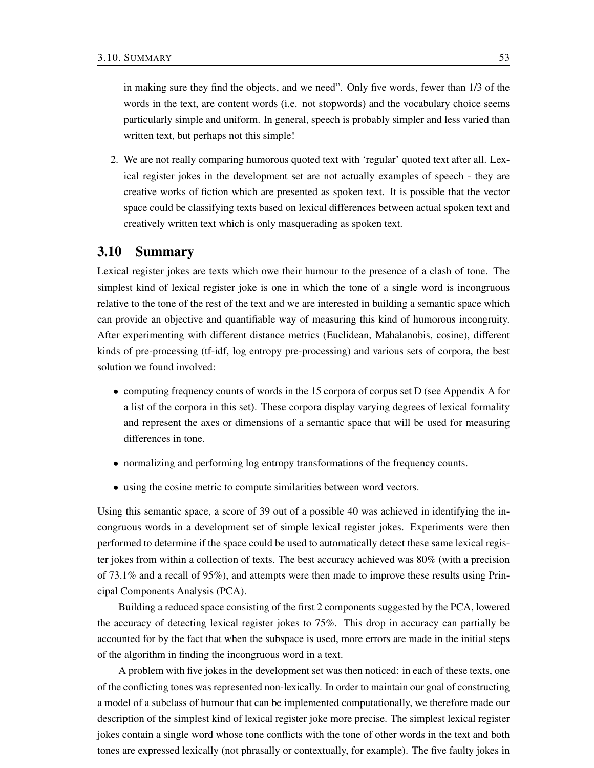in making sure they find the objects, and we need". Only five words, fewer than 1/3 of the words in the text, are content words (i.e. not stopwords) and the vocabulary choice seems particularly simple and uniform. In general, speech is probably simpler and less varied than written text, but perhaps not this simple!

2. We are not really comparing humorous quoted text with 'regular' quoted text after all. Lexical register jokes in the development set are not actually examples of speech - they are creative works of fiction which are presented as spoken text. It is possible that the vector space could be classifying texts based on lexical differences between actual spoken text and creatively written text which is only masquerading as spoken text.

## 3.10 Summary

Lexical register jokes are texts which owe their humour to the presence of a clash of tone. The simplest kind of lexical register joke is one in which the tone of a single word is incongruous relative to the tone of the rest of the text and we are interested in building a semantic space which can provide an objective and quantifiable way of measuring this kind of humorous incongruity. After experimenting with different distance metrics (Euclidean, Mahalanobis, cosine), different kinds of pre-processing (tf-idf, log entropy pre-processing) and various sets of corpora, the best solution we found involved:

- computing frequency counts of words in the 15 corpora of corpus set D (see Appendix A for a list of the corpora in this set). These corpora display varying degrees of lexical formality and represent the axes or dimensions of a semantic space that will be used for measuring differences in tone.
- normalizing and performing log entropy transformations of the frequency counts.
- using the cosine metric to compute similarities between word vectors.

Using this semantic space, a score of 39 out of a possible 40 was achieved in identifying the incongruous words in a development set of simple lexical register jokes. Experiments were then performed to determine if the space could be used to automatically detect these same lexical register jokes from within a collection of texts. The best accuracy achieved was 80% (with a precision of 73.1% and a recall of 95%), and attempts were then made to improve these results using Principal Components Analysis (PCA).

Building a reduced space consisting of the first 2 components suggested by the PCA, lowered the accuracy of detecting lexical register jokes to 75%. This drop in accuracy can partially be accounted for by the fact that when the subspace is used, more errors are made in the initial steps of the algorithm in finding the incongruous word in a text.

A problem with five jokes in the development set was then noticed: in each of these texts, one of the conflicting tones was represented non-lexically. In order to maintain our goal of constructing a model of a subclass of humour that can be implemented computationally, we therefore made our description of the simplest kind of lexical register joke more precise. The simplest lexical register jokes contain a single word whose tone conflicts with the tone of other words in the text and both tones are expressed lexically (not phrasally or contextually, for example). The five faulty jokes in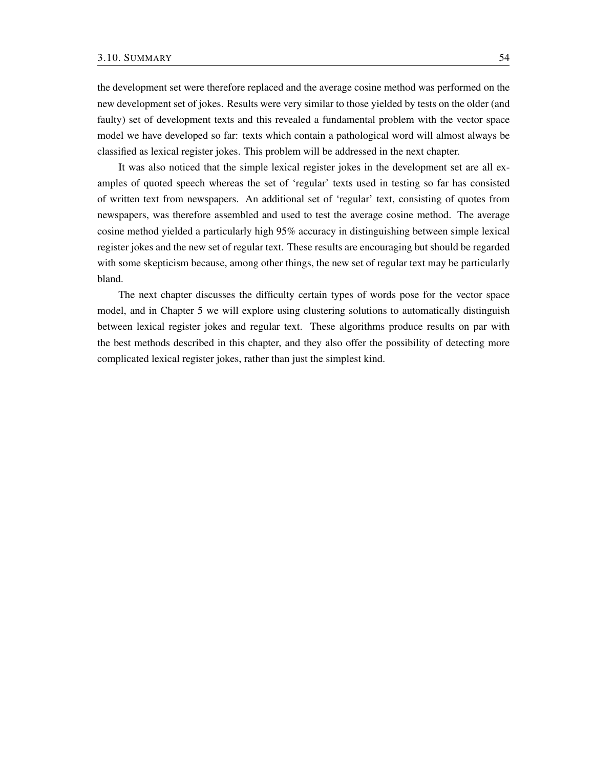the development set were therefore replaced and the average cosine method was performed on the new development set of jokes. Results were very similar to those yielded by tests on the older (and faulty) set of development texts and this revealed a fundamental problem with the vector space model we have developed so far: texts which contain a pathological word will almost always be classified as lexical register jokes. This problem will be addressed in the next chapter.

It was also noticed that the simple lexical register jokes in the development set are all examples of quoted speech whereas the set of 'regular' texts used in testing so far has consisted of written text from newspapers. An additional set of 'regular' text, consisting of quotes from newspapers, was therefore assembled and used to test the average cosine method. The average cosine method yielded a particularly high 95% accuracy in distinguishing between simple lexical register jokes and the new set of regular text. These results are encouraging but should be regarded with some skepticism because, among other things, the new set of regular text may be particularly bland.

The next chapter discusses the difficulty certain types of words pose for the vector space model, and in Chapter 5 we will explore using clustering solutions to automatically distinguish between lexical register jokes and regular text. These algorithms produce results on par with the best methods described in this chapter, and they also offer the possibility of detecting more complicated lexical register jokes, rather than just the simplest kind.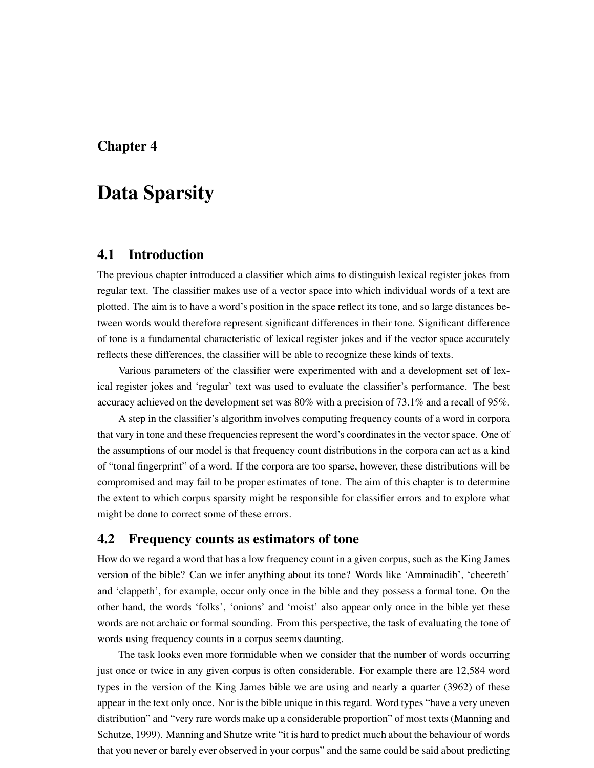## Chapter 4

# Data Sparsity

## 4.1 Introduction

The previous chapter introduced a classifier which aims to distinguish lexical register jokes from regular text. The classifier makes use of a vector space into which individual words of a text are plotted. The aim is to have a word's position in the space reflect its tone, and so large distances between words would therefore represent significant differences in their tone. Significant difference of tone is a fundamental characteristic of lexical register jokes and if the vector space accurately reflects these differences, the classifier will be able to recognize these kinds of texts.

Various parameters of the classifier were experimented with and a development set of lexical register jokes and 'regular' text was used to evaluate the classifier's performance. The best accuracy achieved on the development set was 80% with a precision of 73.1% and a recall of 95%.

A step in the classifier's algorithm involves computing frequency counts of a word in corpora that vary in tone and these frequencies represent the word's coordinates in the vector space. One of the assumptions of our model is that frequency count distributions in the corpora can act as a kind of "tonal fingerprint" of a word. If the corpora are too sparse, however, these distributions will be compromised and may fail to be proper estimates of tone. The aim of this chapter is to determine the extent to which corpus sparsity might be responsible for classifier errors and to explore what might be done to correct some of these errors.

## 4.2 Frequency counts as estimators of tone

How do we regard a word that has a low frequency count in a given corpus, such as the King James version of the bible? Can we infer anything about its tone? Words like 'Amminadib', 'cheereth' and 'clappeth', for example, occur only once in the bible and they possess a formal tone. On the other hand, the words 'folks', 'onions' and 'moist' also appear only once in the bible yet these words are not archaic or formal sounding. From this perspective, the task of evaluating the tone of words using frequency counts in a corpus seems daunting.

The task looks even more formidable when we consider that the number of words occurring just once or twice in any given corpus is often considerable. For example there are 12,584 word types in the version of the King James bible we are using and nearly a quarter (3962) of these appear in the text only once. Nor is the bible unique in this regard. Word types "have a very uneven distribution" and "very rare words make up a considerable proportion" of most texts (Manning and Schutze, 1999). Manning and Shutze write "it is hard to predict much about the behaviour of words that you never or barely ever observed in your corpus" and the same could be said about predicting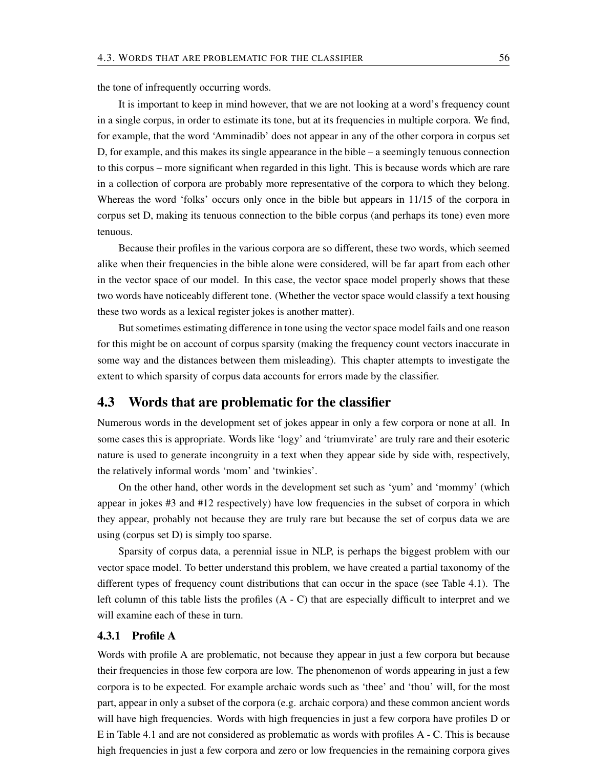the tone of infrequently occurring words.

It is important to keep in mind however, that we are not looking at a word's frequency count in a single corpus, in order to estimate its tone, but at its frequencies in multiple corpora. We find, for example, that the word 'Amminadib' does not appear in any of the other corpora in corpus set D, for example, and this makes its single appearance in the bible – a seemingly tenuous connection to this corpus – more significant when regarded in this light. This is because words which are rare in a collection of corpora are probably more representative of the corpora to which they belong. Whereas the word 'folks' occurs only once in the bible but appears in 11/15 of the corpora in corpus set D, making its tenuous connection to the bible corpus (and perhaps its tone) even more tenuous.

Because their profiles in the various corpora are so different, these two words, which seemed alike when their frequencies in the bible alone were considered, will be far apart from each other in the vector space of our model. In this case, the vector space model properly shows that these two words have noticeably different tone. (Whether the vector space would classify a text housing these two words as a lexical register jokes is another matter).

But sometimes estimating difference in tone using the vector space model fails and one reason for this might be on account of corpus sparsity (making the frequency count vectors inaccurate in some way and the distances between them misleading). This chapter attempts to investigate the extent to which sparsity of corpus data accounts for errors made by the classifier.

## 4.3 Words that are problematic for the classifier

Numerous words in the development set of jokes appear in only a few corpora or none at all. In some cases this is appropriate. Words like 'logy' and 'triumvirate' are truly rare and their esoteric nature is used to generate incongruity in a text when they appear side by side with, respectively, the relatively informal words 'mom' and 'twinkies'.

On the other hand, other words in the development set such as 'yum' and 'mommy' (which appear in jokes #3 and #12 respectively) have low frequencies in the subset of corpora in which they appear, probably not because they are truly rare but because the set of corpus data we are using (corpus set D) is simply too sparse.

Sparsity of corpus data, a perennial issue in NLP, is perhaps the biggest problem with our vector space model. To better understand this problem, we have created a partial taxonomy of the different types of frequency count distributions that can occur in the space (see Table 4.1). The left column of this table lists the profiles (A - C) that are especially difficult to interpret and we will examine each of these in turn.

#### 4.3.1 Profile A

Words with profile A are problematic, not because they appear in just a few corpora but because their frequencies in those few corpora are low. The phenomenon of words appearing in just a few corpora is to be expected. For example archaic words such as 'thee' and 'thou' will, for the most part, appear in only a subset of the corpora (e.g. archaic corpora) and these common ancient words will have high frequencies. Words with high frequencies in just a few corpora have profiles D or E in Table 4.1 and are not considered as problematic as words with profiles A - C. This is because high frequencies in just a few corpora and zero or low frequencies in the remaining corpora gives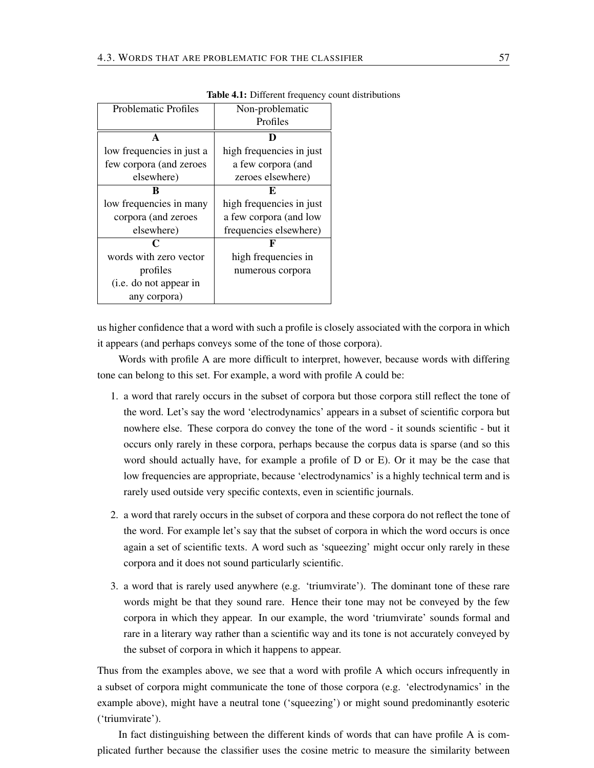| <b>Problematic Profiles</b> | Non-problematic          |
|-----------------------------|--------------------------|
|                             | Profiles                 |
| A                           | D                        |
| low frequencies in just a   | high frequencies in just |
| few corpora (and zeroes     | a few corpora (and       |
| elsewhere)                  | zeroes elsewhere)        |
| ĸ                           | F.                       |
| low frequencies in many     | high frequencies in just |
| corpora (and zeroes         | a few corpora (and low   |
| elsewhere)                  | frequencies elsewhere)   |
| C                           | F                        |
| words with zero vector      | high frequencies in      |
| profiles                    | numerous corpora         |
| (i.e. do not appear in      |                          |
| any corpora)                |                          |

Table 4.1: Different frequency count distributions

us higher confidence that a word with such a profile is closely associated with the corpora in which it appears (and perhaps conveys some of the tone of those corpora).

Words with profile A are more difficult to interpret, however, because words with differing tone can belong to this set. For example, a word with profile A could be:

- 1. a word that rarely occurs in the subset of corpora but those corpora still reflect the tone of the word. Let's say the word 'electrodynamics' appears in a subset of scientific corpora but nowhere else. These corpora do convey the tone of the word - it sounds scientific - but it occurs only rarely in these corpora, perhaps because the corpus data is sparse (and so this word should actually have, for example a profile of D or E). Or it may be the case that low frequencies are appropriate, because 'electrodynamics' is a highly technical term and is rarely used outside very specific contexts, even in scientific journals.
- 2. a word that rarely occurs in the subset of corpora and these corpora do not reflect the tone of the word. For example let's say that the subset of corpora in which the word occurs is once again a set of scientific texts. A word such as 'squeezing' might occur only rarely in these corpora and it does not sound particularly scientific.
- 3. a word that is rarely used anywhere (e.g. 'triumvirate'). The dominant tone of these rare words might be that they sound rare. Hence their tone may not be conveyed by the few corpora in which they appear. In our example, the word 'triumvirate' sounds formal and rare in a literary way rather than a scientific way and its tone is not accurately conveyed by the subset of corpora in which it happens to appear.

Thus from the examples above, we see that a word with profile A which occurs infrequently in a subset of corpora might communicate the tone of those corpora (e.g. 'electrodynamics' in the example above), might have a neutral tone ('squeezing') or might sound predominantly esoteric ('triumvirate').

In fact distinguishing between the different kinds of words that can have profile A is complicated further because the classifier uses the cosine metric to measure the similarity between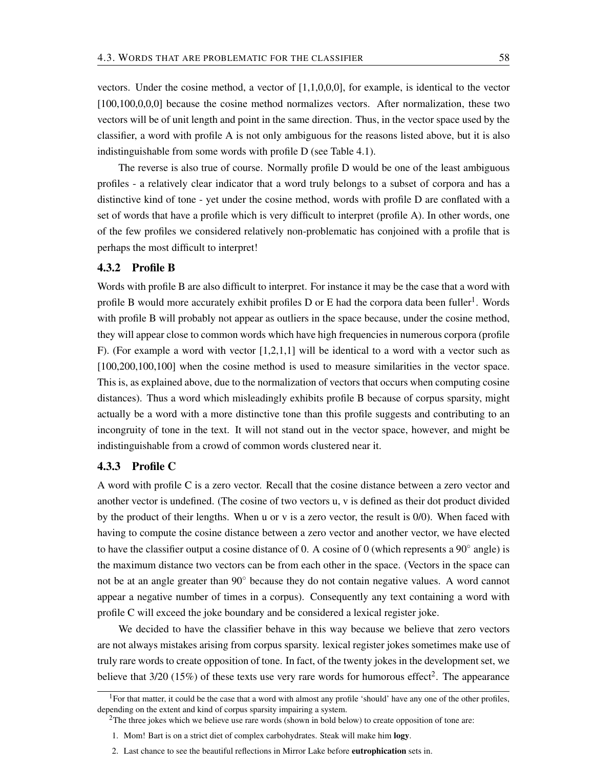vectors. Under the cosine method, a vector of [1,1,0,0,0], for example, is identical to the vector [100,100,0,0,0] because the cosine method normalizes vectors. After normalization, these two vectors will be of unit length and point in the same direction. Thus, in the vector space used by the classifier, a word with profile A is not only ambiguous for the reasons listed above, but it is also indistinguishable from some words with profile D (see Table 4.1).

The reverse is also true of course. Normally profile D would be one of the least ambiguous profiles - a relatively clear indicator that a word truly belongs to a subset of corpora and has a distinctive kind of tone - yet under the cosine method, words with profile D are conflated with a set of words that have a profile which is very difficult to interpret (profile A). In other words, one of the few profiles we considered relatively non-problematic has conjoined with a profile that is perhaps the most difficult to interpret!

#### 4.3.2 Profile B

Words with profile B are also difficult to interpret. For instance it may be the case that a word with profile B would more accurately exhibit profiles  $D$  or E had the corpora data been fuller<sup>1</sup>. Words with profile B will probably not appear as outliers in the space because, under the cosine method, they will appear close to common words which have high frequencies in numerous corpora (profile F). (For example a word with vector [1,2,1,1] will be identical to a word with a vector such as [100,200,100,100] when the cosine method is used to measure similarities in the vector space. This is, as explained above, due to the normalization of vectors that occurs when computing cosine distances). Thus a word which misleadingly exhibits profile B because of corpus sparsity, might actually be a word with a more distinctive tone than this profile suggests and contributing to an incongruity of tone in the text. It will not stand out in the vector space, however, and might be indistinguishable from a crowd of common words clustered near it.

### 4.3.3 Profile C

A word with profile C is a zero vector. Recall that the cosine distance between a zero vector and another vector is undefined. (The cosine of two vectors u, v is defined as their dot product divided by the product of their lengths. When u or v is a zero vector, the result is 0/0). When faced with having to compute the cosine distance between a zero vector and another vector, we have elected to have the classifier output a cosine distance of 0. A cosine of 0 (which represents a  $90^\circ$  angle) is the maximum distance two vectors can be from each other in the space. (Vectors in the space can not be at an angle greater than 90◦ because they do not contain negative values. A word cannot appear a negative number of times in a corpus). Consequently any text containing a word with profile C will exceed the joke boundary and be considered a lexical register joke.

We decided to have the classifier behave in this way because we believe that zero vectors are not always mistakes arising from corpus sparsity. lexical register jokes sometimes make use of truly rare words to create opposition of tone. In fact, of the twenty jokes in the development set, we believe that  $3/20$  (15%) of these texts use very rare words for humorous effect<sup>2</sup>. The appearance

<sup>&</sup>lt;sup>1</sup>For that matter, it could be the case that a word with almost any profile 'should' have any one of the other profiles, depending on the extent and kind of corpus sparsity impairing a system.

<sup>&</sup>lt;sup>2</sup>The three jokes which we believe use rare words (shown in bold below) to create opposition of tone are:

<sup>1.</sup> Mom! Bart is on a strict diet of complex carbohydrates. Steak will make him logy.

<sup>2.</sup> Last chance to see the beautiful reflections in Mirror Lake before eutrophication sets in.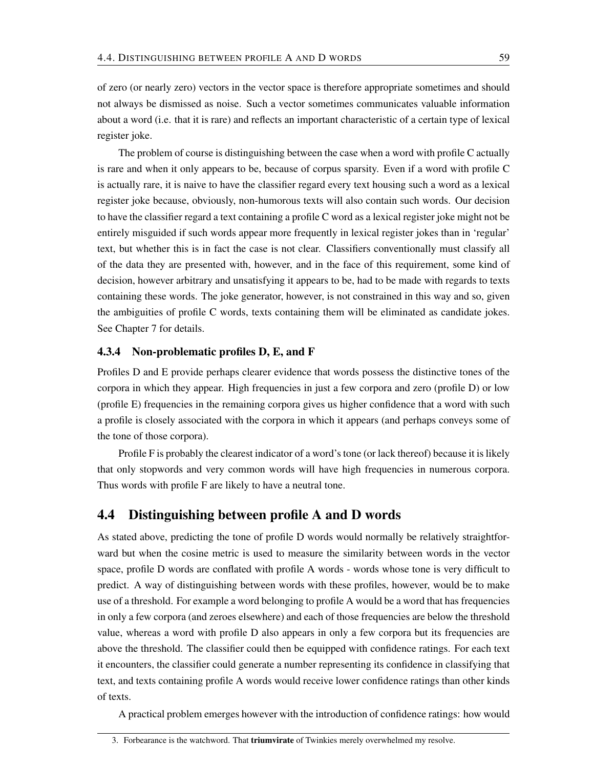of zero (or nearly zero) vectors in the vector space is therefore appropriate sometimes and should not always be dismissed as noise. Such a vector sometimes communicates valuable information about a word (i.e. that it is rare) and reflects an important characteristic of a certain type of lexical register joke.

The problem of course is distinguishing between the case when a word with profile C actually is rare and when it only appears to be, because of corpus sparsity. Even if a word with profile C is actually rare, it is naive to have the classifier regard every text housing such a word as a lexical register joke because, obviously, non-humorous texts will also contain such words. Our decision to have the classifier regard a text containing a profile C word as a lexical register joke might not be entirely misguided if such words appear more frequently in lexical register jokes than in 'regular' text, but whether this is in fact the case is not clear. Classifiers conventionally must classify all of the data they are presented with, however, and in the face of this requirement, some kind of decision, however arbitrary and unsatisfying it appears to be, had to be made with regards to texts containing these words. The joke generator, however, is not constrained in this way and so, given the ambiguities of profile C words, texts containing them will be eliminated as candidate jokes. See Chapter 7 for details.

## 4.3.4 Non-problematic profiles D, E, and F

Profiles D and E provide perhaps clearer evidence that words possess the distinctive tones of the corpora in which they appear. High frequencies in just a few corpora and zero (profile D) or low (profile E) frequencies in the remaining corpora gives us higher confidence that a word with such a profile is closely associated with the corpora in which it appears (and perhaps conveys some of the tone of those corpora).

Profile F is probably the clearest indicator of a word's tone (or lack thereof) because it is likely that only stopwords and very common words will have high frequencies in numerous corpora. Thus words with profile F are likely to have a neutral tone.

## 4.4 Distinguishing between profile A and D words

As stated above, predicting the tone of profile D words would normally be relatively straightforward but when the cosine metric is used to measure the similarity between words in the vector space, profile D words are conflated with profile A words - words whose tone is very difficult to predict. A way of distinguishing between words with these profiles, however, would be to make use of a threshold. For example a word belonging to profile A would be a word that has frequencies in only a few corpora (and zeroes elsewhere) and each of those frequencies are below the threshold value, whereas a word with profile D also appears in only a few corpora but its frequencies are above the threshold. The classifier could then be equipped with confidence ratings. For each text it encounters, the classifier could generate a number representing its confidence in classifying that text, and texts containing profile A words would receive lower confidence ratings than other kinds of texts.

A practical problem emerges however with the introduction of confidence ratings: how would

<sup>3.</sup> Forbearance is the watchword. That triumvirate of Twinkies merely overwhelmed my resolve.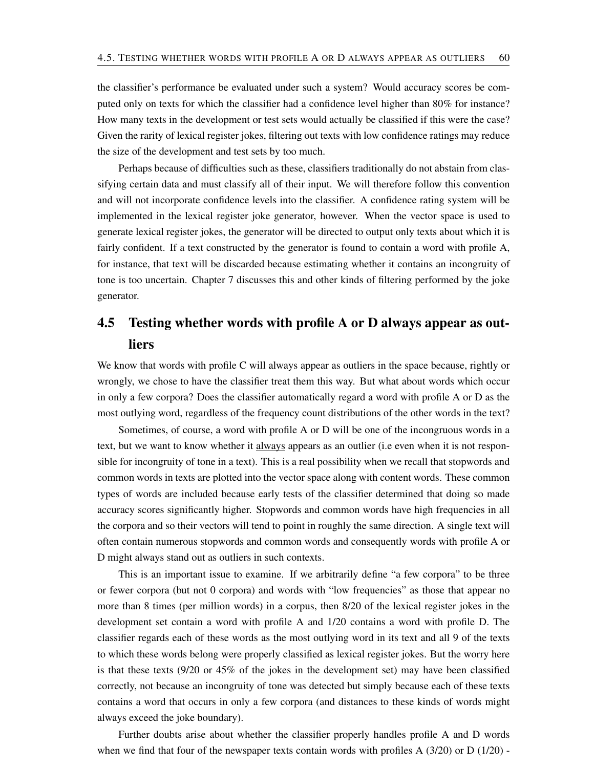the classifier's performance be evaluated under such a system? Would accuracy scores be computed only on texts for which the classifier had a confidence level higher than 80% for instance? How many texts in the development or test sets would actually be classified if this were the case? Given the rarity of lexical register jokes, filtering out texts with low confidence ratings may reduce the size of the development and test sets by too much.

Perhaps because of difficulties such as these, classifiers traditionally do not abstain from classifying certain data and must classify all of their input. We will therefore follow this convention and will not incorporate confidence levels into the classifier. A confidence rating system will be implemented in the lexical register joke generator, however. When the vector space is used to generate lexical register jokes, the generator will be directed to output only texts about which it is fairly confident. If a text constructed by the generator is found to contain a word with profile A, for instance, that text will be discarded because estimating whether it contains an incongruity of tone is too uncertain. Chapter 7 discusses this and other kinds of filtering performed by the joke generator.

## 4.5 Testing whether words with profile A or D always appear as outliers

We know that words with profile C will always appear as outliers in the space because, rightly or wrongly, we chose to have the classifier treat them this way. But what about words which occur in only a few corpora? Does the classifier automatically regard a word with profile A or D as the most outlying word, regardless of the frequency count distributions of the other words in the text?

Sometimes, of course, a word with profile A or D will be one of the incongruous words in a text, but we want to know whether it always appears as an outlier (i.e even when it is not responsible for incongruity of tone in a text). This is a real possibility when we recall that stopwords and common words in texts are plotted into the vector space along with content words. These common types of words are included because early tests of the classifier determined that doing so made accuracy scores significantly higher. Stopwords and common words have high frequencies in all the corpora and so their vectors will tend to point in roughly the same direction. A single text will often contain numerous stopwords and common words and consequently words with profile A or D might always stand out as outliers in such contexts.

This is an important issue to examine. If we arbitrarily define "a few corpora" to be three or fewer corpora (but not 0 corpora) and words with "low frequencies" as those that appear no more than 8 times (per million words) in a corpus, then 8/20 of the lexical register jokes in the development set contain a word with profile A and 1/20 contains a word with profile D. The classifier regards each of these words as the most outlying word in its text and all 9 of the texts to which these words belong were properly classified as lexical register jokes. But the worry here is that these texts (9/20 or 45% of the jokes in the development set) may have been classified correctly, not because an incongruity of tone was detected but simply because each of these texts contains a word that occurs in only a few corpora (and distances to these kinds of words might always exceed the joke boundary).

Further doubts arise about whether the classifier properly handles profile A and D words when we find that four of the newspaper texts contain words with profiles A  $(3/20)$  or D  $(1/20)$  -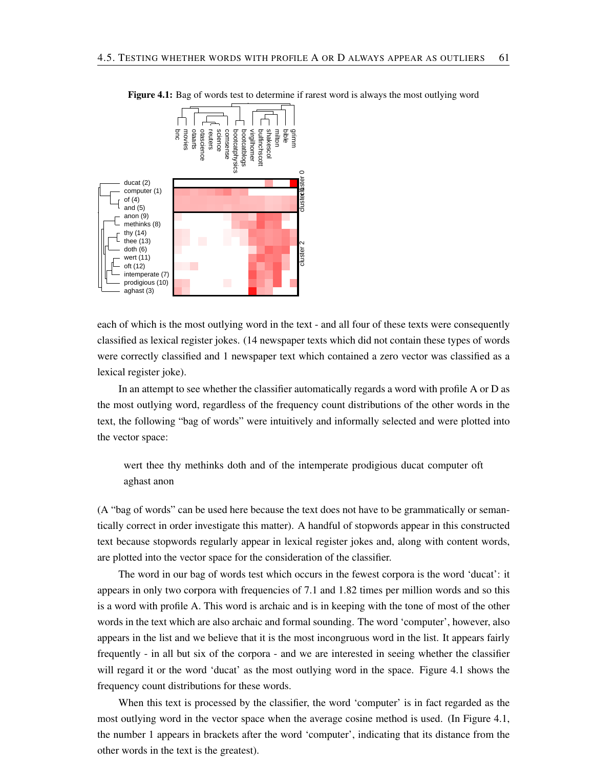

Figure 4.1: Bag of words test to determine if rarest word is always the most outlying word

each of which is the most outlying word in the text - and all four of these texts were consequently classified as lexical register jokes. (14 newspaper texts which did not contain these types of words were correctly classified and 1 newspaper text which contained a zero vector was classified as a lexical register joke).

In an attempt to see whether the classifier automatically regards a word with profile A or D as the most outlying word, regardless of the frequency count distributions of the other words in the text, the following "bag of words" were intuitively and informally selected and were plotted into the vector space:

wert thee thy methinks doth and of the intemperate prodigious ducat computer oft aghast anon

(A "bag of words" can be used here because the text does not have to be grammatically or semantically correct in order investigate this matter). A handful of stopwords appear in this constructed text because stopwords regularly appear in lexical register jokes and, along with content words, are plotted into the vector space for the consideration of the classifier.

The word in our bag of words test which occurs in the fewest corpora is the word 'ducat': it appears in only two corpora with frequencies of 7.1 and 1.82 times per million words and so this is a word with profile A. This word is archaic and is in keeping with the tone of most of the other words in the text which are also archaic and formal sounding. The word 'computer', however, also appears in the list and we believe that it is the most incongruous word in the list. It appears fairly frequently - in all but six of the corpora - and we are interested in seeing whether the classifier will regard it or the word 'ducat' as the most outlying word in the space. Figure 4.1 shows the frequency count distributions for these words.

When this text is processed by the classifier, the word 'computer' is in fact regarded as the most outlying word in the vector space when the average cosine method is used. (In Figure 4.1, the number 1 appears in brackets after the word 'computer', indicating that its distance from the other words in the text is the greatest).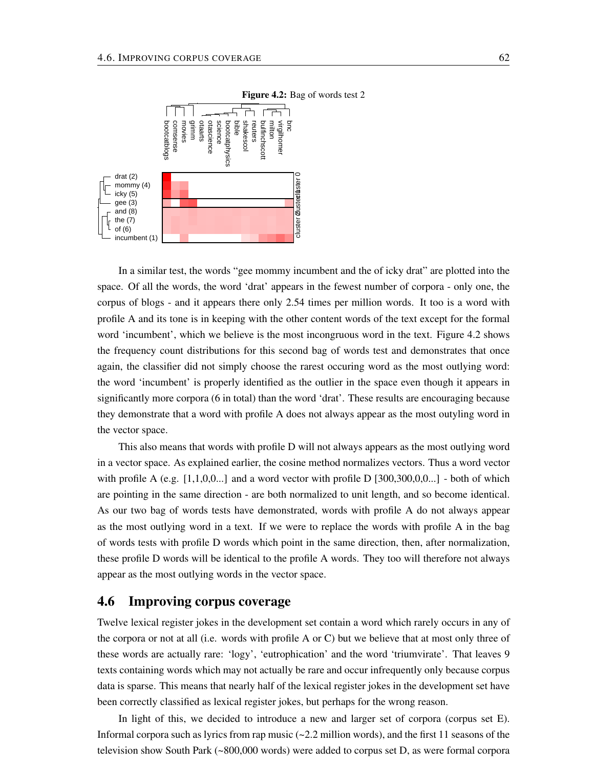

In a similar test, the words "gee mommy incumbent and the of icky drat" are plotted into the space. Of all the words, the word 'drat' appears in the fewest number of corpora - only one, the corpus of blogs - and it appears there only 2.54 times per million words. It too is a word with profile A and its tone is in keeping with the other content words of the text except for the formal word 'incumbent', which we believe is the most incongruous word in the text. Figure 4.2 shows the frequency count distributions for this second bag of words test and demonstrates that once again, the classifier did not simply choose the rarest occuring word as the most outlying word: the word 'incumbent' is properly identified as the outlier in the space even though it appears in significantly more corpora (6 in total) than the word 'drat'. These results are encouraging because they demonstrate that a word with profile A does not always appear as the most outyling word in the vector space.

This also means that words with profile D will not always appears as the most outlying word in a vector space. As explained earlier, the cosine method normalizes vectors. Thus a word vector with profile A (e.g.  $[1,1,0,0...]$  and a word vector with profile D  $[300,300,0,0...]$  - both of which are pointing in the same direction - are both normalized to unit length, and so become identical. As our two bag of words tests have demonstrated, words with profile A do not always appear as the most outlying word in a text. If we were to replace the words with profile A in the bag of words tests with profile D words which point in the same direction, then, after normalization, these profile D words will be identical to the profile A words. They too will therefore not always appear as the most outlying words in the vector space.

## 4.6 Improving corpus coverage

Twelve lexical register jokes in the development set contain a word which rarely occurs in any of the corpora or not at all (i.e. words with profile A or C) but we believe that at most only three of these words are actually rare: 'logy', 'eutrophication' and the word 'triumvirate'. That leaves 9 texts containing words which may not actually be rare and occur infrequently only because corpus data is sparse. This means that nearly half of the lexical register jokes in the development set have been correctly classified as lexical register jokes, but perhaps for the wrong reason.

In light of this, we decided to introduce a new and larger set of corpora (corpus set E). Informal corpora such as lyrics from rap music  $\left(\sim 2.2 \text{ million words}\right)$ , and the first 11 seasons of the television show South Park (~800,000 words) were added to corpus set D, as were formal corpora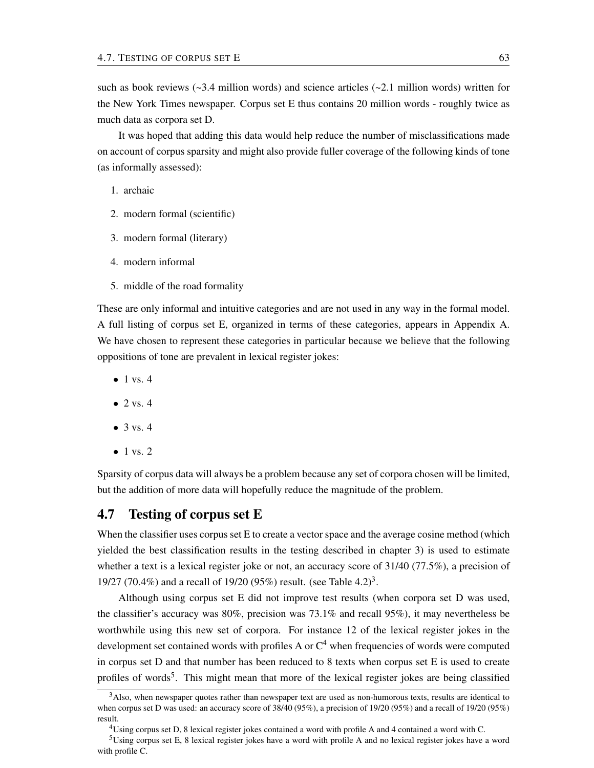such as book reviews ( $\sim$ 3.4 million words) and science articles ( $\sim$ 2.1 million words) written for the New York Times newspaper. Corpus set E thus contains 20 million words - roughly twice as much data as corpora set D.

It was hoped that adding this data would help reduce the number of misclassifications made on account of corpus sparsity and might also provide fuller coverage of the following kinds of tone (as informally assessed):

- 1. archaic
- 2. modern formal (scientific)
- 3. modern formal (literary)
- 4. modern informal
- 5. middle of the road formality

These are only informal and intuitive categories and are not used in any way in the formal model. A full listing of corpus set E, organized in terms of these categories, appears in Appendix A. We have chosen to represent these categories in particular because we believe that the following oppositions of tone are prevalent in lexical register jokes:

- $\bullet$  1 vs. 4
- $\bullet$  2 vs. 4
- $\bullet$  3 vs. 4
- $\bullet$  1 vs. 2

Sparsity of corpus data will always be a problem because any set of corpora chosen will be limited, but the addition of more data will hopefully reduce the magnitude of the problem.

## 4.7 Testing of corpus set E

When the classifier uses corpus set E to create a vector space and the average cosine method (which yielded the best classification results in the testing described in chapter 3) is used to estimate whether a text is a lexical register joke or not, an accuracy score of  $31/40$  (77.5%), a precision of 19/27 (70.4%) and a recall of 19/20 (95%) result. (see Table 4.2)<sup>3</sup>.

Although using corpus set E did not improve test results (when corpora set D was used, the classifier's accuracy was 80%, precision was 73.1% and recall 95%), it may nevertheless be worthwhile using this new set of corpora. For instance 12 of the lexical register jokes in the development set contained words with profiles A or  $C<sup>4</sup>$  when frequencies of words were computed in corpus set D and that number has been reduced to 8 texts when corpus set E is used to create profiles of words<sup>5</sup>. This might mean that more of the lexical register jokes are being classified

<sup>&</sup>lt;sup>3</sup>Also, when newspaper quotes rather than newspaper text are used as non-humorous texts, results are identical to when corpus set D was used: an accuracy score of 38/40 (95%), a precision of 19/20 (95%) and a recall of 19/20 (95%) result.

<sup>4</sup>Using corpus set D, 8 lexical register jokes contained a word with profile A and 4 contained a word with C.

<sup>5</sup>Using corpus set E, 8 lexical register jokes have a word with profile A and no lexical register jokes have a word with profile C.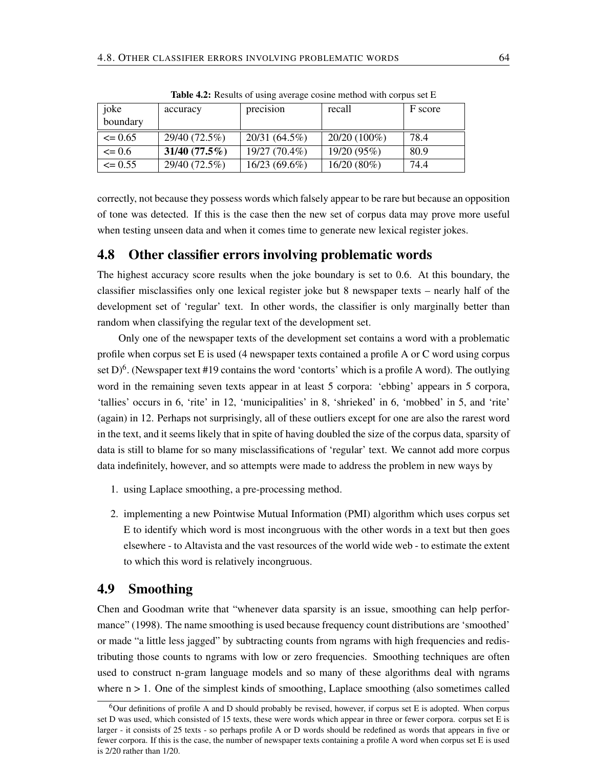| joke        | accuracy         | precision       | recall         | F score |
|-------------|------------------|-----------------|----------------|---------|
| boundary    |                  |                 |                |         |
| $\leq$ 0.65 | 29/40 (72.5%)    | 20/31 (64.5%)   | $20/20(100\%)$ | 78.4    |
| $\leq 0.6$  | $31/40 (77.5\%)$ | 19/27 (70.4%)   | 19/20 (95%)    | 80.9    |
| $\leq 0.55$ | 29/40 (72.5%)    | $16/23(69.6\%)$ | $16/20(80\%)$  | 74.4    |

Table 4.2: Results of using average cosine method with corpus set E

correctly, not because they possess words which falsely appear to be rare but because an opposition of tone was detected. If this is the case then the new set of corpus data may prove more useful when testing unseen data and when it comes time to generate new lexical register jokes.

## 4.8 Other classifier errors involving problematic words

The highest accuracy score results when the joke boundary is set to 0.6. At this boundary, the classifier misclassifies only one lexical register joke but 8 newspaper texts – nearly half of the development set of 'regular' text. In other words, the classifier is only marginally better than random when classifying the regular text of the development set.

Only one of the newspaper texts of the development set contains a word with a problematic profile when corpus set E is used (4 newspaper texts contained a profile A or C word using corpus set D)<sup>6</sup>. (Newspaper text #19 contains the word 'contorts' which is a profile A word). The outlying word in the remaining seven texts appear in at least 5 corpora: 'ebbing' appears in 5 corpora, 'tallies' occurs in 6, 'rite' in 12, 'municipalities' in 8, 'shrieked' in 6, 'mobbed' in 5, and 'rite' (again) in 12. Perhaps not surprisingly, all of these outliers except for one are also the rarest word in the text, and it seems likely that in spite of having doubled the size of the corpus data, sparsity of data is still to blame for so many misclassifications of 'regular' text. We cannot add more corpus data indefinitely, however, and so attempts were made to address the problem in new ways by

- 1. using Laplace smoothing, a pre-processing method.
- 2. implementing a new Pointwise Mutual Information (PMI) algorithm which uses corpus set E to identify which word is most incongruous with the other words in a text but then goes elsewhere - to Altavista and the vast resources of the world wide web - to estimate the extent to which this word is relatively incongruous.

## 4.9 Smoothing

Chen and Goodman write that "whenever data sparsity is an issue, smoothing can help performance" (1998). The name smoothing is used because frequency count distributions are 'smoothed' or made "a little less jagged" by subtracting counts from ngrams with high frequencies and redistributing those counts to ngrams with low or zero frequencies. Smoothing techniques are often used to construct n-gram language models and so many of these algorithms deal with ngrams where  $n > 1$ . One of the simplest kinds of smoothing, Laplace smoothing (also sometimes called

 $6$ Our definitions of profile A and D should probably be revised, however, if corpus set E is adopted. When corpus set D was used, which consisted of 15 texts, these were words which appear in three or fewer corpora. corpus set E is larger - it consists of 25 texts - so perhaps profile A or D words should be redefined as words that appears in five or fewer corpora. If this is the case, the number of newspaper texts containing a profile A word when corpus set E is used is 2/20 rather than 1/20.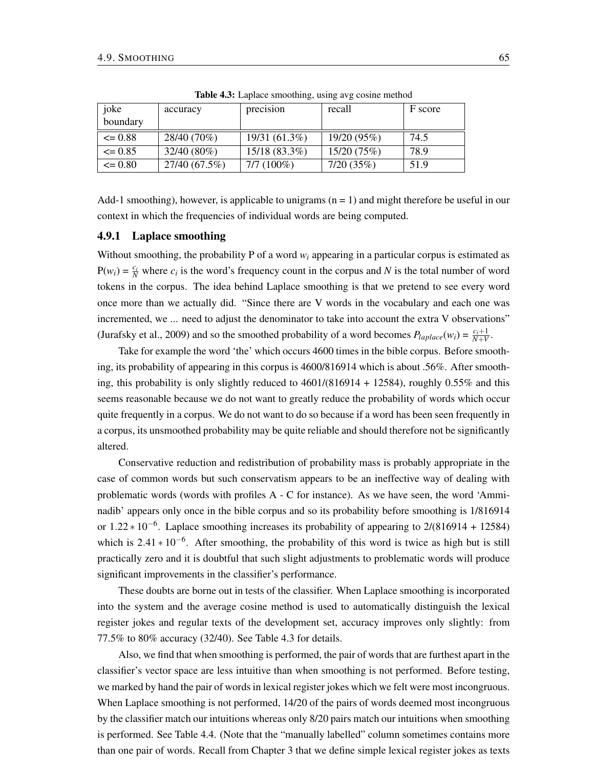| joke        | accuracy      | precision       | recall      | F score |
|-------------|---------------|-----------------|-------------|---------|
| boundary    |               |                 |             |         |
| $\leq 0.88$ | 28/40 (70%)   | 19/31 (61.3%)   | 19/20 (95%) | 74.5    |
| $\leq$ 0.85 | $32/40(80\%)$ | $15/18(83.3\%)$ | 15/20 (75%) | 78.9    |
| $\leq 0.80$ | 27/40 (67.5%) | $7/7(100\%)$    | 7/20(35%)   | 51.9    |

Table 4.3: Laplace smoothing, using avg cosine method

Add-1 smoothing), however, is applicable to unigrams ( $n = 1$ ) and might therefore be useful in our context in which the frequencies of individual words are being computed.

#### 4.9.1 Laplace smoothing

Without smoothing, the probability P of a word  $w_i$  appearing in a particular corpus is estimated as  $P(w_i) = \frac{c_i}{N}$  where  $c_i$  is the word's frequency count in the corpus and *N* is the total number of word tokens in the corpus. The idea behind Laplace smoothing is that we pretend to see every word once more than we actually did. "Since there are V words in the vocabulary and each one was incremented, we ... need to adjust the denominator to take into account the extra V observations" (Jurafsky et al., 2009) and so the smoothed probability of a word becomes  $P_{laplace}(w_i) = \frac{c_i+1}{N+V}$ .

Take for example the word 'the' which occurs 4600 times in the bible corpus. Before smoothing, its probability of appearing in this corpus is 4600/816914 which is about .56%. After smoothing, this probability is only slightly reduced to  $4601/(816914 + 12584)$ , roughly 0.55% and this seems reasonable because we do not want to greatly reduce the probability of words which occur quite frequently in a corpus. We do not want to do so because if a word has been seen frequently in a corpus, its unsmoothed probability may be quite reliable and should therefore not be significantly altered.

Conservative reduction and redistribution of probability mass is probably appropriate in the case of common words but such conservatism appears to be an ineffective way of dealing with problematic words (words with profiles A - C for instance). As we have seen, the word 'Amminadib' appears only once in the bible corpus and so its probability before smoothing is 1/816914 or 1.22  $*10^{-6}$ . Laplace smoothing increases its probability of appearing to 2/(816914 + 12584) which is  $2.41 * 10^{-6}$ . After smoothing, the probability of this word is twice as high but is still practically zero and it is doubtful that such slight adjustments to problematic words will produce significant improvements in the classifier's performance.

These doubts are borne out in tests of the classifier. When Laplace smoothing is incorporated into the system and the average cosine method is used to automatically distinguish the lexical register jokes and regular texts of the development set, accuracy improves only slightly: from 77.5% to 80% accuracy (32/40). See Table 4.3 for details.

Also, we find that when smoothing is performed, the pair of words that are furthest apart in the classifier's vector space are less intuitive than when smoothing is not performed. Before testing, we marked by hand the pair of words in lexical register jokes which we felt were most incongruous. When Laplace smoothing is not performed, 14/20 of the pairs of words deemed most incongruous by the classifier match our intuitions whereas only 8/20 pairs match our intuitions when smoothing is performed. See Table 4.4. (Note that the "manually labelled" column sometimes contains more than one pair of words. Recall from Chapter 3 that we define simple lexical register jokes as texts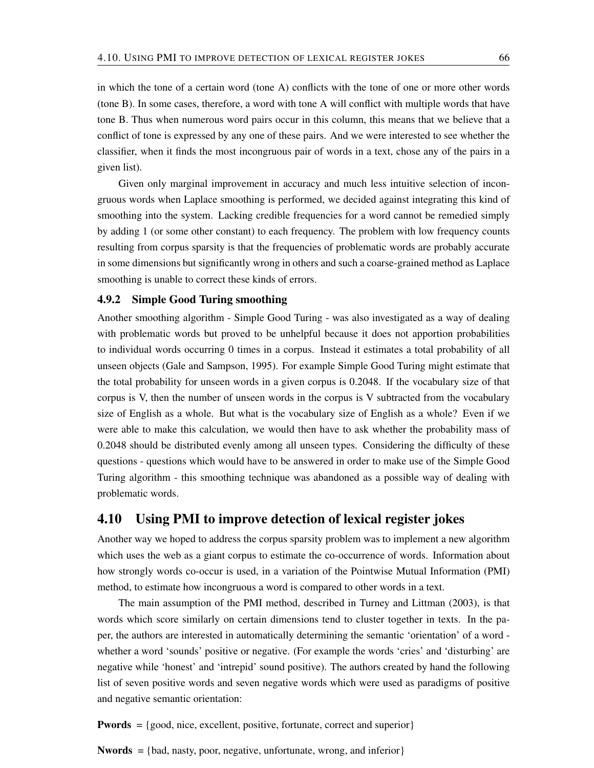in which the tone of a certain word (tone A) conflicts with the tone of one or more other words (tone B). In some cases, therefore, a word with tone A will conflict with multiple words that have tone B. Thus when numerous word pairs occur in this column, this means that we believe that a conflict of tone is expressed by any one of these pairs. And we were interested to see whether the classifier, when it finds the most incongruous pair of words in a text, chose any of the pairs in a given list).

Given only marginal improvement in accuracy and much less intuitive selection of incongruous words when Laplace smoothing is performed, we decided against integrating this kind of smoothing into the system. Lacking credible frequencies for a word cannot be remedied simply by adding 1 (or some other constant) to each frequency. The problem with low frequency counts resulting from corpus sparsity is that the frequencies of problematic words are probably accurate in some dimensions but significantly wrong in others and such a coarse-grained method as Laplace smoothing is unable to correct these kinds of errors.

#### 4.9.2 Simple Good Turing smoothing

Another smoothing algorithm - Simple Good Turing - was also investigated as a way of dealing with problematic words but proved to be unhelpful because it does not apportion probabilities to individual words occurring 0 times in a corpus. Instead it estimates a total probability of all unseen objects (Gale and Sampson, 1995). For example Simple Good Turing might estimate that the total probability for unseen words in a given corpus is 0.2048. If the vocabulary size of that corpus is V, then the number of unseen words in the corpus is V subtracted from the vocabulary size of English as a whole. But what is the vocabulary size of English as a whole? Even if we were able to make this calculation, we would then have to ask whether the probability mass of 0.2048 should be distributed evenly among all unseen types. Considering the difficulty of these questions - questions which would have to be answered in order to make use of the Simple Good Turing algorithm - this smoothing technique was abandoned as a possible way of dealing with problematic words.

## 4.10 Using PMI to improve detection of lexical register jokes

Another way we hoped to address the corpus sparsity problem was to implement a new algorithm which uses the web as a giant corpus to estimate the co-occurrence of words. Information about how strongly words co-occur is used, in a variation of the Pointwise Mutual Information (PMI) method, to estimate how incongruous a word is compared to other words in a text.

The main assumption of the PMI method, described in Turney and Littman (2003), is that words which score similarly on certain dimensions tend to cluster together in texts. In the paper, the authors are interested in automatically determining the semantic 'orientation' of a word whether a word 'sounds' positive or negative. (For example the words 'cries' and 'disturbing' are negative while 'honest' and 'intrepid' sound positive). The authors created by hand the following list of seven positive words and seven negative words which were used as paradigms of positive and negative semantic orientation:

Pwords = {good, nice, excellent, positive, fortunate, correct and superior}

Nwords = {bad, nasty, poor, negative, unfortunate, wrong, and inferior}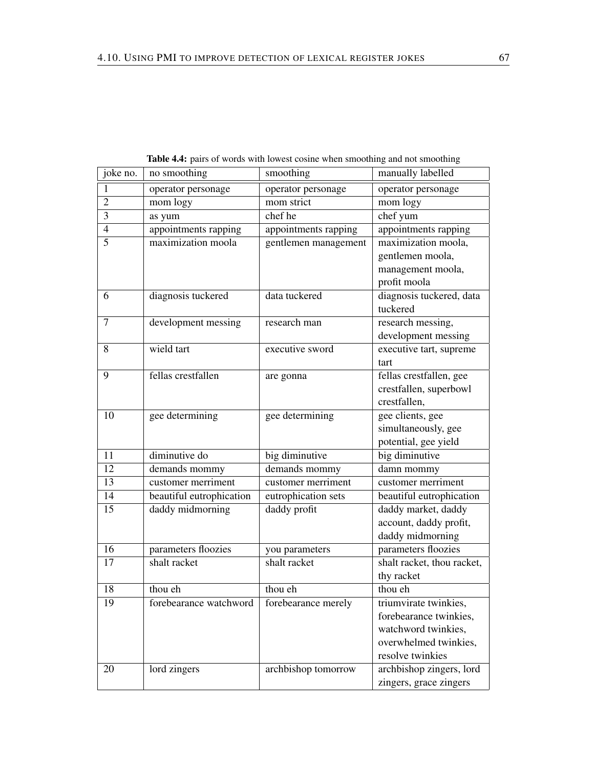| joke no.       | no smoothing             | smoothing            | manually labelled          |
|----------------|--------------------------|----------------------|----------------------------|
| 1              | operator personage       | operator personage   | operator personage         |
| $\overline{2}$ | mom logy                 | mom strict           | mom logy                   |
| $\overline{3}$ | as yum                   | chef he              | chef yum                   |
| $\overline{4}$ | appointments rapping     | appointments rapping | appointments rapping       |
| 5              | maximization moola       | gentlemen management | maximization moola,        |
|                |                          |                      | gentlemen moola,           |
|                |                          |                      | management moola,          |
|                |                          |                      | profit moola               |
| 6              | diagnosis tuckered       | data tuckered        | diagnosis tuckered, data   |
|                |                          |                      | tuckered                   |
| $\overline{7}$ | development messing      | research man         | research messing,          |
|                |                          |                      | development messing        |
| 8              | wield tart               | executive sword      | executive tart, supreme    |
|                |                          |                      | tart                       |
| 9              | fellas crestfallen       | are gonna            | fellas crestfallen, gee    |
|                |                          |                      | crestfallen, superbowl     |
|                |                          |                      | crestfallen,               |
| 10             | gee determining          | gee determining      | gee clients, gee           |
|                |                          |                      | simultaneously, gee        |
|                |                          |                      | potential, gee yield       |
| 11             | diminutive do            | big diminutive       | big diminutive             |
| 12             | demands mommy            | demands mommy        | damn mommy                 |
| 13             | customer merriment       | customer merriment   | customer merriment         |
| 14             | beautiful eutrophication | eutrophication sets  | beautiful eutrophication   |
| 15             | daddy midmorning         | daddy profit         | daddy market, daddy        |
|                |                          |                      | account, daddy profit,     |
|                |                          |                      | daddy midmorning           |
| 16             | parameters floozies      | you parameters       | parameters floozies        |
| 17             | shalt racket             | shalt racket         | shalt racket, thou racket, |
|                |                          |                      | thy racket                 |
| 18             | thou eh                  | thou eh              | thou eh                    |
| 19             | forebearance watchword   | forebearance merely  | triumvirate twinkies,      |
|                |                          |                      | forebearance twinkies,     |
|                |                          |                      | watchword twinkies,        |
|                |                          |                      | overwhelmed twinkies,      |
|                |                          |                      | resolve twinkies           |
| 20             | lord zingers             | archbishop tomorrow  | archbishop zingers, lord   |
|                |                          |                      | zingers, grace zingers     |

Table 4.4: pairs of words with lowest cosine when smoothing and not smoothing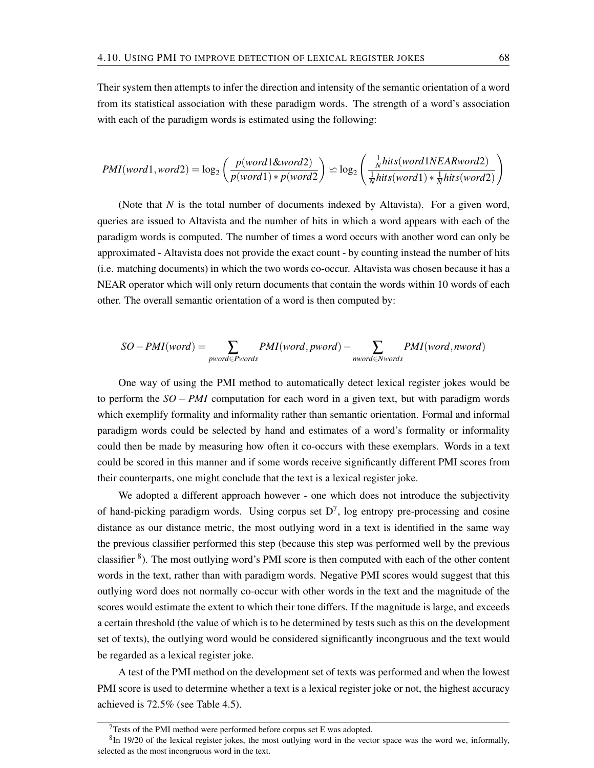Their system then attempts to infer the direction and intensity of the semantic orientation of a word from its statistical association with these paradigm words. The strength of a word's association with each of the paradigm words is estimated using the following:

$$
PMI(word1, word2) = log_2\left(\frac{p(word1\&word2)}{p(word1) * p(word2)} \ge log_2\left(\frac{\frac{1}{N}hits(word1NEARword2)}{\frac{1}{N}hits(word1) * \frac{1}{N}hits(word2)}\right)
$$

(Note that *N* is the total number of documents indexed by Altavista). For a given word, queries are issued to Altavista and the number of hits in which a word appears with each of the paradigm words is computed. The number of times a word occurs with another word can only be approximated - Altavista does not provide the exact count - by counting instead the number of hits (i.e. matching documents) in which the two words co-occur. Altavista was chosen because it has a NEAR operator which will only return documents that contain the words within 10 words of each other. The overall semantic orientation of a word is then computed by:

$$
SO-PMI(word) = \sum_{pword \in Pwords}PMI(word, pword) - \sum_{nword \in Nwords}PMI(word, nword)
$$

One way of using the PMI method to automatically detect lexical register jokes would be to perform the *SO* − *PMI* computation for each word in a given text, but with paradigm words which exemplify formality and informality rather than semantic orientation. Formal and informal paradigm words could be selected by hand and estimates of a word's formality or informality could then be made by measuring how often it co-occurs with these exemplars. Words in a text could be scored in this manner and if some words receive significantly different PMI scores from their counterparts, one might conclude that the text is a lexical register joke.

We adopted a different approach however - one which does not introduce the subjectivity of hand-picking paradigm words. Using corpus set  $D^7$ , log entropy pre-processing and cosine distance as our distance metric, the most outlying word in a text is identified in the same way the previous classifier performed this step (because this step was performed well by the previous classifier  $8$ ). The most outlying word's PMI score is then computed with each of the other content words in the text, rather than with paradigm words. Negative PMI scores would suggest that this outlying word does not normally co-occur with other words in the text and the magnitude of the scores would estimate the extent to which their tone differs. If the magnitude is large, and exceeds a certain threshold (the value of which is to be determined by tests such as this on the development set of texts), the outlying word would be considered significantly incongruous and the text would be regarded as a lexical register joke.

A test of the PMI method on the development set of texts was performed and when the lowest PMI score is used to determine whether a text is a lexical register joke or not, the highest accuracy achieved is 72.5% (see Table 4.5).

 $7$ Tests of the PMI method were performed before corpus set E was adopted.

 ${}^{8}$ In 19/20 of the lexical register jokes, the most outlying word in the vector space was the word we, informally, selected as the most incongruous word in the text.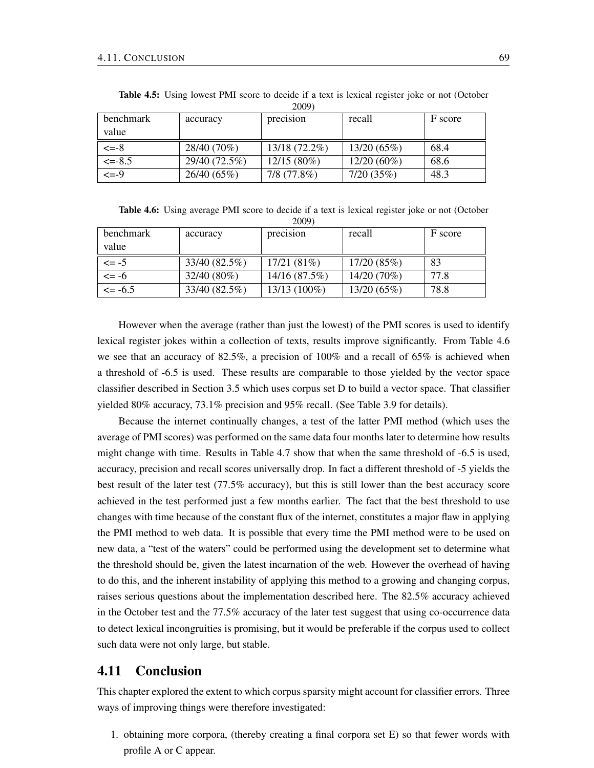| $\angle$ UUJI   |               |               |               |         |  |
|-----------------|---------------|---------------|---------------|---------|--|
| benchmark       | accuracy      | precision     | recall        | F score |  |
| value           |               |               |               |         |  |
| $\leq -8$       | 28/40 (70%)   | 13/18 (72.2%) | 13/20(65%)    | 68.4    |  |
| $\leq$ -8.5     | 29/40 (72.5%) | $12/15(80\%)$ | $12/20(60\%)$ | 68.6    |  |
| $\epsilon = -9$ | 26/40(65%)    | 7/8(77.8%)    | 7/20(35%)     | 48.3    |  |

Table 4.5: Using lowest PMI score to decide if a text is lexical register joke or not (October  $2009$ 

Table 4.6: Using average PMI score to decide if a text is lexical register joke or not (October 2009)

| benchmark  | accuracy      | precision      | recall      | F score |
|------------|---------------|----------------|-------------|---------|
| value      |               |                |             |         |
| $\leq$ -5  | 33/40 (82.5%) | 17/21(81%)     | 17/20(85%)  | 83      |
| $\leq$ -6  | $32/40(80\%)$ | 14/16 (87.5%)  | 14/20 (70%) | 77.8    |
| $\le$ -6.5 | 33/40 (82.5%) | $13/13(100\%)$ | 13/20(65%)  | 78.8    |

However when the average (rather than just the lowest) of the PMI scores is used to identify lexical register jokes within a collection of texts, results improve significantly. From Table 4.6 we see that an accuracy of 82.5%, a precision of 100% and a recall of 65% is achieved when a threshold of -6.5 is used. These results are comparable to those yielded by the vector space classifier described in Section 3.5 which uses corpus set D to build a vector space. That classifier yielded 80% accuracy, 73.1% precision and 95% recall. (See Table 3.9 for details).

Because the internet continually changes, a test of the latter PMI method (which uses the average of PMI scores) was performed on the same data four months later to determine how results might change with time. Results in Table 4.7 show that when the same threshold of -6.5 is used, accuracy, precision and recall scores universally drop. In fact a different threshold of -5 yields the best result of the later test (77.5% accuracy), but this is still lower than the best accuracy score achieved in the test performed just a few months earlier. The fact that the best threshold to use changes with time because of the constant flux of the internet, constitutes a major flaw in applying the PMI method to web data. It is possible that every time the PMI method were to be used on new data, a "test of the waters" could be performed using the development set to determine what the threshold should be, given the latest incarnation of the web. However the overhead of having to do this, and the inherent instability of applying this method to a growing and changing corpus, raises serious questions about the implementation described here. The 82.5% accuracy achieved in the October test and the 77.5% accuracy of the later test suggest that using co-occurrence data to detect lexical incongruities is promising, but it would be preferable if the corpus used to collect such data were not only large, but stable.

## 4.11 Conclusion

This chapter explored the extent to which corpus sparsity might account for classifier errors. Three ways of improving things were therefore investigated:

1. obtaining more corpora, (thereby creating a final corpora set E) so that fewer words with profile A or C appear.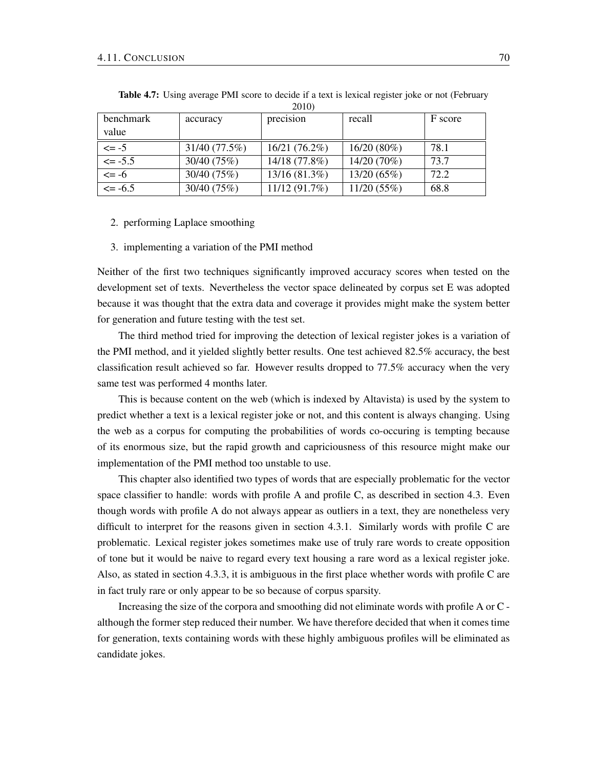|            |               | $\sim$ $\sim$ $\sim$ $\sim$ |               |         |
|------------|---------------|-----------------------------|---------------|---------|
| benchmark  | accuracy      | precision                   | recall        | F score |
| value      |               |                             |               |         |
| $\leq -5$  | 31/40 (77.5%) | 16/21(76.2%)                | $16/20(80\%)$ | 78.1    |
| $\le$ -5.5 | 30/40 (75%)   | 14/18 (77.8%)               | 14/20 (70%)   | 73.7    |
| $\leq -6$  | 30/40 (75%)   | 13/16 (81.3%)               | 13/20 (65%)   | 72.2    |
| $\le$ -6.5 | 30/40 (75%)   | 11/12(91.7%)                | 11/20(55%)    | 68.8    |

Table 4.7: Using average PMI score to decide if a text is lexical register joke or not (February 2010)

#### 2. performing Laplace smoothing

#### 3. implementing a variation of the PMI method

Neither of the first two techniques significantly improved accuracy scores when tested on the development set of texts. Nevertheless the vector space delineated by corpus set E was adopted because it was thought that the extra data and coverage it provides might make the system better for generation and future testing with the test set.

The third method tried for improving the detection of lexical register jokes is a variation of the PMI method, and it yielded slightly better results. One test achieved 82.5% accuracy, the best classification result achieved so far. However results dropped to 77.5% accuracy when the very same test was performed 4 months later.

This is because content on the web (which is indexed by Altavista) is used by the system to predict whether a text is a lexical register joke or not, and this content is always changing. Using the web as a corpus for computing the probabilities of words co-occuring is tempting because of its enormous size, but the rapid growth and capriciousness of this resource might make our implementation of the PMI method too unstable to use.

This chapter also identified two types of words that are especially problematic for the vector space classifier to handle: words with profile A and profile C, as described in section 4.3. Even though words with profile A do not always appear as outliers in a text, they are nonetheless very difficult to interpret for the reasons given in section 4.3.1. Similarly words with profile C are problematic. Lexical register jokes sometimes make use of truly rare words to create opposition of tone but it would be naive to regard every text housing a rare word as a lexical register joke. Also, as stated in section 4.3.3, it is ambiguous in the first place whether words with profile C are in fact truly rare or only appear to be so because of corpus sparsity.

Increasing the size of the corpora and smoothing did not eliminate words with profile A or C although the former step reduced their number. We have therefore decided that when it comes time for generation, texts containing words with these highly ambiguous profiles will be eliminated as candidate jokes.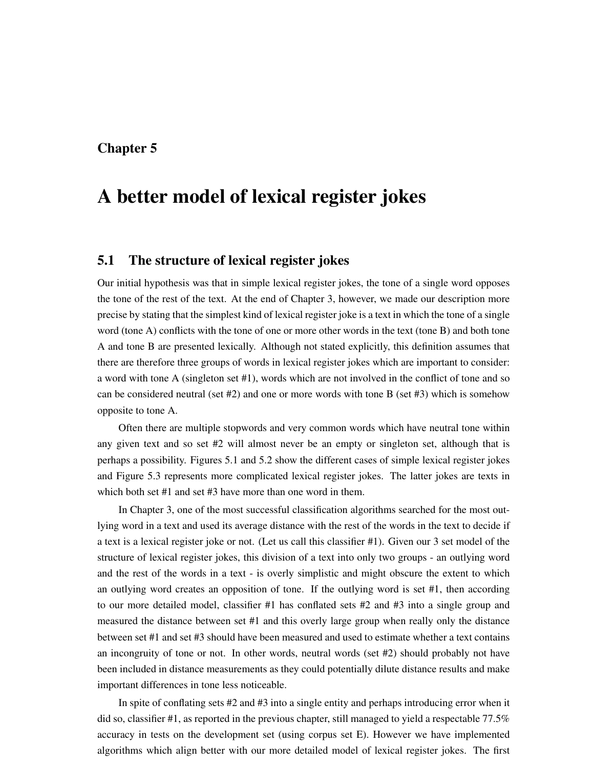## Chapter 5

# A better model of lexical register jokes

## 5.1 The structure of lexical register jokes

Our initial hypothesis was that in simple lexical register jokes, the tone of a single word opposes the tone of the rest of the text. At the end of Chapter 3, however, we made our description more precise by stating that the simplest kind of lexical register joke is a text in which the tone of a single word (tone A) conflicts with the tone of one or more other words in the text (tone B) and both tone A and tone B are presented lexically. Although not stated explicitly, this definition assumes that there are therefore three groups of words in lexical register jokes which are important to consider: a word with tone A (singleton set #1), words which are not involved in the conflict of tone and so can be considered neutral (set  $#2$ ) and one or more words with tone B (set  $#3$ ) which is somehow opposite to tone A.

Often there are multiple stopwords and very common words which have neutral tone within any given text and so set #2 will almost never be an empty or singleton set, although that is perhaps a possibility. Figures 5.1 and 5.2 show the different cases of simple lexical register jokes and Figure 5.3 represents more complicated lexical register jokes. The latter jokes are texts in which both set #1 and set #3 have more than one word in them.

In Chapter 3, one of the most successful classification algorithms searched for the most outlying word in a text and used its average distance with the rest of the words in the text to decide if a text is a lexical register joke or not. (Let us call this classifier #1). Given our 3 set model of the structure of lexical register jokes, this division of a text into only two groups - an outlying word and the rest of the words in a text - is overly simplistic and might obscure the extent to which an outlying word creates an opposition of tone. If the outlying word is set #1, then according to our more detailed model, classifier #1 has conflated sets #2 and #3 into a single group and measured the distance between set #1 and this overly large group when really only the distance between set #1 and set #3 should have been measured and used to estimate whether a text contains an incongruity of tone or not. In other words, neutral words (set #2) should probably not have been included in distance measurements as they could potentially dilute distance results and make important differences in tone less noticeable.

In spite of conflating sets #2 and #3 into a single entity and perhaps introducing error when it did so, classifier #1, as reported in the previous chapter, still managed to yield a respectable 77.5% accuracy in tests on the development set (using corpus set E). However we have implemented algorithms which align better with our more detailed model of lexical register jokes. The first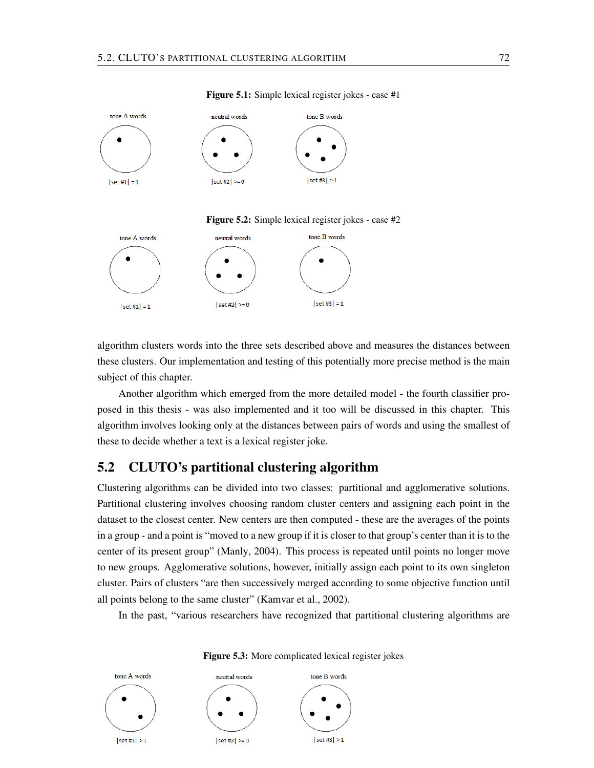

#### Figure 5.1: Simple lexical register jokes - case #1





algorithm clusters words into the three sets described above and measures the distances between these clusters. Our implementation and testing of this potentially more precise method is the main subject of this chapter.

Another algorithm which emerged from the more detailed model - the fourth classifier proposed in this thesis - was also implemented and it too will be discussed in this chapter. This algorithm involves looking only at the distances between pairs of words and using the smallest of these to decide whether a text is a lexical register joke.

## 5.2 CLUTO's partitional clustering algorithm

Clustering algorithms can be divided into two classes: partitional and agglomerative solutions. Partitional clustering involves choosing random cluster centers and assigning each point in the dataset to the closest center. New centers are then computed - these are the averages of the points in a group - and a point is "moved to a new group if it is closer to that group's center than it is to the center of its present group" (Manly, 2004). This process is repeated until points no longer move to new groups. Agglomerative solutions, however, initially assign each point to its own singleton cluster. Pairs of clusters "are then successively merged according to some objective function until all points belong to the same cluster" (Kamvar et al., 2002).

In the past, "various researchers have recognized that partitional clustering algorithms are



Figure 5.3: More complicated lexical register jokes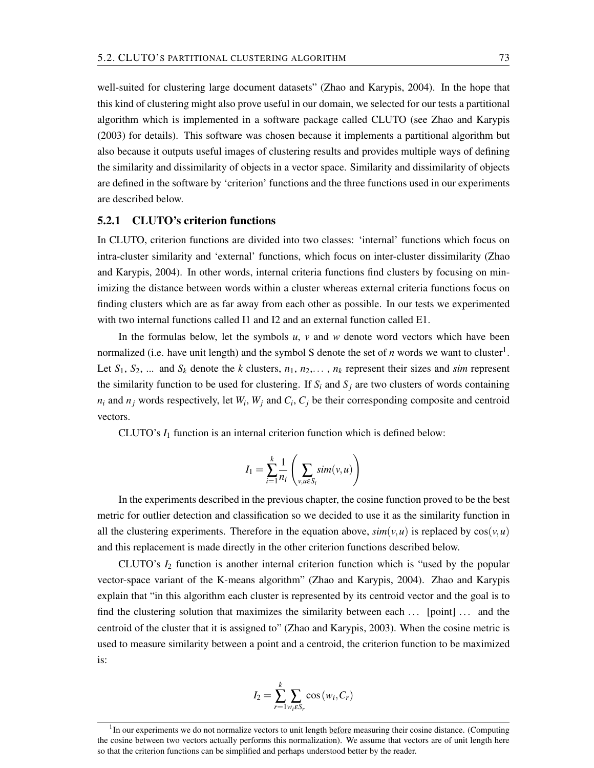well-suited for clustering large document datasets" (Zhao and Karypis, 2004). In the hope that this kind of clustering might also prove useful in our domain, we selected for our tests a partitional algorithm which is implemented in a software package called CLUTO (see Zhao and Karypis (2003) for details). This software was chosen because it implements a partitional algorithm but also because it outputs useful images of clustering results and provides multiple ways of defining the similarity and dissimilarity of objects in a vector space. Similarity and dissimilarity of objects are defined in the software by 'criterion' functions and the three functions used in our experiments are described below.

### 5.2.1 CLUTO's criterion functions

In CLUTO, criterion functions are divided into two classes: 'internal' functions which focus on intra-cluster similarity and 'external' functions, which focus on inter-cluster dissimilarity (Zhao and Karypis, 2004). In other words, internal criteria functions find clusters by focusing on minimizing the distance between words within a cluster whereas external criteria functions focus on finding clusters which are as far away from each other as possible. In our tests we experimented with two internal functions called I1 and I2 and an external function called E1.

In the formulas below, let the symbols  $u$ ,  $v$  and  $w$  denote word vectors which have been normalized (i.e. have unit length) and the symbol S denote the set of  $n$  words we want to cluster<sup>1</sup>. Let  $S_1$ ,  $S_2$ , ... and  $S_k$  denote the *k* clusters,  $n_1$ ,  $n_2$ ,...,  $n_k$  represent their sizes and *sim* represent the similarity function to be used for clustering. If  $S_i$  and  $S_j$  are two clusters of words containing  $n_i$  and  $n_j$  words respectively, let  $W_i$ ,  $W_j$  and  $C_i$ ,  $C_j$  be their corresponding composite and centroid vectors.

CLUTO's *I*<sup>1</sup> function is an internal criterion function which is defined below:

$$
I_1 = \sum_{i=1}^k \frac{1}{n_i} \left( \sum_{v, u \in S_i} sim(v, u) \right)
$$

In the experiments described in the previous chapter, the cosine function proved to be the best metric for outlier detection and classification so we decided to use it as the similarity function in all the clustering experiments. Therefore in the equation above,  $sim(v, u)$  is replaced by  $cos(v, u)$ and this replacement is made directly in the other criterion functions described below.

CLUTO's *I*<sup>2</sup> function is another internal criterion function which is "used by the popular vector-space variant of the K-means algorithm" (Zhao and Karypis, 2004). Zhao and Karypis explain that "in this algorithm each cluster is represented by its centroid vector and the goal is to find the clustering solution that maximizes the similarity between each ... [point] ... and the centroid of the cluster that it is assigned to" (Zhao and Karypis, 2003). When the cosine metric is used to measure similarity between a point and a centroid, the criterion function to be maximized is:

$$
I_2 = \sum_{r=1}^{k} \sum_{w_i \in S_r} \cos(w_i, C_r)
$$

<sup>&</sup>lt;sup>1</sup>In our experiments we do not normalize vectors to unit length before measuring their cosine distance. (Computing the cosine between two vectors actually performs this normalization). We assume that vectors are of unit length here so that the criterion functions can be simplified and perhaps understood better by the reader.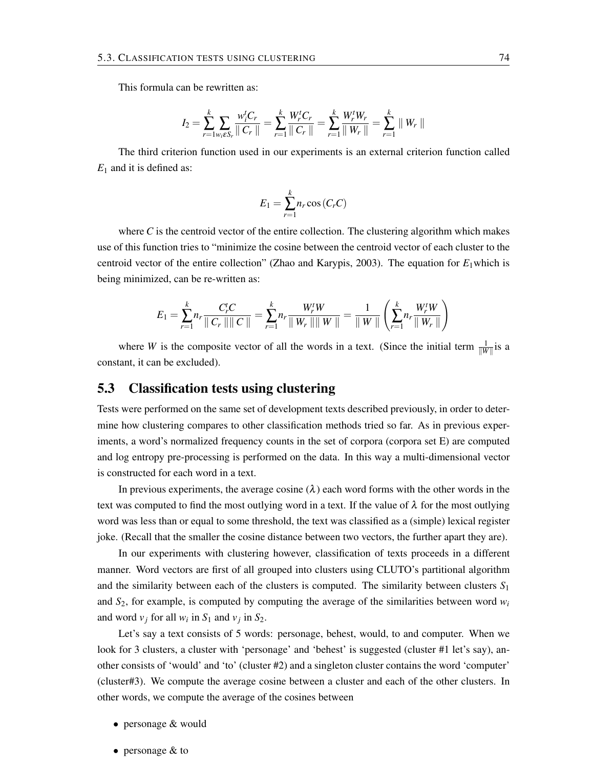This formula can be rewritten as:

$$
I_2 = \sum_{r=1}^k \sum_{w_i \in S_r} \frac{w_i^t C_r}{\parallel C_r \parallel} = \sum_{r=1}^k \frac{W_r^t C_r}{\parallel C_r \parallel} = \sum_{r=1}^k \frac{W_r^t W_r}{\parallel W_r \parallel} = \sum_{r=1}^k \parallel W_r \parallel
$$

The third criterion function used in our experiments is an external criterion function called *E*<sub>1</sub> and it is defined as:

$$
E_1 = \sum_{r=1}^{k} n_r \cos\left(C_r C\right)
$$

where  $C$  is the centroid vector of the entire collection. The clustering algorithm which makes use of this function tries to "minimize the cosine between the centroid vector of each cluster to the centroid vector of the entire collection" (Zhao and Karypis, 2003). The equation for  $E_1$ which is being minimized, can be re-written as:

$$
E_1 = \sum_{r=1}^k n_r \frac{C_r^t C}{\parallel C_r \parallel \parallel C \parallel } = \sum_{r=1}^k n_r \frac{W_r^t W}{\parallel W_r \parallel \parallel W \parallel } = \frac{1}{\parallel W \parallel} \left( \sum_{r=1}^k n_r \frac{W_r^t W}{\parallel W_r \parallel } \right)
$$

where *W* is the composite vector of all the words in a text. (Since the initial term  $\frac{1}{\|W\|}$  is a constant, it can be excluded).

# 5.3 Classification tests using clustering

Tests were performed on the same set of development texts described previously, in order to determine how clustering compares to other classification methods tried so far. As in previous experiments, a word's normalized frequency counts in the set of corpora (corpora set E) are computed and log entropy pre-processing is performed on the data. In this way a multi-dimensional vector is constructed for each word in a text.

In previous experiments, the average cosine  $(\lambda)$  each word forms with the other words in the text was computed to find the most outlying word in a text. If the value of  $\lambda$  for the most outlying word was less than or equal to some threshold, the text was classified as a (simple) lexical register joke. (Recall that the smaller the cosine distance between two vectors, the further apart they are).

In our experiments with clustering however, classification of texts proceeds in a different manner. Word vectors are first of all grouped into clusters using CLUTO's partitional algorithm and the similarity between each of the clusters is computed. The similarity between clusters *S*<sup>1</sup> and  $S_2$ , for example, is computed by computing the average of the similarities between word  $w_i$ and word  $v_j$  for all  $w_i$  in  $S_1$  and  $v_j$  in  $S_2$ .

Let's say a text consists of 5 words: personage, behest, would, to and computer. When we look for 3 clusters, a cluster with 'personage' and 'behest' is suggested (cluster #1 let's say), another consists of 'would' and 'to' (cluster #2) and a singleton cluster contains the word 'computer' (cluster#3). We compute the average cosine between a cluster and each of the other clusters. In other words, we compute the average of the cosines between

- personage & would
- personage & to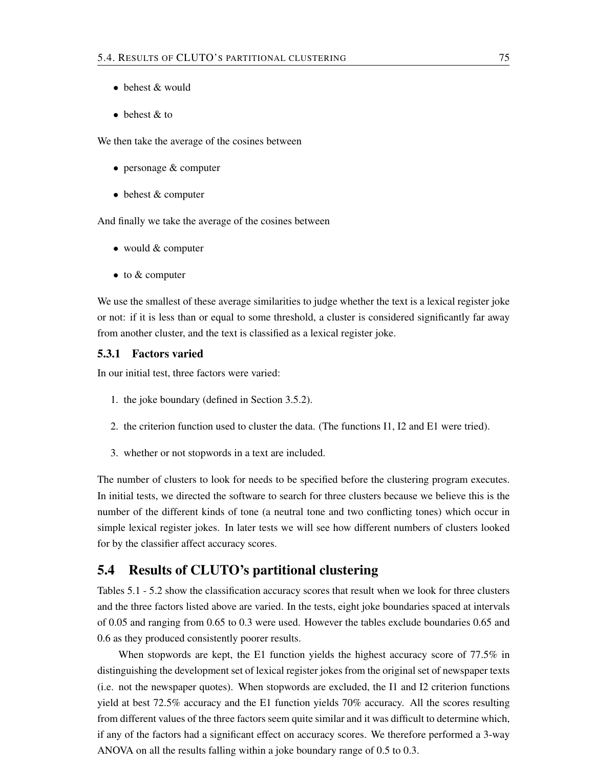- behest  $&$  would
- $\bullet$  behest  $\&$  to

We then take the average of the cosines between

- personage & computer
- behest & computer

And finally we take the average of the cosines between

- would & computer
- to & computer

We use the smallest of these average similarities to judge whether the text is a lexical register joke or not: if it is less than or equal to some threshold, a cluster is considered significantly far away from another cluster, and the text is classified as a lexical register joke.

### 5.3.1 Factors varied

In our initial test, three factors were varied:

- 1. the joke boundary (defined in Section 3.5.2).
- 2. the criterion function used to cluster the data. (The functions I1, I2 and E1 were tried).
- 3. whether or not stopwords in a text are included.

The number of clusters to look for needs to be specified before the clustering program executes. In initial tests, we directed the software to search for three clusters because we believe this is the number of the different kinds of tone (a neutral tone and two conflicting tones) which occur in simple lexical register jokes. In later tests we will see how different numbers of clusters looked for by the classifier affect accuracy scores.

### 5.4 Results of CLUTO's partitional clustering

Tables 5.1 - 5.2 show the classification accuracy scores that result when we look for three clusters and the three factors listed above are varied. In the tests, eight joke boundaries spaced at intervals of 0.05 and ranging from 0.65 to 0.3 were used. However the tables exclude boundaries 0.65 and 0.6 as they produced consistently poorer results.

When stopwords are kept, the E1 function yields the highest accuracy score of 77.5% in distinguishing the development set of lexical register jokes from the original set of newspaper texts (i.e. not the newspaper quotes). When stopwords are excluded, the I1 and I2 criterion functions yield at best 72.5% accuracy and the E1 function yields 70% accuracy. All the scores resulting from different values of the three factors seem quite similar and it was difficult to determine which, if any of the factors had a significant effect on accuracy scores. We therefore performed a 3-way ANOVA on all the results falling within a joke boundary range of 0.5 to 0.3.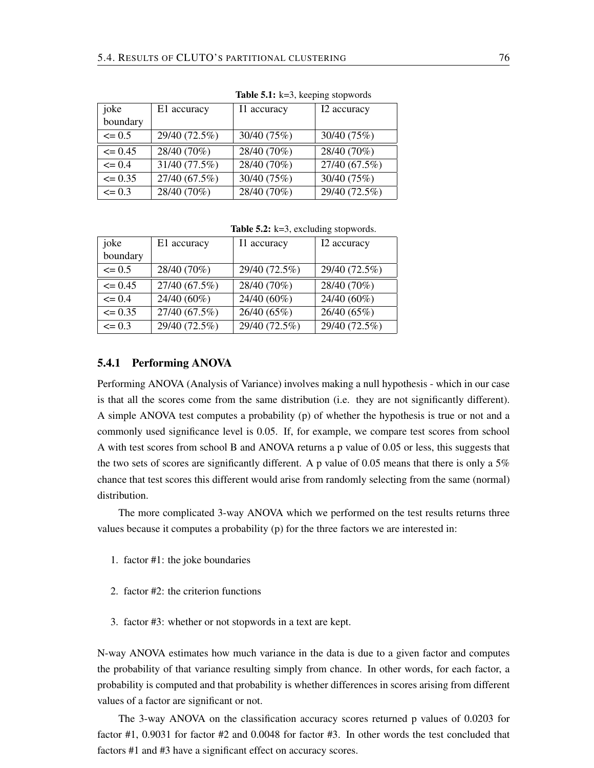|             |               | <b>rapic <math>\mathcal{L}</math></b> $K=0$ , Reeping stop words |                            |
|-------------|---------------|------------------------------------------------------------------|----------------------------|
| joke        | E1 accuracy   | I1 accuracy                                                      | I2 accuracy                |
| boundary    |               |                                                                  |                            |
| $\leq 0.5$  | 29/40 (72.5%) | 30/40 (75%)                                                      | 30/40 (75%)                |
| $\leq 0.45$ | 28/40 (70%)   | 28/40 (70%)                                                      | 28/40 (70%)                |
| $\leq 0.4$  | 31/40 (77.5%) | 28/40 (70%)                                                      | $\overline{27/40}$ (67.5%) |
| $\leq 0.35$ | 27/40 (67.5%) | 30/40 (75%)                                                      | 30/40 (75%)                |
| $\leq 0.3$  | 28/40 (70%)   | 28/40 (70%)                                                      | 29/40 (72.5%)              |

Table  $5.1: k-3$  keeping stopwords

**Table 5.2:**  $k=3$ , excluding stopwords.

| joke        | E1 accuracy   | I1 accuracy   | I2 accuracy   |
|-------------|---------------|---------------|---------------|
| boundary    |               |               |               |
| $\leq 0.5$  | 28/40 (70%)   | 29/40 (72.5%) | 29/40 (72.5%) |
| $\leq 0.45$ | 27/40 (67.5%) | 28/40 (70%)   | 28/40 (70%)   |
| $\leq 0.4$  | 24/40 (60%)   | 24/40 (60%)   | 24/40 (60%)   |
| $\leq 0.35$ | 27/40 (67.5%) | 26/40 (65%)   | 26/40 (65%)   |
| $\leq$ 0.3  | 29/40 (72.5%) | 29/40 (72.5%) | 29/40 (72.5%) |

### 5.4.1 Performing ANOVA

Performing ANOVA (Analysis of Variance) involves making a null hypothesis - which in our case is that all the scores come from the same distribution (i.e. they are not significantly different). A simple ANOVA test computes a probability (p) of whether the hypothesis is true or not and a commonly used significance level is 0.05. If, for example, we compare test scores from school A with test scores from school B and ANOVA returns a p value of 0.05 or less, this suggests that the two sets of scores are significantly different. A p value of 0.05 means that there is only a 5% chance that test scores this different would arise from randomly selecting from the same (normal) distribution.

The more complicated 3-way ANOVA which we performed on the test results returns three values because it computes a probability (p) for the three factors we are interested in:

- 1. factor #1: the joke boundaries
- 2. factor #2: the criterion functions
- 3. factor #3: whether or not stopwords in a text are kept.

N-way ANOVA estimates how much variance in the data is due to a given factor and computes the probability of that variance resulting simply from chance. In other words, for each factor, a probability is computed and that probability is whether differences in scores arising from different values of a factor are significant or not.

The 3-way ANOVA on the classification accuracy scores returned p values of 0.0203 for factor #1, 0.9031 for factor #2 and 0.0048 for factor #3. In other words the test concluded that factors #1 and #3 have a significant effect on accuracy scores.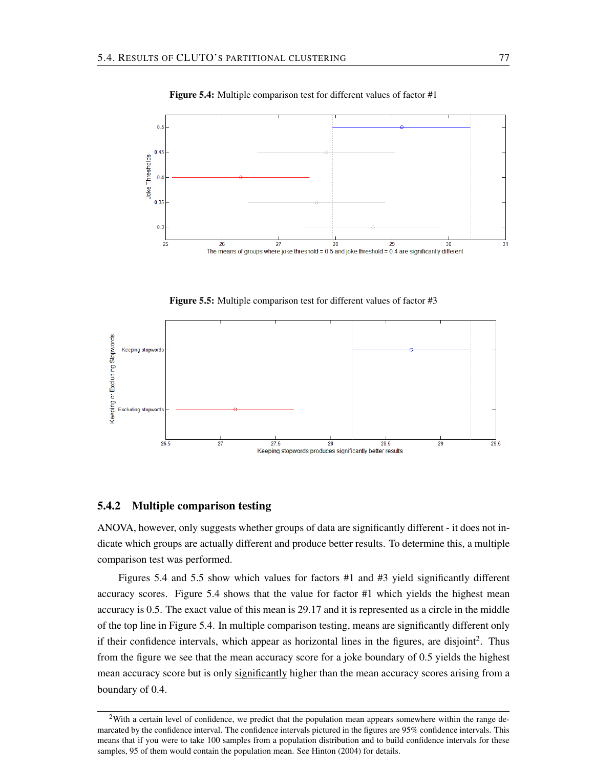

Figure 5.4: Multiple comparison test for different values of factor #1

Figure 5.5: Multiple comparison test for different values of factor #3



### 5.4.2 Multiple comparison testing

ANOVA, however, only suggests whether groups of data are significantly different - it does not indicate which groups are actually different and produce better results. To determine this, a multiple comparison test was performed.

Figures 5.4 and 5.5 show which values for factors #1 and #3 yield significantly different accuracy scores. Figure 5.4 shows that the value for factor #1 which yields the highest mean accuracy is 0.5. The exact value of this mean is 29.17 and it is represented as a circle in the middle of the top line in Figure 5.4. In multiple comparison testing, means are significantly different only if their confidence intervals, which appear as horizontal lines in the figures, are disjoint<sup>2</sup>. Thus from the figure we see that the mean accuracy score for a joke boundary of 0.5 yields the highest mean accuracy score but is only significantly higher than the mean accuracy scores arising from a boundary of 0.4.

<sup>&</sup>lt;sup>2</sup>With a certain level of confidence, we predict that the population mean appears somewhere within the range demarcated by the confidence interval. The confidence intervals pictured in the figures are 95% confidence intervals. This means that if you were to take 100 samples from a population distribution and to build confidence intervals for these samples, 95 of them would contain the population mean. See Hinton (2004) for details.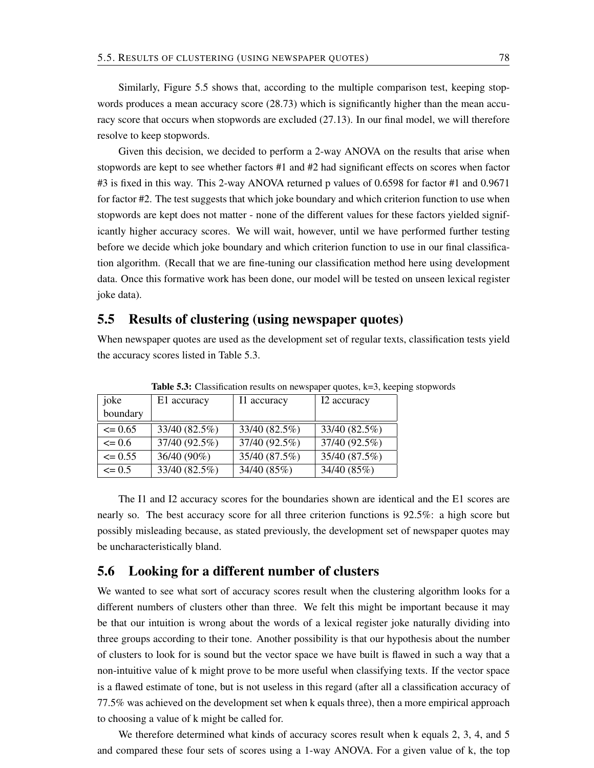Similarly, Figure 5.5 shows that, according to the multiple comparison test, keeping stopwords produces a mean accuracy score (28.73) which is significantly higher than the mean accuracy score that occurs when stopwords are excluded (27.13). In our final model, we will therefore resolve to keep stopwords.

Given this decision, we decided to perform a 2-way ANOVA on the results that arise when stopwords are kept to see whether factors #1 and #2 had significant effects on scores when factor #3 is fixed in this way. This 2-way ANOVA returned p values of 0.6598 for factor #1 and 0.9671 for factor #2. The test suggests that which joke boundary and which criterion function to use when stopwords are kept does not matter - none of the different values for these factors yielded significantly higher accuracy scores. We will wait, however, until we have performed further testing before we decide which joke boundary and which criterion function to use in our final classification algorithm. (Recall that we are fine-tuning our classification method here using development data. Once this formative work has been done, our model will be tested on unseen lexical register joke data).

### 5.5 Results of clustering (using newspaper quotes)

When newspaper quotes are used as the development set of regular texts, classification tests yield the accuracy scores listed in Table 5.3.

| joke        | E1 accuracy   | I1 accuracy   | I2 accuracy   |  |  |
|-------------|---------------|---------------|---------------|--|--|
| boundary    |               |               |               |  |  |
| $\leq 0.65$ | 33/40 (82.5%) | 33/40 (82.5%) | 33/40 (82.5%) |  |  |
| $\leq 0.6$  | 37/40 (92.5%) | 37/40 (92.5%) | 37/40 (92.5%) |  |  |
| $\leq 0.55$ | 36/40 (90%)   | 35/40 (87.5%) | 35/40 (87.5%) |  |  |
| $\leq 0.5$  | 33/40 (82.5%) | 34/40 (85%)   | 34/40 (85%)   |  |  |

Table 5.3: Classification results on newspaper quotes, k=3, keeping stopwords

The I1 and I2 accuracy scores for the boundaries shown are identical and the E1 scores are nearly so. The best accuracy score for all three criterion functions is 92.5%: a high score but possibly misleading because, as stated previously, the development set of newspaper quotes may be uncharacteristically bland.

# 5.6 Looking for a different number of clusters

We wanted to see what sort of accuracy scores result when the clustering algorithm looks for a different numbers of clusters other than three. We felt this might be important because it may be that our intuition is wrong about the words of a lexical register joke naturally dividing into three groups according to their tone. Another possibility is that our hypothesis about the number of clusters to look for is sound but the vector space we have built is flawed in such a way that a non-intuitive value of k might prove to be more useful when classifying texts. If the vector space is a flawed estimate of tone, but is not useless in this regard (after all a classification accuracy of 77.5% was achieved on the development set when k equals three), then a more empirical approach to choosing a value of k might be called for.

We therefore determined what kinds of accuracy scores result when k equals 2, 3, 4, and 5 and compared these four sets of scores using a 1-way ANOVA. For a given value of k, the top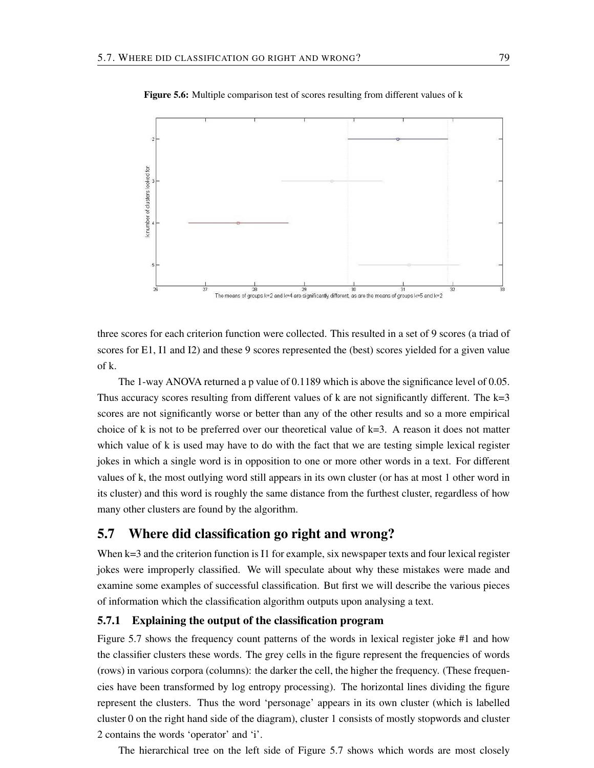

Figure 5.6: Multiple comparison test of scores resulting from different values of k

three scores for each criterion function were collected. This resulted in a set of 9 scores (a triad of scores for E1, I1 and I2) and these 9 scores represented the (best) scores yielded for a given value of k.

The 1-way ANOVA returned a p value of 0.1189 which is above the significance level of 0.05. Thus accuracy scores resulting from different values of  $k$  are not significantly different. The  $k=3$ scores are not significantly worse or better than any of the other results and so a more empirical choice of k is not to be preferred over our theoretical value of  $k=3$ . A reason it does not matter which value of k is used may have to do with the fact that we are testing simple lexical register jokes in which a single word is in opposition to one or more other words in a text. For different values of k, the most outlying word still appears in its own cluster (or has at most 1 other word in its cluster) and this word is roughly the same distance from the furthest cluster, regardless of how many other clusters are found by the algorithm.

### 5.7 Where did classification go right and wrong?

When  $k=3$  and the criterion function is I1 for example, six newspaper texts and four lexical register jokes were improperly classified. We will speculate about why these mistakes were made and examine some examples of successful classification. But first we will describe the various pieces of information which the classification algorithm outputs upon analysing a text.

### 5.7.1 Explaining the output of the classification program

Figure 5.7 shows the frequency count patterns of the words in lexical register joke #1 and how the classifier clusters these words. The grey cells in the figure represent the frequencies of words (rows) in various corpora (columns): the darker the cell, the higher the frequency. (These frequencies have been transformed by log entropy processing). The horizontal lines dividing the figure represent the clusters. Thus the word 'personage' appears in its own cluster (which is labelled cluster 0 on the right hand side of the diagram), cluster 1 consists of mostly stopwords and cluster 2 contains the words 'operator' and 'i'.

The hierarchical tree on the left side of Figure 5.7 shows which words are most closely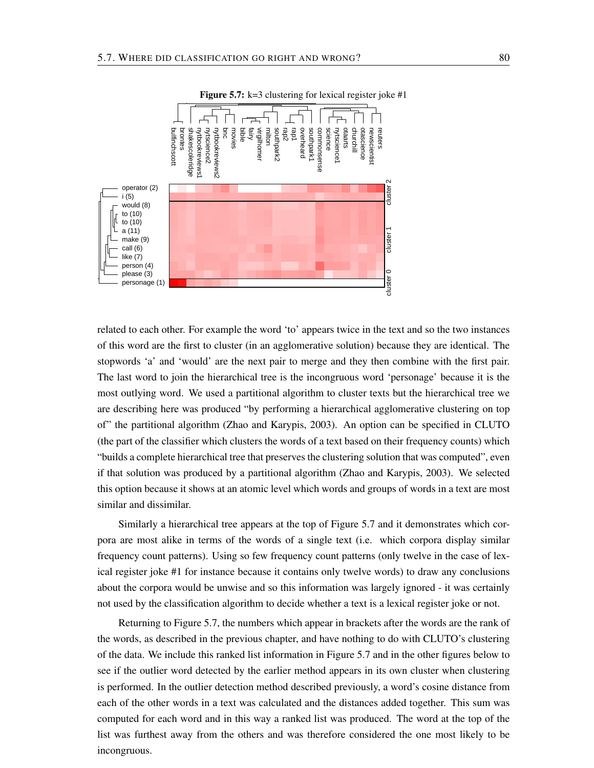

Figure 5.7:  $k=3$  clustering for lexical register joke #1

related to each other. For example the word 'to' appears twice in the text and so the two instances of this word are the first to cluster (in an agglomerative solution) because they are identical. The stopwords 'a' and 'would' are the next pair to merge and they then combine with the first pair. The last word to join the hierarchical tree is the incongruous word 'personage' because it is the most outlying word. We used a partitional algorithm to cluster texts but the hierarchical tree we are describing here was produced "by performing a hierarchical agglomerative clustering on top of" the partitional algorithm (Zhao and Karypis, 2003). An option can be specified in CLUTO (the part of the classifier which clusters the words of a text based on their frequency counts) which "builds a complete hierarchical tree that preserves the clustering solution that was computed", even if that solution was produced by a partitional algorithm (Zhao and Karypis, 2003). We selected this option because it shows at an atomic level which words and groups of words in a text are most similar and dissimilar.

Similarly a hierarchical tree appears at the top of Figure 5.7 and it demonstrates which corpora are most alike in terms of the words of a single text (i.e. which corpora display similar frequency count patterns). Using so few frequency count patterns (only twelve in the case of lexical register joke #1 for instance because it contains only twelve words) to draw any conclusions about the corpora would be unwise and so this information was largely ignored - it was certainly not used by the classification algorithm to decide whether a text is a lexical register joke or not.

Returning to Figure 5.7, the numbers which appear in brackets after the words are the rank of the words, as described in the previous chapter, and have nothing to do with CLUTO's clustering of the data. We include this ranked list information in Figure 5.7 and in the other figures below to see if the outlier word detected by the earlier method appears in its own cluster when clustering is performed. In the outlier detection method described previously, a word's cosine distance from each of the other words in a text was calculated and the distances added together. This sum was computed for each word and in this way a ranked list was produced. The word at the top of the list was furthest away from the others and was therefore considered the one most likely to be incongruous.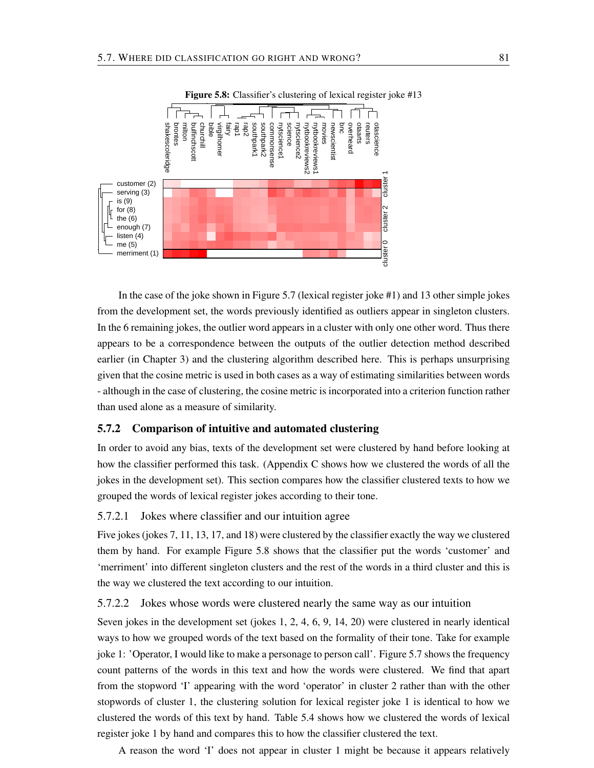

Figure 5.8: Classifier's clustering of lexical register joke #13

In the case of the joke shown in Figure 5.7 (lexical register joke #1) and 13 other simple jokes from the development set, the words previously identified as outliers appear in singleton clusters. In the 6 remaining jokes, the outlier word appears in a cluster with only one other word. Thus there appears to be a correspondence between the outputs of the outlier detection method described earlier (in Chapter 3) and the clustering algorithm described here. This is perhaps unsurprising given that the cosine metric is used in both cases as a way of estimating similarities between words - although in the case of clustering, the cosine metric is incorporated into a criterion function rather than used alone as a measure of similarity.

### 5.7.2 Comparison of intuitive and automated clustering

In order to avoid any bias, texts of the development set were clustered by hand before looking at how the classifier performed this task. (Appendix C shows how we clustered the words of all the jokes in the development set). This section compares how the classifier clustered texts to how we grouped the words of lexical register jokes according to their tone.

### 5.7.2.1 Jokes where classifier and our intuition agree

Five jokes (jokes 7, 11, 13, 17, and 18) were clustered by the classifier exactly the way we clustered them by hand. For example Figure 5.8 shows that the classifier put the words 'customer' and 'merriment' into different singleton clusters and the rest of the words in a third cluster and this is the way we clustered the text according to our intuition.

### 5.7.2.2 Jokes whose words were clustered nearly the same way as our intuition

Seven jokes in the development set (jokes 1, 2, 4, 6, 9, 14, 20) were clustered in nearly identical ways to how we grouped words of the text based on the formality of their tone. Take for example joke 1: 'Operator, I would like to make a personage to person call'. Figure 5.7 shows the frequency count patterns of the words in this text and how the words were clustered. We find that apart from the stopword 'I' appearing with the word 'operator' in cluster 2 rather than with the other stopwords of cluster 1, the clustering solution for lexical register joke 1 is identical to how we clustered the words of this text by hand. Table 5.4 shows how we clustered the words of lexical register joke 1 by hand and compares this to how the classifier clustered the text.

A reason the word 'I' does not appear in cluster 1 might be because it appears relatively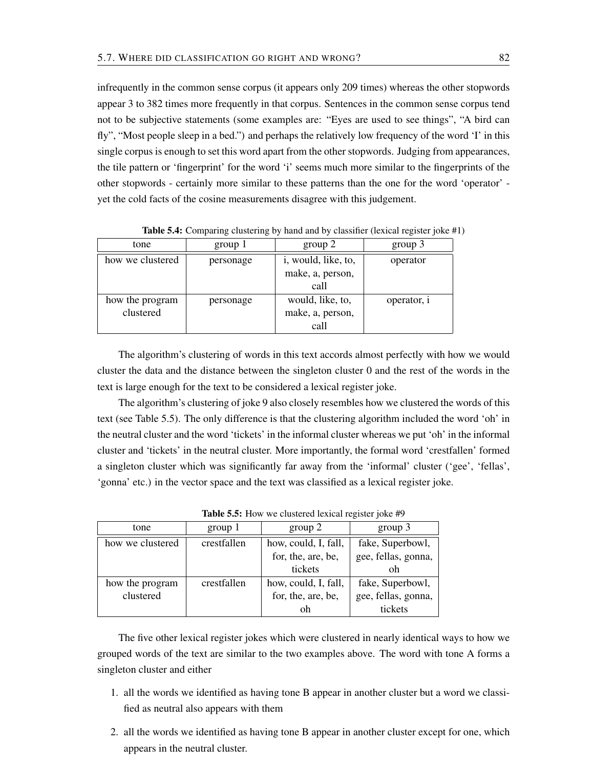infrequently in the common sense corpus (it appears only 209 times) whereas the other stopwords appear 3 to 382 times more frequently in that corpus. Sentences in the common sense corpus tend not to be subjective statements (some examples are: "Eyes are used to see things", "A bird can fly", "Most people sleep in a bed.") and perhaps the relatively low frequency of the word 'I' in this single corpus is enough to set this word apart from the other stopwords. Judging from appearances, the tile pattern or 'fingerprint' for the word 'i' seems much more similar to the fingerprints of the other stopwords - certainly more similar to these patterns than the one for the word 'operator' yet the cold facts of the cosine measurements disagree with this judgement.

| tone             | group 1   | group 2             | group 3     |
|------------------|-----------|---------------------|-------------|
| how we clustered | personage | i, would, like, to, | operator    |
|                  |           | make, a, person,    |             |
|                  |           | call                |             |
| how the program  | personage | would, like, to,    | operator, i |
| clustered        |           | make, a, person,    |             |
|                  |           | call                |             |

Table 5.4: Comparing clustering by hand and by classifier (lexical register joke #1)

The algorithm's clustering of words in this text accords almost perfectly with how we would cluster the data and the distance between the singleton cluster 0 and the rest of the words in the text is large enough for the text to be considered a lexical register joke.

The algorithm's clustering of joke 9 also closely resembles how we clustered the words of this text (see Table 5.5). The only difference is that the clustering algorithm included the word 'oh' in the neutral cluster and the word 'tickets' in the informal cluster whereas we put 'oh' in the informal cluster and 'tickets' in the neutral cluster. More importantly, the formal word 'crestfallen' formed a singleton cluster which was significantly far away from the 'informal' cluster ('gee', 'fellas', 'gonna' etc.) in the vector space and the text was classified as a lexical register joke.

| tone             | group 1     | group 2              | group 3             |
|------------------|-------------|----------------------|---------------------|
| how we clustered | crestfallen | how, could, I, fall, | fake, Superbowl,    |
|                  |             | for, the, are, be,   | gee, fellas, gonna, |
|                  |             | tickets              | oh                  |
| how the program  | crestfallen | how, could, I, fall, | fake, Superbowl,    |
| clustered        |             | for, the, are, be,   | gee, fellas, gonna, |
|                  |             |                      | tickets             |

Table 5.5: How we clustered lexical register joke #9

The five other lexical register jokes which were clustered in nearly identical ways to how we grouped words of the text are similar to the two examples above. The word with tone A forms a singleton cluster and either

- 1. all the words we identified as having tone B appear in another cluster but a word we classified as neutral also appears with them
- 2. all the words we identified as having tone B appear in another cluster except for one, which appears in the neutral cluster.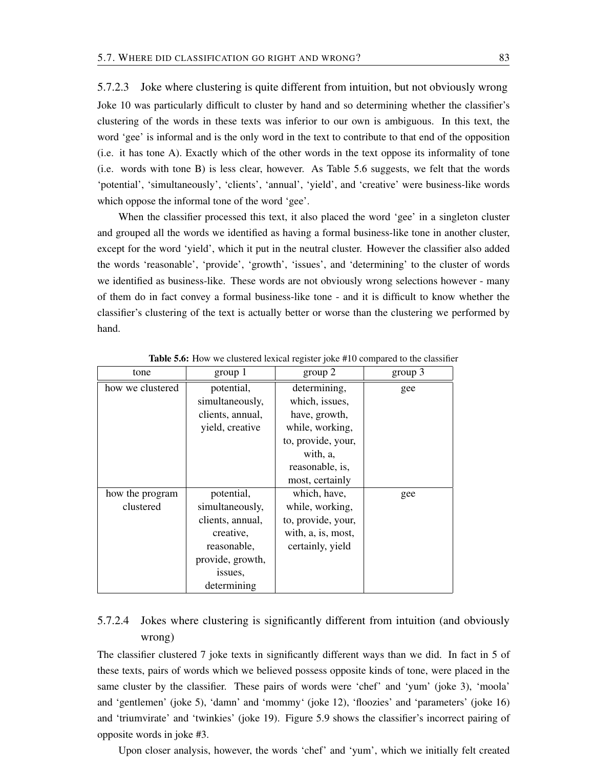5.7.2.3 Joke where clustering is quite different from intuition, but not obviously wrong Joke 10 was particularly difficult to cluster by hand and so determining whether the classifier's clustering of the words in these texts was inferior to our own is ambiguous. In this text, the word 'gee' is informal and is the only word in the text to contribute to that end of the opposition (i.e. it has tone A). Exactly which of the other words in the text oppose its informality of tone (i.e. words with tone B) is less clear, however. As Table 5.6 suggests, we felt that the words 'potential', 'simultaneously', 'clients', 'annual', 'yield', and 'creative' were business-like words which oppose the informal tone of the word 'gee'.

When the classifier processed this text, it also placed the word 'gee' in a singleton cluster and grouped all the words we identified as having a formal business-like tone in another cluster, except for the word 'yield', which it put in the neutral cluster. However the classifier also added the words 'reasonable', 'provide', 'growth', 'issues', and 'determining' to the cluster of words we identified as business-like. These words are not obviously wrong selections however - many of them do in fact convey a formal business-like tone - and it is difficult to know whether the classifier's clustering of the text is actually better or worse than the clustering we performed by hand.

| group 1<br>tone  |                  | group 2            | group 3 |
|------------------|------------------|--------------------|---------|
| how we clustered | potential,       | determining,       | gee     |
|                  | simultaneously,  | which, issues,     |         |
|                  | clients, annual, | have, growth,      |         |
|                  | yield, creative  | while, working,    |         |
|                  |                  | to, provide, your, |         |
|                  |                  | with, a,           |         |
|                  |                  | reasonable, is,    |         |
|                  |                  | most, certainly    |         |
| how the program  | potential,       | which, have,       | gee     |
| clustered        | simultaneously,  | while, working,    |         |
|                  | clients, annual, | to, provide, your, |         |
|                  | creative,        | with, a, is, most, |         |
|                  | reasonable,      | certainly, yield   |         |
|                  | provide, growth, |                    |         |
|                  | issues,          |                    |         |
|                  | determining      |                    |         |

Table 5.6: How we clustered lexical register joke #10 compared to the classifier

# 5.7.2.4 Jokes where clustering is significantly different from intuition (and obviously wrong)

The classifier clustered 7 joke texts in significantly different ways than we did. In fact in 5 of these texts, pairs of words which we believed possess opposite kinds of tone, were placed in the same cluster by the classifier. These pairs of words were 'chef' and 'yum' (joke 3), 'moola' and 'gentlemen' (joke 5), 'damn' and 'mommy' (joke 12), 'floozies' and 'parameters' (joke 16) and 'triumvirate' and 'twinkies' (joke 19). Figure 5.9 shows the classifier's incorrect pairing of opposite words in joke #3.

Upon closer analysis, however, the words 'chef' and 'yum', which we initially felt created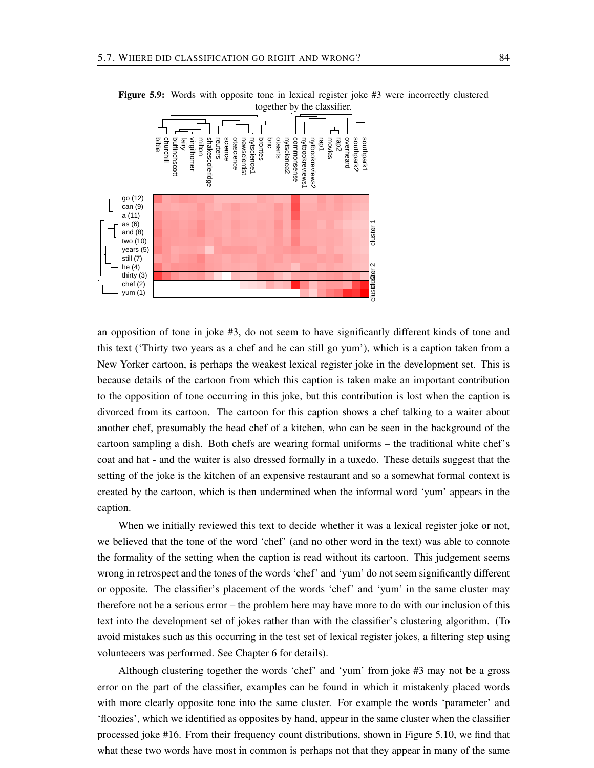

Figure 5.9: Words with opposite tone in lexical register joke #3 were incorrectly clustered together by the classifier.

an opposition of tone in joke #3, do not seem to have significantly different kinds of tone and this text ('Thirty two years as a chef and he can still go yum'), which is a caption taken from a New Yorker cartoon, is perhaps the weakest lexical register joke in the development set. This is because details of the cartoon from which this caption is taken make an important contribution to the opposition of tone occurring in this joke, but this contribution is lost when the caption is divorced from its cartoon. The cartoon for this caption shows a chef talking to a waiter about another chef, presumably the head chef of a kitchen, who can be seen in the background of the cartoon sampling a dish. Both chefs are wearing formal uniforms – the traditional white chef's coat and hat - and the waiter is also dressed formally in a tuxedo. These details suggest that the setting of the joke is the kitchen of an expensive restaurant and so a somewhat formal context is created by the cartoon, which is then undermined when the informal word 'yum' appears in the caption.

When we initially reviewed this text to decide whether it was a lexical register joke or not, we believed that the tone of the word 'chef' (and no other word in the text) was able to connote the formality of the setting when the caption is read without its cartoon. This judgement seems wrong in retrospect and the tones of the words 'chef' and 'yum' do not seem significantly different or opposite. The classifier's placement of the words 'chef' and 'yum' in the same cluster may therefore not be a serious error – the problem here may have more to do with our inclusion of this text into the development set of jokes rather than with the classifier's clustering algorithm. (To avoid mistakes such as this occurring in the test set of lexical register jokes, a filtering step using volunteeers was performed. See Chapter 6 for details).

Although clustering together the words 'chef' and 'yum' from joke #3 may not be a gross error on the part of the classifier, examples can be found in which it mistakenly placed words with more clearly opposite tone into the same cluster. For example the words 'parameter' and 'floozies', which we identified as opposites by hand, appear in the same cluster when the classifier processed joke #16. From their frequency count distributions, shown in Figure 5.10, we find that what these two words have most in common is perhaps not that they appear in many of the same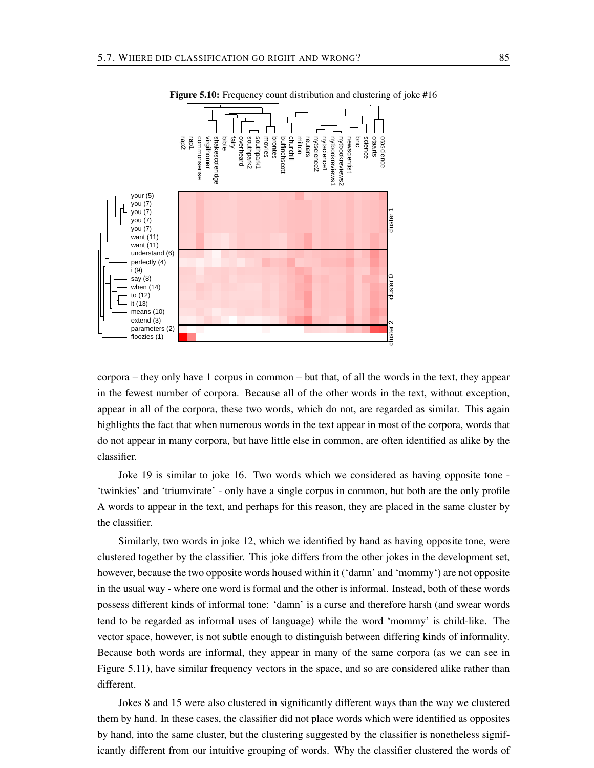

Figure 5.10: Frequency count distribution and clustering of joke #16

corpora – they only have 1 corpus in common – but that, of all the words in the text, they appear in the fewest number of corpora. Because all of the other words in the text, without exception, appear in all of the corpora, these two words, which do not, are regarded as similar. This again highlights the fact that when numerous words in the text appear in most of the corpora, words that do not appear in many corpora, but have little else in common, are often identified as alike by the classifier.

Joke 19 is similar to joke 16. Two words which we considered as having opposite tone - 'twinkies' and 'triumvirate' - only have a single corpus in common, but both are the only profile A words to appear in the text, and perhaps for this reason, they are placed in the same cluster by the classifier.

Similarly, two words in joke 12, which we identified by hand as having opposite tone, were clustered together by the classifier. This joke differs from the other jokes in the development set, however, because the two opposite words housed within it ('damn' and 'mommy') are not opposite in the usual way - where one word is formal and the other is informal. Instead, both of these words possess different kinds of informal tone: 'damn' is a curse and therefore harsh (and swear words tend to be regarded as informal uses of language) while the word 'mommy' is child-like. The vector space, however, is not subtle enough to distinguish between differing kinds of informality. Because both words are informal, they appear in many of the same corpora (as we can see in Figure 5.11), have similar frequency vectors in the space, and so are considered alike rather than different.

Jokes 8 and 15 were also clustered in significantly different ways than the way we clustered them by hand. In these cases, the classifier did not place words which were identified as opposites by hand, into the same cluster, but the clustering suggested by the classifier is nonetheless significantly different from our intuitive grouping of words. Why the classifier clustered the words of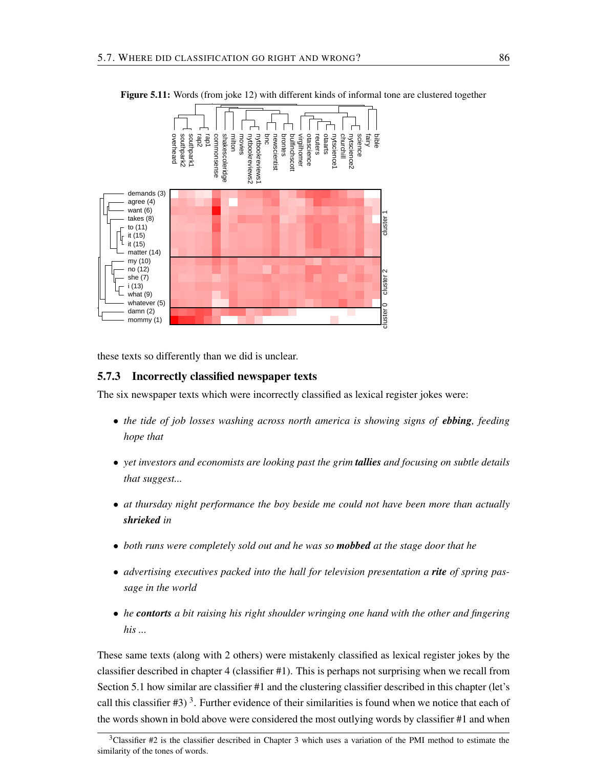

Figure 5.11: Words (from joke 12) with different kinds of informal tone are clustered together

these texts so differently than we did is unclear.

#### 5.7.3 Incorrectly classified newspaper texts

The six newspaper texts which were incorrectly classified as lexical register jokes were:

- *the tide of job losses washing across north america is showing signs of ebbing, feeding hope that*
- *yet investors and economists are looking past the grim tallies and focusing on subtle details that suggest...*
- *at thursday night performance the boy beside me could not have been more than actually shrieked in*
- *both runs were completely sold out and he was so mobbed at the stage door that he*
- *advertising executives packed into the hall for television presentation a rite of spring passage in the world*
- *he contorts a bit raising his right shoulder wringing one hand with the other and fingering his ...*

These same texts (along with 2 others) were mistakenly classified as lexical register jokes by the classifier described in chapter 4 (classifier #1). This is perhaps not surprising when we recall from Section 5.1 how similar are classifier #1 and the clustering classifier described in this chapter (let's call this classifier  $\#3$ )<sup>3</sup>. Further evidence of their similarities is found when we notice that each of the words shown in bold above were considered the most outlying words by classifier #1 and when

<sup>3</sup>Classifier #2 is the classifier described in Chapter 3 which uses a variation of the PMI method to estimate the similarity of the tones of words.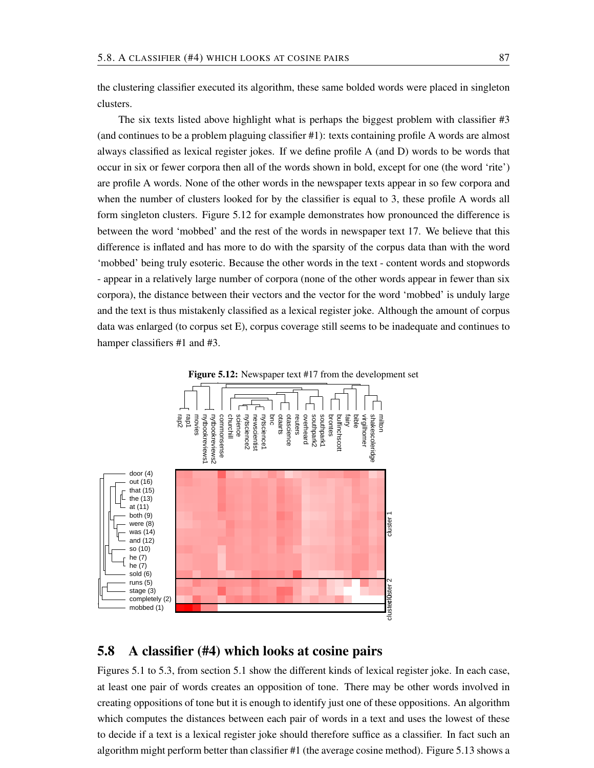the clustering classifier executed its algorithm, these same bolded words were placed in singleton clusters.

The six texts listed above highlight what is perhaps the biggest problem with classifier #3 (and continues to be a problem plaguing classifier #1): texts containing profile A words are almost always classified as lexical register jokes. If we define profile A (and D) words to be words that occur in six or fewer corpora then all of the words shown in bold, except for one (the word 'rite') are profile A words. None of the other words in the newspaper texts appear in so few corpora and when the number of clusters looked for by the classifier is equal to 3, these profile A words all form singleton clusters. Figure 5.12 for example demonstrates how pronounced the difference is between the word 'mobbed' and the rest of the words in newspaper text 17. We believe that this difference is inflated and has more to do with the sparsity of the corpus data than with the word 'mobbed' being truly esoteric. Because the other words in the text - content words and stopwords - appear in a relatively large number of corpora (none of the other words appear in fewer than six corpora), the distance between their vectors and the vector for the word 'mobbed' is unduly large and the text is thus mistakenly classified as a lexical register joke. Although the amount of corpus data was enlarged (to corpus set E), corpus coverage still seems to be inadequate and continues to hamper classifiers #1 and #3.



### 5.8 A classifier (#4) which looks at cosine pairs

Figures 5.1 to 5.3, from section 5.1 show the different kinds of lexical register joke. In each case, at least one pair of words creates an opposition of tone. There may be other words involved in creating oppositions of tone but it is enough to identify just one of these oppositions. An algorithm which computes the distances between each pair of words in a text and uses the lowest of these to decide if a text is a lexical register joke should therefore suffice as a classifier. In fact such an algorithm might perform better than classifier #1 (the average cosine method). Figure 5.13 shows a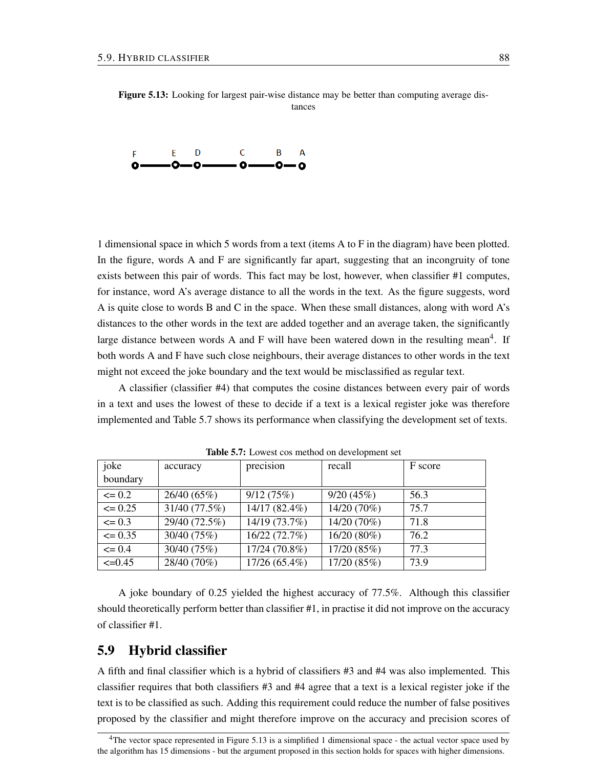

1 dimensional space in which 5 words from a text (items A to F in the diagram) have been plotted. In the figure, words A and F are significantly far apart, suggesting that an incongruity of tone exists between this pair of words. This fact may be lost, however, when classifier #1 computes, for instance, word A's average distance to all the words in the text. As the figure suggests, word A is quite close to words B and C in the space. When these small distances, along with word A's distances to the other words in the text are added together and an average taken, the significantly large distance between words A and F will have been watered down in the resulting mean<sup>4</sup>. If both words A and F have such close neighbours, their average distances to other words in the text might not exceed the joke boundary and the text would be misclassified as regular text.

A classifier (classifier #4) that computes the cosine distances between every pair of words in a text and uses the lowest of these to decide if a text is a lexical register joke was therefore implemented and Table 5.7 shows its performance when classifying the development set of texts.

| joke        | accuracy      | precision     | recall      | F score |
|-------------|---------------|---------------|-------------|---------|
| boundary    |               |               |             |         |
| $\leq 0.2$  | 26/40 (65%)   | 9/12(75%)     | 9/20(45%)   | 56.3    |
| $\leq 0.25$ | 31/40 (77.5%) | 14/17 (82.4%) | 14/20 (70%) | 75.7    |
| $\leq 0.3$  | 29/40 (72.5%) | 14/19 (73.7%) | 14/20 (70%) | 71.8    |
| $\leq 0.35$ | 30/40 (75%)   | 16/22 (72.7%) | 16/20 (80%) | 76.2    |
| $\leq$ 0.4  | 30/40 (75%)   | 17/24 (70.8%) | 17/20 (85%) | 77.3    |
| $\leq 0.45$ | 28/40 (70%)   | 17/26 (65.4%) | 17/20 (85%) | 73.9    |

Table 5.7: Lowest cos method on development set

A joke boundary of 0.25 yielded the highest accuracy of 77.5%. Although this classifier should theoretically perform better than classifier #1, in practise it did not improve on the accuracy of classifier #1.

# 5.9 Hybrid classifier

A fifth and final classifier which is a hybrid of classifiers #3 and #4 was also implemented. This classifier requires that both classifiers #3 and #4 agree that a text is a lexical register joke if the text is to be classified as such. Adding this requirement could reduce the number of false positives proposed by the classifier and might therefore improve on the accuracy and precision scores of

<sup>&</sup>lt;sup>4</sup>The vector space represented in Figure 5.13 is a simplified 1 dimensional space - the actual vector space used by the algorithm has 15 dimensions - but the argument proposed in this section holds for spaces with higher dimensions.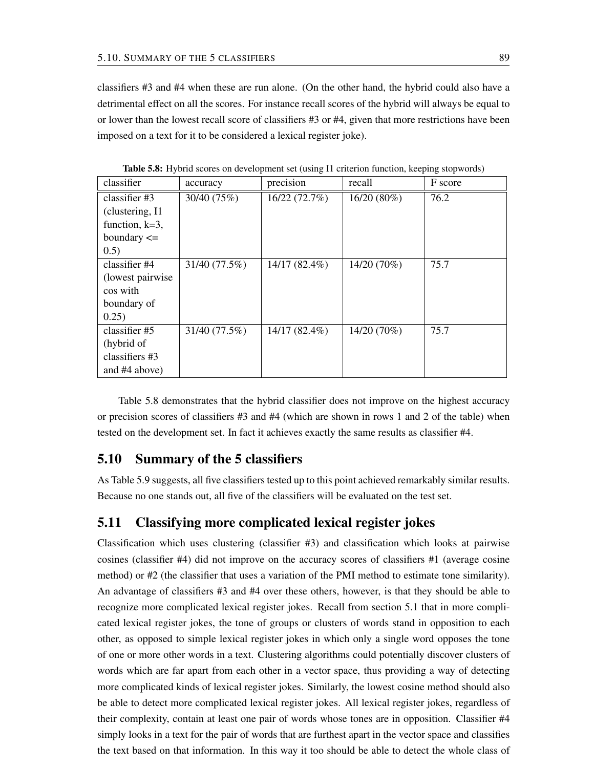classifiers #3 and #4 when these are run alone. (On the other hand, the hybrid could also have a detrimental effect on all the scores. For instance recall scores of the hybrid will always be equal to or lower than the lowest recall score of classifiers #3 or #4, given that more restrictions have been imposed on a text for it to be considered a lexical register joke).

| classifier        | accuracy      | precision       | recall      | F score |
|-------------------|---------------|-----------------|-------------|---------|
| classifier $#3$   | 30/40 (75%)   | 16/22 (72.7%)   | 16/20 (80%) | 76.2    |
| (clustering, I1)  |               |                 |             |         |
| function, $k=3$ , |               |                 |             |         |
| boundary $\leq$   |               |                 |             |         |
| 0.5)              |               |                 |             |         |
| classifier #4     | 31/40 (77.5%) | $14/17(82.4\%)$ | 14/20 (70%) | 75.7    |
| (lowest pairwise) |               |                 |             |         |
| cos with          |               |                 |             |         |
| boundary of       |               |                 |             |         |
| 0.25)             |               |                 |             |         |
| classifier $#5$   | 31/40 (77.5%) | $14/17(82.4\%)$ | 14/20 (70%) | 75.7    |
| (hybrid of        |               |                 |             |         |
| classifiers #3    |               |                 |             |         |
| and $#4$ above)   |               |                 |             |         |

Table 5.8: Hybrid scores on development set (using I1 criterion function, keeping stopwords)

Table 5.8 demonstrates that the hybrid classifier does not improve on the highest accuracy or precision scores of classifiers #3 and #4 (which are shown in rows 1 and 2 of the table) when tested on the development set. In fact it achieves exactly the same results as classifier #4.

# 5.10 Summary of the 5 classifiers

As Table 5.9 suggests, all five classifiers tested up to this point achieved remarkably similar results. Because no one stands out, all five of the classifiers will be evaluated on the test set.

# 5.11 Classifying more complicated lexical register jokes

Classification which uses clustering (classifier #3) and classification which looks at pairwise cosines (classifier #4) did not improve on the accuracy scores of classifiers #1 (average cosine method) or #2 (the classifier that uses a variation of the PMI method to estimate tone similarity). An advantage of classifiers #3 and #4 over these others, however, is that they should be able to recognize more complicated lexical register jokes. Recall from section 5.1 that in more complicated lexical register jokes, the tone of groups or clusters of words stand in opposition to each other, as opposed to simple lexical register jokes in which only a single word opposes the tone of one or more other words in a text. Clustering algorithms could potentially discover clusters of words which are far apart from each other in a vector space, thus providing a way of detecting more complicated kinds of lexical register jokes. Similarly, the lowest cosine method should also be able to detect more complicated lexical register jokes. All lexical register jokes, regardless of their complexity, contain at least one pair of words whose tones are in opposition. Classifier #4 simply looks in a text for the pair of words that are furthest apart in the vector space and classifies the text based on that information. In this way it too should be able to detect the whole class of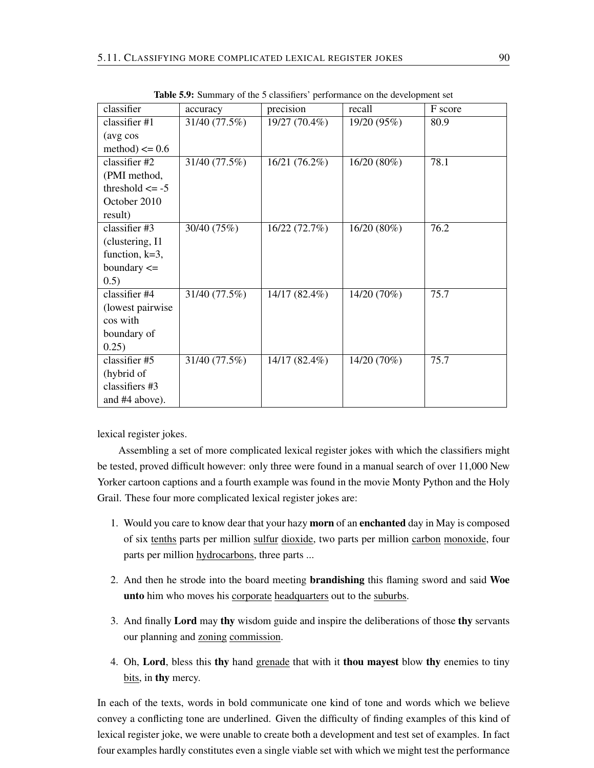| classifier          | accuracy      | precision     | recall      | F score |
|---------------------|---------------|---------------|-------------|---------|
| classifier #1       | 31/40 (77.5%) | 19/27 (70.4%) | 19/20 (95%) | 80.9    |
| (avg cos            |               |               |             |         |
| method) $\leq 0.6$  |               |               |             |         |
| classifier #2       | 31/40 (77.5%) | 16/21 (76.2%) | 16/20 (80%) | 78.1    |
| (PMI method,        |               |               |             |         |
| threshold $\leq -5$ |               |               |             |         |
| October 2010        |               |               |             |         |
| result)             |               |               |             |         |
| classifier #3       | 30/40 (75%)   | 16/22 (72.7%) | 16/20(80%)  | 76.2    |
| (clustering, I1     |               |               |             |         |
| function, $k=3$ ,   |               |               |             |         |
| boundary $\leq$     |               |               |             |         |
| (0.5)               |               |               |             |         |
| classifier #4       | 31/40 (77.5%) | 14/17 (82.4%) | 14/20 (70%) | 75.7    |
| (lowest pairwise)   |               |               |             |         |
| cos with            |               |               |             |         |
| boundary of         |               |               |             |         |
| 0.25)               |               |               |             |         |
| classifier #5       | 31/40 (77.5%) | 14/17 (82.4%) | 14/20 (70%) | 75.7    |
| (hybrid of          |               |               |             |         |
| classifiers #3      |               |               |             |         |
| and #4 above).      |               |               |             |         |

Table 5.9: Summary of the 5 classifiers' performance on the development set

lexical register jokes.

Assembling a set of more complicated lexical register jokes with which the classifiers might be tested, proved difficult however: only three were found in a manual search of over 11,000 New Yorker cartoon captions and a fourth example was found in the movie Monty Python and the Holy Grail. These four more complicated lexical register jokes are:

- 1. Would you care to know dear that your hazy morn of an enchanted day in May is composed of six tenths parts per million sulfur dioxide, two parts per million carbon monoxide, four parts per million hydrocarbons, three parts ...
- 2. And then he strode into the board meeting brandishing this flaming sword and said Woe unto him who moves his corporate headquarters out to the suburbs.
- 3. And finally Lord may thy wisdom guide and inspire the deliberations of those thy servants our planning and zoning commission.
- 4. Oh, Lord, bless this thy hand grenade that with it thou may est blow thy enemies to tiny bits, in thy mercy.

In each of the texts, words in bold communicate one kind of tone and words which we believe convey a conflicting tone are underlined. Given the difficulty of finding examples of this kind of lexical register joke, we were unable to create both a development and test set of examples. In fact four examples hardly constitutes even a single viable set with which we might test the performance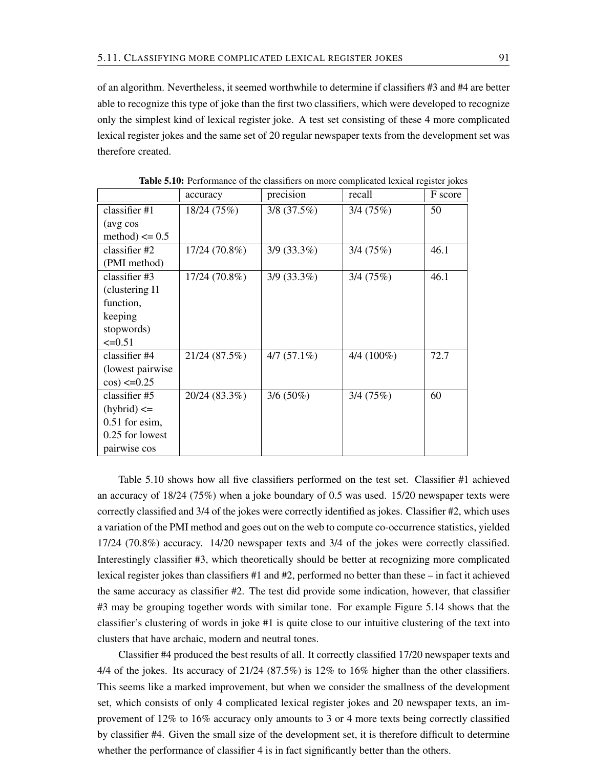of an algorithm. Nevertheless, it seemed worthwhile to determine if classifiers #3 and #4 are better able to recognize this type of joke than the first two classifiers, which were developed to recognize only the simplest kind of lexical register joke. A test set consisting of these 4 more complicated lexical register jokes and the same set of 20 regular newspaper texts from the development set was therefore created.

|                    | accuracy      | precision     | recall       | F score |
|--------------------|---------------|---------------|--------------|---------|
| classifier $#1$    | 18/24 (75%)   | $3/8$ (37.5%) | 3/4(75%)     | 50      |
| (avg cos           |               |               |              |         |
| method) $\leq 0.5$ |               |               |              |         |
| classifier $#2$    | 17/24 (70.8%) | $3/9$ (33.3%) | 3/4(75%)     | 46.1    |
| (PMI method)       |               |               |              |         |
| classifier #3      | 17/24 (70.8%) | $3/9$ (33.3%) | 3/4(75%)     | 46.1    |
| (clustering I1     |               |               |              |         |
| function,          |               |               |              |         |
| keeping            |               |               |              |         |
| stopwords)         |               |               |              |         |
| $\leq 0.51$        |               |               |              |         |
| classifier #4      | 21/24 (87.5%) | $4/7(57.1\%)$ | $4/4(100\%)$ | 72.7    |
| (lowest pairwise)  |               |               |              |         |
| $cos$ ) <= 0.25    |               |               |              |         |
| classifier #5      | 20/24 (83.3%) | $3/6(50\%)$   | 3/4(75%)     | 60      |
| $(hybrid) \leq$    |               |               |              |         |
| $0.51$ for esim,   |               |               |              |         |
| 0.25 for lowest    |               |               |              |         |
| pairwise cos       |               |               |              |         |

Table 5.10: Performance of the classifiers on more complicated lexical register jokes

Table 5.10 shows how all five classifiers performed on the test set. Classifier #1 achieved an accuracy of 18/24 (75%) when a joke boundary of 0.5 was used. 15/20 newspaper texts were correctly classified and 3/4 of the jokes were correctly identified as jokes. Classifier #2, which uses a variation of the PMI method and goes out on the web to compute co-occurrence statistics, yielded 17/24 (70.8%) accuracy. 14/20 newspaper texts and 3/4 of the jokes were correctly classified. Interestingly classifier #3, which theoretically should be better at recognizing more complicated lexical register jokes than classifiers #1 and #2, performed no better than these – in fact it achieved the same accuracy as classifier #2. The test did provide some indication, however, that classifier #3 may be grouping together words with similar tone. For example Figure 5.14 shows that the classifier's clustering of words in joke #1 is quite close to our intuitive clustering of the text into clusters that have archaic, modern and neutral tones.

Classifier #4 produced the best results of all. It correctly classified 17/20 newspaper texts and 4/4 of the jokes. Its accuracy of 21/24 (87.5%) is 12% to 16% higher than the other classifiers. This seems like a marked improvement, but when we consider the smallness of the development set, which consists of only 4 complicated lexical register jokes and 20 newspaper texts, an improvement of 12% to 16% accuracy only amounts to 3 or 4 more texts being correctly classified by classifier #4. Given the small size of the development set, it is therefore difficult to determine whether the performance of classifier 4 is in fact significantly better than the others.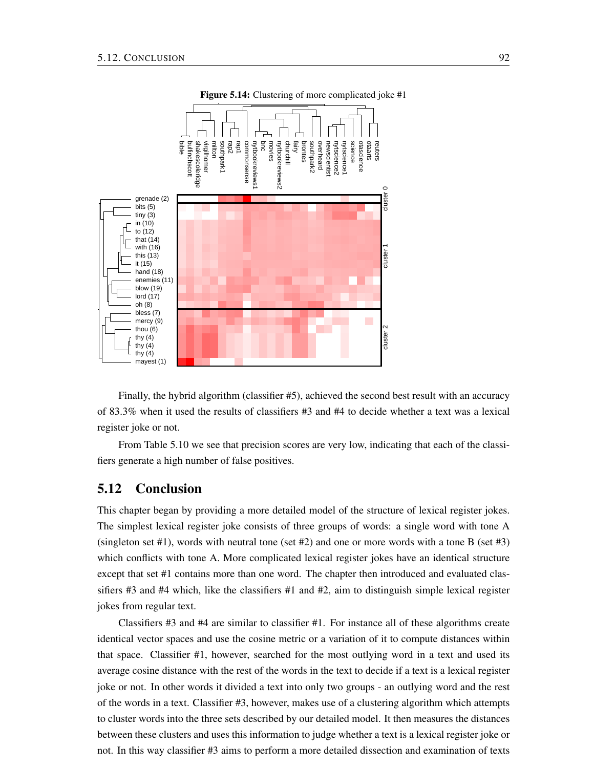

Figure 5.14: Clustering of more complicated joke #1

Finally, the hybrid algorithm (classifier #5), achieved the second best result with an accuracy of 83.3% when it used the results of classifiers #3 and #4 to decide whether a text was a lexical register joke or not.

From Table 5.10 we see that precision scores are very low, indicating that each of the classifiers generate a high number of false positives.

# 5.12 Conclusion

This chapter began by providing a more detailed model of the structure of lexical register jokes. The simplest lexical register joke consists of three groups of words: a single word with tone A (singleton set #1), words with neutral tone (set #2) and one or more words with a tone B (set #3) which conflicts with tone A. More complicated lexical register jokes have an identical structure except that set #1 contains more than one word. The chapter then introduced and evaluated classifiers  $#3$  and  $#4$  which, like the classifiers  $#1$  and  $#2$ , aim to distinguish simple lexical register jokes from regular text.

Classifiers #3 and #4 are similar to classifier #1. For instance all of these algorithms create identical vector spaces and use the cosine metric or a variation of it to compute distances within that space. Classifier #1, however, searched for the most outlying word in a text and used its average cosine distance with the rest of the words in the text to decide if a text is a lexical register joke or not. In other words it divided a text into only two groups - an outlying word and the rest of the words in a text. Classifier #3, however, makes use of a clustering algorithm which attempts to cluster words into the three sets described by our detailed model. It then measures the distances between these clusters and uses this information to judge whether a text is a lexical register joke or not. In this way classifier #3 aims to perform a more detailed dissection and examination of texts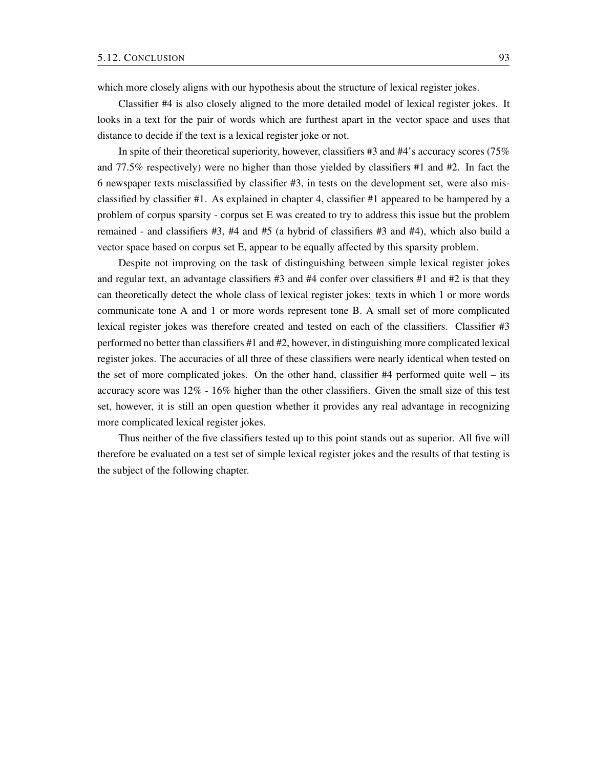which more closely aligns with our hypothesis about the structure of lexical register jokes.

Classifier #4 is also closely aligned to the more detailed model of lexical register jokes. It looks in a text for the pair of words which are furthest apart in the vector space and uses that distance to decide if the text is a lexical register joke or not.

In spite of their theoretical superiority, however, classifiers #3 and #4's accuracy scores (75% and 77.5% respectively) were no higher than those yielded by classifiers #1 and #2. In fact the 6 newspaper texts misclassified by classifier #3, in tests on the development set, were also misclassified by classifier #1. As explained in chapter 4, classifier #1 appeared to be hampered by a problem of corpus sparsity - corpus set E was created to try to address this issue but the problem remained - and classifiers #3, #4 and #5 (a hybrid of classifiers #3 and #4), which also build a vector space based on corpus set E, appear to be equally affected by this sparsity problem.

Despite not improving on the task of distinguishing between simple lexical register jokes and regular text, an advantage classifiers  $\#3$  and  $\#4$  confer over classifiers  $\#1$  and  $\#2$  is that they can theoretically detect the whole class of lexical register jokes: texts in which 1 or more words communicate tone A and 1 or more words represent tone B. A small set of more complicated lexical register jokes was therefore created and tested on each of the classifiers. Classifier #3 performed no better than classifiers #1 and #2, however, in distinguishing more complicated lexical register jokes. The accuracies of all three of these classifiers were nearly identical when tested on the set of more complicated jokes. On the other hand, classifier #4 performed quite well – its accuracy score was 12% - 16% higher than the other classifiers. Given the small size of this test set, however, it is still an open question whether it provides any real advantage in recognizing more complicated lexical register jokes.

Thus neither of the five classifiers tested up to this point stands out as superior. All five will therefore be evaluated on a test set of simple lexical register jokes and the results of that testing is the subject of the following chapter.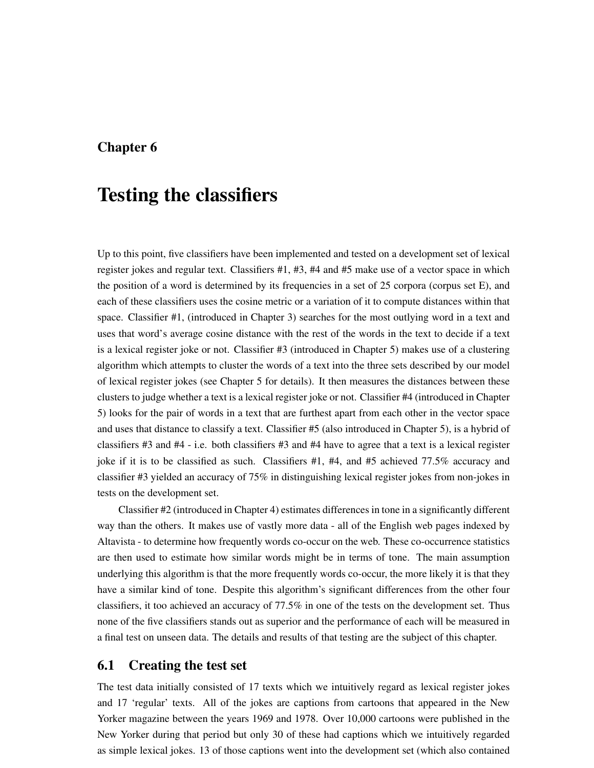# Chapter 6

# Testing the classifiers

Up to this point, five classifiers have been implemented and tested on a development set of lexical register jokes and regular text. Classifiers #1, #3, #4 and #5 make use of a vector space in which the position of a word is determined by its frequencies in a set of 25 corpora (corpus set E), and each of these classifiers uses the cosine metric or a variation of it to compute distances within that space. Classifier #1, (introduced in Chapter 3) searches for the most outlying word in a text and uses that word's average cosine distance with the rest of the words in the text to decide if a text is a lexical register joke or not. Classifier #3 (introduced in Chapter 5) makes use of a clustering algorithm which attempts to cluster the words of a text into the three sets described by our model of lexical register jokes (see Chapter 5 for details). It then measures the distances between these clusters to judge whether a text is a lexical register joke or not. Classifier #4 (introduced in Chapter 5) looks for the pair of words in a text that are furthest apart from each other in the vector space and uses that distance to classify a text. Classifier #5 (also introduced in Chapter 5), is a hybrid of classifiers #3 and #4 - i.e. both classifiers #3 and #4 have to agree that a text is a lexical register joke if it is to be classified as such. Classifiers #1, #4, and #5 achieved 77.5% accuracy and classifier #3 yielded an accuracy of 75% in distinguishing lexical register jokes from non-jokes in tests on the development set.

Classifier #2 (introduced in Chapter 4) estimates differences in tone in a significantly different way than the others. It makes use of vastly more data - all of the English web pages indexed by Altavista - to determine how frequently words co-occur on the web. These co-occurrence statistics are then used to estimate how similar words might be in terms of tone. The main assumption underlying this algorithm is that the more frequently words co-occur, the more likely it is that they have a similar kind of tone. Despite this algorithm's significant differences from the other four classifiers, it too achieved an accuracy of 77.5% in one of the tests on the development set. Thus none of the five classifiers stands out as superior and the performance of each will be measured in a final test on unseen data. The details and results of that testing are the subject of this chapter.

# 6.1 Creating the test set

The test data initially consisted of 17 texts which we intuitively regard as lexical register jokes and 17 'regular' texts. All of the jokes are captions from cartoons that appeared in the New Yorker magazine between the years 1969 and 1978. Over 10,000 cartoons were published in the New Yorker during that period but only 30 of these had captions which we intuitively regarded as simple lexical jokes. 13 of those captions went into the development set (which also contained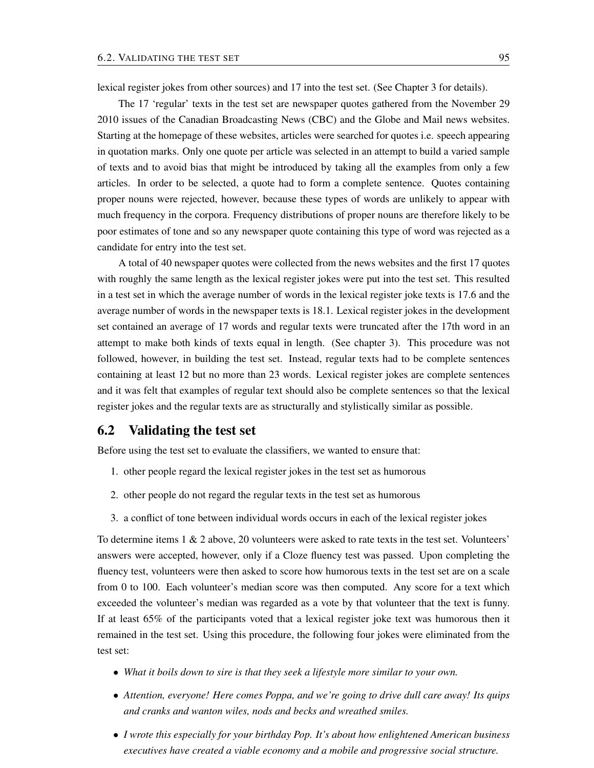lexical register jokes from other sources) and 17 into the test set. (See Chapter 3 for details).

The 17 'regular' texts in the test set are newspaper quotes gathered from the November 29 2010 issues of the Canadian Broadcasting News (CBC) and the Globe and Mail news websites. Starting at the homepage of these websites, articles were searched for quotes i.e. speech appearing in quotation marks. Only one quote per article was selected in an attempt to build a varied sample of texts and to avoid bias that might be introduced by taking all the examples from only a few articles. In order to be selected, a quote had to form a complete sentence. Quotes containing proper nouns were rejected, however, because these types of words are unlikely to appear with much frequency in the corpora. Frequency distributions of proper nouns are therefore likely to be poor estimates of tone and so any newspaper quote containing this type of word was rejected as a candidate for entry into the test set.

A total of 40 newspaper quotes were collected from the news websites and the first 17 quotes with roughly the same length as the lexical register jokes were put into the test set. This resulted in a test set in which the average number of words in the lexical register joke texts is 17.6 and the average number of words in the newspaper texts is 18.1. Lexical register jokes in the development set contained an average of 17 words and regular texts were truncated after the 17th word in an attempt to make both kinds of texts equal in length. (See chapter 3). This procedure was not followed, however, in building the test set. Instead, regular texts had to be complete sentences containing at least 12 but no more than 23 words. Lexical register jokes are complete sentences and it was felt that examples of regular text should also be complete sentences so that the lexical register jokes and the regular texts are as structurally and stylistically similar as possible.

### 6.2 Validating the test set

Before using the test set to evaluate the classifiers, we wanted to ensure that:

- 1. other people regard the lexical register jokes in the test set as humorous
- 2. other people do not regard the regular texts in the test set as humorous
- 3. a conflict of tone between individual words occurs in each of the lexical register jokes

To determine items 1 & 2 above, 20 volunteers were asked to rate texts in the test set. Volunteers' answers were accepted, however, only if a Cloze fluency test was passed. Upon completing the fluency test, volunteers were then asked to score how humorous texts in the test set are on a scale from 0 to 100. Each volunteer's median score was then computed. Any score for a text which exceeded the volunteer's median was regarded as a vote by that volunteer that the text is funny. If at least 65% of the participants voted that a lexical register joke text was humorous then it remained in the test set. Using this procedure, the following four jokes were eliminated from the test set:

- *What it boils down to sire is that they seek a lifestyle more similar to your own.*
- *Attention, everyone! Here comes Poppa, and we're going to drive dull care away! Its quips and cranks and wanton wiles, nods and becks and wreathed smiles.*
- *I wrote this especially for your birthday Pop. It's about how enlightened American business executives have created a viable economy and a mobile and progressive social structure.*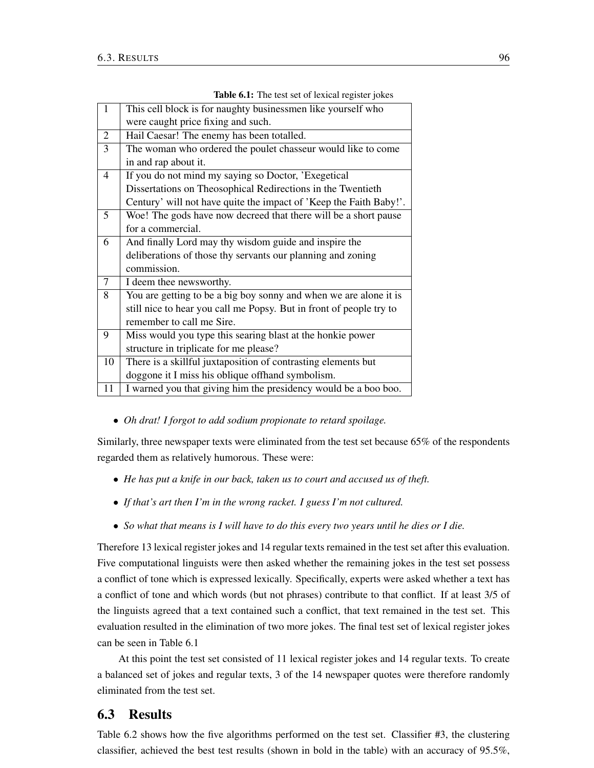| $\mathbf{1}$   | This cell block is for naughty businessmen like yourself who        |
|----------------|---------------------------------------------------------------------|
|                | were caught price fixing and such.                                  |
| $\overline{2}$ | Hail Caesar! The enemy has been totalled.                           |
| 3              | The woman who ordered the poulet chasseur would like to come        |
|                | in and rap about it.                                                |
| $\overline{4}$ | If you do not mind my saying so Doctor, 'Exegetical                 |
|                | Dissertations on Theosophical Redirections in the Twentieth         |
|                | Century' will not have quite the impact of 'Keep the Faith Baby!'.  |
| 5              | Woe! The gods have now decreed that there will be a short pause     |
|                | for a commercial.                                                   |
| 6              | And finally Lord may thy wisdom guide and inspire the               |
|                | deliberations of those thy servants our planning and zoning         |
|                | commission.                                                         |
| 7              | I deem thee newsworthy.                                             |
| 8              | You are getting to be a big boy sonny and when we are alone it is   |
|                | still nice to hear you call me Popsy. But in front of people try to |
|                | remember to call me Sire.                                           |
| 9              | Miss would you type this searing blast at the honkie power          |
|                | structure in triplicate for me please?                              |
| 10             | There is a skillful juxtaposition of contrasting elements but       |
|                | doggone it I miss his oblique offhand symbolism.                    |
| 11             | I warned you that giving him the presidency would be a boo boo.     |

Table 6.1: The test set of lexical register jokes

• *Oh drat! I forgot to add sodium propionate to retard spoilage.*

Similarly, three newspaper texts were eliminated from the test set because 65% of the respondents regarded them as relatively humorous. These were:

- *He has put a knife in our back, taken us to court and accused us of theft.*
- *If that's art then I'm in the wrong racket. I guess I'm not cultured.*
- *So what that means is I will have to do this every two years until he dies or I die.*

Therefore 13 lexical register jokes and 14 regular texts remained in the test set after this evaluation. Five computational linguists were then asked whether the remaining jokes in the test set possess a conflict of tone which is expressed lexically. Specifically, experts were asked whether a text has a conflict of tone and which words (but not phrases) contribute to that conflict. If at least 3/5 of the linguists agreed that a text contained such a conflict, that text remained in the test set. This evaluation resulted in the elimination of two more jokes. The final test set of lexical register jokes can be seen in Table 6.1

At this point the test set consisted of 11 lexical register jokes and 14 regular texts. To create a balanced set of jokes and regular texts, 3 of the 14 newspaper quotes were therefore randomly eliminated from the test set.

# 6.3 Results

Table 6.2 shows how the five algorithms performed on the test set. Classifier #3, the clustering classifier, achieved the best test results (shown in bold in the table) with an accuracy of 95.5%,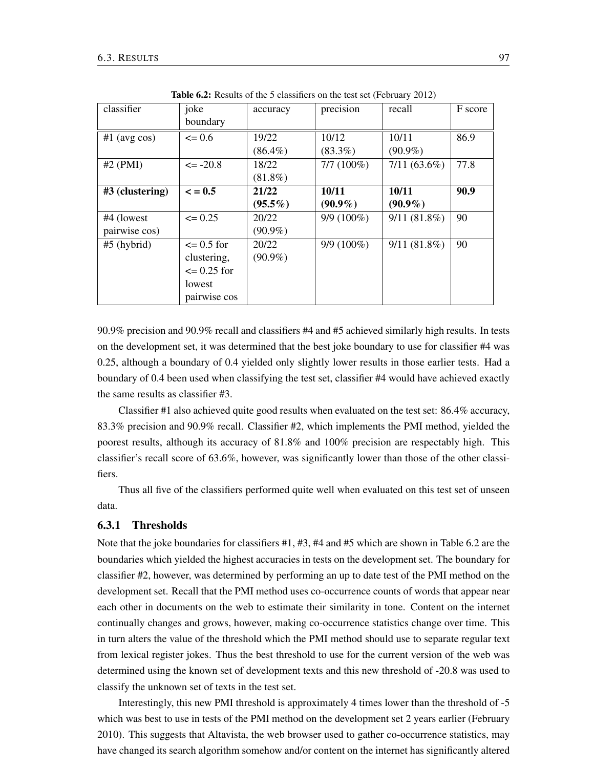| classifier      | joke                  | accuracy   | precision    | recall         | F score |
|-----------------|-----------------------|------------|--------------|----------------|---------|
|                 | boundary              |            |              |                |         |
| $#1$ (avg cos)  | $\leq 0.6$            | 19/22      | 10/12        | 10/11          | 86.9    |
|                 |                       | $(86.4\%)$ | $(83.3\%)$   | $(90.9\%)$     |         |
| $#2$ (PMI)      | $\leq$ -20.8          | 18/22      | $7/7(100\%)$ | $7/11(63.6\%)$ | 77.8    |
|                 |                       | $(81.8\%)$ |              |                |         |
| #3 (clustering) | $\epsilon = 0.5$      | 21/22      | 10/11        | 10/11          | 90.9    |
|                 |                       | $(95.5\%)$ | $(90.9\%)$   | $(90.9\%)$     |         |
| #4 (lowest)     | $\leq 0.25$           | 20/22      | $9/9(100\%)$ | $9/11(81.8\%)$ | 90      |
| pairwise cos)   |                       | $(90.9\%)$ |              |                |         |
| $#5$ (hybrid)   | $\epsilon = 0.5$ for  | 20/22      | $9/9(100\%)$ | $9/11(81.8\%)$ | 90      |
|                 | clustering,           | $(90.9\%)$ |              |                |         |
|                 | $\epsilon = 0.25$ for |            |              |                |         |
|                 | lowest                |            |              |                |         |
|                 | pairwise cos          |            |              |                |         |

Table 6.2: Results of the 5 classifiers on the test set (February 2012)

90.9% precision and 90.9% recall and classifiers #4 and #5 achieved similarly high results. In tests on the development set, it was determined that the best joke boundary to use for classifier #4 was 0.25, although a boundary of 0.4 yielded only slightly lower results in those earlier tests. Had a boundary of 0.4 been used when classifying the test set, classifier #4 would have achieved exactly the same results as classifier #3.

Classifier #1 also achieved quite good results when evaluated on the test set: 86.4% accuracy, 83.3% precision and 90.9% recall. Classifier #2, which implements the PMI method, yielded the poorest results, although its accuracy of 81.8% and 100% precision are respectably high. This classifier's recall score of 63.6%, however, was significantly lower than those of the other classifiers.

Thus all five of the classifiers performed quite well when evaluated on this test set of unseen data.

### 6.3.1 Thresholds

Note that the joke boundaries for classifiers #1, #3, #4 and #5 which are shown in Table 6.2 are the boundaries which yielded the highest accuracies in tests on the development set. The boundary for classifier #2, however, was determined by performing an up to date test of the PMI method on the development set. Recall that the PMI method uses co-occurrence counts of words that appear near each other in documents on the web to estimate their similarity in tone. Content on the internet continually changes and grows, however, making co-occurrence statistics change over time. This in turn alters the value of the threshold which the PMI method should use to separate regular text from lexical register jokes. Thus the best threshold to use for the current version of the web was determined using the known set of development texts and this new threshold of -20.8 was used to classify the unknown set of texts in the test set.

Interestingly, this new PMI threshold is approximately 4 times lower than the threshold of -5 which was best to use in tests of the PMI method on the development set 2 years earlier (February 2010). This suggests that Altavista, the web browser used to gather co-occurrence statistics, may have changed its search algorithm somehow and/or content on the internet has significantly altered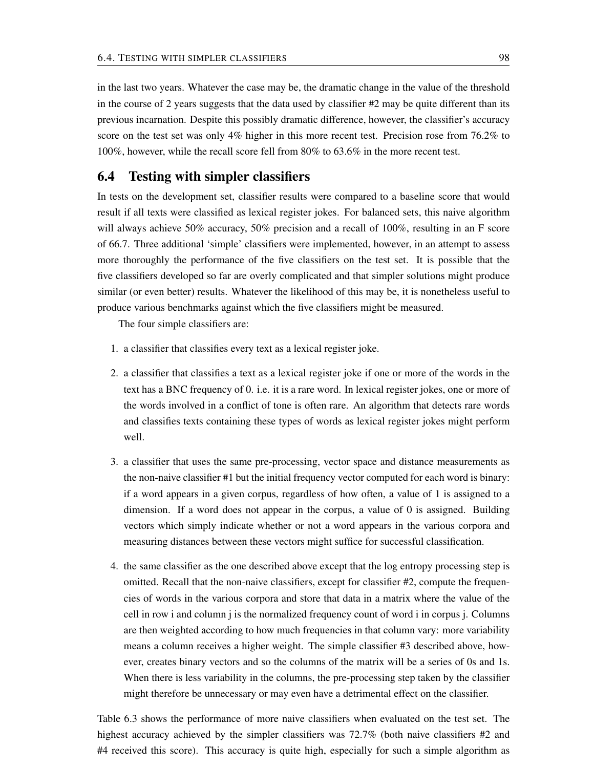in the last two years. Whatever the case may be, the dramatic change in the value of the threshold in the course of 2 years suggests that the data used by classifier  $#2$  may be quite different than its previous incarnation. Despite this possibly dramatic difference, however, the classifier's accuracy score on the test set was only 4% higher in this more recent test. Precision rose from 76.2% to 100%, however, while the recall score fell from 80% to 63.6% in the more recent test.

# 6.4 Testing with simpler classifiers

In tests on the development set, classifier results were compared to a baseline score that would result if all texts were classified as lexical register jokes. For balanced sets, this naive algorithm will always achieve 50% accuracy, 50% precision and a recall of 100%, resulting in an F score of 66.7. Three additional 'simple' classifiers were implemented, however, in an attempt to assess more thoroughly the performance of the five classifiers on the test set. It is possible that the five classifiers developed so far are overly complicated and that simpler solutions might produce similar (or even better) results. Whatever the likelihood of this may be, it is nonetheless useful to produce various benchmarks against which the five classifiers might be measured.

The four simple classifiers are:

- 1. a classifier that classifies every text as a lexical register joke.
- 2. a classifier that classifies a text as a lexical register joke if one or more of the words in the text has a BNC frequency of 0. i.e. it is a rare word. In lexical register jokes, one or more of the words involved in a conflict of tone is often rare. An algorithm that detects rare words and classifies texts containing these types of words as lexical register jokes might perform well.
- 3. a classifier that uses the same pre-processing, vector space and distance measurements as the non-naive classifier #1 but the initial frequency vector computed for each word is binary: if a word appears in a given corpus, regardless of how often, a value of 1 is assigned to a dimension. If a word does not appear in the corpus, a value of 0 is assigned. Building vectors which simply indicate whether or not a word appears in the various corpora and measuring distances between these vectors might suffice for successful classification.
- 4. the same classifier as the one described above except that the log entropy processing step is omitted. Recall that the non-naive classifiers, except for classifier #2, compute the frequencies of words in the various corpora and store that data in a matrix where the value of the cell in row i and column j is the normalized frequency count of word i in corpus j. Columns are then weighted according to how much frequencies in that column vary: more variability means a column receives a higher weight. The simple classifier #3 described above, however, creates binary vectors and so the columns of the matrix will be a series of 0s and 1s. When there is less variability in the columns, the pre-processing step taken by the classifier might therefore be unnecessary or may even have a detrimental effect on the classifier.

Table 6.3 shows the performance of more naive classifiers when evaluated on the test set. The highest accuracy achieved by the simpler classifiers was 72.7% (both naive classifiers #2 and #4 received this score). This accuracy is quite high, especially for such a simple algorithm as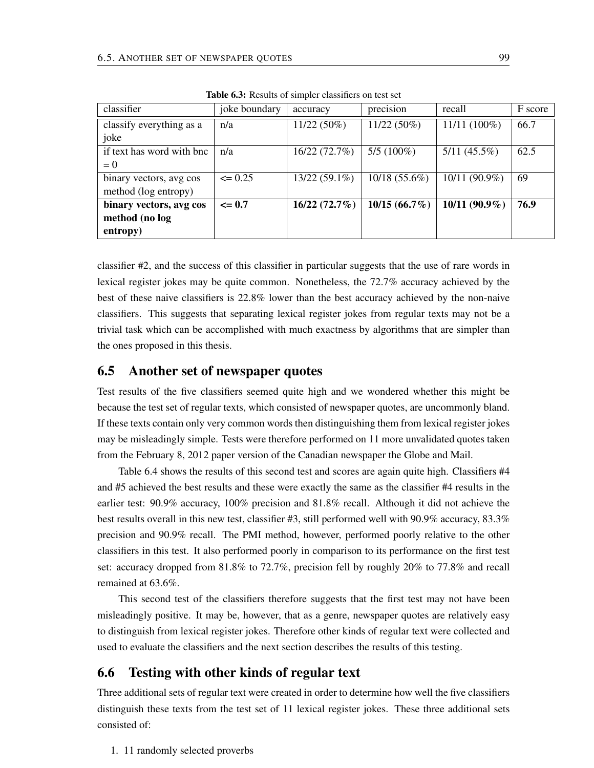| classifier                | joke boundary | accuracy        | precision       | recall         | F score |
|---------------------------|---------------|-----------------|-----------------|----------------|---------|
| classify everything as a  | n/a           | $11/22(50\%)$   | $11/22(50\%)$   | $11/11(100\%)$ | 66.7    |
| joke                      |               |                 |                 |                |         |
| if text has word with bnc | n/a           | 16/22 (72.7%)   | $5/5(100\%)$    | $5/11(45.5\%)$ | 62.5    |
| $= 0$                     |               |                 |                 |                |         |
| binary vectors, avg cos   | $\leq 0.25$   | $13/22(59.1\%)$ | 10/18 (55.6%)   | 10/11 (90.9%)  | 69      |
| method (log entropy)      |               |                 |                 |                |         |
| binary vectors, avg cos   | $\leq$ 0.7    | 16/22(72.7%)    | $10/15(66.7\%)$ | 10/11 (90.9%)  | 76.9    |
| method (no log            |               |                 |                 |                |         |
| entropy)                  |               |                 |                 |                |         |

Table 6.3: Results of simpler classifiers on test set

classifier #2, and the success of this classifier in particular suggests that the use of rare words in lexical register jokes may be quite common. Nonetheless, the 72.7% accuracy achieved by the best of these naive classifiers is 22.8% lower than the best accuracy achieved by the non-naive classifiers. This suggests that separating lexical register jokes from regular texts may not be a trivial task which can be accomplished with much exactness by algorithms that are simpler than the ones proposed in this thesis.

# 6.5 Another set of newspaper quotes

Test results of the five classifiers seemed quite high and we wondered whether this might be because the test set of regular texts, which consisted of newspaper quotes, are uncommonly bland. If these texts contain only very common words then distinguishing them from lexical register jokes may be misleadingly simple. Tests were therefore performed on 11 more unvalidated quotes taken from the February 8, 2012 paper version of the Canadian newspaper the Globe and Mail.

Table 6.4 shows the results of this second test and scores are again quite high. Classifiers #4 and #5 achieved the best results and these were exactly the same as the classifier #4 results in the earlier test: 90.9% accuracy, 100% precision and 81.8% recall. Although it did not achieve the best results overall in this new test, classifier #3, still performed well with 90.9% accuracy, 83.3% precision and 90.9% recall. The PMI method, however, performed poorly relative to the other classifiers in this test. It also performed poorly in comparison to its performance on the first test set: accuracy dropped from 81.8% to 72.7%, precision fell by roughly 20% to 77.8% and recall remained at 63.6%.

This second test of the classifiers therefore suggests that the first test may not have been misleadingly positive. It may be, however, that as a genre, newspaper quotes are relatively easy to distinguish from lexical register jokes. Therefore other kinds of regular text were collected and used to evaluate the classifiers and the next section describes the results of this testing.

# 6.6 Testing with other kinds of regular text

Three additional sets of regular text were created in order to determine how well the five classifiers distinguish these texts from the test set of 11 lexical register jokes. These three additional sets consisted of:

1. 11 randomly selected proverbs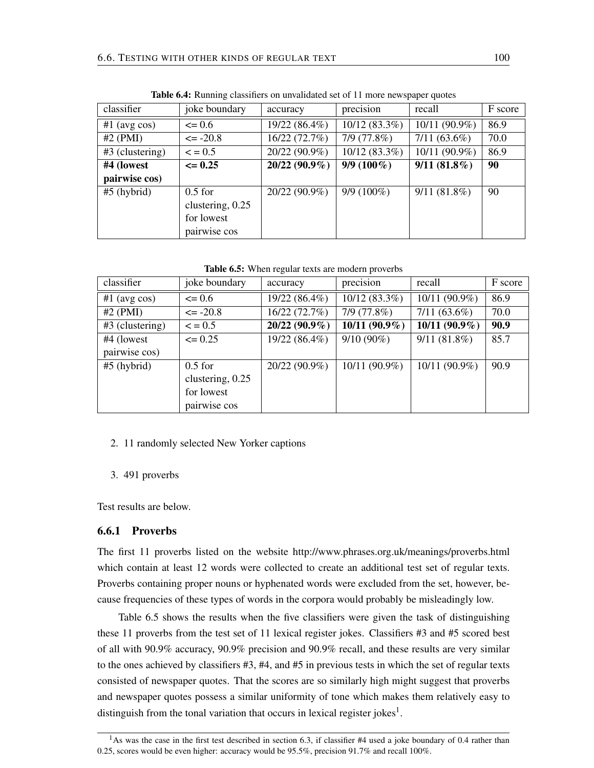| classifier        | joke boundary     | accuracy        | precision       | recall          | F score |
|-------------------|-------------------|-----------------|-----------------|-----------------|---------|
| $#1$ (avg cos)    | $\leq 0.6$        | 19/22 (86.4%)   | $10/12(83.3\%)$ | $10/11(90.9\%)$ | 86.9    |
| $#2$ (PMI)        | $\leq$ -20.8      | 16/22(72.7%)    | 7/9(77.8%)      | $7/11(63.6\%)$  | 70.0    |
| $#3$ (clustering) | $\leq$ = 0.5      | 20/22 (90.9%)   | $10/12(83.3\%)$ | 10/11 (90.9%)   | 86.9    |
| #4 (lowest        | $\epsilon = 0.25$ | $20/22(90.9\%)$ | $9/9(100\%)$    | $9/11(81.8\%)$  | 90      |
| pairwise cos)     |                   |                 |                 |                 |         |
| $#5$ (hybrid)     | $0.5$ for         | 20/22 (90.9%)   | $9/9(100\%)$    | $9/11(81.8\%)$  | 90      |
|                   | clustering, 0.25  |                 |                 |                 |         |
|                   | for lowest        |                 |                 |                 |         |
|                   | pairwise cos      |                 |                 |                 |         |

Table 6.4: Running classifiers on unvalidated set of 11 more newspaper quotes

Table 6.5: When regular texts are modern proverbs

| classifier        | joke boundary    | accuracy        | precision       | recall          | F score |
|-------------------|------------------|-----------------|-----------------|-----------------|---------|
| $#1$ (avg cos)    | $\leq 0.6$       | 19/22 (86.4%)   | 10/12 (83.3%)   | 10/11 (90.9%)   | 86.9    |
| $#2$ (PMI)        | $\leq$ -20.8     | 16/22 (72.7%)   | 7/9(77.8%)      | $7/11(63.6\%)$  | 70.0    |
| $#3$ (clustering) | $\leq$ = 0.5     | $20/22(90.9\%)$ | $10/11(90.9\%)$ | $10/11(90.9\%)$ | 90.9    |
| #4 (lowest        | $\leq$ 0.25      | 19/22 (86.4%)   | $9/10(90\%)$    | $9/11(81.8\%)$  | 85.7    |
| pairwise cos)     |                  |                 |                 |                 |         |
| $#5$ (hybrid)     | $0.5$ for        | 20/22 (90.9%)   | 10/11 (90.9%)   | 10/11 (90.9%)   | 90.9    |
|                   | clustering, 0.25 |                 |                 |                 |         |
|                   | for lowest       |                 |                 |                 |         |
|                   | pairwise cos     |                 |                 |                 |         |

- 2. 11 randomly selected New Yorker captions
- 3. 491 proverbs

Test results are below.

### 6.6.1 Proverbs

The first 11 proverbs listed on the website http://www.phrases.org.uk/meanings/proverbs.html which contain at least 12 words were collected to create an additional test set of regular texts. Proverbs containing proper nouns or hyphenated words were excluded from the set, however, because frequencies of these types of words in the corpora would probably be misleadingly low.

Table 6.5 shows the results when the five classifiers were given the task of distinguishing these 11 proverbs from the test set of 11 lexical register jokes. Classifiers #3 and #5 scored best of all with 90.9% accuracy, 90.9% precision and 90.9% recall, and these results are very similar to the ones achieved by classifiers #3, #4, and #5 in previous tests in which the set of regular texts consisted of newspaper quotes. That the scores are so similarly high might suggest that proverbs and newspaper quotes possess a similar uniformity of tone which makes them relatively easy to distinguish from the tonal variation that occurs in lexical register jokes<sup>1</sup>.

<sup>&</sup>lt;sup>1</sup>As was the case in the first test described in section 6.3, if classifier #4 used a joke boundary of 0.4 rather than 0.25, scores would be even higher: accuracy would be 95.5%, precision 91.7% and recall 100%.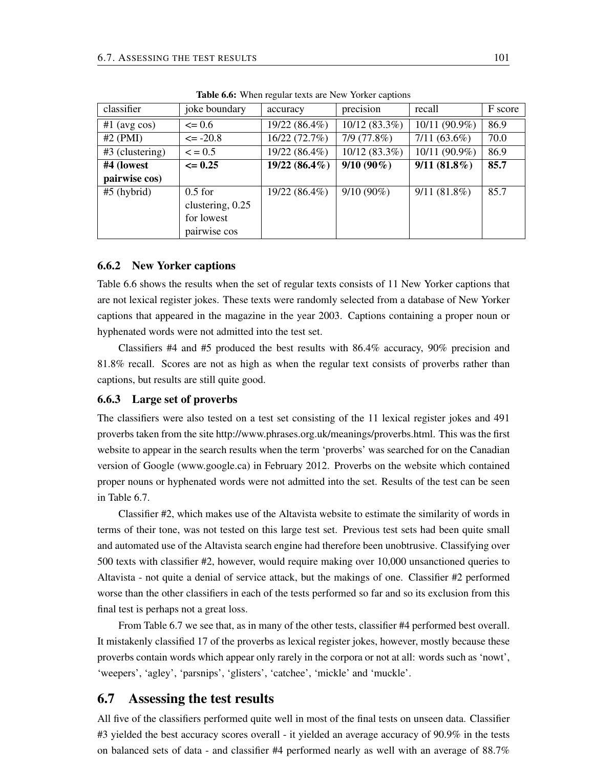| classifier        | joke boundary    | accuracy      | precision       | recall         | F score |
|-------------------|------------------|---------------|-----------------|----------------|---------|
| $#1$ (avg cos)    | $\leq 0.6$       | 19/22 (86.4%) | $10/12(83.3\%)$ | 10/11 (90.9%)  | 86.9    |
| $#2$ (PMI)        | $\leq$ -20.8     | 16/22 (72.7%) | 7/9(77.8%)      | $7/11(63.6\%)$ | 70.0    |
| $#3$ (clustering) | $\leq$ = 0.5     | 19/22 (86.4%) | 10/12 (83.3%)   | 10/11 (90.9%)  | 86.9    |
| #4 (lowest        | $\leq 0.25$      | 19/22 (86.4%) | $9/10(90\%)$    | $9/11(81.8\%)$ | 85.7    |
| pairwise cos)     |                  |               |                 |                |         |
| $#5$ (hybrid)     | $0.5$ for        | 19/22 (86.4%) | $9/10(90\%)$    | $9/11(81.8\%)$ | 85.7    |
|                   | clustering, 0.25 |               |                 |                |         |
|                   | for lowest       |               |                 |                |         |
|                   | pairwise cos     |               |                 |                |         |

Table 6.6: When regular texts are New Yorker captions

### 6.6.2 New Yorker captions

Table 6.6 shows the results when the set of regular texts consists of 11 New Yorker captions that are not lexical register jokes. These texts were randomly selected from a database of New Yorker captions that appeared in the magazine in the year 2003. Captions containing a proper noun or hyphenated words were not admitted into the test set.

Classifiers #4 and #5 produced the best results with 86.4% accuracy, 90% precision and 81.8% recall. Scores are not as high as when the regular text consists of proverbs rather than captions, but results are still quite good.

#### 6.6.3 Large set of proverbs

The classifiers were also tested on a test set consisting of the 11 lexical register jokes and 491 proverbs taken from the site http://www.phrases.org.uk/meanings/proverbs.html. This was the first website to appear in the search results when the term 'proverbs' was searched for on the Canadian version of Google (www.google.ca) in February 2012. Proverbs on the website which contained proper nouns or hyphenated words were not admitted into the set. Results of the test can be seen in Table 6.7.

Classifier #2, which makes use of the Altavista website to estimate the similarity of words in terms of their tone, was not tested on this large test set. Previous test sets had been quite small and automated use of the Altavista search engine had therefore been unobtrusive. Classifying over 500 texts with classifier #2, however, would require making over 10,000 unsanctioned queries to Altavista - not quite a denial of service attack, but the makings of one. Classifier #2 performed worse than the other classifiers in each of the tests performed so far and so its exclusion from this final test is perhaps not a great loss.

From Table 6.7 we see that, as in many of the other tests, classifier #4 performed best overall. It mistakenly classified 17 of the proverbs as lexical register jokes, however, mostly because these proverbs contain words which appear only rarely in the corpora or not at all: words such as 'nowt', 'weepers', 'agley', 'parsnips', 'glisters', 'catchee', 'mickle' and 'muckle'.

### 6.7 Assessing the test results

All five of the classifiers performed quite well in most of the final tests on unseen data. Classifier #3 yielded the best accuracy scores overall - it yielded an average accuracy of 90.9% in the tests on balanced sets of data - and classifier #4 performed nearly as well with an average of 88.7%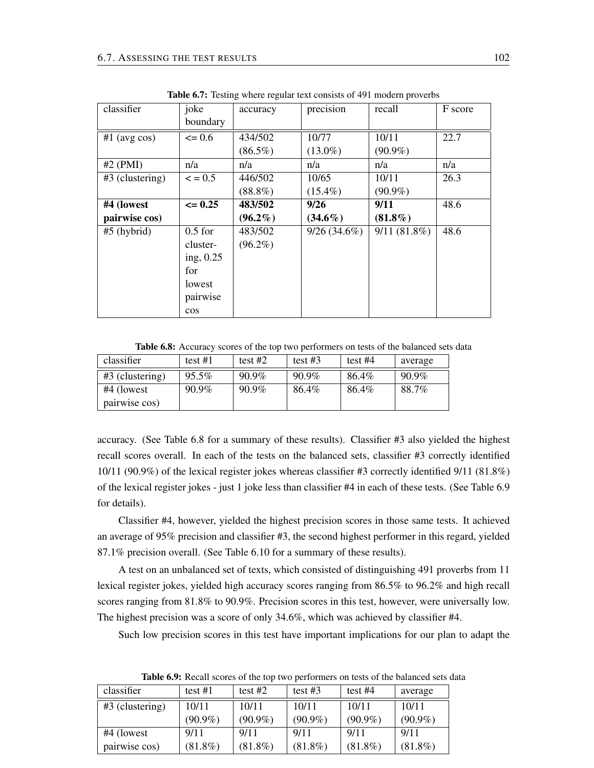| classifier      | joke         | accuracy   | precision      | recall      | F score |
|-----------------|--------------|------------|----------------|-------------|---------|
|                 | boundary     |            |                |             |         |
| $#1$ (avg cos)  | $\leq 0.6$   | 434/502    | 10/77          | 10/11       | 22.7    |
|                 |              | $(86.5\%)$ | $(13.0\%)$     | $(90.9\%)$  |         |
| $#2$ (PMI)      | n/a          | n/a        | n/a            | n/a         | n/a     |
| #3 (clustering) | $\leq$ = 0.5 | 446/502    | 10/65          | 10/11       | 26.3    |
|                 |              | $(88.8\%)$ | $(15.4\%)$     | $(90.9\%)$  |         |
| #4 (lowest      | $\leq 0.25$  | 483/502    | 9/26           | 9/11        | 48.6    |
| pairwise cos)   |              | $(96.2\%)$ | $(34.6\%)$     | $(81.8\%)$  |         |
| $#5$ (hybrid)   | $0.5$ for    | 483/502    | $9/26(34.6\%)$ | 9/11(81.8%) | 48.6    |
|                 | cluster-     | $(96.2\%)$ |                |             |         |
|                 | ing, $0.25$  |            |                |             |         |
|                 | for          |            |                |             |         |
|                 | lowest       |            |                |             |         |
|                 | pairwise     |            |                |             |         |
|                 | $\cos$       |            |                |             |         |

Table 6.7: Testing where regular text consists of 491 modern proverbs

Table 6.8: Accuracy scores of the top two performers on tests of the balanced sets data

| classifier        | test $#1$ | test #2  | test #3 | test $#4$ | average |
|-------------------|-----------|----------|---------|-----------|---------|
| $#3$ (clustering) | $95.5\%$  | $90.9\%$ | 90.9%   | 86.4%     | 90.9%   |
| #4 (lowest)       | $90.9\%$  | $90.9\%$ | 86.4%   | 86.4%     | 88.7%   |
| pairwise cos)     |           |          |         |           |         |

accuracy. (See Table 6.8 for a summary of these results). Classifier #3 also yielded the highest recall scores overall. In each of the tests on the balanced sets, classifier #3 correctly identified 10/11 (90.9%) of the lexical register jokes whereas classifier #3 correctly identified 9/11 (81.8%) of the lexical register jokes - just 1 joke less than classifier #4 in each of these tests. (See Table 6.9 for details).

Classifier #4, however, yielded the highest precision scores in those same tests. It achieved an average of 95% precision and classifier #3, the second highest performer in this regard, yielded 87.1% precision overall. (See Table 6.10 for a summary of these results).

A test on an unbalanced set of texts, which consisted of distinguishing 491 proverbs from 11 lexical register jokes, yielded high accuracy scores ranging from 86.5% to 96.2% and high recall scores ranging from 81.8% to 90.9%. Precision scores in this test, however, were universally low. The highest precision was a score of only 34.6%, which was achieved by classifier #4.

Such low precision scores in this test have important implications for our plan to adapt the

| classifier        | test $#1$  | test $#2$  | test $#3$  | test $#4$  | average    |
|-------------------|------------|------------|------------|------------|------------|
| $#3$ (clustering) | 10/11      | 10/11      | 10/11      | 10/11      | 10/11      |
|                   | $(90.9\%)$ | $(90.9\%)$ | $(90.9\%)$ | $(90.9\%)$ | $(90.9\%)$ |
| #4 (lowest        | 9/11       | 9/11       | 9/11       | 9/11       | 9/11       |
| pairwise cos)     | $(81.8\%)$ | $(81.8\%)$ | $(81.8\%)$ | $(81.8\%)$ | $(81.8\%)$ |

Table 6.9: Recall scores of the top two performers on tests of the balanced sets data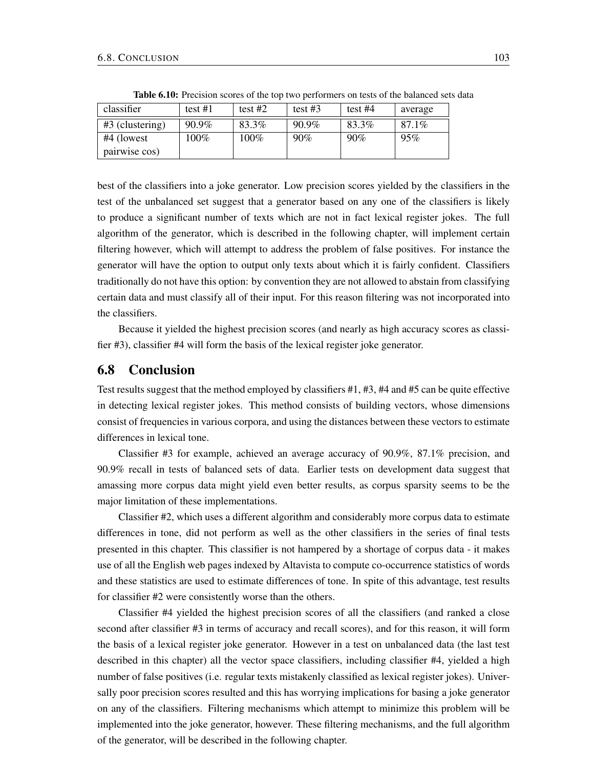| classifier        | test #1 | test $#2$ | test #3  | test #4 | average  |
|-------------------|---------|-----------|----------|---------|----------|
| $#3$ (clustering) | 90.9%   | 83.3%     | $90.9\%$ | 83.3%   | $87.1\%$ |
| #4 (lowest        | $100\%$ | $100\%$   | 90%      | 90%     | 95%      |
| pairwise cos)     |         |           |          |         |          |

Table 6.10: Precision scores of the top two performers on tests of the balanced sets data

best of the classifiers into a joke generator. Low precision scores yielded by the classifiers in the test of the unbalanced set suggest that a generator based on any one of the classifiers is likely to produce a significant number of texts which are not in fact lexical register jokes. The full algorithm of the generator, which is described in the following chapter, will implement certain filtering however, which will attempt to address the problem of false positives. For instance the generator will have the option to output only texts about which it is fairly confident. Classifiers traditionally do not have this option: by convention they are not allowed to abstain from classifying certain data and must classify all of their input. For this reason filtering was not incorporated into the classifiers.

Because it yielded the highest precision scores (and nearly as high accuracy scores as classifier #3), classifier #4 will form the basis of the lexical register joke generator.

# 6.8 Conclusion

Test results suggest that the method employed by classifiers #1, #3, #4 and #5 can be quite effective in detecting lexical register jokes. This method consists of building vectors, whose dimensions consist of frequencies in various corpora, and using the distances between these vectors to estimate differences in lexical tone.

Classifier #3 for example, achieved an average accuracy of 90.9%, 87.1% precision, and 90.9% recall in tests of balanced sets of data. Earlier tests on development data suggest that amassing more corpus data might yield even better results, as corpus sparsity seems to be the major limitation of these implementations.

Classifier #2, which uses a different algorithm and considerably more corpus data to estimate differences in tone, did not perform as well as the other classifiers in the series of final tests presented in this chapter. This classifier is not hampered by a shortage of corpus data - it makes use of all the English web pages indexed by Altavista to compute co-occurrence statistics of words and these statistics are used to estimate differences of tone. In spite of this advantage, test results for classifier #2 were consistently worse than the others.

Classifier #4 yielded the highest precision scores of all the classifiers (and ranked a close second after classifier #3 in terms of accuracy and recall scores), and for this reason, it will form the basis of a lexical register joke generator. However in a test on unbalanced data (the last test described in this chapter) all the vector space classifiers, including classifier #4, yielded a high number of false positives (i.e. regular texts mistakenly classified as lexical register jokes). Universally poor precision scores resulted and this has worrying implications for basing a joke generator on any of the classifiers. Filtering mechanisms which attempt to minimize this problem will be implemented into the joke generator, however. These filtering mechanisms, and the full algorithm of the generator, will be described in the following chapter.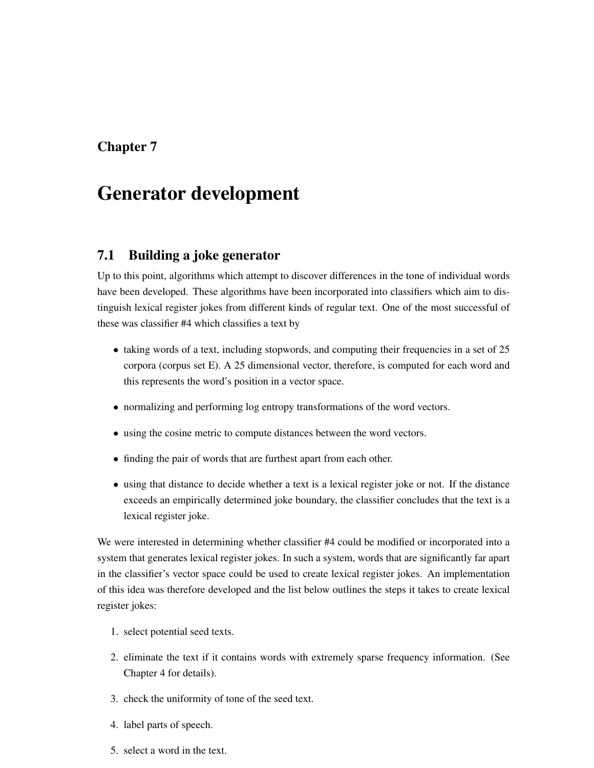# Chapter 7

# Generator development

# 7.1 Building a joke generator

Up to this point, algorithms which attempt to discover differences in the tone of individual words have been developed. These algorithms have been incorporated into classifiers which aim to distinguish lexical register jokes from different kinds of regular text. One of the most successful of these was classifier #4 which classifies a text by

- taking words of a text, including stopwords, and computing their frequencies in a set of 25 corpora (corpus set E). A 25 dimensional vector, therefore, is computed for each word and this represents the word's position in a vector space.
- normalizing and performing log entropy transformations of the word vectors.
- using the cosine metric to compute distances between the word vectors.
- finding the pair of words that are furthest apart from each other.
- using that distance to decide whether a text is a lexical register joke or not. If the distance exceeds an empirically determined joke boundary, the classifier concludes that the text is a lexical register joke.

We were interested in determining whether classifier #4 could be modified or incorporated into a system that generates lexical register jokes. In such a system, words that are significantly far apart in the classifier's vector space could be used to create lexical register jokes. An implementation of this idea was therefore developed and the list below outlines the steps it takes to create lexical register jokes:

- 1. select potential seed texts.
- 2. eliminate the text if it contains words with extremely sparse frequency information. (See Chapter 4 for details).
- 3. check the uniformity of tone of the seed text.
- 4. label parts of speech.
- 5. select a word in the text.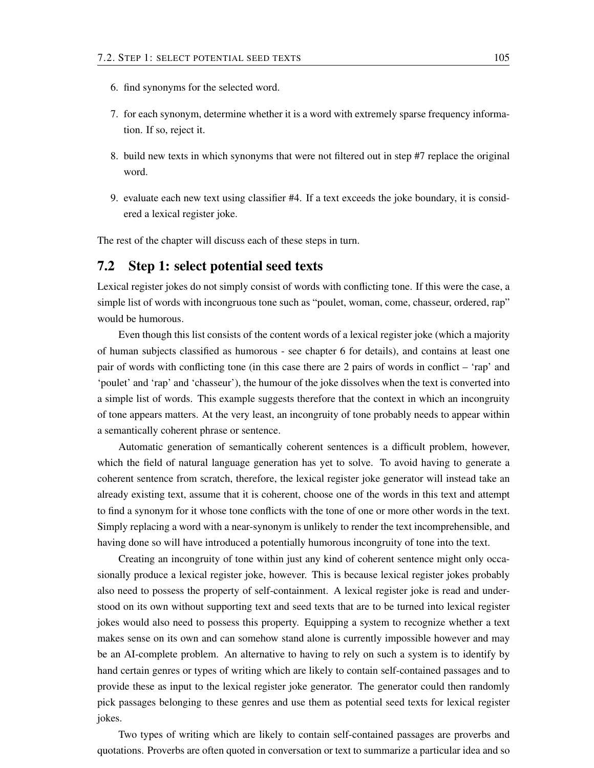- 6. find synonyms for the selected word.
- 7. for each synonym, determine whether it is a word with extremely sparse frequency information. If so, reject it.
- 8. build new texts in which synonyms that were not filtered out in step #7 replace the original word.
- 9. evaluate each new text using classifier #4. If a text exceeds the joke boundary, it is considered a lexical register joke.

The rest of the chapter will discuss each of these steps in turn.

### 7.2 Step 1: select potential seed texts

Lexical register jokes do not simply consist of words with conflicting tone. If this were the case, a simple list of words with incongruous tone such as "poulet, woman, come, chasseur, ordered, rap" would be humorous.

Even though this list consists of the content words of a lexical register joke (which a majority of human subjects classified as humorous - see chapter 6 for details), and contains at least one pair of words with conflicting tone (in this case there are 2 pairs of words in conflict – 'rap' and 'poulet' and 'rap' and 'chasseur'), the humour of the joke dissolves when the text is converted into a simple list of words. This example suggests therefore that the context in which an incongruity of tone appears matters. At the very least, an incongruity of tone probably needs to appear within a semantically coherent phrase or sentence.

Automatic generation of semantically coherent sentences is a difficult problem, however, which the field of natural language generation has yet to solve. To avoid having to generate a coherent sentence from scratch, therefore, the lexical register joke generator will instead take an already existing text, assume that it is coherent, choose one of the words in this text and attempt to find a synonym for it whose tone conflicts with the tone of one or more other words in the text. Simply replacing a word with a near-synonym is unlikely to render the text incomprehensible, and having done so will have introduced a potentially humorous incongruity of tone into the text.

Creating an incongruity of tone within just any kind of coherent sentence might only occasionally produce a lexical register joke, however. This is because lexical register jokes probably also need to possess the property of self-containment. A lexical register joke is read and understood on its own without supporting text and seed texts that are to be turned into lexical register jokes would also need to possess this property. Equipping a system to recognize whether a text makes sense on its own and can somehow stand alone is currently impossible however and may be an AI-complete problem. An alternative to having to rely on such a system is to identify by hand certain genres or types of writing which are likely to contain self-contained passages and to provide these as input to the lexical register joke generator. The generator could then randomly pick passages belonging to these genres and use them as potential seed texts for lexical register jokes.

Two types of writing which are likely to contain self-contained passages are proverbs and quotations. Proverbs are often quoted in conversation or text to summarize a particular idea and so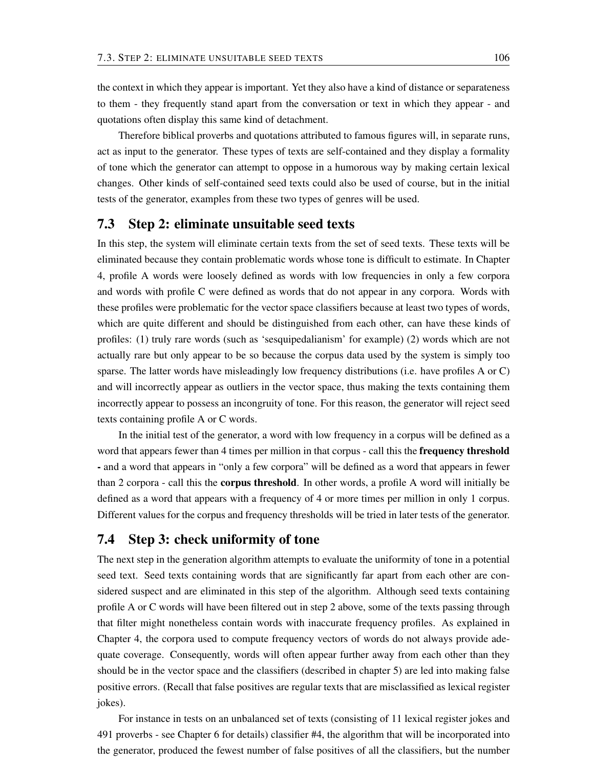the context in which they appear is important. Yet they also have a kind of distance or separateness to them - they frequently stand apart from the conversation or text in which they appear - and quotations often display this same kind of detachment.

Therefore biblical proverbs and quotations attributed to famous figures will, in separate runs, act as input to the generator. These types of texts are self-contained and they display a formality of tone which the generator can attempt to oppose in a humorous way by making certain lexical changes. Other kinds of self-contained seed texts could also be used of course, but in the initial tests of the generator, examples from these two types of genres will be used.

### 7.3 Step 2: eliminate unsuitable seed texts

In this step, the system will eliminate certain texts from the set of seed texts. These texts will be eliminated because they contain problematic words whose tone is difficult to estimate. In Chapter 4, profile A words were loosely defined as words with low frequencies in only a few corpora and words with profile C were defined as words that do not appear in any corpora. Words with these profiles were problematic for the vector space classifiers because at least two types of words, which are quite different and should be distinguished from each other, can have these kinds of profiles: (1) truly rare words (such as 'sesquipedalianism' for example) (2) words which are not actually rare but only appear to be so because the corpus data used by the system is simply too sparse. The latter words have misleadingly low frequency distributions (i.e. have profiles A or C) and will incorrectly appear as outliers in the vector space, thus making the texts containing them incorrectly appear to possess an incongruity of tone. For this reason, the generator will reject seed texts containing profile A or C words.

In the initial test of the generator, a word with low frequency in a corpus will be defined as a word that appears fewer than 4 times per million in that corpus - call this the **frequency threshold** - and a word that appears in "only a few corpora" will be defined as a word that appears in fewer than 2 corpora - call this the corpus threshold. In other words, a profile A word will initially be defined as a word that appears with a frequency of 4 or more times per million in only 1 corpus. Different values for the corpus and frequency thresholds will be tried in later tests of the generator.

# 7.4 Step 3: check uniformity of tone

The next step in the generation algorithm attempts to evaluate the uniformity of tone in a potential seed text. Seed texts containing words that are significantly far apart from each other are considered suspect and are eliminated in this step of the algorithm. Although seed texts containing profile A or C words will have been filtered out in step 2 above, some of the texts passing through that filter might nonetheless contain words with inaccurate frequency profiles. As explained in Chapter 4, the corpora used to compute frequency vectors of words do not always provide adequate coverage. Consequently, words will often appear further away from each other than they should be in the vector space and the classifiers (described in chapter 5) are led into making false positive errors. (Recall that false positives are regular texts that are misclassified as lexical register jokes).

For instance in tests on an unbalanced set of texts (consisting of 11 lexical register jokes and 491 proverbs - see Chapter 6 for details) classifier #4, the algorithm that will be incorporated into the generator, produced the fewest number of false positives of all the classifiers, but the number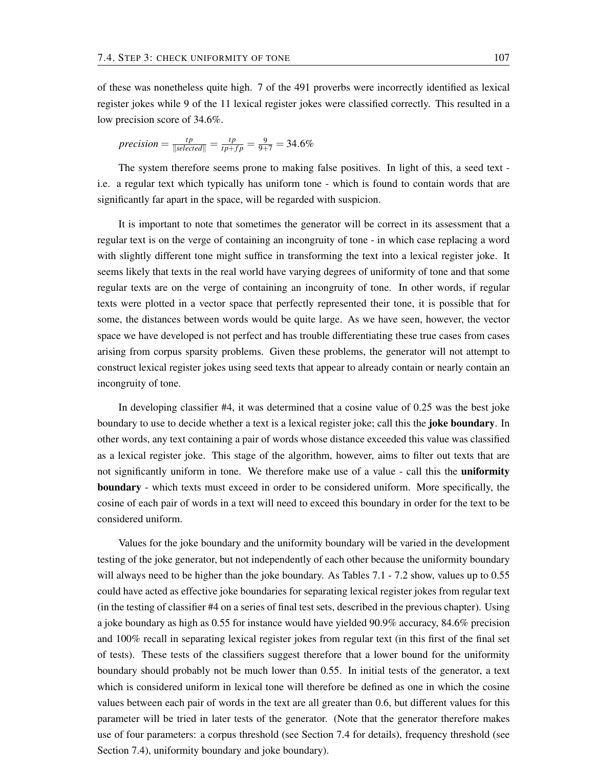of these was nonetheless quite high. 7 of the 491 proverbs were incorrectly identified as lexical register jokes while 9 of the 11 lexical register jokes were classified correctly. This resulted in a low precision score of 34.6%.

$$
precision = \frac{tp}{\|selected\|} = \frac{tp}{tp + fp} = \frac{9}{9+7} = 34.6\%
$$

The system therefore seems prone to making false positives. In light of this, a seed text i.e. a regular text which typically has uniform tone - which is found to contain words that are significantly far apart in the space, will be regarded with suspicion.

It is important to note that sometimes the generator will be correct in its assessment that a regular text is on the verge of containing an incongruity of tone - in which case replacing a word with slightly different tone might suffice in transforming the text into a lexical register joke. It seems likely that texts in the real world have varying degrees of uniformity of tone and that some regular texts are on the verge of containing an incongruity of tone. In other words, if regular texts were plotted in a vector space that perfectly represented their tone, it is possible that for some, the distances between words would be quite large. As we have seen, however, the vector space we have developed is not perfect and has trouble differentiating these true cases from cases arising from corpus sparsity problems. Given these problems, the generator will not attempt to construct lexical register jokes using seed texts that appear to already contain or nearly contain an incongruity of tone.

In developing classifier #4, it was determined that a cosine value of 0.25 was the best joke boundary to use to decide whether a text is a lexical register joke; call this the **joke boundary**. In other words, any text containing a pair of words whose distance exceeded this value was classified as a lexical register joke. This stage of the algorithm, however, aims to filter out texts that are not significantly uniform in tone. We therefore make use of a value - call this the **uniformity** boundary - which texts must exceed in order to be considered uniform. More specifically, the cosine of each pair of words in a text will need to exceed this boundary in order for the text to be considered uniform.

Values for the joke boundary and the uniformity boundary will be varied in the development testing of the joke generator, but not independently of each other because the uniformity boundary will always need to be higher than the joke boundary. As Tables 7.1 - 7.2 show, values up to 0.55 could have acted as effective joke boundaries for separating lexical register jokes from regular text (in the testing of classifier #4 on a series of final test sets, described in the previous chapter). Using a joke boundary as high as 0.55 for instance would have yielded 90.9% accuracy, 84.6% precision and 100% recall in separating lexical register jokes from regular text (in this first of the final set of tests). These tests of the classifiers suggest therefore that a lower bound for the uniformity boundary should probably not be much lower than 0.55. In initial tests of the generator, a text which is considered uniform in lexical tone will therefore be defined as one in which the cosine values between each pair of words in the text are all greater than 0.6, but different values for this parameter will be tried in later tests of the generator. (Note that the generator therefore makes use of four parameters: a corpus threshold (see Section 7.4 for details), frequency threshold (see Section 7.4), uniformity boundary and joke boundary).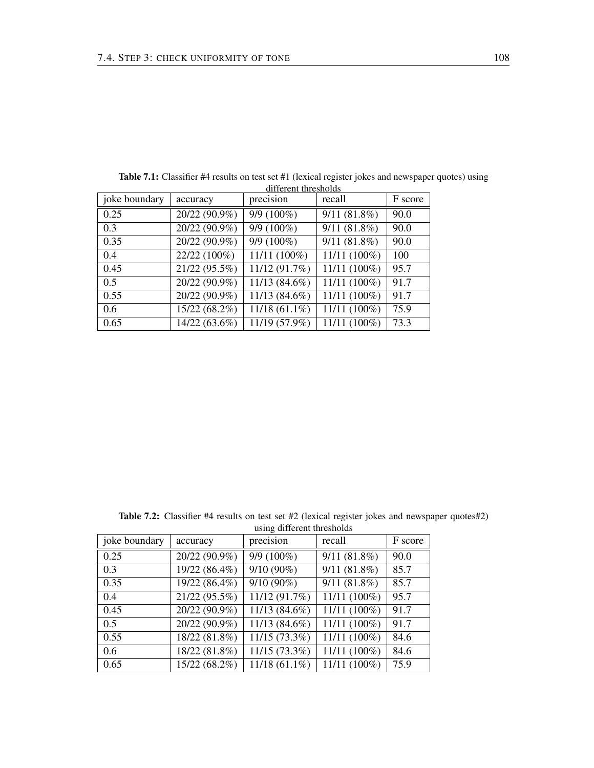| joke boundary | accuracy      | precision       | recall                    | F score |
|---------------|---------------|-----------------|---------------------------|---------|
| 0.25          | 20/22 (90.9%) | 9/9 (100%)      | $9/11(81.8\%)$            | 90.0    |
| 0.3           | 20/22 (90.9%) | 9/9 (100%)      | $\overline{9/11}$ (81.8%) | 90.0    |
| 0.35          | 20/22 (90.9%) | 9/9 (100%)      | $9/11(81.8\%)$            | 90.0    |
| 0.4           | 22/22 (100%)  | 11/11 (100%)    | 11/11 (100%)              | 100     |
| 0.45          | 21/22 (95.5%) | 11/12 (91.7%)   | 11/11 (100%)              | 95.7    |
| 0.5           | 20/22 (90.9%) | 11/13 (84.6%)   | 11/11 (100%)              | 91.7    |
| 0.55          | 20/22 (90.9%) | 11/13 (84.6%)   | 11/11 (100%)              | 91.7    |
| $0.6^{\circ}$ | 15/22 (68.2%) | $11/18(61.1\%)$ | 11/11 (100%)              | 75.9    |
| 0.65          | 14/22 (63.6%) | 11/19 (57.9%)   | 11/11 (100%)              | 73.3    |

Table 7.1: Classifier #4 results on test set #1 (lexical register jokes and newspaper quotes) using different thresholds

Table 7.2: Classifier #4 results on test set #2 (lexical register jokes and newspaper quotes#2) using different thresholds joke boundary  $\vert$  accuracy  $\vert$  precision  $\vert$  recall  $\vert$  F score

| joke boundary | accuracy      | precision       | recall         | F score |
|---------------|---------------|-----------------|----------------|---------|
| 0.25          | 20/22 (90.9%) | $9/9(100\%)$    | $9/11(81.8\%)$ | 90.0    |
| 0.3           | 19/22 (86.4%) | $9/10(90\%)$    | $9/11(81.8\%)$ | 85.7    |
| 0.35          | 19/22 (86.4%) | $9/10(90\%)$    | $9/11(81.8\%)$ | 85.7    |
| 0.4           | 21/22 (95.5%) | 11/12 (91.7%)   | 11/11 (100%)   | 95.7    |
| 0.45          | 20/22 (90.9%) | $11/13(84.6\%)$ | 11/11 (100%)   | 91.7    |
| 0.5           | 20/22 (90.9%) | 11/13 (84.6%)   | 11/11 (100%)   | 91.7    |
| 0.55          | 18/22 (81.8%) | $11/15(73.3\%)$ | 11/11 (100%)   | 84.6    |
| 0.6           | 18/22 (81.8%) | 11/15 (73.3%)   | 11/11 (100%)   | 84.6    |
| 0.65          | 15/22 (68.2%) | $11/18(61.1\%)$ | 11/11 (100%)   | 75.9    |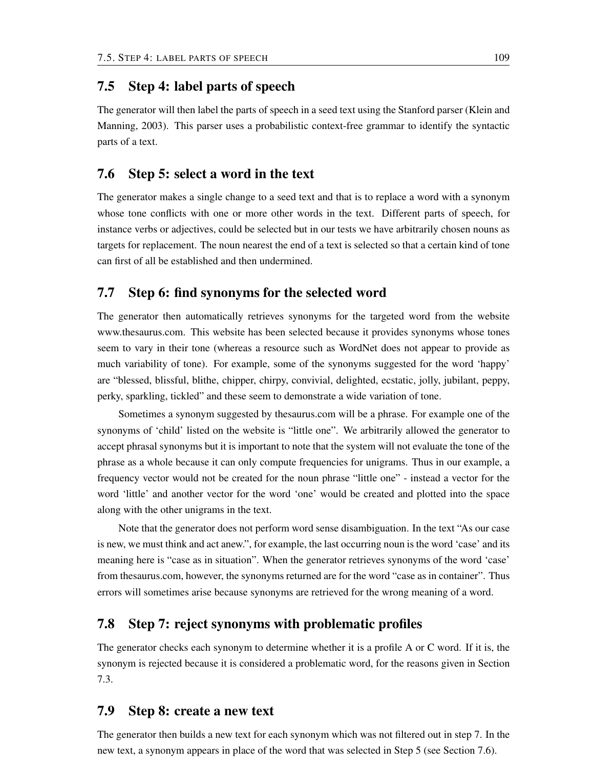### 7.5 Step 4: label parts of speech

The generator will then label the parts of speech in a seed text using the Stanford parser (Klein and Manning, 2003). This parser uses a probabilistic context-free grammar to identify the syntactic parts of a text.

## 7.6 Step 5: select a word in the text

The generator makes a single change to a seed text and that is to replace a word with a synonym whose tone conflicts with one or more other words in the text. Different parts of speech, for instance verbs or adjectives, could be selected but in our tests we have arbitrarily chosen nouns as targets for replacement. The noun nearest the end of a text is selected so that a certain kind of tone can first of all be established and then undermined.

# 7.7 Step 6: find synonyms for the selected word

The generator then automatically retrieves synonyms for the targeted word from the website www.thesaurus.com. This website has been selected because it provides synonyms whose tones seem to vary in their tone (whereas a resource such as WordNet does not appear to provide as much variability of tone). For example, some of the synonyms suggested for the word 'happy' are "blessed, blissful, blithe, chipper, chirpy, convivial, delighted, ecstatic, jolly, jubilant, peppy, perky, sparkling, tickled" and these seem to demonstrate a wide variation of tone.

Sometimes a synonym suggested by thesaurus.com will be a phrase. For example one of the synonyms of 'child' listed on the website is "little one". We arbitrarily allowed the generator to accept phrasal synonyms but it is important to note that the system will not evaluate the tone of the phrase as a whole because it can only compute frequencies for unigrams. Thus in our example, a frequency vector would not be created for the noun phrase "little one" - instead a vector for the word 'little' and another vector for the word 'one' would be created and plotted into the space along with the other unigrams in the text.

Note that the generator does not perform word sense disambiguation. In the text "As our case is new, we must think and act anew.", for example, the last occurring noun is the word 'case' and its meaning here is "case as in situation". When the generator retrieves synonyms of the word 'case' from thesaurus.com, however, the synonyms returned are for the word "case as in container". Thus errors will sometimes arise because synonyms are retrieved for the wrong meaning of a word.

## 7.8 Step 7: reject synonyms with problematic profiles

The generator checks each synonym to determine whether it is a profile A or C word. If it is, the synonym is rejected because it is considered a problematic word, for the reasons given in Section 7.3.

## 7.9 Step 8: create a new text

The generator then builds a new text for each synonym which was not filtered out in step 7. In the new text, a synonym appears in place of the word that was selected in Step 5 (see Section 7.6).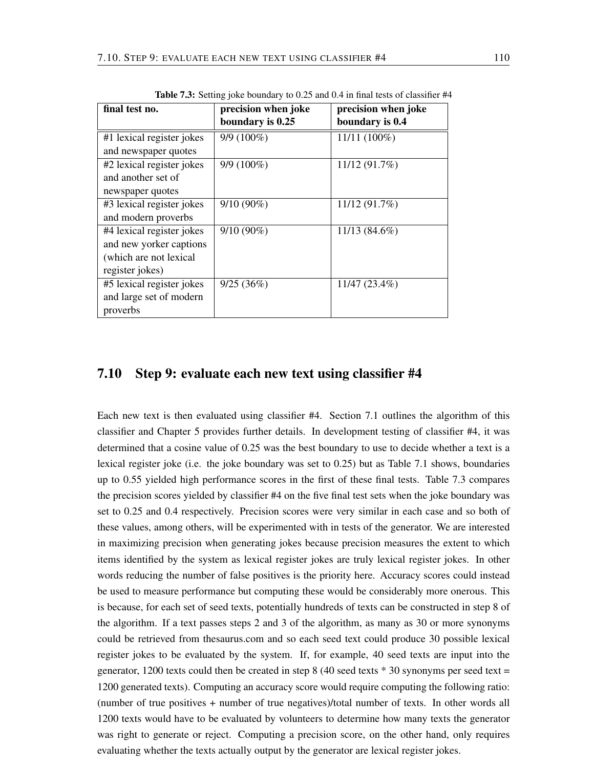| final test no.            | precision when joke | precision when joke |
|---------------------------|---------------------|---------------------|
|                           | boundary is 0.25    | boundary is 0.4     |
| #1 lexical register jokes | $9/9(100\%)$        | $11/11(100\%)$      |
| and newspaper quotes      |                     |                     |
| #2 lexical register jokes | 9/9 (100%)          | 11/12 (91.7%)       |
| and another set of        |                     |                     |
| newspaper quotes          |                     |                     |
| #3 lexical register jokes | $9/10(90\%)$        | 11/12 (91.7%)       |
| and modern proverbs       |                     |                     |
| #4 lexical register jokes | $9/10(90\%)$        | 11/13 (84.6%)       |
| and new yorker captions   |                     |                     |
| (which are not lexical    |                     |                     |
| register jokes)           |                     |                     |
| #5 lexical register jokes | 9/25(36%)           | $11/47(23.4\%)$     |
| and large set of modern   |                     |                     |
| proverbs                  |                     |                     |

Table 7.3: Setting joke boundary to 0.25 and 0.4 in final tests of classifier #4

## 7.10 Step 9: evaluate each new text using classifier #4

Each new text is then evaluated using classifier #4. Section 7.1 outlines the algorithm of this classifier and Chapter 5 provides further details. In development testing of classifier #4, it was determined that a cosine value of 0.25 was the best boundary to use to decide whether a text is a lexical register joke (i.e. the joke boundary was set to 0.25) but as Table 7.1 shows, boundaries up to 0.55 yielded high performance scores in the first of these final tests. Table 7.3 compares the precision scores yielded by classifier #4 on the five final test sets when the joke boundary was set to 0.25 and 0.4 respectively. Precision scores were very similar in each case and so both of these values, among others, will be experimented with in tests of the generator. We are interested in maximizing precision when generating jokes because precision measures the extent to which items identified by the system as lexical register jokes are truly lexical register jokes. In other words reducing the number of false positives is the priority here. Accuracy scores could instead be used to measure performance but computing these would be considerably more onerous. This is because, for each set of seed texts, potentially hundreds of texts can be constructed in step 8 of the algorithm. If a text passes steps 2 and 3 of the algorithm, as many as 30 or more synonyms could be retrieved from thesaurus.com and so each seed text could produce 30 possible lexical register jokes to be evaluated by the system. If, for example, 40 seed texts are input into the generator, 1200 texts could then be created in step 8 (40 seed texts  $*$  30 synonyms per seed text = 1200 generated texts). Computing an accuracy score would require computing the following ratio: (number of true positives + number of true negatives)/total number of texts. In other words all 1200 texts would have to be evaluated by volunteers to determine how many texts the generator was right to generate or reject. Computing a precision score, on the other hand, only requires evaluating whether the texts actually output by the generator are lexical register jokes.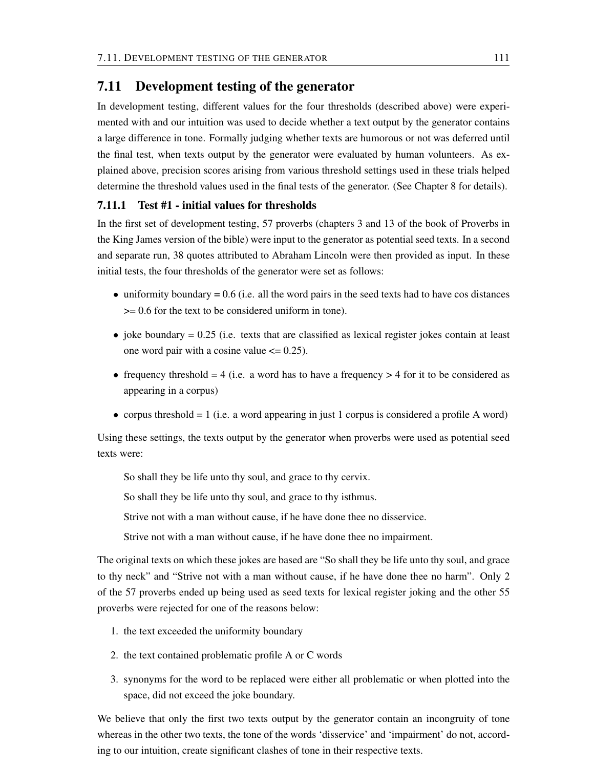#### 7.11 Development testing of the generator

In development testing, different values for the four thresholds (described above) were experimented with and our intuition was used to decide whether a text output by the generator contains a large difference in tone. Formally judging whether texts are humorous or not was deferred until the final test, when texts output by the generator were evaluated by human volunteers. As explained above, precision scores arising from various threshold settings used in these trials helped determine the threshold values used in the final tests of the generator. (See Chapter 8 for details).

#### 7.11.1 Test #1 - initial values for thresholds

In the first set of development testing, 57 proverbs (chapters 3 and 13 of the book of Proverbs in the King James version of the bible) were input to the generator as potential seed texts. In a second and separate run, 38 quotes attributed to Abraham Lincoln were then provided as input. In these initial tests, the four thresholds of the generator were set as follows:

- $\bullet$  uniformity boundary = 0.6 (i.e. all the word pairs in the seed texts had to have cos distances >= 0.6 for the text to be considered uniform in tone).
- $\bullet$  joke boundary = 0.25 (i.e. texts that are classified as lexical register jokes contain at least one word pair with a cosine value  $\leq$  0.25).
- frequency threshold  $= 4$  (i.e. a word has to have a frequency  $> 4$  for it to be considered as appearing in a corpus)
- corpus threshold = 1 (i.e. a word appearing in just 1 corpus is considered a profile A word)

Using these settings, the texts output by the generator when proverbs were used as potential seed texts were:

So shall they be life unto thy soul, and grace to thy cervix.

So shall they be life unto thy soul, and grace to thy isthmus.

Strive not with a man without cause, if he have done thee no disservice.

Strive not with a man without cause, if he have done thee no impairment.

The original texts on which these jokes are based are "So shall they be life unto thy soul, and grace to thy neck" and "Strive not with a man without cause, if he have done thee no harm". Only 2 of the 57 proverbs ended up being used as seed texts for lexical register joking and the other 55 proverbs were rejected for one of the reasons below:

- 1. the text exceeded the uniformity boundary
- 2. the text contained problematic profile A or C words
- 3. synonyms for the word to be replaced were either all problematic or when plotted into the space, did not exceed the joke boundary.

We believe that only the first two texts output by the generator contain an incongruity of tone whereas in the other two texts, the tone of the words 'disservice' and 'impairment' do not, according to our intuition, create significant clashes of tone in their respective texts.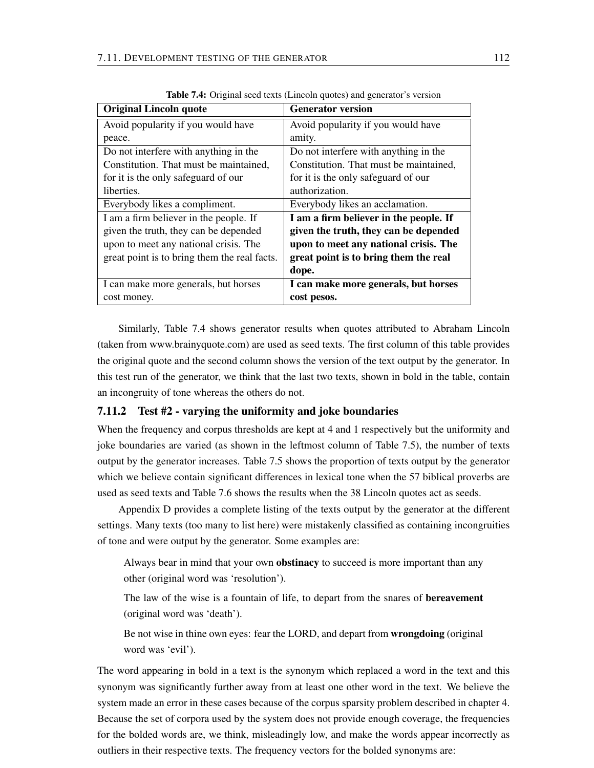| <b>Original Lincoln quote</b>                | <b>Generator version</b>               |
|----------------------------------------------|----------------------------------------|
| Avoid popularity if you would have           | Avoid popularity if you would have     |
| peace.                                       | amity.                                 |
| Do not interfere with anything in the        | Do not interfere with anything in the  |
| Constitution. That must be maintained,       | Constitution. That must be maintained, |
| for it is the only safeguard of our          | for it is the only safeguard of our    |
| liberties.                                   | authorization.                         |
| Everybody likes a compliment.                | Everybody likes an acclamation.        |
| I am a firm believer in the people. If       | I am a firm believer in the people. If |
| given the truth, they can be depended        | given the truth, they can be depended  |
| upon to meet any national crisis. The        | upon to meet any national crisis. The  |
| great point is to bring them the real facts. | great point is to bring them the real  |
|                                              | dope.                                  |
| I can make more generals, but horses         | I can make more generals, but horses   |
| cost money.                                  | cost pesos.                            |

Table 7.4: Original seed texts (Lincoln quotes) and generator's version

Similarly, Table 7.4 shows generator results when quotes attributed to Abraham Lincoln (taken from www.brainyquote.com) are used as seed texts. The first column of this table provides the original quote and the second column shows the version of the text output by the generator. In this test run of the generator, we think that the last two texts, shown in bold in the table, contain an incongruity of tone whereas the others do not.

#### 7.11.2 Test #2 - varying the uniformity and joke boundaries

When the frequency and corpus thresholds are kept at 4 and 1 respectively but the uniformity and joke boundaries are varied (as shown in the leftmost column of Table 7.5), the number of texts output by the generator increases. Table 7.5 shows the proportion of texts output by the generator which we believe contain significant differences in lexical tone when the 57 biblical proverbs are used as seed texts and Table 7.6 shows the results when the 38 Lincoln quotes act as seeds.

Appendix D provides a complete listing of the texts output by the generator at the different settings. Many texts (too many to list here) were mistakenly classified as containing incongruities of tone and were output by the generator. Some examples are:

Always bear in mind that your own obstinacy to succeed is more important than any other (original word was 'resolution').

The law of the wise is a fountain of life, to depart from the snares of bereavement (original word was 'death').

Be not wise in thine own eyes: fear the LORD, and depart from wrongdoing (original word was 'evil').

The word appearing in bold in a text is the synonym which replaced a word in the text and this synonym was significantly further away from at least one other word in the text. We believe the system made an error in these cases because of the corpus sparsity problem described in chapter 4. Because the set of corpora used by the system does not provide enough coverage, the frequencies for the bolded words are, we think, misleadingly low, and make the words appear incorrectly as outliers in their respective texts. The frequency vectors for the bolded synonyms are: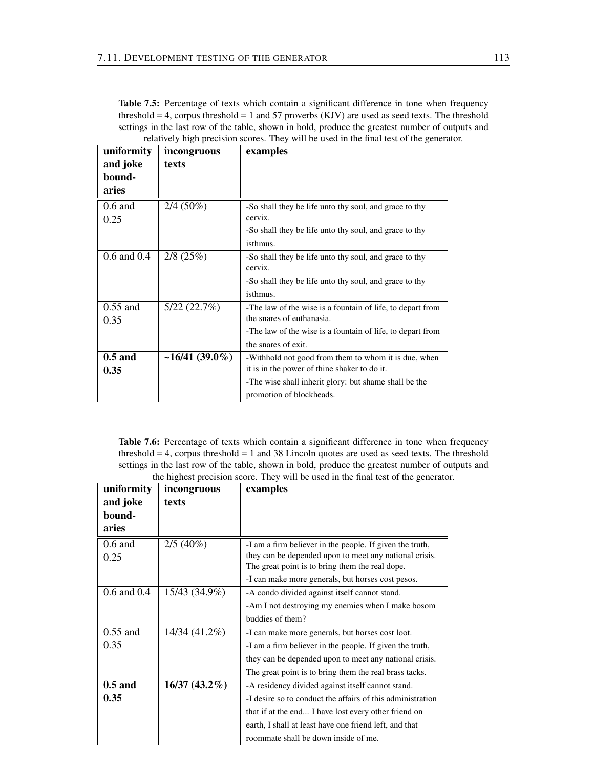Table 7.5: Percentage of texts which contain a significant difference in tone when frequency threshold  $= 4$ , corpus threshold  $= 1$  and 57 proverbs (KJV) are used as seed texts. The threshold settings in the last row of the table, shown in bold, produce the greatest number of outputs and relatively high precision scores. They will be used in the final test of the generator.

| uniformity      | incongruous       | examples                                                   |
|-----------------|-------------------|------------------------------------------------------------|
| and joke        | texts             |                                                            |
| bound-          |                   |                                                            |
| aries           |                   |                                                            |
| $0.6$ and       | $2/4(50\%)$       | -So shall they be life unto thy soul, and grace to thy     |
| 0.25            |                   | cervix.                                                    |
|                 |                   | -So shall they be life unto thy soul, and grace to thy     |
|                 |                   | isthmus.                                                   |
| $0.6$ and $0.4$ | $2/8$ (25%)       | -So shall they be life unto thy soul, and grace to thy     |
|                 |                   | cervix.                                                    |
|                 |                   | -So shall they be life unto thy soul, and grace to thy     |
|                 |                   | isthmus.                                                   |
| $0.55$ and      | 5/22(22.7%)       | -The law of the wise is a fountain of life, to depart from |
| 0.35            |                   | the snares of euthanasia.                                  |
|                 |                   | -The law of the wise is a fountain of life, to depart from |
|                 |                   | the snares of exit.                                        |
| $0.5$ and       | $~16/41~(39.0\%)$ | -Withhold not good from them to whom it is due, when       |
| 0.35            |                   | it is in the power of thine shaker to do it.               |
|                 |                   | -The wise shall inherit glory: but shame shall be the      |
|                 |                   | promotion of blockheads.                                   |

Table 7.6: Percentage of texts which contain a significant difference in tone when frequency threshold  $= 4$ , corpus threshold  $= 1$  and 38 Lincoln quotes are used as seed texts. The threshold settings in the last row of the table, shown in bold, produce the greatest number of outputs and the highest precision score. They will be used in the final test of the generator.

| uniformity      | incongruous     | examples                                                   |
|-----------------|-----------------|------------------------------------------------------------|
| and joke        | texts           |                                                            |
| bound-          |                 |                                                            |
| aries           |                 |                                                            |
| $0.6$ and       | $2/5(40\%)$     | -I am a firm believer in the people. If given the truth,   |
| 0.25            |                 | they can be depended upon to meet any national crisis.     |
|                 |                 | The great point is to bring them the real dope.            |
|                 |                 | -I can make more generals, but horses cost pesos.          |
| $0.6$ and $0.4$ | 15/43 (34.9%)   | -A condo divided against itself cannot stand.              |
|                 |                 | -Am I not destroying my enemies when I make bosom          |
|                 |                 | buddies of them?                                           |
| $0.55$ and      | 14/34 (41.2%)   | -I can make more generals, but horses cost loot.           |
| 0.35            |                 | -I am a firm believer in the people. If given the truth,   |
|                 |                 | they can be depended upon to meet any national crisis.     |
|                 |                 | The great point is to bring them the real brass tacks.     |
| $0.5$ and       | $16/37(43.2\%)$ | -A residency divided against itself cannot stand.          |
| 0.35            |                 | -I desire so to conduct the affairs of this administration |
|                 |                 | that if at the end I have lost every other friend on       |
|                 |                 | earth, I shall at least have one friend left, and that     |
|                 |                 | roommate shall be down inside of me.                       |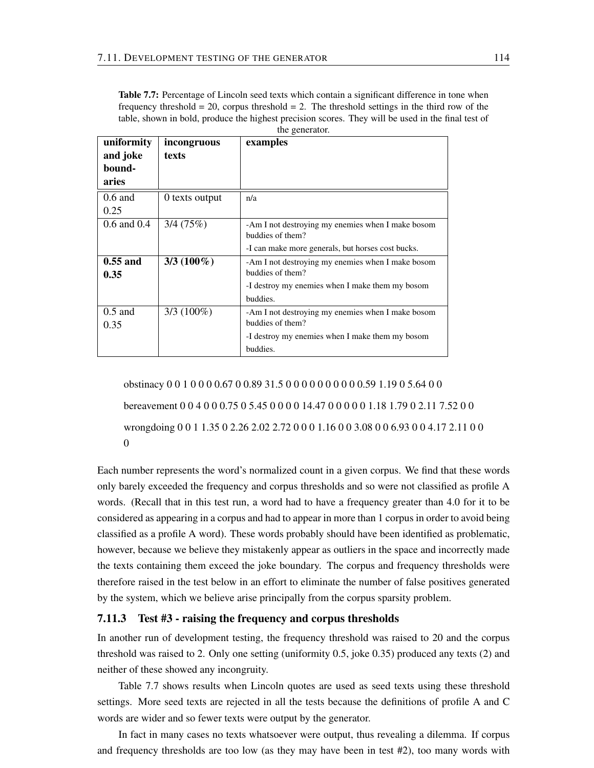Table 7.7: Percentage of Lincoln seed texts which contain a significant difference in tone when frequency threshold  $= 20$ , corpus threshold  $= 2$ . The threshold settings in the third row of the table, shown in bold, produce the highest precision scores. They will be used in the final test of the generator.

| uniformity<br>and joke<br>bound-<br>aries | incongruous<br>texts | examples                                                              |
|-------------------------------------------|----------------------|-----------------------------------------------------------------------|
| $0.6$ and<br>0.25                         | 0 texts output       | n/a                                                                   |
| $0.6$ and $0.4$                           | 3/4(75%)             | -Am I not destroying my enemies when I make bosom<br>buddies of them? |
|                                           |                      | -I can make more generals, but horses cost bucks.                     |
| $0.55$ and<br>0.35                        | $3/3(100\%)$         | -Am I not destroying my enemies when I make bosom<br>buddies of them? |
|                                           |                      | -I destroy my enemies when I make them my bosom                       |
|                                           |                      | buddies.                                                              |
| $0.5$ and<br>0.35                         | $3/3(100\%)$         | -Am I not destroying my enemies when I make bosom<br>buddies of them? |
|                                           |                      | -I destroy my enemies when I make them my bosom                       |
|                                           |                      | buddies.                                                              |

obstinacy 0 0 1 0 0 0 0.67 0 0.89 31.5 0 0 0 0 0 0 0 0 0 0.59 1.19 0 5.64 0 0 bereavement 0 0 4 0 0 0.75 0 5.45 0 0 0 0 14.47 0 0 0 0 0 1.18 1.79 0 2.11 7.52 0 0 wrongdoing 0 0 1 1.35 0 2.26 2.02 2.72 0 0 0 1.16 0 0 3.08 0 0 6.93 0 0 4.17 2.11 0 0 0

Each number represents the word's normalized count in a given corpus. We find that these words only barely exceeded the frequency and corpus thresholds and so were not classified as profile A words. (Recall that in this test run, a word had to have a frequency greater than 4.0 for it to be considered as appearing in a corpus and had to appear in more than 1 corpus in order to avoid being classified as a profile A word). These words probably should have been identified as problematic, however, because we believe they mistakenly appear as outliers in the space and incorrectly made the texts containing them exceed the joke boundary. The corpus and frequency thresholds were therefore raised in the test below in an effort to eliminate the number of false positives generated by the system, which we believe arise principally from the corpus sparsity problem.

#### 7.11.3 Test #3 - raising the frequency and corpus thresholds

In another run of development testing, the frequency threshold was raised to 20 and the corpus threshold was raised to 2. Only one setting (uniformity 0.5, joke 0.35) produced any texts (2) and neither of these showed any incongruity.

Table 7.7 shows results when Lincoln quotes are used as seed texts using these threshold settings. More seed texts are rejected in all the tests because the definitions of profile A and C words are wider and so fewer texts were output by the generator.

In fact in many cases no texts whatsoever were output, thus revealing a dilemma. If corpus and frequency thresholds are too low (as they may have been in test #2), too many words with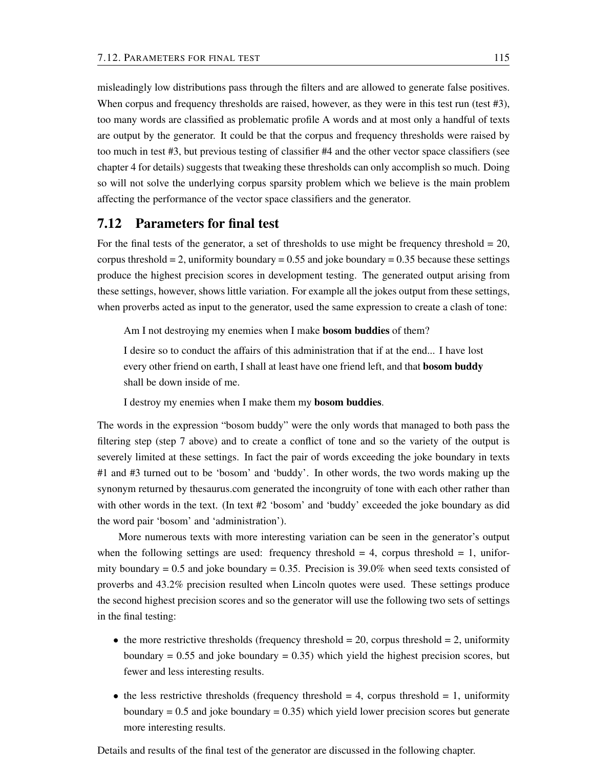misleadingly low distributions pass through the filters and are allowed to generate false positives. When corpus and frequency thresholds are raised, however, as they were in this test run (test #3), too many words are classified as problematic profile A words and at most only a handful of texts are output by the generator. It could be that the corpus and frequency thresholds were raised by too much in test #3, but previous testing of classifier #4 and the other vector space classifiers (see chapter 4 for details) suggests that tweaking these thresholds can only accomplish so much. Doing so will not solve the underlying corpus sparsity problem which we believe is the main problem affecting the performance of the vector space classifiers and the generator.

## 7.12 Parameters for final test

For the final tests of the generator, a set of thresholds to use might be frequency threshold  $= 20$ , corpus threshold  $= 2$ , uniformity boundary  $= 0.55$  and joke boundary  $= 0.35$  because these settings produce the highest precision scores in development testing. The generated output arising from these settings, however, shows little variation. For example all the jokes output from these settings, when proverbs acted as input to the generator, used the same expression to create a clash of tone:

Am I not destroying my enemies when I make **bosom buddies** of them?

I desire so to conduct the affairs of this administration that if at the end... I have lost every other friend on earth, I shall at least have one friend left, and that **bosom buddy** shall be down inside of me.

I destroy my enemies when I make them my bosom buddies.

The words in the expression "bosom buddy" were the only words that managed to both pass the filtering step (step 7 above) and to create a conflict of tone and so the variety of the output is severely limited at these settings. In fact the pair of words exceeding the joke boundary in texts #1 and #3 turned out to be 'bosom' and 'buddy'. In other words, the two words making up the synonym returned by thesaurus.com generated the incongruity of tone with each other rather than with other words in the text. (In text #2 'bosom' and 'buddy' exceeded the joke boundary as did the word pair 'bosom' and 'administration').

More numerous texts with more interesting variation can be seen in the generator's output when the following settings are used: frequency threshold  $= 4$ , corpus threshold  $= 1$ , uniformity boundary  $= 0.5$  and joke boundary  $= 0.35$ . Precision is 39.0% when seed texts consisted of proverbs and 43.2% precision resulted when Lincoln quotes were used. These settings produce the second highest precision scores and so the generator will use the following two sets of settings in the final testing:

- the more restrictive thresholds (frequency threshold  $= 20$ , corpus threshold  $= 2$ , uniformity boundary  $= 0.55$  and joke boundary  $= 0.35$ ) which yield the highest precision scores, but fewer and less interesting results.
- the less restrictive thresholds (frequency threshold  $= 4$ , corpus threshold  $= 1$ , uniformity boundary  $= 0.5$  and joke boundary  $= 0.35$ ) which yield lower precision scores but generate more interesting results.

Details and results of the final test of the generator are discussed in the following chapter.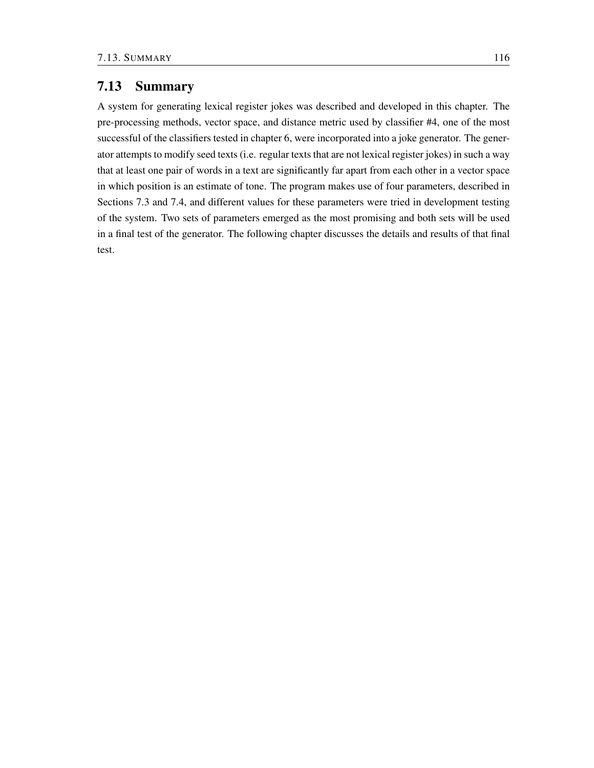## 7.13 Summary

A system for generating lexical register jokes was described and developed in this chapter. The pre-processing methods, vector space, and distance metric used by classifier #4, one of the most successful of the classifiers tested in chapter 6, were incorporated into a joke generator. The generator attempts to modify seed texts (i.e. regular texts that are not lexical register jokes) in such a way that at least one pair of words in a text are significantly far apart from each other in a vector space in which position is an estimate of tone. The program makes use of four parameters, described in Sections 7.3 and 7.4, and different values for these parameters were tried in development testing of the system. Two sets of parameters emerged as the most promising and both sets will be used in a final test of the generator. The following chapter discusses the details and results of that final test.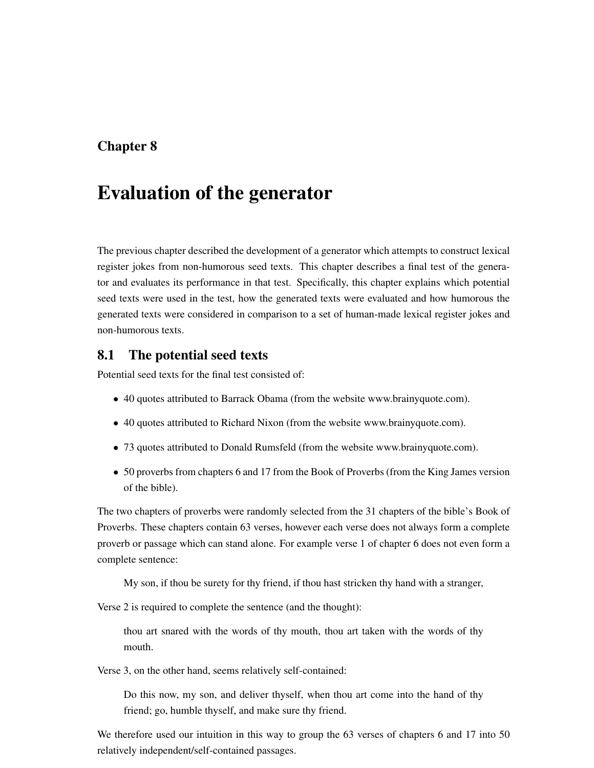# Chapter 8

# Evaluation of the generator

The previous chapter described the development of a generator which attempts to construct lexical register jokes from non-humorous seed texts. This chapter describes a final test of the generator and evaluates its performance in that test. Specifically, this chapter explains which potential seed texts were used in the test, how the generated texts were evaluated and how humorous the generated texts were considered in comparison to a set of human-made lexical register jokes and non-humorous texts.

## 8.1 The potential seed texts

Potential seed texts for the final test consisted of:

- 40 quotes attributed to Barrack Obama (from the website www.brainyquote.com).
- 40 quotes attributed to Richard Nixon (from the website www.brainyquote.com).
- 73 quotes attributed to Donald Rumsfeld (from the website www.brainyquote.com).
- 50 proverbs from chapters 6 and 17 from the Book of Proverbs (from the King James version of the bible).

The two chapters of proverbs were randomly selected from the 31 chapters of the bible's Book of Proverbs. These chapters contain 63 verses, however each verse does not always form a complete proverb or passage which can stand alone. For example verse 1 of chapter 6 does not even form a complete sentence:

My son, if thou be surety for thy friend, if thou hast stricken thy hand with a stranger,

Verse 2 is required to complete the sentence (and the thought):

thou art snared with the words of thy mouth, thou art taken with the words of thy mouth.

Verse 3, on the other hand, seems relatively self-contained:

Do this now, my son, and deliver thyself, when thou art come into the hand of thy friend; go, humble thyself, and make sure thy friend.

We therefore used our intuition in this way to group the 63 verses of chapters 6 and 17 into 50 relatively independent/self-contained passages.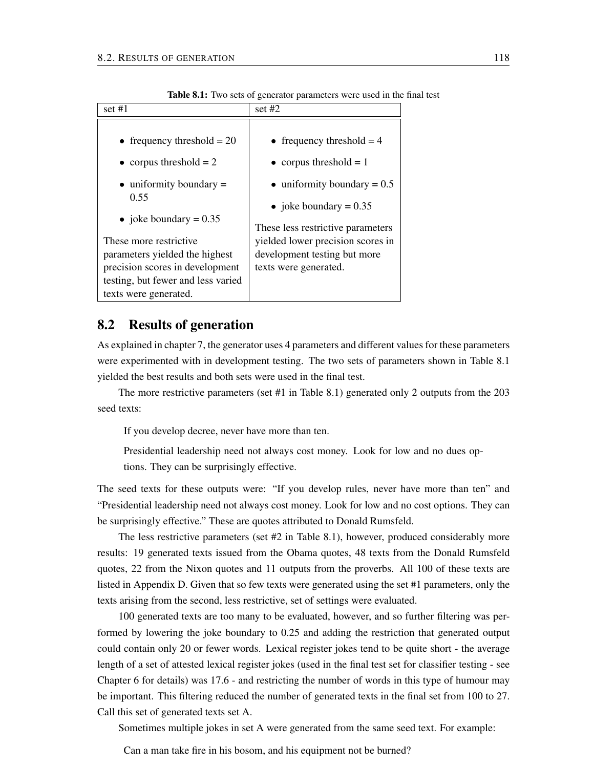|                                                                                                                                                            | orro solo of generator parameters were ased in the                                                                              |
|------------------------------------------------------------------------------------------------------------------------------------------------------------|---------------------------------------------------------------------------------------------------------------------------------|
| set #1                                                                                                                                                     | set $#2$                                                                                                                        |
| • frequency threshold $= 20$<br>• corpus threshold $= 2$<br>$\bullet$ uniformity boundary =<br>0.55<br>• joke boundary = $0.35$                            | • frequency threshold $=$ 4<br>• corpus threshold $= 1$<br>$\bullet$ uniformity boundary = 0.5<br>• joke boundary = $0.35$      |
| These more restrictive<br>parameters yielded the highest<br>precision scores in development<br>testing, but fewer and less varied<br>texts were generated. | These less restrictive parameters<br>yielded lower precision scores in<br>development testing but more<br>texts were generated. |

Table 8.1: Two sets of generator parameters were used in the final test

## 8.2 Results of generation

As explained in chapter 7, the generator uses 4 parameters and different values for these parameters were experimented with in development testing. The two sets of parameters shown in Table 8.1 yielded the best results and both sets were used in the final test.

The more restrictive parameters (set #1 in Table 8.1) generated only 2 outputs from the 203 seed texts:

If you develop decree, never have more than ten.

Presidential leadership need not always cost money. Look for low and no dues options. They can be surprisingly effective.

The seed texts for these outputs were: "If you develop rules, never have more than ten" and "Presidential leadership need not always cost money. Look for low and no cost options. They can be surprisingly effective." These are quotes attributed to Donald Rumsfeld.

The less restrictive parameters (set #2 in Table 8.1), however, produced considerably more results: 19 generated texts issued from the Obama quotes, 48 texts from the Donald Rumsfeld quotes, 22 from the Nixon quotes and 11 outputs from the proverbs. All 100 of these texts are listed in Appendix D. Given that so few texts were generated using the set #1 parameters, only the texts arising from the second, less restrictive, set of settings were evaluated.

100 generated texts are too many to be evaluated, however, and so further filtering was performed by lowering the joke boundary to 0.25 and adding the restriction that generated output could contain only 20 or fewer words. Lexical register jokes tend to be quite short - the average length of a set of attested lexical register jokes (used in the final test set for classifier testing - see Chapter 6 for details) was 17.6 - and restricting the number of words in this type of humour may be important. This filtering reduced the number of generated texts in the final set from 100 to 27. Call this set of generated texts set A.

Sometimes multiple jokes in set A were generated from the same seed text. For example:

Can a man take fire in his bosom, and his equipment not be burned?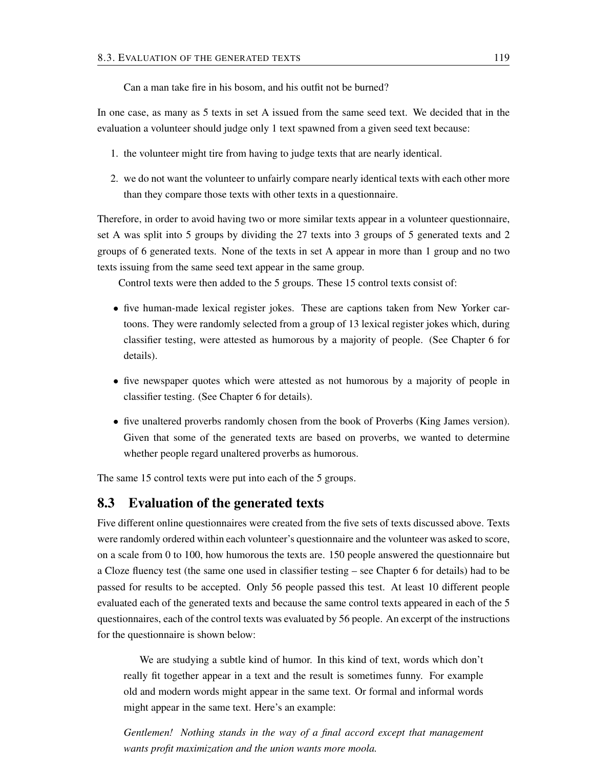Can a man take fire in his bosom, and his outfit not be burned?

In one case, as many as 5 texts in set A issued from the same seed text. We decided that in the evaluation a volunteer should judge only 1 text spawned from a given seed text because:

- 1. the volunteer might tire from having to judge texts that are nearly identical.
- 2. we do not want the volunteer to unfairly compare nearly identical texts with each other more than they compare those texts with other texts in a questionnaire.

Therefore, in order to avoid having two or more similar texts appear in a volunteer questionnaire, set A was split into 5 groups by dividing the 27 texts into 3 groups of 5 generated texts and 2 groups of 6 generated texts. None of the texts in set A appear in more than 1 group and no two texts issuing from the same seed text appear in the same group.

Control texts were then added to the 5 groups. These 15 control texts consist of:

- five human-made lexical register jokes. These are captions taken from New Yorker cartoons. They were randomly selected from a group of 13 lexical register jokes which, during classifier testing, were attested as humorous by a majority of people. (See Chapter 6 for details).
- five newspaper quotes which were attested as not humorous by a majority of people in classifier testing. (See Chapter 6 for details).
- five unaltered proverbs randomly chosen from the book of Proverbs (King James version). Given that some of the generated texts are based on proverbs, we wanted to determine whether people regard unaltered proverbs as humorous.

The same 15 control texts were put into each of the 5 groups.

## 8.3 Evaluation of the generated texts

Five different online questionnaires were created from the five sets of texts discussed above. Texts were randomly ordered within each volunteer's questionnaire and the volunteer was asked to score, on a scale from 0 to 100, how humorous the texts are. 150 people answered the questionnaire but a Cloze fluency test (the same one used in classifier testing – see Chapter 6 for details) had to be passed for results to be accepted. Only 56 people passed this test. At least 10 different people evaluated each of the generated texts and because the same control texts appeared in each of the 5 questionnaires, each of the control texts was evaluated by 56 people. An excerpt of the instructions for the questionnaire is shown below:

We are studying a subtle kind of humor. In this kind of text, words which don't really fit together appear in a text and the result is sometimes funny. For example old and modern words might appear in the same text. Or formal and informal words might appear in the same text. Here's an example:

*Gentlemen! Nothing stands in the way of a final accord except that management wants profit maximization and the union wants more moola.*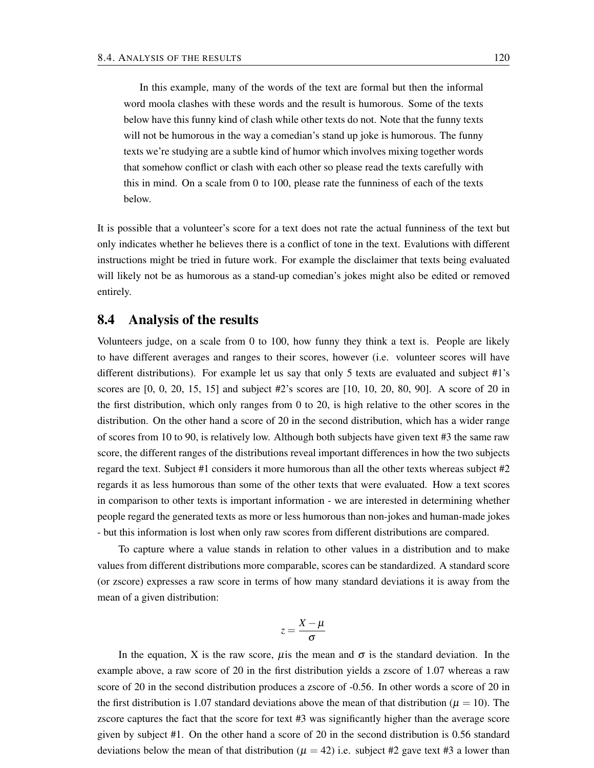In this example, many of the words of the text are formal but then the informal word moola clashes with these words and the result is humorous. Some of the texts below have this funny kind of clash while other texts do not. Note that the funny texts will not be humorous in the way a comedian's stand up joke is humorous. The funny texts we're studying are a subtle kind of humor which involves mixing together words that somehow conflict or clash with each other so please read the texts carefully with this in mind. On a scale from 0 to 100, please rate the funniness of each of the texts below.

It is possible that a volunteer's score for a text does not rate the actual funniness of the text but only indicates whether he believes there is a conflict of tone in the text. Evalutions with different instructions might be tried in future work. For example the disclaimer that texts being evaluated will likely not be as humorous as a stand-up comedian's jokes might also be edited or removed entirely.

## 8.4 Analysis of the results

Volunteers judge, on a scale from 0 to 100, how funny they think a text is. People are likely to have different averages and ranges to their scores, however (i.e. volunteer scores will have different distributions). For example let us say that only 5 texts are evaluated and subject #1's scores are [0, 0, 20, 15, 15] and subject #2's scores are [10, 10, 20, 80, 90]. A score of 20 in the first distribution, which only ranges from 0 to 20, is high relative to the other scores in the distribution. On the other hand a score of 20 in the second distribution, which has a wider range of scores from 10 to 90, is relatively low. Although both subjects have given text #3 the same raw score, the different ranges of the distributions reveal important differences in how the two subjects regard the text. Subject #1 considers it more humorous than all the other texts whereas subject #2 regards it as less humorous than some of the other texts that were evaluated. How a text scores in comparison to other texts is important information - we are interested in determining whether people regard the generated texts as more or less humorous than non-jokes and human-made jokes - but this information is lost when only raw scores from different distributions are compared.

To capture where a value stands in relation to other values in a distribution and to make values from different distributions more comparable, scores can be standardized. A standard score (or zscore) expresses a raw score in terms of how many standard deviations it is away from the mean of a given distribution:

$$
z=\frac{X-\mu}{\sigma}
$$

In the equation, X is the raw score,  $\mu$  is the mean and  $\sigma$  is the standard deviation. In the example above, a raw score of 20 in the first distribution yields a zscore of 1.07 whereas a raw score of 20 in the second distribution produces a zscore of -0.56. In other words a score of 20 in the first distribution is 1.07 standard deviations above the mean of that distribution ( $\mu = 10$ ). The zscore captures the fact that the score for text #3 was significantly higher than the average score given by subject #1. On the other hand a score of 20 in the second distribution is 0.56 standard deviations below the mean of that distribution ( $\mu = 42$ ) i.e. subject #2 gave text #3 a lower than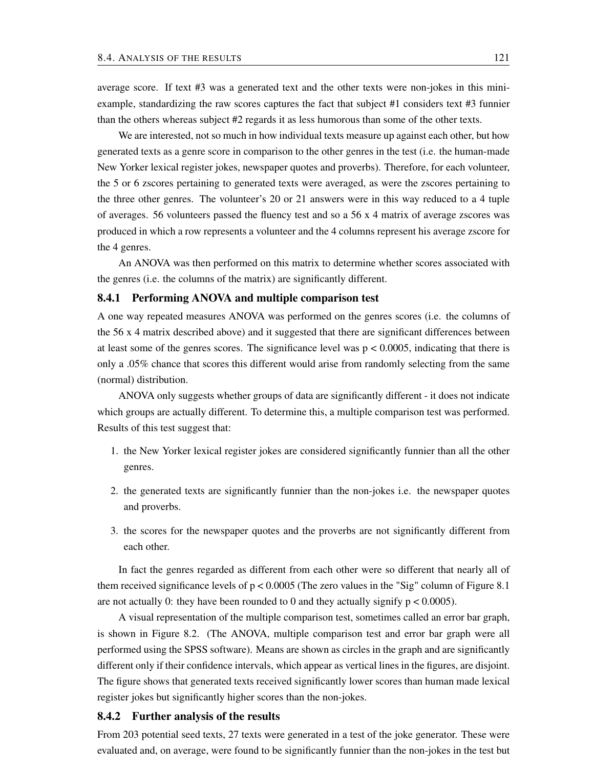average score. If text #3 was a generated text and the other texts were non-jokes in this miniexample, standardizing the raw scores captures the fact that subject #1 considers text #3 funnier than the others whereas subject #2 regards it as less humorous than some of the other texts.

We are interested, not so much in how individual texts measure up against each other, but how generated texts as a genre score in comparison to the other genres in the test (i.e. the human-made New Yorker lexical register jokes, newspaper quotes and proverbs). Therefore, for each volunteer, the 5 or 6 zscores pertaining to generated texts were averaged, as were the zscores pertaining to the three other genres. The volunteer's 20 or 21 answers were in this way reduced to a 4 tuple of averages. 56 volunteers passed the fluency test and so a 56 x 4 matrix of average zscores was produced in which a row represents a volunteer and the 4 columns represent his average zscore for the 4 genres.

An ANOVA was then performed on this matrix to determine whether scores associated with the genres (i.e. the columns of the matrix) are significantly different.

#### 8.4.1 Performing ANOVA and multiple comparison test

A one way repeated measures ANOVA was performed on the genres scores (i.e. the columns of the 56 x 4 matrix described above) and it suggested that there are significant differences between at least some of the genres scores. The significance level was  $p < 0.0005$ , indicating that there is only a .05% chance that scores this different would arise from randomly selecting from the same (normal) distribution.

ANOVA only suggests whether groups of data are significantly different - it does not indicate which groups are actually different. To determine this, a multiple comparison test was performed. Results of this test suggest that:

- 1. the New Yorker lexical register jokes are considered significantly funnier than all the other genres.
- 2. the generated texts are significantly funnier than the non-jokes i.e. the newspaper quotes and proverbs.
- 3. the scores for the newspaper quotes and the proverbs are not significantly different from each other.

In fact the genres regarded as different from each other were so different that nearly all of them received significance levels of  $p < 0.0005$  (The zero values in the "Sig" column of Figure 8.1 are not actually 0: they have been rounded to 0 and they actually signify  $p < 0.0005$ ).

A visual representation of the multiple comparison test, sometimes called an error bar graph, is shown in Figure 8.2. (The ANOVA, multiple comparison test and error bar graph were all performed using the SPSS software). Means are shown as circles in the graph and are significantly different only if their confidence intervals, which appear as vertical lines in the figures, are disjoint. The figure shows that generated texts received significantly lower scores than human made lexical register jokes but significantly higher scores than the non-jokes.

#### 8.4.2 Further analysis of the results

From 203 potential seed texts, 27 texts were generated in a test of the joke generator. These were evaluated and, on average, were found to be significantly funnier than the non-jokes in the test but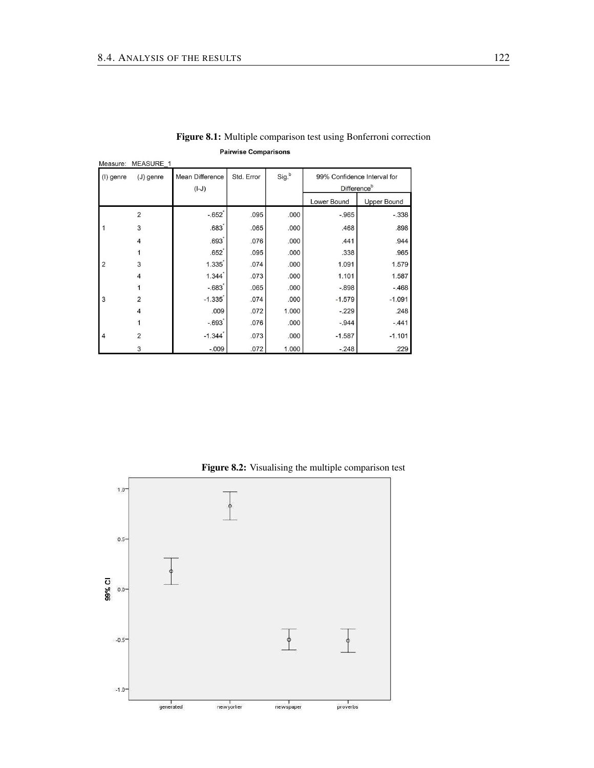| Measure:       | MEASURE 1               |                            |            |       |                                                        |                    |
|----------------|-------------------------|----------------------------|------------|-------|--------------------------------------------------------|--------------------|
| (I) genre      | $J)$ genre              | Mean Difference<br>$(I-J)$ | Std. Error | Sig.b | 99% Confidence Interval for<br>Difference <sup>b</sup> |                    |
|                |                         |                            |            |       | Lower Bound                                            | <b>Upper Bound</b> |
|                | $\overline{2}$          | $-.652$                    | .095       | .000  | $-0.965$                                               | $-.338$            |
|                | 3                       | .683                       | .065       | .000  | .468                                                   | .898               |
|                | $\overline{\mathbf{4}}$ | $.693$ <sup>*</sup>        | .076       | .000  | .441                                                   | .944               |
|                |                         | .652                       | .095       | .000  | .338                                                   | .965               |
| $\overline{2}$ | 3                       | 1.335                      | .074       | .000  | 1.091                                                  | 1.579              |
|                | 4                       | 1.344                      | .073       | .000  | 1.101                                                  | 1.587              |
|                |                         | $-.683$                    | .065       | .000  | $-.898$                                                | $-.468$            |
| 3              | $\overline{2}$          | $-1.335$                   | .074       | .000  | $-1.579$                                               | $-1.091$           |
|                | $\overline{4}$          | .009                       | .072       | 1.000 | $-229$                                                 | .248               |
|                |                         | $-.693$                    | .076       | .000  | $-0.944$                                               | $-.441$            |
| $\overline{4}$ | $\overline{2}$          | $-1.344$                   | .073       | .000  | $-1.587$                                               | $-1.101$           |
|                | 3                       | $-0.009$                   | .072       | 1.000 | $-.248$                                                | .229               |

Figure 8.1: Multiple comparison test using Bonferroni correction **Pairwise Comparisons** 



Figure 8.2: Visualising the multiple comparison test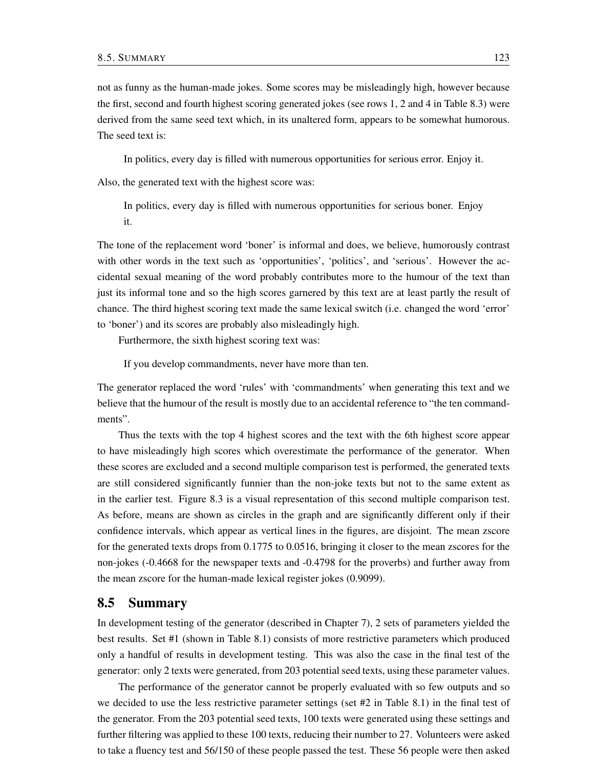not as funny as the human-made jokes. Some scores may be misleadingly high, however because the first, second and fourth highest scoring generated jokes (see rows 1, 2 and 4 in Table 8.3) were derived from the same seed text which, in its unaltered form, appears to be somewhat humorous. The seed text is:

In politics, every day is filled with numerous opportunities for serious error. Enjoy it.

Also, the generated text with the highest score was:

In politics, every day is filled with numerous opportunities for serious boner. Enjoy it.

The tone of the replacement word 'boner' is informal and does, we believe, humorously contrast with other words in the text such as 'opportunities', 'politics', and 'serious'. However the accidental sexual meaning of the word probably contributes more to the humour of the text than just its informal tone and so the high scores garnered by this text are at least partly the result of chance. The third highest scoring text made the same lexical switch (i.e. changed the word 'error' to 'boner') and its scores are probably also misleadingly high.

Furthermore, the sixth highest scoring text was:

If you develop commandments, never have more than ten.

The generator replaced the word 'rules' with 'commandments' when generating this text and we believe that the humour of the result is mostly due to an accidental reference to "the ten commandments".

Thus the texts with the top 4 highest scores and the text with the 6th highest score appear to have misleadingly high scores which overestimate the performance of the generator. When these scores are excluded and a second multiple comparison test is performed, the generated texts are still considered significantly funnier than the non-joke texts but not to the same extent as in the earlier test. Figure 8.3 is a visual representation of this second multiple comparison test. As before, means are shown as circles in the graph and are significantly different only if their confidence intervals, which appear as vertical lines in the figures, are disjoint. The mean zscore for the generated texts drops from 0.1775 to 0.0516, bringing it closer to the mean zscores for the non-jokes (-0.4668 for the newspaper texts and -0.4798 for the proverbs) and further away from the mean zscore for the human-made lexical register jokes (0.9099).

#### 8.5 Summary

In development testing of the generator (described in Chapter 7), 2 sets of parameters yielded the best results. Set #1 (shown in Table 8.1) consists of more restrictive parameters which produced only a handful of results in development testing. This was also the case in the final test of the generator: only 2 texts were generated, from 203 potential seed texts, using these parameter values.

The performance of the generator cannot be properly evaluated with so few outputs and so we decided to use the less restrictive parameter settings (set #2 in Table 8.1) in the final test of the generator. From the 203 potential seed texts, 100 texts were generated using these settings and further filtering was applied to these 100 texts, reducing their number to 27. Volunteers were asked to take a fluency test and 56/150 of these people passed the test. These 56 people were then asked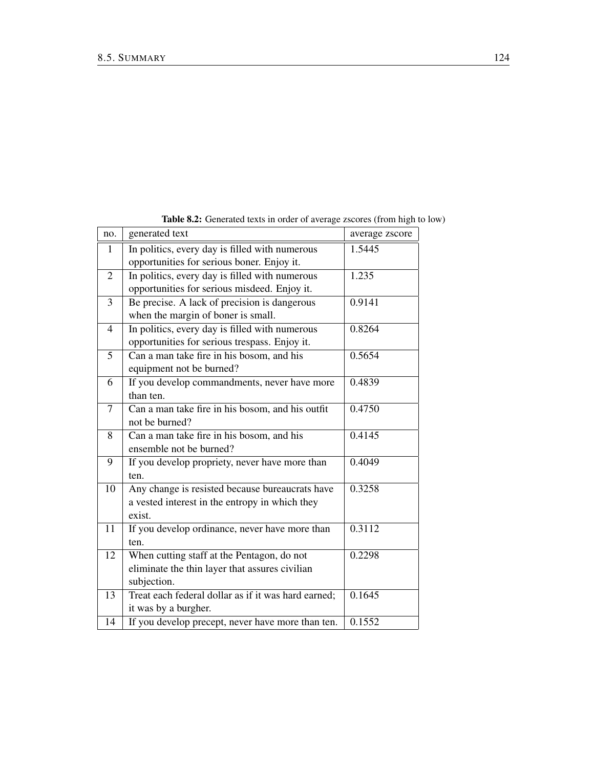| no.            | generated text                                      | average zscore |
|----------------|-----------------------------------------------------|----------------|
| $\mathbf{1}$   | In politics, every day is filled with numerous      | 1.5445         |
|                | opportunities for serious boner. Enjoy it.          |                |
| $\overline{2}$ | In politics, every day is filled with numerous      | 1.235          |
|                | opportunities for serious misdeed. Enjoy it.        |                |
| 3              | Be precise. A lack of precision is dangerous        | 0.9141         |
|                | when the margin of boner is small.                  |                |
| $\overline{4}$ | In politics, every day is filled with numerous      | 0.8264         |
|                | opportunities for serious trespass. Enjoy it.       |                |
| 5              | Can a man take fire in his bosom, and his           | 0.5654         |
|                | equipment not be burned?                            |                |
| 6              | If you develop commandments, never have more        | 0.4839         |
|                | than ten.                                           |                |
| 7              | Can a man take fire in his bosom, and his outfit    | 0.4750         |
|                | not be burned?                                      |                |
| 8              | Can a man take fire in his bosom, and his           | 0.4145         |
|                | ensemble not be burned?                             |                |
| 9              | If you develop propriety, never have more than      | 0.4049         |
|                | ten.                                                |                |
| 10             | Any change is resisted because bureaucrats have     | 0.3258         |
|                | a vested interest in the entropy in which they      |                |
|                | exist.                                              |                |
| 11             | If you develop ordinance, never have more than      | 0.3112         |
|                | ten.                                                |                |
| 12             | When cutting staff at the Pentagon, do not          | 0.2298         |
|                | eliminate the thin layer that assures civilian      |                |
|                | subjection.                                         |                |
| 13             | Treat each federal dollar as if it was hard earned; | 0.1645         |
|                | it was by a burgher.                                |                |
| 14             | If you develop precept, never have more than ten.   | 0.1552         |

Table 8.2: Generated texts in order of average zscores (from high to low)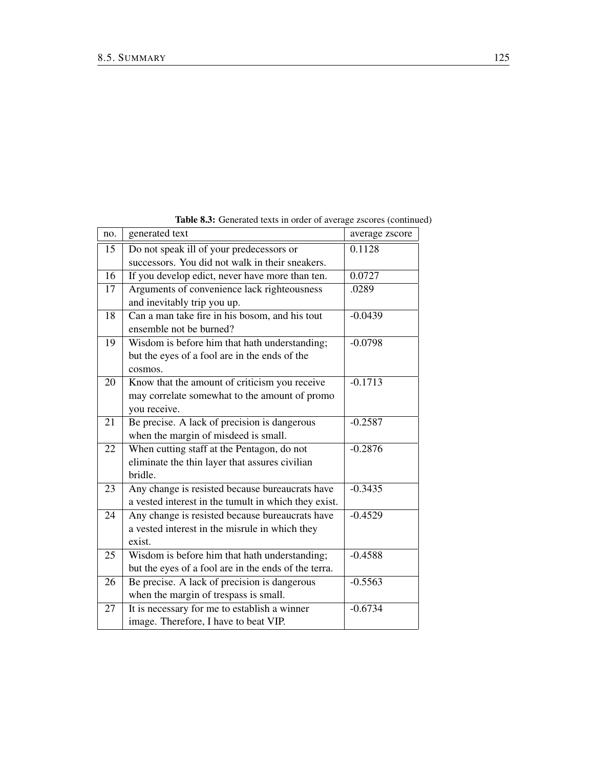| no. | generated text                                       | average zscore |
|-----|------------------------------------------------------|----------------|
| 15  | Do not speak ill of your predecessors or             | 0.1128         |
|     | successors. You did not walk in their sneakers.      |                |
| 16  | If you develop edict, never have more than ten.      | 0.0727         |
| 17  | Arguments of convenience lack righteousness          | .0289          |
|     | and inevitably trip you up.                          |                |
| 18  | Can a man take fire in his bosom, and his tout       | $-0.0439$      |
|     | ensemble not be burned?                              |                |
| 19  | Wisdom is before him that hath understanding;        | $-0.0798$      |
|     | but the eyes of a fool are in the ends of the        |                |
|     | cosmos.                                              |                |
| 20  | Know that the amount of criticism you receive        | $-0.1713$      |
|     | may correlate somewhat to the amount of promo        |                |
|     | you receive.                                         |                |
| 21  | Be precise. A lack of precision is dangerous         | $-0.2587$      |
|     | when the margin of misdeed is small.                 |                |
| 22  | When cutting staff at the Pentagon, do not           | $-0.2876$      |
|     | eliminate the thin layer that assures civilian       |                |
|     | bridle.                                              |                |
| 23  | Any change is resisted because bureaucrats have      | $-0.3435$      |
|     | a vested interest in the tumult in which they exist. |                |
| 24  | Any change is resisted because bureaucrats have      | $-0.4529$      |
|     | a vested interest in the misrule in which they       |                |
|     | exist.                                               |                |
| 25  | Wisdom is before him that hath understanding;        | $-0.4588$      |
|     | but the eyes of a fool are in the ends of the terra. |                |
| 26  | Be precise. A lack of precision is dangerous         | $-0.5563$      |
|     | when the margin of trespass is small.                |                |
| 27  | It is necessary for me to establish a winner         | $-0.6734$      |
|     | image. Therefore, I have to beat VIP.                |                |
|     |                                                      |                |

Table 8.3: Generated texts in order of average zscores (continued)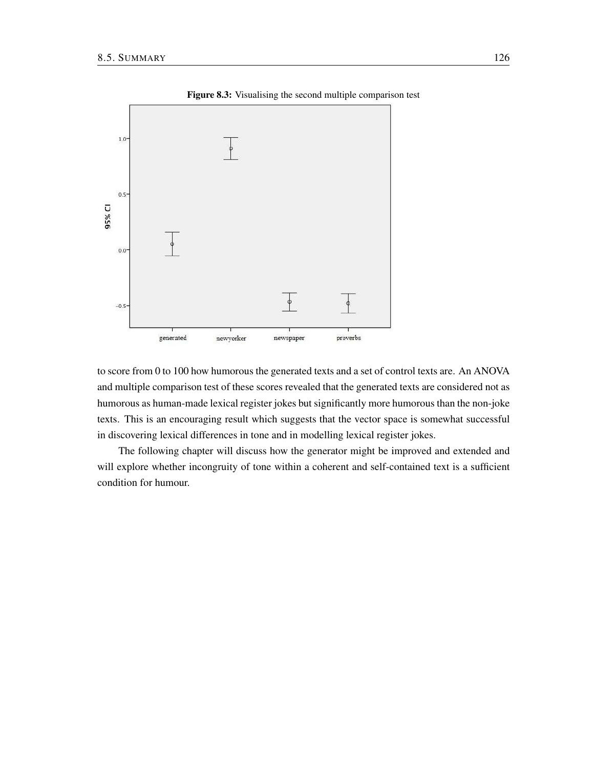

Figure 8.3: Visualising the second multiple comparison test

to score from 0 to 100 how humorous the generated texts and a set of control texts are. An ANOVA and multiple comparison test of these scores revealed that the generated texts are considered not as humorous as human-made lexical register jokes but significantly more humorous than the non-joke texts. This is an encouraging result which suggests that the vector space is somewhat successful in discovering lexical differences in tone and in modelling lexical register jokes.

The following chapter will discuss how the generator might be improved and extended and will explore whether incongruity of tone within a coherent and self-contained text is a sufficient condition for humour.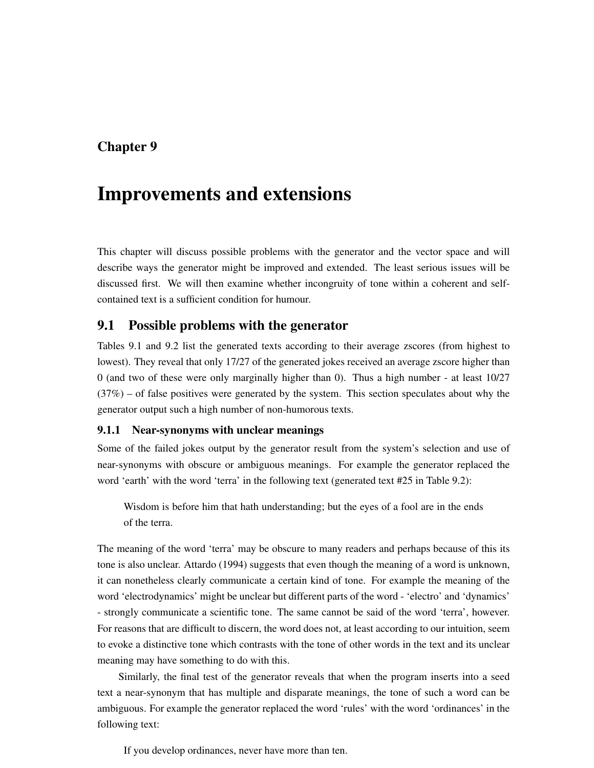# Chapter 9

# Improvements and extensions

This chapter will discuss possible problems with the generator and the vector space and will describe ways the generator might be improved and extended. The least serious issues will be discussed first. We will then examine whether incongruity of tone within a coherent and selfcontained text is a sufficient condition for humour.

## 9.1 Possible problems with the generator

Tables 9.1 and 9.2 list the generated texts according to their average zscores (from highest to lowest). They reveal that only 17/27 of the generated jokes received an average zscore higher than 0 (and two of these were only marginally higher than 0). Thus a high number - at least 10/27  $(37%)$  – of false positives were generated by the system. This section speculates about why the generator output such a high number of non-humorous texts.

#### 9.1.1 Near-synonyms with unclear meanings

Some of the failed jokes output by the generator result from the system's selection and use of near-synonyms with obscure or ambiguous meanings. For example the generator replaced the word 'earth' with the word 'terra' in the following text (generated text #25 in Table 9.2):

Wisdom is before him that hath understanding; but the eyes of a fool are in the ends of the terra.

The meaning of the word 'terra' may be obscure to many readers and perhaps because of this its tone is also unclear. Attardo (1994) suggests that even though the meaning of a word is unknown, it can nonetheless clearly communicate a certain kind of tone. For example the meaning of the word 'electrodynamics' might be unclear but different parts of the word - 'electro' and 'dynamics' - strongly communicate a scientific tone. The same cannot be said of the word 'terra', however. For reasons that are difficult to discern, the word does not, at least according to our intuition, seem to evoke a distinctive tone which contrasts with the tone of other words in the text and its unclear meaning may have something to do with this.

Similarly, the final test of the generator reveals that when the program inserts into a seed text a near-synonym that has multiple and disparate meanings, the tone of such a word can be ambiguous. For example the generator replaced the word 'rules' with the word 'ordinances' in the following text:

If you develop ordinances, never have more than ten.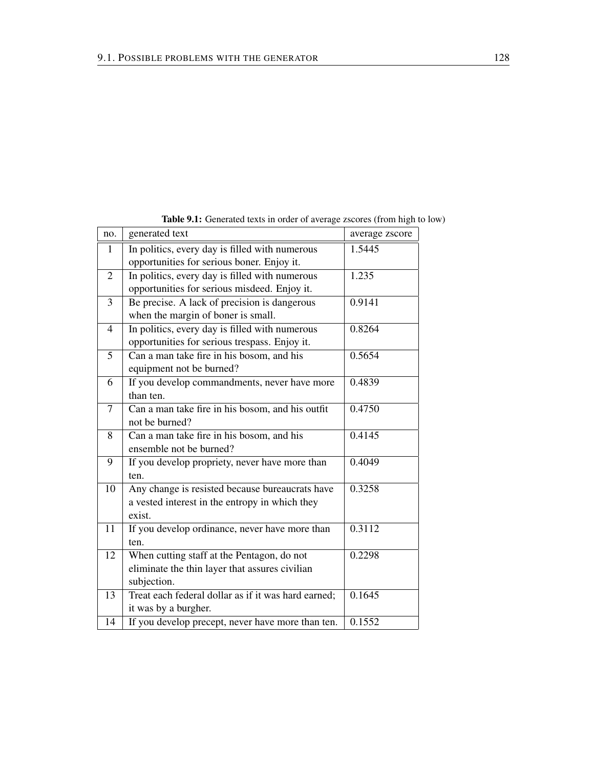| no. | generated text                                      | average zscore |
|-----|-----------------------------------------------------|----------------|
| 1   | In politics, every day is filled with numerous      | 1.5445         |
|     | opportunities for serious boner. Enjoy it.          |                |
| 2   | In politics, every day is filled with numerous      | 1.235          |
|     | opportunities for serious misdeed. Enjoy it.        |                |
| 3   | Be precise. A lack of precision is dangerous        | 0.9141         |
|     | when the margin of boner is small.                  |                |
| 4   | In politics, every day is filled with numerous      | 0.8264         |
|     | opportunities for serious trespass. Enjoy it.       |                |
| 5   | Can a man take fire in his bosom, and his           | 0.5654         |
|     | equipment not be burned?                            |                |
| 6   | If you develop commandments, never have more        | 0.4839         |
|     | than ten.                                           |                |
| 7   | Can a man take fire in his bosom, and his outfit    | 0.4750         |
|     | not be burned?                                      |                |
| 8   | Can a man take fire in his bosom, and his           | 0.4145         |
|     | ensemble not be burned?                             |                |
| 9   | If you develop propriety, never have more than      | 0.4049         |
|     | ten.                                                |                |
| 10  | Any change is resisted because bureaucrats have     | 0.3258         |
|     | a vested interest in the entropy in which they      |                |
|     | exist.                                              |                |
| 11  | If you develop ordinance, never have more than      | 0.3112         |
|     | ten.                                                |                |
| 12  | When cutting staff at the Pentagon, do not          | 0.2298         |
|     | eliminate the thin layer that assures civilian      |                |
|     | subjection.                                         |                |
| 13  | Treat each federal dollar as if it was hard earned; | 0.1645         |
|     | it was by a burgher.                                |                |
| 14  | If you develop precept, never have more than ten.   | 0.1552         |

Table 9.1: Generated texts in order of average zscores (from high to low)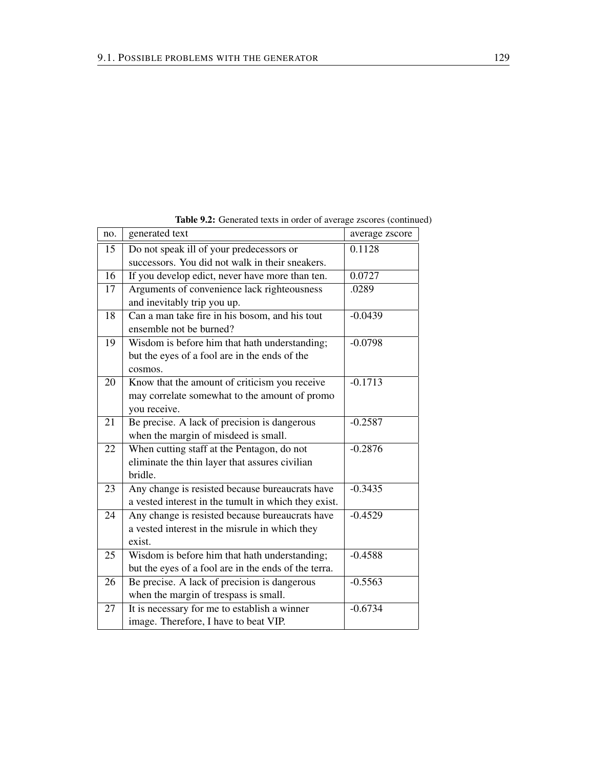| no. | generated text                                       | average zscore |
|-----|------------------------------------------------------|----------------|
| 15  | Do not speak ill of your predecessors or             | 0.1128         |
|     | successors. You did not walk in their sneakers.      |                |
| 16  | If you develop edict, never have more than ten.      | 0.0727         |
| 17  | Arguments of convenience lack righteousness          | .0289          |
|     | and inevitably trip you up.                          |                |
| 18  | Can a man take fire in his bosom, and his tout       | $-0.0439$      |
|     | ensemble not be burned?                              |                |
| 19  | Wisdom is before him that hath understanding;        | $-0.0798$      |
|     | but the eyes of a fool are in the ends of the        |                |
|     | cosmos.                                              |                |
| 20  | Know that the amount of criticism you receive        | $-0.1713$      |
|     | may correlate somewhat to the amount of promo        |                |
|     | you receive.                                         |                |
| 21  | Be precise. A lack of precision is dangerous         | $-0.2587$      |
|     | when the margin of misdeed is small.                 |                |
| 22  | When cutting staff at the Pentagon, do not           | $-0.2876$      |
|     | eliminate the thin layer that assures civilian       |                |
|     | bridle.                                              |                |
| 23  | Any change is resisted because bureaucrats have      | $-0.3435$      |
|     | a vested interest in the tumult in which they exist. |                |
| 24  | Any change is resisted because bureaucrats have      | $-0.4529$      |
|     | a vested interest in the misrule in which they       |                |
|     | exist.                                               |                |
| 25  | Wisdom is before him that hath understanding;        | $-0.4588$      |
|     | but the eyes of a fool are in the ends of the terra. |                |
| 26  | Be precise. A lack of precision is dangerous         | $-0.5563$      |
|     | when the margin of trespass is small.                |                |
| 27  | It is necessary for me to establish a winner         | $-0.6734$      |
|     | image. Therefore, I have to beat VIP.                |                |

Table 9.2: Generated texts in order of average zscores (continued)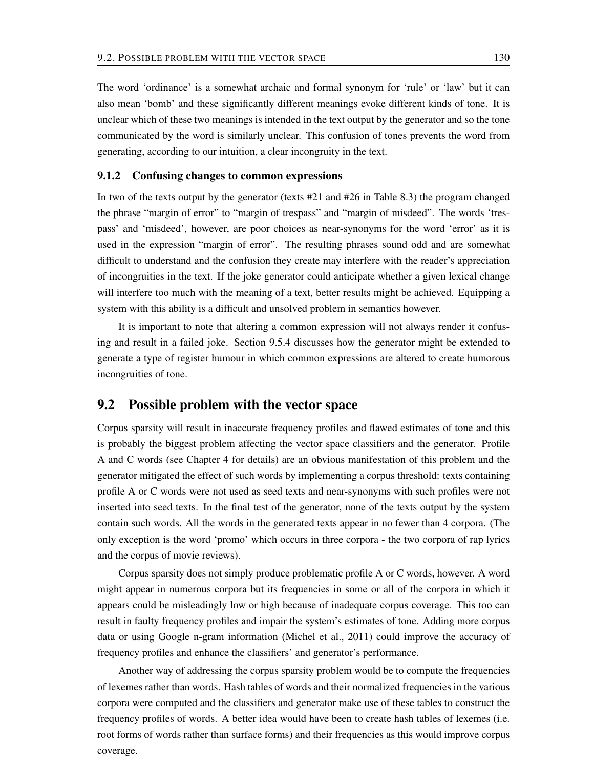The word 'ordinance' is a somewhat archaic and formal synonym for 'rule' or 'law' but it can also mean 'bomb' and these significantly different meanings evoke different kinds of tone. It is unclear which of these two meanings is intended in the text output by the generator and so the tone communicated by the word is similarly unclear. This confusion of tones prevents the word from generating, according to our intuition, a clear incongruity in the text.

#### 9.1.2 Confusing changes to common expressions

In two of the texts output by the generator (texts #21 and #26 in Table 8.3) the program changed the phrase "margin of error" to "margin of trespass" and "margin of misdeed". The words 'trespass' and 'misdeed', however, are poor choices as near-synonyms for the word 'error' as it is used in the expression "margin of error". The resulting phrases sound odd and are somewhat difficult to understand and the confusion they create may interfere with the reader's appreciation of incongruities in the text. If the joke generator could anticipate whether a given lexical change will interfere too much with the meaning of a text, better results might be achieved. Equipping a system with this ability is a difficult and unsolved problem in semantics however.

It is important to note that altering a common expression will not always render it confusing and result in a failed joke. Section 9.5.4 discusses how the generator might be extended to generate a type of register humour in which common expressions are altered to create humorous incongruities of tone.

#### 9.2 Possible problem with the vector space

Corpus sparsity will result in inaccurate frequency profiles and flawed estimates of tone and this is probably the biggest problem affecting the vector space classifiers and the generator. Profile A and C words (see Chapter 4 for details) are an obvious manifestation of this problem and the generator mitigated the effect of such words by implementing a corpus threshold: texts containing profile A or C words were not used as seed texts and near-synonyms with such profiles were not inserted into seed texts. In the final test of the generator, none of the texts output by the system contain such words. All the words in the generated texts appear in no fewer than 4 corpora. (The only exception is the word 'promo' which occurs in three corpora - the two corpora of rap lyrics and the corpus of movie reviews).

Corpus sparsity does not simply produce problematic profile A or C words, however. A word might appear in numerous corpora but its frequencies in some or all of the corpora in which it appears could be misleadingly low or high because of inadequate corpus coverage. This too can result in faulty frequency profiles and impair the system's estimates of tone. Adding more corpus data or using Google n-gram information (Michel et al., 2011) could improve the accuracy of frequency profiles and enhance the classifiers' and generator's performance.

Another way of addressing the corpus sparsity problem would be to compute the frequencies of lexemes rather than words. Hash tables of words and their normalized frequencies in the various corpora were computed and the classifiers and generator make use of these tables to construct the frequency profiles of words. A better idea would have been to create hash tables of lexemes (i.e. root forms of words rather than surface forms) and their frequencies as this would improve corpus coverage.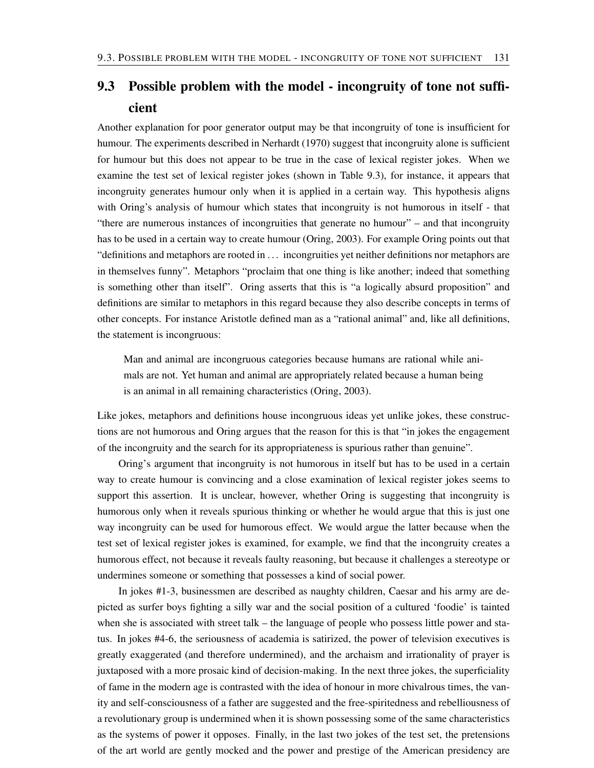# 9.3 Possible problem with the model - incongruity of tone not sufficient

Another explanation for poor generator output may be that incongruity of tone is insufficient for humour. The experiments described in Nerhardt (1970) suggest that incongruity alone is sufficient for humour but this does not appear to be true in the case of lexical register jokes. When we examine the test set of lexical register jokes (shown in Table 9.3), for instance, it appears that incongruity generates humour only when it is applied in a certain way. This hypothesis aligns with Oring's analysis of humour which states that incongruity is not humorous in itself - that "there are numerous instances of incongruities that generate no humour" – and that incongruity has to be used in a certain way to create humour (Oring, 2003). For example Oring points out that "definitions and metaphors are rooted in . . . incongruities yet neither definitions nor metaphors are in themselves funny". Metaphors "proclaim that one thing is like another; indeed that something is something other than itself". Oring asserts that this is "a logically absurd proposition" and definitions are similar to metaphors in this regard because they also describe concepts in terms of other concepts. For instance Aristotle defined man as a "rational animal" and, like all definitions, the statement is incongruous:

Man and animal are incongruous categories because humans are rational while animals are not. Yet human and animal are appropriately related because a human being is an animal in all remaining characteristics (Oring, 2003).

Like jokes, metaphors and definitions house incongruous ideas yet unlike jokes, these constructions are not humorous and Oring argues that the reason for this is that "in jokes the engagement of the incongruity and the search for its appropriateness is spurious rather than genuine".

Oring's argument that incongruity is not humorous in itself but has to be used in a certain way to create humour is convincing and a close examination of lexical register jokes seems to support this assertion. It is unclear, however, whether Oring is suggesting that incongruity is humorous only when it reveals spurious thinking or whether he would argue that this is just one way incongruity can be used for humorous effect. We would argue the latter because when the test set of lexical register jokes is examined, for example, we find that the incongruity creates a humorous effect, not because it reveals faulty reasoning, but because it challenges a stereotype or undermines someone or something that possesses a kind of social power.

In jokes #1-3, businessmen are described as naughty children, Caesar and his army are depicted as surfer boys fighting a silly war and the social position of a cultured 'foodie' is tainted when she is associated with street talk – the language of people who possess little power and status. In jokes #4-6, the seriousness of academia is satirized, the power of television executives is greatly exaggerated (and therefore undermined), and the archaism and irrationality of prayer is juxtaposed with a more prosaic kind of decision-making. In the next three jokes, the superficiality of fame in the modern age is contrasted with the idea of honour in more chivalrous times, the vanity and self-consciousness of a father are suggested and the free-spiritedness and rebelliousness of a revolutionary group is undermined when it is shown possessing some of the same characteristics as the systems of power it opposes. Finally, in the last two jokes of the test set, the pretensions of the art world are gently mocked and the power and prestige of the American presidency are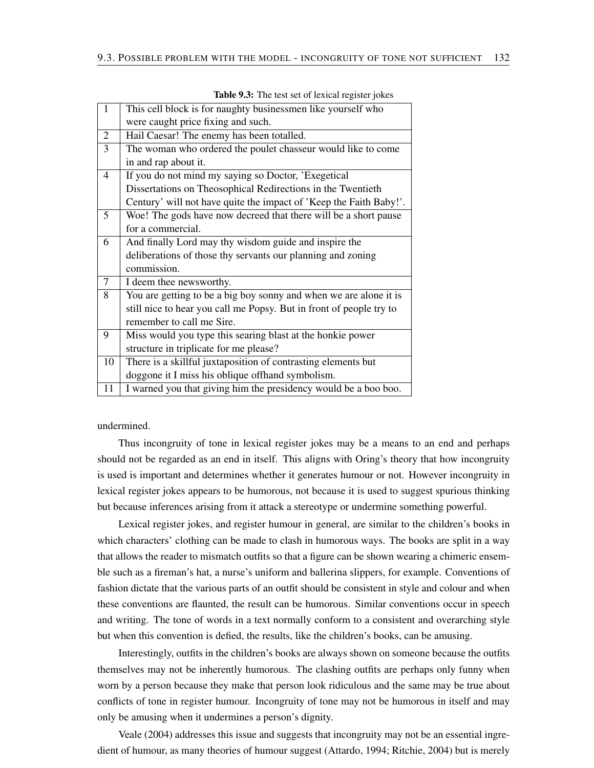| $\mathbf{1}$   | This cell block is for naughty businessmen like yourself who        |
|----------------|---------------------------------------------------------------------|
|                | were caught price fixing and such.                                  |
| $\overline{2}$ | Hail Caesar! The enemy has been totalled.                           |
| $\overline{3}$ | The woman who ordered the poulet chasseur would like to come        |
|                | in and rap about it.                                                |
| $\overline{4}$ | If you do not mind my saying so Doctor, 'Exegetical                 |
|                | Dissertations on Theosophical Redirections in the Twentieth         |
|                | Century' will not have quite the impact of 'Keep the Faith Baby!'.  |
| 5              | Woe! The gods have now decreed that there will be a short pause     |
|                | for a commercial.                                                   |
| 6              | And finally Lord may thy wisdom guide and inspire the               |
|                | deliberations of those thy servants our planning and zoning         |
|                | commission.                                                         |
| $\overline{7}$ | I deem thee newsworthy.                                             |
| 8              | You are getting to be a big boy sonny and when we are alone it is   |
|                | still nice to hear you call me Popsy. But in front of people try to |
|                | remember to call me Sire.                                           |
| 9              | Miss would you type this searing blast at the honkie power          |
|                | structure in triplicate for me please?                              |
| 10             | There is a skillful juxtaposition of contrasting elements but       |
|                | doggone it I miss his oblique of fhand symbolism.                   |
| 11             | I warned you that giving him the presidency would be a boo boo.     |

Table 9.3: The test set of lexical register jokes

undermined.

Thus incongruity of tone in lexical register jokes may be a means to an end and perhaps should not be regarded as an end in itself. This aligns with Oring's theory that how incongruity is used is important and determines whether it generates humour or not. However incongruity in lexical register jokes appears to be humorous, not because it is used to suggest spurious thinking but because inferences arising from it attack a stereotype or undermine something powerful.

Lexical register jokes, and register humour in general, are similar to the children's books in which characters' clothing can be made to clash in humorous ways. The books are split in a way that allows the reader to mismatch outfits so that a figure can be shown wearing a chimeric ensemble such as a fireman's hat, a nurse's uniform and ballerina slippers, for example. Conventions of fashion dictate that the various parts of an outfit should be consistent in style and colour and when these conventions are flaunted, the result can be humorous. Similar conventions occur in speech and writing. The tone of words in a text normally conform to a consistent and overarching style but when this convention is defied, the results, like the children's books, can be amusing.

Interestingly, outfits in the children's books are always shown on someone because the outfits themselves may not be inherently humorous. The clashing outfits are perhaps only funny when worn by a person because they make that person look ridiculous and the same may be true about conflicts of tone in register humour. Incongruity of tone may not be humorous in itself and may only be amusing when it undermines a person's dignity.

Veale (2004) addresses this issue and suggests that incongruity may not be an essential ingredient of humour, as many theories of humour suggest (Attardo, 1994; Ritchie, 2004) but is merely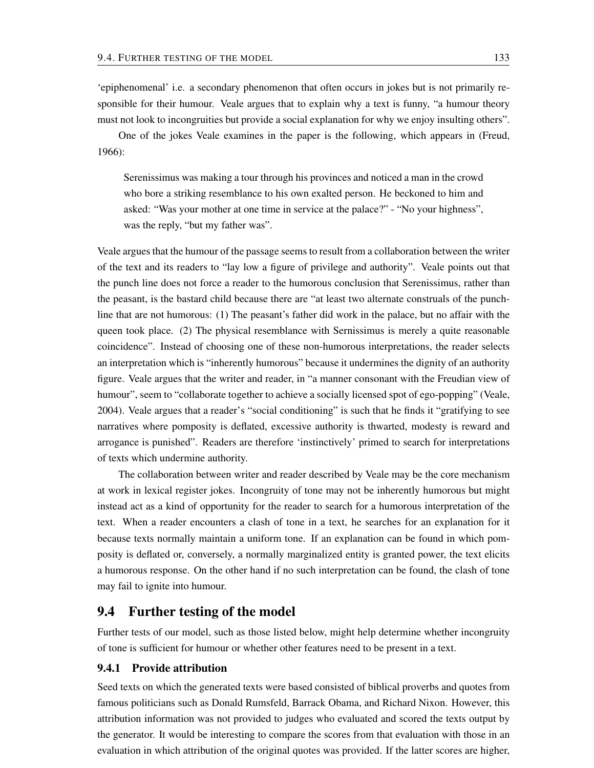'epiphenomenal' i.e. a secondary phenomenon that often occurs in jokes but is not primarily responsible for their humour. Veale argues that to explain why a text is funny, "a humour theory must not look to incongruities but provide a social explanation for why we enjoy insulting others".

One of the jokes Veale examines in the paper is the following, which appears in (Freud, 1966):

Serenissimus was making a tour through his provinces and noticed a man in the crowd who bore a striking resemblance to his own exalted person. He beckoned to him and asked: "Was your mother at one time in service at the palace?" - "No your highness", was the reply, "but my father was".

Veale argues that the humour of the passage seems to result from a collaboration between the writer of the text and its readers to "lay low a figure of privilege and authority". Veale points out that the punch line does not force a reader to the humorous conclusion that Serenissimus, rather than the peasant, is the bastard child because there are "at least two alternate construals of the punchline that are not humorous: (1) The peasant's father did work in the palace, but no affair with the queen took place. (2) The physical resemblance with Sernissimus is merely a quite reasonable coincidence". Instead of choosing one of these non-humorous interpretations, the reader selects an interpretation which is "inherently humorous" because it undermines the dignity of an authority figure. Veale argues that the writer and reader, in "a manner consonant with the Freudian view of humour", seem to "collaborate together to achieve a socially licensed spot of ego-popping" (Veale, 2004). Veale argues that a reader's "social conditioning" is such that he finds it "gratifying to see narratives where pomposity is deflated, excessive authority is thwarted, modesty is reward and arrogance is punished". Readers are therefore 'instinctively' primed to search for interpretations of texts which undermine authority.

The collaboration between writer and reader described by Veale may be the core mechanism at work in lexical register jokes. Incongruity of tone may not be inherently humorous but might instead act as a kind of opportunity for the reader to search for a humorous interpretation of the text. When a reader encounters a clash of tone in a text, he searches for an explanation for it because texts normally maintain a uniform tone. If an explanation can be found in which pomposity is deflated or, conversely, a normally marginalized entity is granted power, the text elicits a humorous response. On the other hand if no such interpretation can be found, the clash of tone may fail to ignite into humour.

### 9.4 Further testing of the model

Further tests of our model, such as those listed below, might help determine whether incongruity of tone is sufficient for humour or whether other features need to be present in a text.

#### 9.4.1 Provide attribution

Seed texts on which the generated texts were based consisted of biblical proverbs and quotes from famous politicians such as Donald Rumsfeld, Barrack Obama, and Richard Nixon. However, this attribution information was not provided to judges who evaluated and scored the texts output by the generator. It would be interesting to compare the scores from that evaluation with those in an evaluation in which attribution of the original quotes was provided. If the latter scores are higher,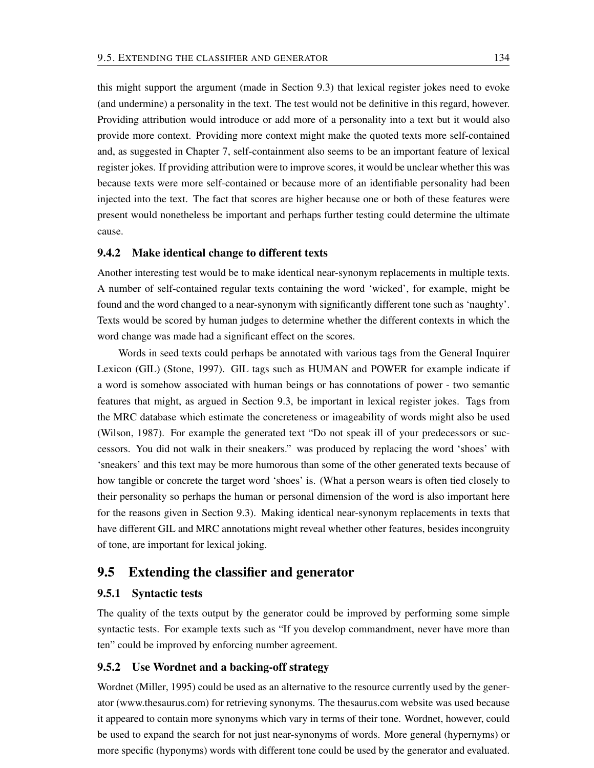this might support the argument (made in Section 9.3) that lexical register jokes need to evoke (and undermine) a personality in the text. The test would not be definitive in this regard, however. Providing attribution would introduce or add more of a personality into a text but it would also provide more context. Providing more context might make the quoted texts more self-contained and, as suggested in Chapter 7, self-containment also seems to be an important feature of lexical register jokes. If providing attribution were to improve scores, it would be unclear whether this was because texts were more self-contained or because more of an identifiable personality had been injected into the text. The fact that scores are higher because one or both of these features were present would nonetheless be important and perhaps further testing could determine the ultimate cause.

#### 9.4.2 Make identical change to different texts

Another interesting test would be to make identical near-synonym replacements in multiple texts. A number of self-contained regular texts containing the word 'wicked', for example, might be found and the word changed to a near-synonym with significantly different tone such as 'naughty'. Texts would be scored by human judges to determine whether the different contexts in which the word change was made had a significant effect on the scores.

Words in seed texts could perhaps be annotated with various tags from the General Inquirer Lexicon (GIL) (Stone, 1997). GIL tags such as HUMAN and POWER for example indicate if a word is somehow associated with human beings or has connotations of power - two semantic features that might, as argued in Section 9.3, be important in lexical register jokes. Tags from the MRC database which estimate the concreteness or imageability of words might also be used (Wilson, 1987). For example the generated text "Do not speak ill of your predecessors or successors. You did not walk in their sneakers." was produced by replacing the word 'shoes' with 'sneakers' and this text may be more humorous than some of the other generated texts because of how tangible or concrete the target word 'shoes' is. (What a person wears is often tied closely to their personality so perhaps the human or personal dimension of the word is also important here for the reasons given in Section 9.3). Making identical near-synonym replacements in texts that have different GIL and MRC annotations might reveal whether other features, besides incongruity of tone, are important for lexical joking.

#### 9.5 Extending the classifier and generator

#### 9.5.1 Syntactic tests

The quality of the texts output by the generator could be improved by performing some simple syntactic tests. For example texts such as "If you develop commandment, never have more than ten" could be improved by enforcing number agreement.

#### 9.5.2 Use Wordnet and a backing-off strategy

Wordnet (Miller, 1995) could be used as an alternative to the resource currently used by the generator (www.thesaurus.com) for retrieving synonyms. The thesaurus.com website was used because it appeared to contain more synonyms which vary in terms of their tone. Wordnet, however, could be used to expand the search for not just near-synonyms of words. More general (hypernyms) or more specific (hyponyms) words with different tone could be used by the generator and evaluated.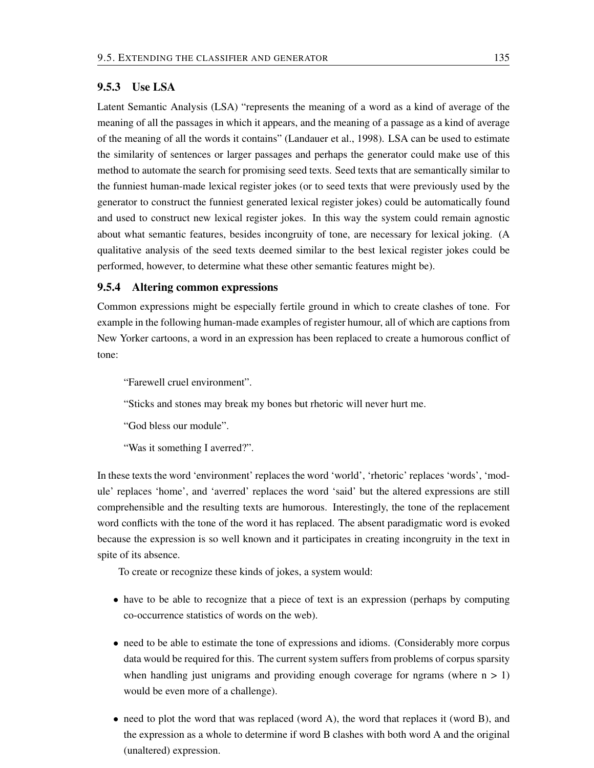#### 9.5.3 Use LSA

Latent Semantic Analysis (LSA) "represents the meaning of a word as a kind of average of the meaning of all the passages in which it appears, and the meaning of a passage as a kind of average of the meaning of all the words it contains" (Landauer et al., 1998). LSA can be used to estimate the similarity of sentences or larger passages and perhaps the generator could make use of this method to automate the search for promising seed texts. Seed texts that are semantically similar to the funniest human-made lexical register jokes (or to seed texts that were previously used by the generator to construct the funniest generated lexical register jokes) could be automatically found and used to construct new lexical register jokes. In this way the system could remain agnostic about what semantic features, besides incongruity of tone, are necessary for lexical joking. (A qualitative analysis of the seed texts deemed similar to the best lexical register jokes could be performed, however, to determine what these other semantic features might be).

#### 9.5.4 Altering common expressions

Common expressions might be especially fertile ground in which to create clashes of tone. For example in the following human-made examples of register humour, all of which are captions from New Yorker cartoons, a word in an expression has been replaced to create a humorous conflict of tone:

"Farewell cruel environment".

"Sticks and stones may break my bones but rhetoric will never hurt me.

"God bless our module".

"Was it something I averred?".

In these texts the word 'environment' replaces the word 'world', 'rhetoric' replaces 'words', 'module' replaces 'home', and 'averred' replaces the word 'said' but the altered expressions are still comprehensible and the resulting texts are humorous. Interestingly, the tone of the replacement word conflicts with the tone of the word it has replaced. The absent paradigmatic word is evoked because the expression is so well known and it participates in creating incongruity in the text in spite of its absence.

To create or recognize these kinds of jokes, a system would:

- have to be able to recognize that a piece of text is an expression (perhaps by computing co-occurrence statistics of words on the web).
- need to be able to estimate the tone of expressions and idioms. (Considerably more corpus data would be required for this. The current system suffers from problems of corpus sparsity when handling just unigrams and providing enough coverage for ngrams (where  $n > 1$ ) would be even more of a challenge).
- need to plot the word that was replaced (word A), the word that replaces it (word B), and the expression as a whole to determine if word B clashes with both word A and the original (unaltered) expression.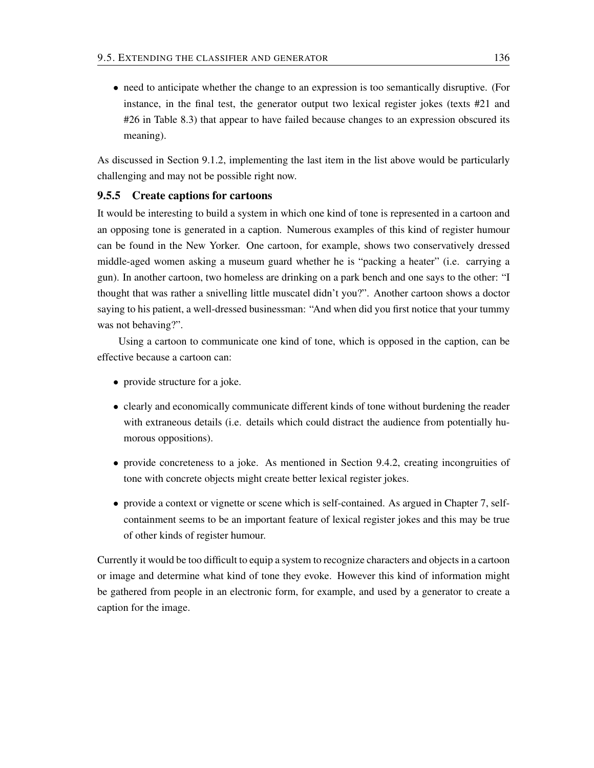• need to anticipate whether the change to an expression is too semantically disruptive. (For instance, in the final test, the generator output two lexical register jokes (texts #21 and #26 in Table 8.3) that appear to have failed because changes to an expression obscured its meaning).

As discussed in Section 9.1.2, implementing the last item in the list above would be particularly challenging and may not be possible right now.

#### 9.5.5 Create captions for cartoons

It would be interesting to build a system in which one kind of tone is represented in a cartoon and an opposing tone is generated in a caption. Numerous examples of this kind of register humour can be found in the New Yorker. One cartoon, for example, shows two conservatively dressed middle-aged women asking a museum guard whether he is "packing a heater" (i.e. carrying a gun). In another cartoon, two homeless are drinking on a park bench and one says to the other: "I thought that was rather a snivelling little muscatel didn't you?". Another cartoon shows a doctor saying to his patient, a well-dressed businessman: "And when did you first notice that your tummy was not behaving?".

Using a cartoon to communicate one kind of tone, which is opposed in the caption, can be effective because a cartoon can:

- provide structure for a joke.
- clearly and economically communicate different kinds of tone without burdening the reader with extraneous details (i.e. details which could distract the audience from potentially humorous oppositions).
- provide concreteness to a joke. As mentioned in Section 9.4.2, creating incongruities of tone with concrete objects might create better lexical register jokes.
- provide a context or vignette or scene which is self-contained. As argued in Chapter 7, selfcontainment seems to be an important feature of lexical register jokes and this may be true of other kinds of register humour.

Currently it would be too difficult to equip a system to recognize characters and objects in a cartoon or image and determine what kind of tone they evoke. However this kind of information might be gathered from people in an electronic form, for example, and used by a generator to create a caption for the image.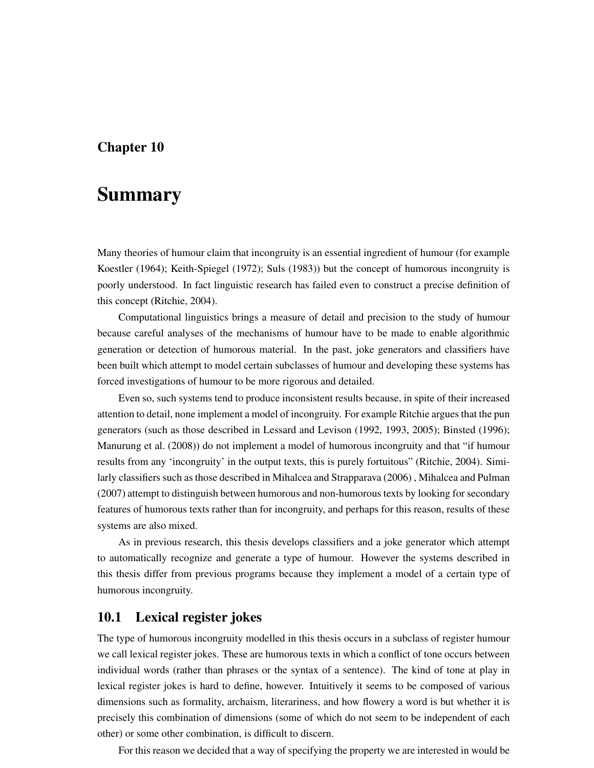# Chapter 10

# Summary

Many theories of humour claim that incongruity is an essential ingredient of humour (for example Koestler (1964); Keith-Spiegel (1972); Suls (1983)) but the concept of humorous incongruity is poorly understood. In fact linguistic research has failed even to construct a precise definition of this concept (Ritchie, 2004).

Computational linguistics brings a measure of detail and precision to the study of humour because careful analyses of the mechanisms of humour have to be made to enable algorithmic generation or detection of humorous material. In the past, joke generators and classifiers have been built which attempt to model certain subclasses of humour and developing these systems has forced investigations of humour to be more rigorous and detailed.

Even so, such systems tend to produce inconsistent results because, in spite of their increased attention to detail, none implement a model of incongruity. For example Ritchie argues that the pun generators (such as those described in Lessard and Levison (1992, 1993, 2005); Binsted (1996); Manurung et al. (2008)) do not implement a model of humorous incongruity and that "if humour results from any 'incongruity' in the output texts, this is purely fortuitous" (Ritchie, 2004). Similarly classifiers such as those described in Mihalcea and Strapparava (2006) , Mihalcea and Pulman (2007) attempt to distinguish between humorous and non-humorous texts by looking for secondary features of humorous texts rather than for incongruity, and perhaps for this reason, results of these systems are also mixed.

As in previous research, this thesis develops classifiers and a joke generator which attempt to automatically recognize and generate a type of humour. However the systems described in this thesis differ from previous programs because they implement a model of a certain type of humorous incongruity.

## 10.1 Lexical register jokes

The type of humorous incongruity modelled in this thesis occurs in a subclass of register humour we call lexical register jokes. These are humorous texts in which a conflict of tone occurs between individual words (rather than phrases or the syntax of a sentence). The kind of tone at play in lexical register jokes is hard to define, however. Intuitively it seems to be composed of various dimensions such as formality, archaism, literariness, and how flowery a word is but whether it is precisely this combination of dimensions (some of which do not seem to be independent of each other) or some other combination, is difficult to discern.

For this reason we decided that a way of specifying the property we are interested in would be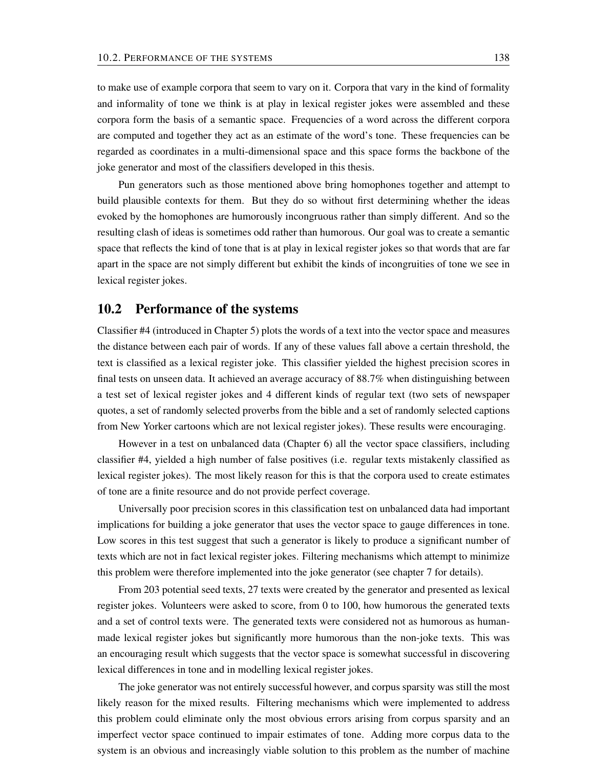to make use of example corpora that seem to vary on it. Corpora that vary in the kind of formality and informality of tone we think is at play in lexical register jokes were assembled and these corpora form the basis of a semantic space. Frequencies of a word across the different corpora are computed and together they act as an estimate of the word's tone. These frequencies can be regarded as coordinates in a multi-dimensional space and this space forms the backbone of the joke generator and most of the classifiers developed in this thesis.

Pun generators such as those mentioned above bring homophones together and attempt to build plausible contexts for them. But they do so without first determining whether the ideas evoked by the homophones are humorously incongruous rather than simply different. And so the resulting clash of ideas is sometimes odd rather than humorous. Our goal was to create a semantic space that reflects the kind of tone that is at play in lexical register jokes so that words that are far apart in the space are not simply different but exhibit the kinds of incongruities of tone we see in lexical register jokes.

## 10.2 Performance of the systems

Classifier #4 (introduced in Chapter 5) plots the words of a text into the vector space and measures the distance between each pair of words. If any of these values fall above a certain threshold, the text is classified as a lexical register joke. This classifier yielded the highest precision scores in final tests on unseen data. It achieved an average accuracy of 88.7% when distinguishing between a test set of lexical register jokes and 4 different kinds of regular text (two sets of newspaper quotes, a set of randomly selected proverbs from the bible and a set of randomly selected captions from New Yorker cartoons which are not lexical register jokes). These results were encouraging.

However in a test on unbalanced data (Chapter 6) all the vector space classifiers, including classifier #4, yielded a high number of false positives (i.e. regular texts mistakenly classified as lexical register jokes). The most likely reason for this is that the corpora used to create estimates of tone are a finite resource and do not provide perfect coverage.

Universally poor precision scores in this classification test on unbalanced data had important implications for building a joke generator that uses the vector space to gauge differences in tone. Low scores in this test suggest that such a generator is likely to produce a significant number of texts which are not in fact lexical register jokes. Filtering mechanisms which attempt to minimize this problem were therefore implemented into the joke generator (see chapter 7 for details).

From 203 potential seed texts, 27 texts were created by the generator and presented as lexical register jokes. Volunteers were asked to score, from 0 to 100, how humorous the generated texts and a set of control texts were. The generated texts were considered not as humorous as humanmade lexical register jokes but significantly more humorous than the non-joke texts. This was an encouraging result which suggests that the vector space is somewhat successful in discovering lexical differences in tone and in modelling lexical register jokes.

The joke generator was not entirely successful however, and corpus sparsity was still the most likely reason for the mixed results. Filtering mechanisms which were implemented to address this problem could eliminate only the most obvious errors arising from corpus sparsity and an imperfect vector space continued to impair estimates of tone. Adding more corpus data to the system is an obvious and increasingly viable solution to this problem as the number of machine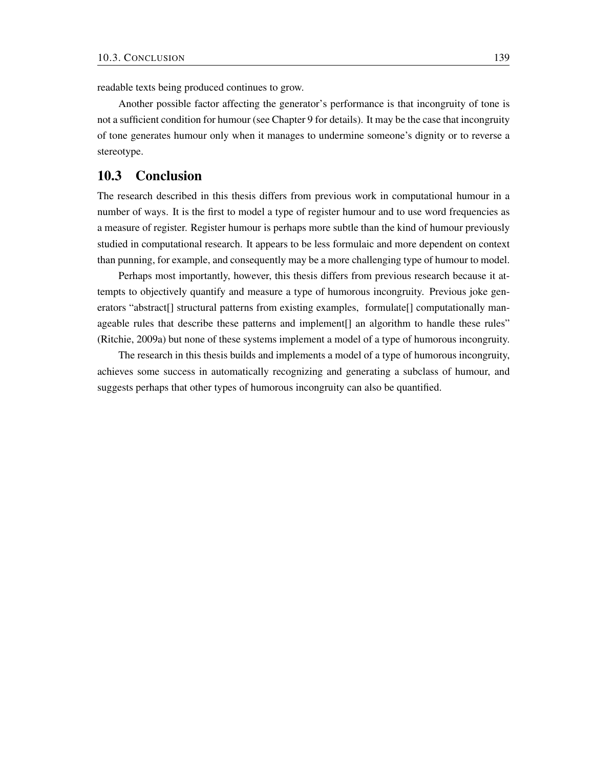readable texts being produced continues to grow.

Another possible factor affecting the generator's performance is that incongruity of tone is not a sufficient condition for humour (see Chapter 9 for details). It may be the case that incongruity of tone generates humour only when it manages to undermine someone's dignity or to reverse a stereotype.

## 10.3 Conclusion

The research described in this thesis differs from previous work in computational humour in a number of ways. It is the first to model a type of register humour and to use word frequencies as a measure of register. Register humour is perhaps more subtle than the kind of humour previously studied in computational research. It appears to be less formulaic and more dependent on context than punning, for example, and consequently may be a more challenging type of humour to model.

Perhaps most importantly, however, this thesis differs from previous research because it attempts to objectively quantify and measure a type of humorous incongruity. Previous joke generators "abstract[] structural patterns from existing examples, formulate[] computationally manageable rules that describe these patterns and implement[] an algorithm to handle these rules" (Ritchie, 2009a) but none of these systems implement a model of a type of humorous incongruity.

The research in this thesis builds and implements a model of a type of humorous incongruity, achieves some success in automatically recognizing and generating a subclass of humour, and suggests perhaps that other types of humorous incongruity can also be quantified.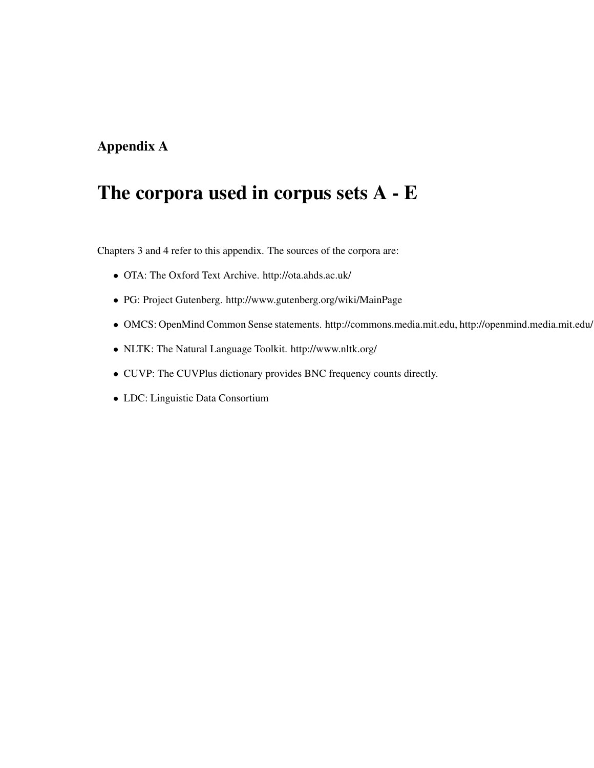# Appendix A

# The corpora used in corpus sets A - E

Chapters 3 and 4 refer to this appendix. The sources of the corpora are:

- OTA: The Oxford Text Archive. http://ota.ahds.ac.uk/
- PG: Project Gutenberg. http://www.gutenberg.org/wiki/MainPage
- OMCS: OpenMind Common Sense statements. http://commons.media.mit.edu, http://openmind.media.mit.edu/.
- NLTK: The Natural Language Toolkit. http://www.nltk.org/
- CUVP: The CUVPlus dictionary provides BNC frequency counts directly.
- LDC: Linguistic Data Consortium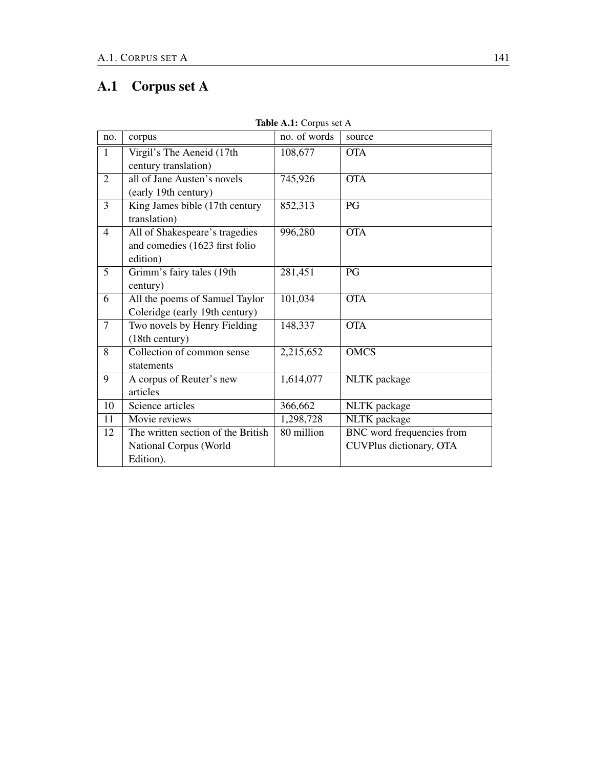# A.1 Corpus set A

| no.            | corpus                                                                       | no. of words | source                                               |
|----------------|------------------------------------------------------------------------------|--------------|------------------------------------------------------|
| $\mathbf{1}$   | Virgil's The Aeneid (17th<br>century translation)                            | 108,677      | <b>OTA</b>                                           |
| $\overline{2}$ | all of Jane Austen's novels<br>(early 19th century)                          | 745,926      | <b>OTA</b>                                           |
| $\overline{3}$ | King James bible (17th century<br>translation)                               | 852,313      | PG                                                   |
| $\overline{4}$ | All of Shakespeare's tragedies<br>and comedies (1623 first folio<br>edition) | 996,280      | <b>OTA</b>                                           |
| 5              | Grimm's fairy tales (19th<br>century)                                        | 281,451      | PG                                                   |
| 6              | All the poems of Samuel Taylor<br>Coleridge (early 19th century)             | 101,034      | <b>OTA</b>                                           |
| $\tau$         | Two novels by Henry Fielding<br>(18th century)                               | 148,337      | <b>OTA</b>                                           |
| 8              | Collection of common sense<br>statements                                     | 2,215,652    | <b>OMCS</b>                                          |
| 9              | A corpus of Reuter's new<br>articles                                         | 1,614,077    | NLTK package                                         |
| 10             | Science articles                                                             | 366,662      | NLTK package                                         |
| 11             | Movie reviews                                                                | 1,298,728    | NLTK package                                         |
| 12             | The written section of the British<br>National Corpus (World<br>Edition).    | 80 million   | BNC word frequencies from<br>CUVPlus dictionary, OTA |

Table A.1: Corpus set A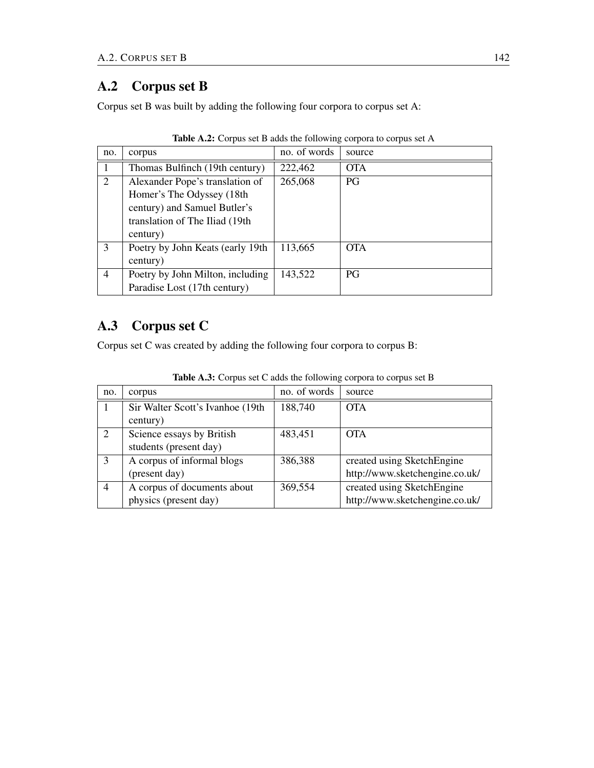## A.2 Corpus set B

Corpus set B was built by adding the following four corpora to corpus set A:

| no. | corpus                           | no. of words | source     |
|-----|----------------------------------|--------------|------------|
|     | Thomas Bulfinch (19th century)   | 222,462      | <b>OTA</b> |
| 2   | Alexander Pope's translation of  | 265,068      | <b>PG</b>  |
|     | Homer's The Odyssey (18th        |              |            |
|     | century) and Samuel Butler's     |              |            |
|     | translation of The Iliad (19th   |              |            |
|     | century)                         |              |            |
| 3   | Poetry by John Keats (early 19th | 113,665      | <b>OTA</b> |
|     | century)                         |              |            |
| 4   | Poetry by John Milton, including | 143,522      | <b>PG</b>  |
|     | Paradise Lost (17th century)     |              |            |

|  |  |  |  |  | Table A.2: Corpus set B adds the following corpora to corpus set A |
|--|--|--|--|--|--------------------------------------------------------------------|
|--|--|--|--|--|--------------------------------------------------------------------|

# A.3 Corpus set C

Corpus set C was created by adding the following four corpora to corpus B:

| no.            | corpus                           | no. of words | source                         |
|----------------|----------------------------------|--------------|--------------------------------|
|                | Sir Walter Scott's Ivanhoe (19th | 188,740      | <b>OTA</b>                     |
|                | century)                         |              |                                |
|                | Science essays by British        | 483,451      | <b>OTA</b>                     |
|                | students (present day)           |              |                                |
| 3              | A corpus of informal blogs       | 386,388      | created using SketchEngine     |
|                | (present day)                    |              | http://www.sketchengine.co.uk/ |
| $\overline{4}$ | A corpus of documents about      | 369,554      | created using SketchEngine     |
|                | physics (present day)            |              | http://www.sketchengine.co.uk/ |

Table A.3: Corpus set C adds the following corpora to corpus set B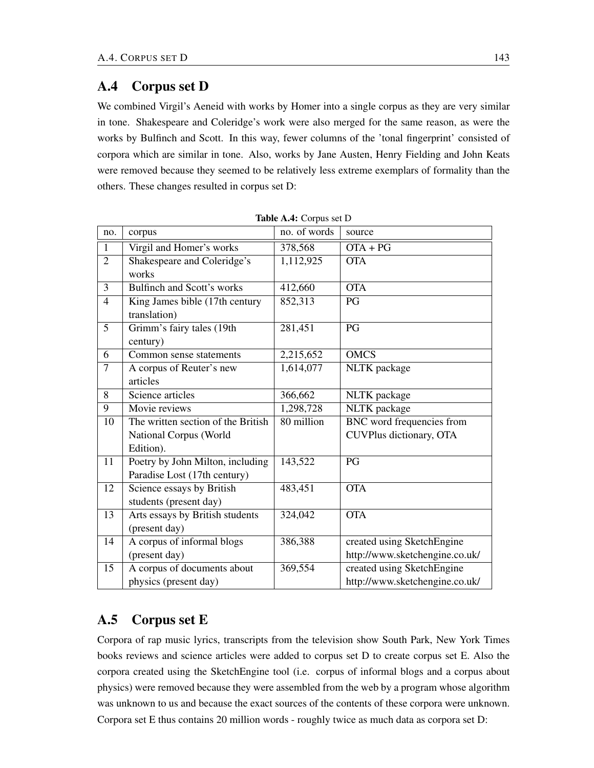## A.4 Corpus set D

We combined Virgil's Aeneid with works by Homer into a single corpus as they are very similar in tone. Shakespeare and Coleridge's work were also merged for the same reason, as were the works by Bulfinch and Scott. In this way, fewer columns of the 'tonal fingerprint' consisted of corpora which are similar in tone. Also, works by Jane Austen, Henry Fielding and John Keats were removed because they seemed to be relatively less extreme exemplars of formality than the others. These changes resulted in corpus set D:

| no.            | corpus                                                                    | no. of words | source                                                       |
|----------------|---------------------------------------------------------------------------|--------------|--------------------------------------------------------------|
| $\mathbf{1}$   | Virgil and Homer's works                                                  | 378,568      | $OTA + PG$                                                   |
| $\overline{2}$ | Shakespeare and Coleridge's<br>works                                      | 1,112,925    | <b>OTA</b>                                                   |
| $\overline{3}$ | <b>Bulfinch and Scott's works</b>                                         | 412,660      | <b>OTA</b>                                                   |
| $\overline{4}$ | King James bible (17th century<br>translation)                            | 852,313      | PG                                                           |
| 5              | Grimm's fairy tales (19th<br>century)                                     | 281,451      | PG                                                           |
| 6              | Common sense statements                                                   | 2,215,652    | <b>OMCS</b>                                                  |
| $\overline{7}$ | A corpus of Reuter's new<br>articles                                      | 1,614,077    | NLTK package                                                 |
| 8              | Science articles                                                          | 366,662      | NLTK package                                                 |
| 9              | Movie reviews                                                             | 1,298,728    | NLTK package                                                 |
| 10             | The written section of the British<br>National Corpus (World<br>Edition). | 80 million   | <b>BNC</b> word frequencies from<br>CUVPlus dictionary, OTA  |
| 11             | Poetry by John Milton, including<br>Paradise Lost (17th century)          | 143,522      | PG                                                           |
| 12             | Science essays by British<br>students (present day)                       | 483,451      | <b>OTA</b>                                                   |
| 13             | Arts essays by British students<br>(present day)                          | 324,042      | <b>OTA</b>                                                   |
| 14             | A corpus of informal blogs                                                | 386,388      | created using SketchEngine                                   |
|                | (present day)                                                             |              | http://www.sketchengine.co.uk/                               |
| 15             | A corpus of documents about<br>physics (present day)                      | 369,554      | created using SketchEngine<br>http://www.sketchengine.co.uk/ |

# A.5 Corpus set E

Corpora of rap music lyrics, transcripts from the television show South Park, New York Times books reviews and science articles were added to corpus set D to create corpus set E. Also the corpora created using the SketchEngine tool (i.e. corpus of informal blogs and a corpus about physics) were removed because they were assembled from the web by a program whose algorithm was unknown to us and because the exact sources of the contents of these corpora were unknown. Corpora set E thus contains 20 million words - roughly twice as much data as corpora set D: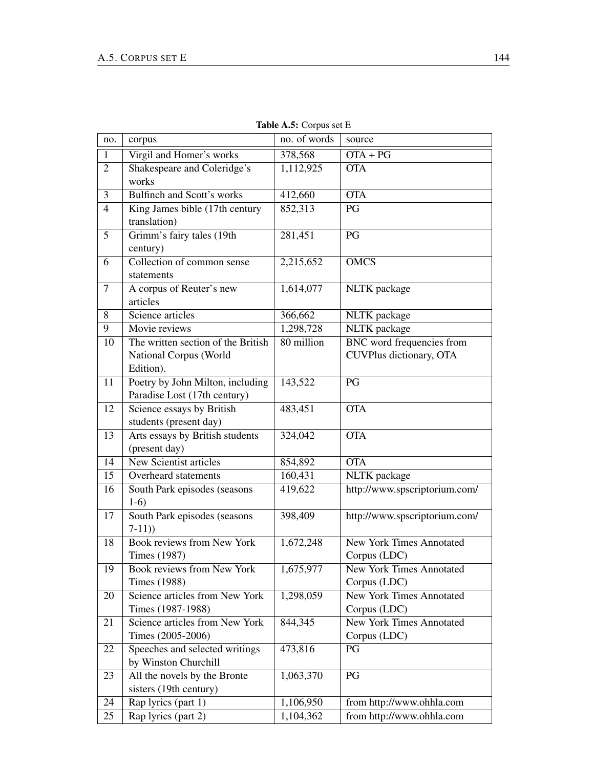| no.            | corpus                                         | no. of words       | source                          |
|----------------|------------------------------------------------|--------------------|---------------------------------|
| $\mathbf{1}$   | Virgil and Homer's works                       | 378,568            | $\overline{OTA}$ + PG           |
| $\overline{2}$ | Shakespeare and Coleridge's                    | 1,112,925          | <b>OTA</b>                      |
|                | works                                          |                    |                                 |
| 3              | Bulfinch and Scott's works                     | 412,660            | <b>OTA</b>                      |
| $\overline{4}$ | King James bible (17th century                 | 852,313            | PG                              |
|                | translation)                                   |                    |                                 |
| 5              | Grimm's fairy tales (19th                      | 281,451            | PG                              |
|                | century)                                       |                    |                                 |
| 6              | Collection of common sense                     | 2,215,652          | <b>OMCS</b>                     |
|                | statements                                     |                    |                                 |
| $\tau$         | A corpus of Reuter's new                       | 1,614,077          | NLTK package                    |
|                | articles                                       |                    |                                 |
| 8              | Science articles                               | 366,662            | NLTK package                    |
| $\overline{9}$ | Movie reviews                                  | 1,298,728          | <b>NLTK</b> package             |
| 10             | The written section of the British             | 80 million         | BNC word frequencies from       |
|                | National Corpus (World                         |                    | CUVPlus dictionary, OTA         |
|                | Edition).                                      |                    |                                 |
| 11             | Poetry by John Milton, including               | 143,522            | PG                              |
|                | Paradise Lost (17th century)                   |                    |                                 |
| 12             | Science essays by British                      | 483,451            | <b>OTA</b>                      |
|                | students (present day)                         |                    |                                 |
| 13             | Arts essays by British students                | 324,042            | <b>OTA</b>                      |
| 14             | (present day)<br><b>New Scientist articles</b> |                    | <b>OTA</b>                      |
| 15             | Overheard statements                           | 854,892<br>160,431 | NLTK package                    |
|                |                                                |                    |                                 |
| 16             | South Park episodes (seasons<br>$1-6$          | 419,622            | http://www.spscriptorium.com/   |
| 17             | South Park episodes (seasons                   | 398,409            | http://www.spscriptorium.com/   |
|                | $7-11)$                                        |                    |                                 |
| 18             | Book reviews from New York                     | 1,672,248          | <b>New York Times Annotated</b> |
|                | <b>Times</b> (1987)                            |                    | Corpus (LDC)                    |
| 19             | Book reviews from New York                     | 1,675,977          | <b>New York Times Annotated</b> |
|                | <b>Times</b> (1988)                            |                    | Corpus (LDC)                    |
| 20             | Science articles from New York                 | 1,298,059          | <b>New York Times Annotated</b> |
|                | Times (1987-1988)                              |                    | Corpus (LDC)                    |
| 21             | Science articles from New York                 | 844,345            | New York Times Annotated        |
|                | Times (2005-2006)                              |                    | Corpus (LDC)                    |
| 22             | Speeches and selected writings                 | 473,816            | PG                              |
|                | by Winston Churchill                           |                    |                                 |
| 23             | All the novels by the Bronte                   | 1,063,370          | PG                              |
|                | sisters (19th century)                         |                    |                                 |
| 24             | Rap lyrics (part 1)                            | 1,106,950          | from http://www.ohhla.com       |
| 25             | Rap lyrics (part 2)                            | 1,104,362          | from http://www.ohhla.com       |

Table A.5: Corpus set E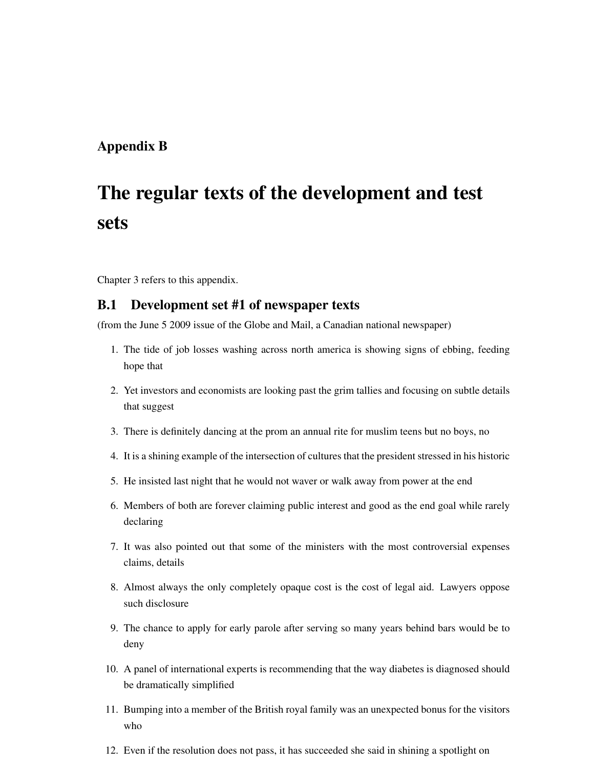### Appendix B

# The regular texts of the development and test sets

Chapter 3 refers to this appendix.

#### B.1 Development set #1 of newspaper texts

(from the June 5 2009 issue of the Globe and Mail, a Canadian national newspaper)

- 1. The tide of job losses washing across north america is showing signs of ebbing, feeding hope that
- 2. Yet investors and economists are looking past the grim tallies and focusing on subtle details that suggest
- 3. There is definitely dancing at the prom an annual rite for muslim teens but no boys, no
- 4. It is a shining example of the intersection of cultures that the president stressed in his historic
- 5. He insisted last night that he would not waver or walk away from power at the end
- 6. Members of both are forever claiming public interest and good as the end goal while rarely declaring
- 7. It was also pointed out that some of the ministers with the most controversial expenses claims, details
- 8. Almost always the only completely opaque cost is the cost of legal aid. Lawyers oppose such disclosure
- 9. The chance to apply for early parole after serving so many years behind bars would be to deny
- 10. A panel of international experts is recommending that the way diabetes is diagnosed should be dramatically simplified
- 11. Bumping into a member of the British royal family was an unexpected bonus for the visitors who
- 12. Even if the resolution does not pass, it has succeeded she said in shining a spotlight on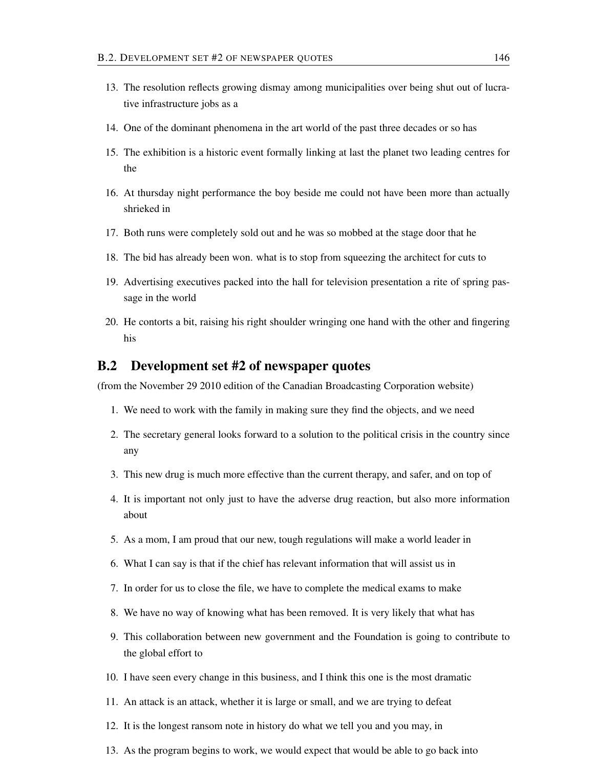- 13. The resolution reflects growing dismay among municipalities over being shut out of lucrative infrastructure jobs as a
- 14. One of the dominant phenomena in the art world of the past three decades or so has
- 15. The exhibition is a historic event formally linking at last the planet two leading centres for the
- 16. At thursday night performance the boy beside me could not have been more than actually shrieked in
- 17. Both runs were completely sold out and he was so mobbed at the stage door that he
- 18. The bid has already been won. what is to stop from squeezing the architect for cuts to
- 19. Advertising executives packed into the hall for television presentation a rite of spring passage in the world
- 20. He contorts a bit, raising his right shoulder wringing one hand with the other and fingering his

#### B.2 Development set #2 of newspaper quotes

(from the November 29 2010 edition of the Canadian Broadcasting Corporation website)

- 1. We need to work with the family in making sure they find the objects, and we need
- 2. The secretary general looks forward to a solution to the political crisis in the country since any
- 3. This new drug is much more effective than the current therapy, and safer, and on top of
- 4. It is important not only just to have the adverse drug reaction, but also more information about
- 5. As a mom, I am proud that our new, tough regulations will make a world leader in
- 6. What I can say is that if the chief has relevant information that will assist us in
- 7. In order for us to close the file, we have to complete the medical exams to make
- 8. We have no way of knowing what has been removed. It is very likely that what has
- 9. This collaboration between new government and the Foundation is going to contribute to the global effort to
- 10. I have seen every change in this business, and I think this one is the most dramatic
- 11. An attack is an attack, whether it is large or small, and we are trying to defeat
- 12. It is the longest ransom note in history do what we tell you and you may, in
- 13. As the program begins to work, we would expect that would be able to go back into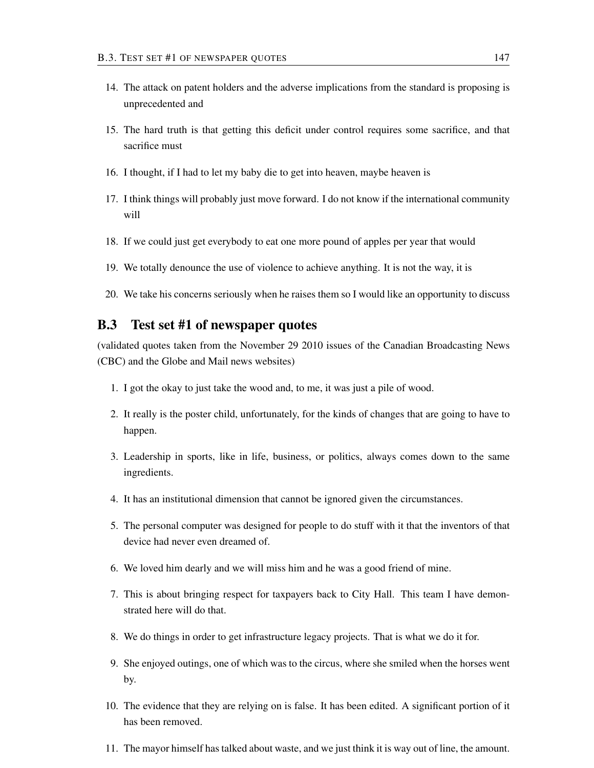- 14. The attack on patent holders and the adverse implications from the standard is proposing is unprecedented and
- 15. The hard truth is that getting this deficit under control requires some sacrifice, and that sacrifice must
- 16. I thought, if I had to let my baby die to get into heaven, maybe heaven is
- 17. I think things will probably just move forward. I do not know if the international community will
- 18. If we could just get everybody to eat one more pound of apples per year that would
- 19. We totally denounce the use of violence to achieve anything. It is not the way, it is
- 20. We take his concerns seriously when he raises them so I would like an opportunity to discuss

#### B.3 Test set #1 of newspaper quotes

(validated quotes taken from the November 29 2010 issues of the Canadian Broadcasting News (CBC) and the Globe and Mail news websites)

- 1. I got the okay to just take the wood and, to me, it was just a pile of wood.
- 2. It really is the poster child, unfortunately, for the kinds of changes that are going to have to happen.
- 3. Leadership in sports, like in life, business, or politics, always comes down to the same ingredients.
- 4. It has an institutional dimension that cannot be ignored given the circumstances.
- 5. The personal computer was designed for people to do stuff with it that the inventors of that device had never even dreamed of.
- 6. We loved him dearly and we will miss him and he was a good friend of mine.
- 7. This is about bringing respect for taxpayers back to City Hall. This team I have demonstrated here will do that.
- 8. We do things in order to get infrastructure legacy projects. That is what we do it for.
- 9. She enjoyed outings, one of which was to the circus, where she smiled when the horses went by.
- 10. The evidence that they are relying on is false. It has been edited. A significant portion of it has been removed.
- 11. The mayor himself has talked about waste, and we just think it is way out of line, the amount.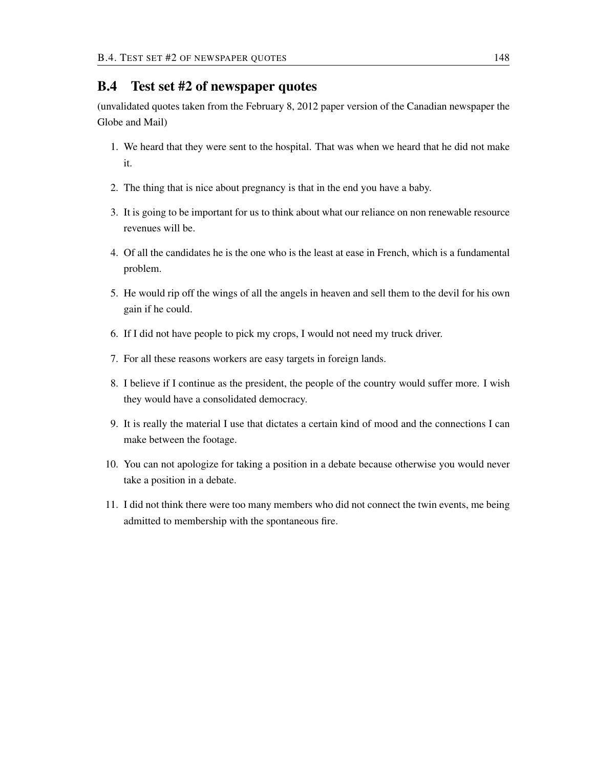#### B.4 Test set #2 of newspaper quotes

(unvalidated quotes taken from the February 8, 2012 paper version of the Canadian newspaper the Globe and Mail)

- 1. We heard that they were sent to the hospital. That was when we heard that he did not make it.
- 2. The thing that is nice about pregnancy is that in the end you have a baby.
- 3. It is going to be important for us to think about what our reliance on non renewable resource revenues will be.
- 4. Of all the candidates he is the one who is the least at ease in French, which is a fundamental problem.
- 5. He would rip off the wings of all the angels in heaven and sell them to the devil for his own gain if he could.
- 6. If I did not have people to pick my crops, I would not need my truck driver.
- 7. For all these reasons workers are easy targets in foreign lands.
- 8. I believe if I continue as the president, the people of the country would suffer more. I wish they would have a consolidated democracy.
- 9. It is really the material I use that dictates a certain kind of mood and the connections I can make between the footage.
- 10. You can not apologize for taking a position in a debate because otherwise you would never take a position in a debate.
- 11. I did not think there were too many members who did not connect the twin events, me being admitted to membership with the spontaneous fire.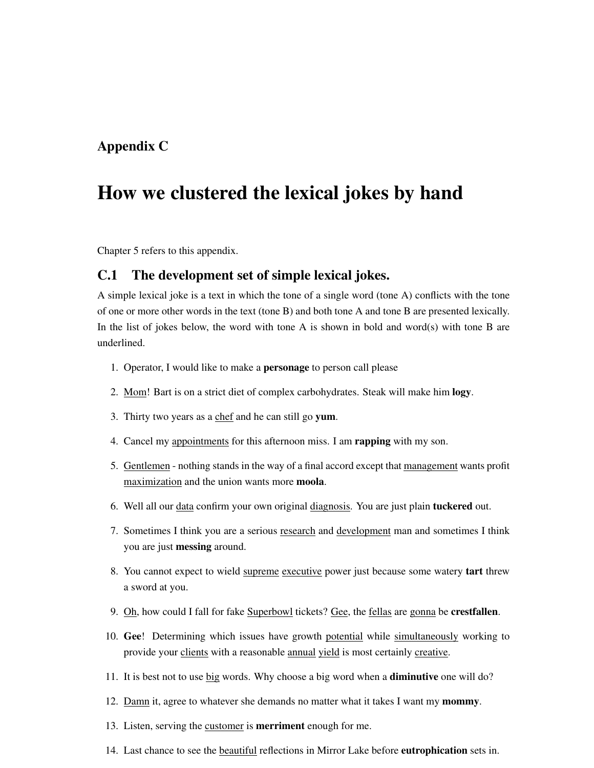### Appendix C

## How we clustered the lexical jokes by hand

Chapter 5 refers to this appendix.

#### C.1 The development set of simple lexical jokes.

A simple lexical joke is a text in which the tone of a single word (tone A) conflicts with the tone of one or more other words in the text (tone B) and both tone A and tone B are presented lexically. In the list of jokes below, the word with tone A is shown in bold and word(s) with tone B are underlined.

- 1. Operator, I would like to make a personage to person call please
- 2. Mom! Bart is on a strict diet of complex carbohydrates. Steak will make him logy.
- 3. Thirty two years as a chef and he can still go yum.
- 4. Cancel my appointments for this afternoon miss. I am rapping with my son.
- 5. Gentlemen nothing stands in the way of a final accord except that management wants profit maximization and the union wants more moola.
- 6. Well all our data confirm your own original diagnosis. You are just plain tuckered out.
- 7. Sometimes I think you are a serious research and development man and sometimes I think you are just messing around.
- 8. You cannot expect to wield supreme executive power just because some watery tart threw a sword at you.
- 9. Oh, how could I fall for fake Superbowl tickets? Gee, the fellas are gonna be crestfallen.
- 10. Gee! Determining which issues have growth potential while simultaneously working to provide your clients with a reasonable annual yield is most certainly creative.
- 11. It is best not to use big words. Why choose a big word when a diminutive one will do?
- 12. Damn it, agree to whatever she demands no matter what it takes I want my **mommy**.
- 13. Listen, serving the customer is merriment enough for me.
- 14. Last chance to see the **beautiful** reflections in Mirror Lake before **eutrophication** sets in.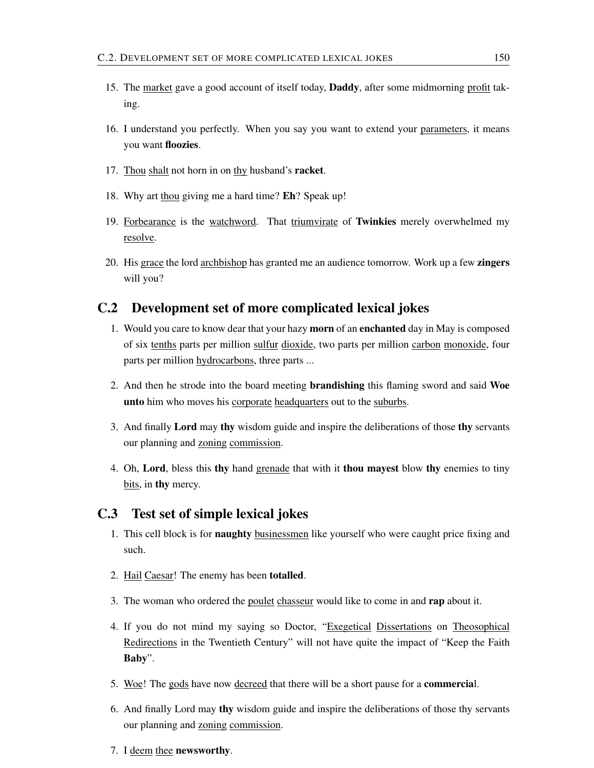- 15. The market gave a good account of itself today, Daddy, after some midmorning profit taking.
- 16. I understand you perfectly. When you say you want to extend your parameters, it means you want floozies.
- 17. Thou shalt not horn in on thy husband's racket.
- 18. Why art thou giving me a hard time? Eh? Speak up!
- 19. Forbearance is the watchword. That triumvirate of Twinkies merely overwhelmed my resolve.
- 20. His grace the lord archbishop has granted me an audience tomorrow. Work up a few zingers will you?

#### C.2 Development set of more complicated lexical jokes

- 1. Would you care to know dear that your hazy morn of an enchanted day in May is composed of six tenths parts per million sulfur dioxide, two parts per million carbon monoxide, four parts per million hydrocarbons, three parts ...
- 2. And then he strode into the board meeting brandishing this flaming sword and said Woe unto him who moves his corporate headquarters out to the suburbs.
- 3. And finally Lord may thy wisdom guide and inspire the deliberations of those thy servants our planning and zoning commission.
- 4. Oh, Lord, bless this thy hand grenade that with it thou may est blow thy enemies to tiny bits, in thy mercy.

#### C.3 Test set of simple lexical jokes

- 1. This cell block is for naughty businessmen like yourself who were caught price fixing and such.
- 2. Hail Caesar! The enemy has been totalled.
- 3. The woman who ordered the poulet chasseur would like to come in and rap about it.
- 4. If you do not mind my saying so Doctor, "Exegetical Dissertations on Theosophical Redirections in the Twentieth Century" will not have quite the impact of "Keep the Faith Baby".
- 5. Woe! The gods have now decreed that there will be a short pause for a commercial.
- 6. And finally Lord may thy wisdom guide and inspire the deliberations of those thy servants our planning and zoning commission.
- 7. I deem thee newsworthy.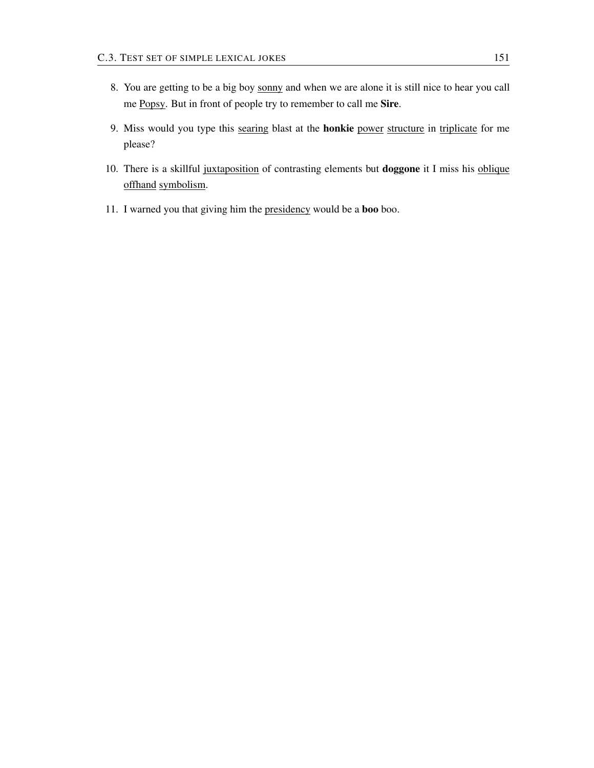- 8. You are getting to be a big boy sonny and when we are alone it is still nice to hear you call me Popsy. But in front of people try to remember to call me Sire.
- 9. Miss would you type this searing blast at the honkie power structure in triplicate for me please?
- 10. There is a skillful juxtaposition of contrasting elements but doggone it I miss his oblique offhand symbolism.
- 11. I warned you that giving him the presidency would be a boo boo.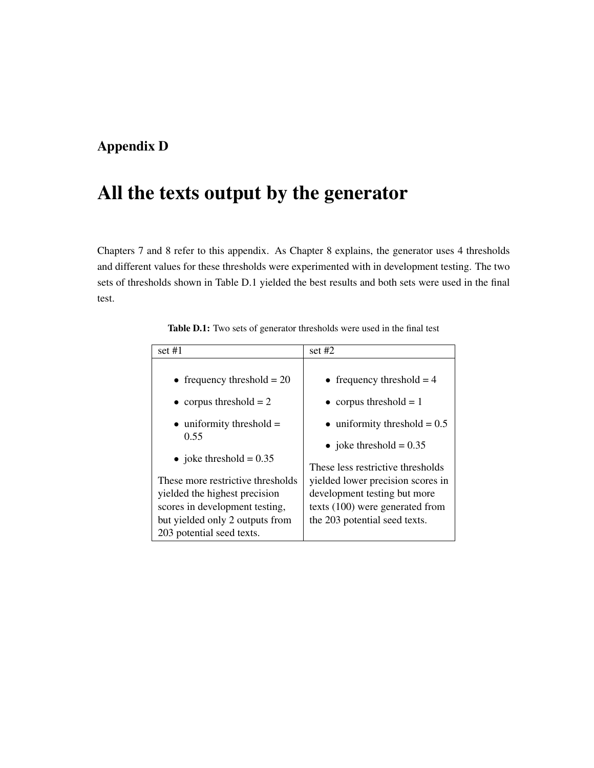### Appendix D

## All the texts output by the generator

Chapters 7 and 8 refer to this appendix. As Chapter 8 explains, the generator uses 4 thresholds and different values for these thresholds were experimented with in development testing. The two sets of thresholds shown in Table D.1 yielded the best results and both sets were used in the final test.

| set $#1$                                                                                                                                                             | set $#2$                                                                                                                              |
|----------------------------------------------------------------------------------------------------------------------------------------------------------------------|---------------------------------------------------------------------------------------------------------------------------------------|
| • frequency threshold $= 20$                                                                                                                                         | • frequency threshold $= 4$                                                                                                           |
| • corpus threshold $= 2$                                                                                                                                             | • corpus threshold $= 1$                                                                                                              |
| $\bullet$ uniformity threshold =                                                                                                                                     | $\bullet$ uniformity threshold = 0.5                                                                                                  |
| 0.55                                                                                                                                                                 | • joke threshold = $0.35$                                                                                                             |
| • joke threshold = $0.35$                                                                                                                                            | These less restrictive thresholds                                                                                                     |
| These more restrictive thresholds<br>yielded the highest precision<br>scores in development testing,<br>but yielded only 2 outputs from<br>203 potential seed texts. | yielded lower precision scores in<br>development testing but more<br>texts (100) were generated from<br>the 203 potential seed texts. |

Table D.1: Two sets of generator thresholds were used in the final test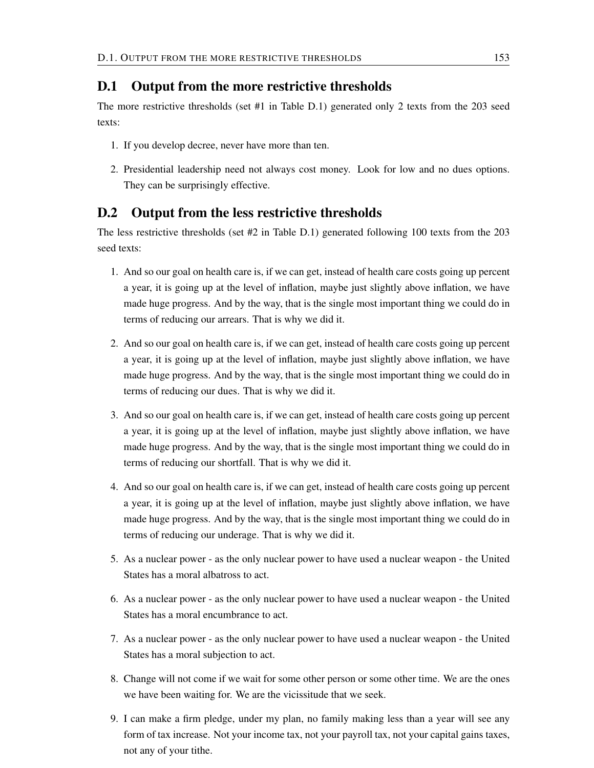#### D.1 Output from the more restrictive thresholds

The more restrictive thresholds (set #1 in Table D.1) generated only 2 texts from the 203 seed texts:

- 1. If you develop decree, never have more than ten.
- 2. Presidential leadership need not always cost money. Look for low and no dues options. They can be surprisingly effective.

#### D.2 Output from the less restrictive thresholds

The less restrictive thresholds (set #2 in Table D.1) generated following 100 texts from the 203 seed texts:

- 1. And so our goal on health care is, if we can get, instead of health care costs going up percent a year, it is going up at the level of inflation, maybe just slightly above inflation, we have made huge progress. And by the way, that is the single most important thing we could do in terms of reducing our arrears. That is why we did it.
- 2. And so our goal on health care is, if we can get, instead of health care costs going up percent a year, it is going up at the level of inflation, maybe just slightly above inflation, we have made huge progress. And by the way, that is the single most important thing we could do in terms of reducing our dues. That is why we did it.
- 3. And so our goal on health care is, if we can get, instead of health care costs going up percent a year, it is going up at the level of inflation, maybe just slightly above inflation, we have made huge progress. And by the way, that is the single most important thing we could do in terms of reducing our shortfall. That is why we did it.
- 4. And so our goal on health care is, if we can get, instead of health care costs going up percent a year, it is going up at the level of inflation, maybe just slightly above inflation, we have made huge progress. And by the way, that is the single most important thing we could do in terms of reducing our underage. That is why we did it.
- 5. As a nuclear power as the only nuclear power to have used a nuclear weapon the United States has a moral albatross to act.
- 6. As a nuclear power as the only nuclear power to have used a nuclear weapon the United States has a moral encumbrance to act.
- 7. As a nuclear power as the only nuclear power to have used a nuclear weapon the United States has a moral subjection to act.
- 8. Change will not come if we wait for some other person or some other time. We are the ones we have been waiting for. We are the vicissitude that we seek.
- 9. I can make a firm pledge, under my plan, no family making less than a year will see any form of tax increase. Not your income tax, not your payroll tax, not your capital gains taxes, not any of your tithe.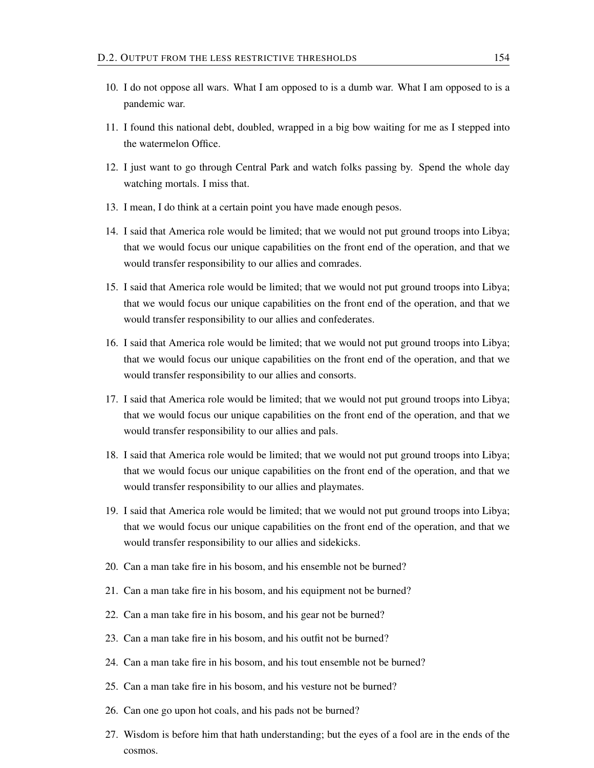- 10. I do not oppose all wars. What I am opposed to is a dumb war. What I am opposed to is a pandemic war.
- 11. I found this national debt, doubled, wrapped in a big bow waiting for me as I stepped into the watermelon Office.
- 12. I just want to go through Central Park and watch folks passing by. Spend the whole day watching mortals. I miss that.
- 13. I mean, I do think at a certain point you have made enough pesos.
- 14. I said that America role would be limited; that we would not put ground troops into Libya; that we would focus our unique capabilities on the front end of the operation, and that we would transfer responsibility to our allies and comrades.
- 15. I said that America role would be limited; that we would not put ground troops into Libya; that we would focus our unique capabilities on the front end of the operation, and that we would transfer responsibility to our allies and confederates.
- 16. I said that America role would be limited; that we would not put ground troops into Libya; that we would focus our unique capabilities on the front end of the operation, and that we would transfer responsibility to our allies and consorts.
- 17. I said that America role would be limited; that we would not put ground troops into Libya; that we would focus our unique capabilities on the front end of the operation, and that we would transfer responsibility to our allies and pals.
- 18. I said that America role would be limited; that we would not put ground troops into Libya; that we would focus our unique capabilities on the front end of the operation, and that we would transfer responsibility to our allies and playmates.
- 19. I said that America role would be limited; that we would not put ground troops into Libya; that we would focus our unique capabilities on the front end of the operation, and that we would transfer responsibility to our allies and sidekicks.
- 20. Can a man take fire in his bosom, and his ensemble not be burned?
- 21. Can a man take fire in his bosom, and his equipment not be burned?
- 22. Can a man take fire in his bosom, and his gear not be burned?
- 23. Can a man take fire in his bosom, and his outfit not be burned?
- 24. Can a man take fire in his bosom, and his tout ensemble not be burned?
- 25. Can a man take fire in his bosom, and his vesture not be burned?
- 26. Can one go upon hot coals, and his pads not be burned?
- 27. Wisdom is before him that hath understanding; but the eyes of a fool are in the ends of the cosmos.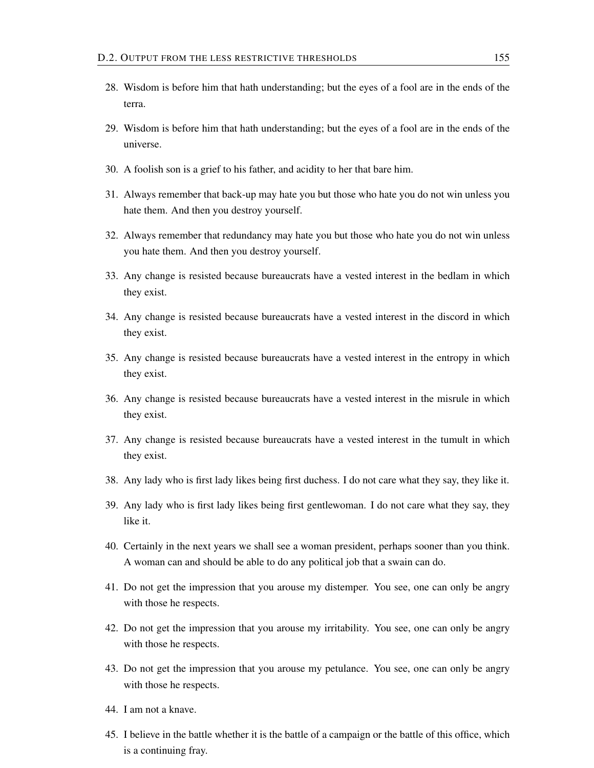- 28. Wisdom is before him that hath understanding; but the eyes of a fool are in the ends of the terra.
- 29. Wisdom is before him that hath understanding; but the eyes of a fool are in the ends of the universe.
- 30. A foolish son is a grief to his father, and acidity to her that bare him.
- 31. Always remember that back-up may hate you but those who hate you do not win unless you hate them. And then you destroy yourself.
- 32. Always remember that redundancy may hate you but those who hate you do not win unless you hate them. And then you destroy yourself.
- 33. Any change is resisted because bureaucrats have a vested interest in the bedlam in which they exist.
- 34. Any change is resisted because bureaucrats have a vested interest in the discord in which they exist.
- 35. Any change is resisted because bureaucrats have a vested interest in the entropy in which they exist.
- 36. Any change is resisted because bureaucrats have a vested interest in the misrule in which they exist.
- 37. Any change is resisted because bureaucrats have a vested interest in the tumult in which they exist.
- 38. Any lady who is first lady likes being first duchess. I do not care what they say, they like it.
- 39. Any lady who is first lady likes being first gentlewoman. I do not care what they say, they like it.
- 40. Certainly in the next years we shall see a woman president, perhaps sooner than you think. A woman can and should be able to do any political job that a swain can do.
- 41. Do not get the impression that you arouse my distemper. You see, one can only be angry with those he respects.
- 42. Do not get the impression that you arouse my irritability. You see, one can only be angry with those he respects.
- 43. Do not get the impression that you arouse my petulance. You see, one can only be angry with those he respects.
- 44. I am not a knave.
- 45. I believe in the battle whether it is the battle of a campaign or the battle of this office, which is a continuing fray.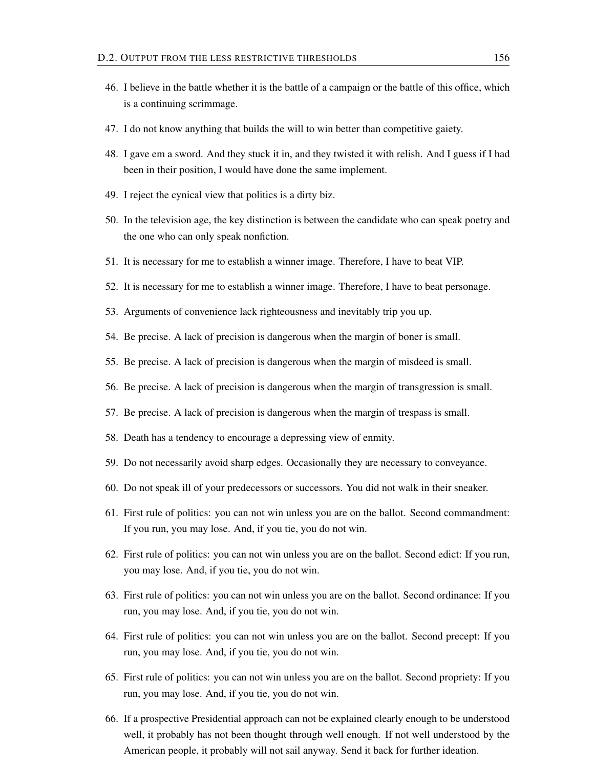- 46. I believe in the battle whether it is the battle of a campaign or the battle of this office, which is a continuing scrimmage.
- 47. I do not know anything that builds the will to win better than competitive gaiety.
- 48. I gave em a sword. And they stuck it in, and they twisted it with relish. And I guess if I had been in their position, I would have done the same implement.
- 49. I reject the cynical view that politics is a dirty biz.
- 50. In the television age, the key distinction is between the candidate who can speak poetry and the one who can only speak nonfiction.
- 51. It is necessary for me to establish a winner image. Therefore, I have to beat VIP.
- 52. It is necessary for me to establish a winner image. Therefore, I have to beat personage.
- 53. Arguments of convenience lack righteousness and inevitably trip you up.
- 54. Be precise. A lack of precision is dangerous when the margin of boner is small.
- 55. Be precise. A lack of precision is dangerous when the margin of misdeed is small.
- 56. Be precise. A lack of precision is dangerous when the margin of transgression is small.
- 57. Be precise. A lack of precision is dangerous when the margin of trespass is small.
- 58. Death has a tendency to encourage a depressing view of enmity.
- 59. Do not necessarily avoid sharp edges. Occasionally they are necessary to conveyance.
- 60. Do not speak ill of your predecessors or successors. You did not walk in their sneaker.
- 61. First rule of politics: you can not win unless you are on the ballot. Second commandment: If you run, you may lose. And, if you tie, you do not win.
- 62. First rule of politics: you can not win unless you are on the ballot. Second edict: If you run, you may lose. And, if you tie, you do not win.
- 63. First rule of politics: you can not win unless you are on the ballot. Second ordinance: If you run, you may lose. And, if you tie, you do not win.
- 64. First rule of politics: you can not win unless you are on the ballot. Second precept: If you run, you may lose. And, if you tie, you do not win.
- 65. First rule of politics: you can not win unless you are on the ballot. Second propriety: If you run, you may lose. And, if you tie, you do not win.
- 66. If a prospective Presidential approach can not be explained clearly enough to be understood well, it probably has not been thought through well enough. If not well understood by the American people, it probably will not sail anyway. Send it back for further ideation.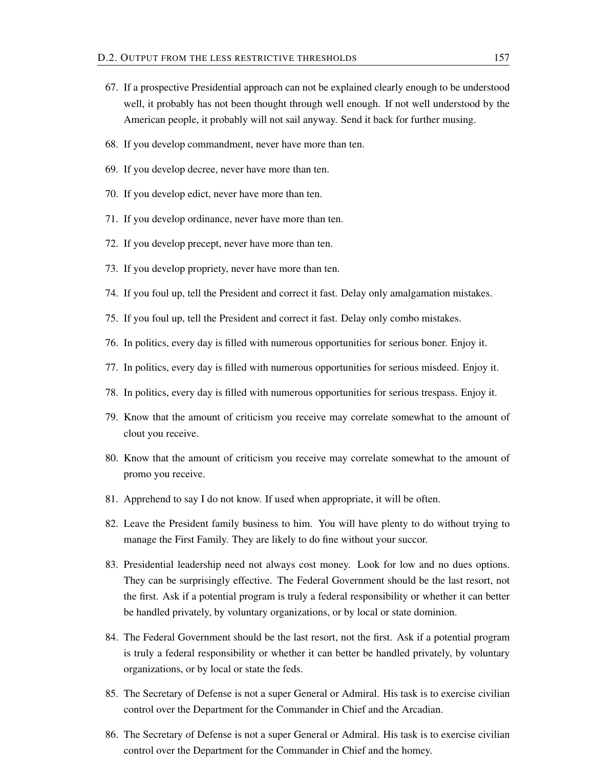- 67. If a prospective Presidential approach can not be explained clearly enough to be understood well, it probably has not been thought through well enough. If not well understood by the American people, it probably will not sail anyway. Send it back for further musing.
- 68. If you develop commandment, never have more than ten.
- 69. If you develop decree, never have more than ten.
- 70. If you develop edict, never have more than ten.
- 71. If you develop ordinance, never have more than ten.
- 72. If you develop precept, never have more than ten.
- 73. If you develop propriety, never have more than ten.
- 74. If you foul up, tell the President and correct it fast. Delay only amalgamation mistakes.
- 75. If you foul up, tell the President and correct it fast. Delay only combo mistakes.
- 76. In politics, every day is filled with numerous opportunities for serious boner. Enjoy it.
- 77. In politics, every day is filled with numerous opportunities for serious misdeed. Enjoy it.
- 78. In politics, every day is filled with numerous opportunities for serious trespass. Enjoy it.
- 79. Know that the amount of criticism you receive may correlate somewhat to the amount of clout you receive.
- 80. Know that the amount of criticism you receive may correlate somewhat to the amount of promo you receive.
- 81. Apprehend to say I do not know. If used when appropriate, it will be often.
- 82. Leave the President family business to him. You will have plenty to do without trying to manage the First Family. They are likely to do fine without your succor.
- 83. Presidential leadership need not always cost money. Look for low and no dues options. They can be surprisingly effective. The Federal Government should be the last resort, not the first. Ask if a potential program is truly a federal responsibility or whether it can better be handled privately, by voluntary organizations, or by local or state dominion.
- 84. The Federal Government should be the last resort, not the first. Ask if a potential program is truly a federal responsibility or whether it can better be handled privately, by voluntary organizations, or by local or state the feds.
- 85. The Secretary of Defense is not a super General or Admiral. His task is to exercise civilian control over the Department for the Commander in Chief and the Arcadian.
- 86. The Secretary of Defense is not a super General or Admiral. His task is to exercise civilian control over the Department for the Commander in Chief and the homey.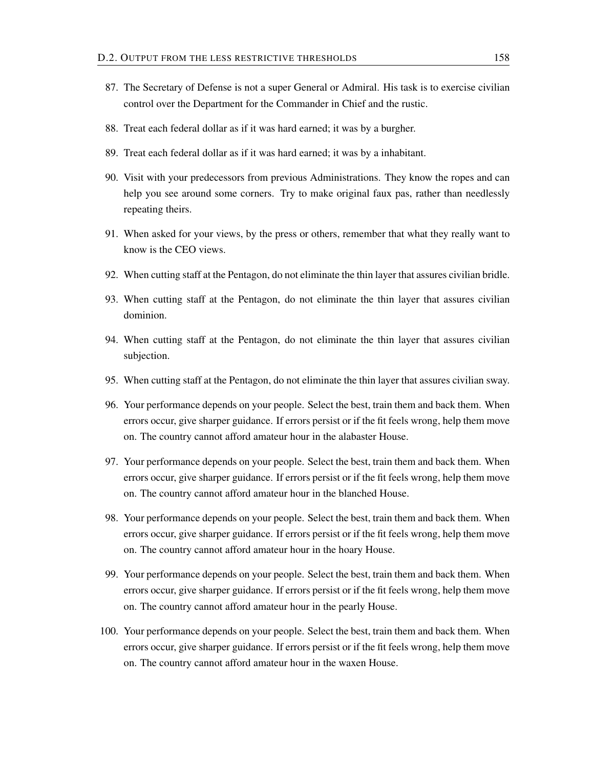- 87. The Secretary of Defense is not a super General or Admiral. His task is to exercise civilian control over the Department for the Commander in Chief and the rustic.
- 88. Treat each federal dollar as if it was hard earned; it was by a burgher.
- 89. Treat each federal dollar as if it was hard earned; it was by a inhabitant.
- 90. Visit with your predecessors from previous Administrations. They know the ropes and can help you see around some corners. Try to make original faux pas, rather than needlessly repeating theirs.
- 91. When asked for your views, by the press or others, remember that what they really want to know is the CEO views.
- 92. When cutting staff at the Pentagon, do not eliminate the thin layer that assures civilian bridle.
- 93. When cutting staff at the Pentagon, do not eliminate the thin layer that assures civilian dominion.
- 94. When cutting staff at the Pentagon, do not eliminate the thin layer that assures civilian subjection.
- 95. When cutting staff at the Pentagon, do not eliminate the thin layer that assures civilian sway.
- 96. Your performance depends on your people. Select the best, train them and back them. When errors occur, give sharper guidance. If errors persist or if the fit feels wrong, help them move on. The country cannot afford amateur hour in the alabaster House.
- 97. Your performance depends on your people. Select the best, train them and back them. When errors occur, give sharper guidance. If errors persist or if the fit feels wrong, help them move on. The country cannot afford amateur hour in the blanched House.
- 98. Your performance depends on your people. Select the best, train them and back them. When errors occur, give sharper guidance. If errors persist or if the fit feels wrong, help them move on. The country cannot afford amateur hour in the hoary House.
- 99. Your performance depends on your people. Select the best, train them and back them. When errors occur, give sharper guidance. If errors persist or if the fit feels wrong, help them move on. The country cannot afford amateur hour in the pearly House.
- 100. Your performance depends on your people. Select the best, train them and back them. When errors occur, give sharper guidance. If errors persist or if the fit feels wrong, help them move on. The country cannot afford amateur hour in the waxen House.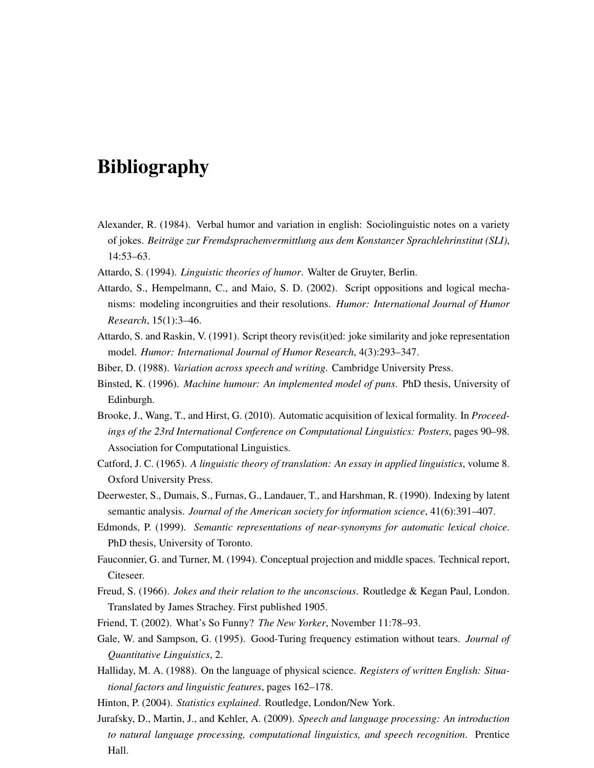## Bibliography

- Alexander, R. (1984). Verbal humor and variation in english: Sociolinguistic notes on a variety of jokes. *Beiträge zur Fremdsprachenvermittlung aus dem Konstanzer Sprachlehrinstitut (SLI)*, 14:53–63.
- Attardo, S. (1994). *Linguistic theories of humor*. Walter de Gruyter, Berlin.
- Attardo, S., Hempelmann, C., and Maio, S. D. (2002). Script oppositions and logical mechanisms: modeling incongruities and their resolutions. *Humor: International Journal of Humor Research*, 15(1):3–46.
- Attardo, S. and Raskin, V. (1991). Script theory revis(it)ed: joke similarity and joke representation model. *Humor: International Journal of Humor Research*, 4(3):293–347.
- Biber, D. (1988). *Variation across speech and writing*. Cambridge University Press.
- Binsted, K. (1996). *Machine humour: An implemented model of puns*. PhD thesis, University of Edinburgh.
- Brooke, J., Wang, T., and Hirst, G. (2010). Automatic acquisition of lexical formality. In *Proceedings of the 23rd International Conference on Computational Linguistics: Posters*, pages 90–98. Association for Computational Linguistics.
- Catford, J. C. (1965). *A linguistic theory of translation: An essay in applied linguistics*, volume 8. Oxford University Press.
- Deerwester, S., Dumais, S., Furnas, G., Landauer, T., and Harshman, R. (1990). Indexing by latent semantic analysis. *Journal of the American society for information science*, 41(6):391–407.
- Edmonds, P. (1999). *Semantic representations of near-synonyms for automatic lexical choice*. PhD thesis, University of Toronto.
- Fauconnier, G. and Turner, M. (1994). Conceptual projection and middle spaces. Technical report, Citeseer.
- Freud, S. (1966). *Jokes and their relation to the unconscious*. Routledge & Kegan Paul, London. Translated by James Strachey. First published 1905.
- Friend, T. (2002). What's So Funny? *The New Yorker*, November 11:78–93.
- Gale, W. and Sampson, G. (1995). Good-Turing frequency estimation without tears. *Journal of Quantitative Linguistics*, 2.
- Halliday, M. A. (1988). On the language of physical science. *Registers of written English: Situational factors and linguistic features*, pages 162–178.
- Hinton, P. (2004). *Statistics explained*. Routledge, London/New York.
- Jurafsky, D., Martin, J., and Kehler, A. (2009). *Speech and language processing: An introduction to natural language processing, computational linguistics, and speech recognition*. Prentice Hall.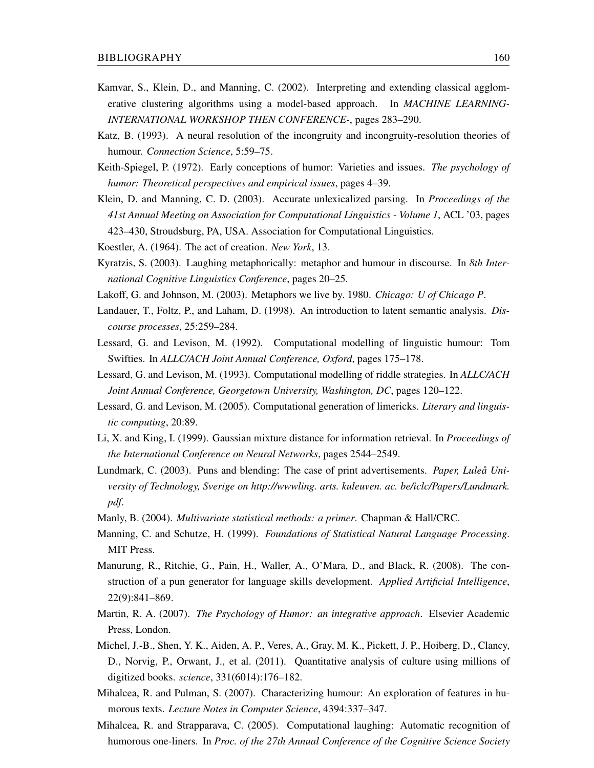- Kamvar, S., Klein, D., and Manning, C. (2002). Interpreting and extending classical agglomerative clustering algorithms using a model-based approach. In *MACHINE LEARNING-INTERNATIONAL WORKSHOP THEN CONFERENCE-*, pages 283–290.
- Katz, B. (1993). A neural resolution of the incongruity and incongruity-resolution theories of humour. *Connection Science*, 5:59–75.
- Keith-Spiegel, P. (1972). Early conceptions of humor: Varieties and issues. *The psychology of humor: Theoretical perspectives and empirical issues*, pages 4–39.
- Klein, D. and Manning, C. D. (2003). Accurate unlexicalized parsing. In *Proceedings of the 41st Annual Meeting on Association for Computational Linguistics - Volume 1*, ACL '03, pages 423–430, Stroudsburg, PA, USA. Association for Computational Linguistics.
- Koestler, A. (1964). The act of creation. *New York*, 13.
- Kyratzis, S. (2003). Laughing metaphorically: metaphor and humour in discourse. In *8th International Cognitive Linguistics Conference*, pages 20–25.
- Lakoff, G. and Johnson, M. (2003). Metaphors we live by. 1980. *Chicago: U of Chicago P*.
- Landauer, T., Foltz, P., and Laham, D. (1998). An introduction to latent semantic analysis. *Discourse processes*, 25:259–284.
- Lessard, G. and Levison, M. (1992). Computational modelling of linguistic humour: Tom Swifties. In *ALLC/ACH Joint Annual Conference, Oxford*, pages 175–178.
- Lessard, G. and Levison, M. (1993). Computational modelling of riddle strategies. In *ALLC/ACH Joint Annual Conference, Georgetown University, Washington, DC*, pages 120–122.
- Lessard, G. and Levison, M. (2005). Computational generation of limericks. *Literary and linguistic computing*, 20:89.
- Li, X. and King, I. (1999). Gaussian mixture distance for information retrieval. In *Proceedings of the International Conference on Neural Networks*, pages 2544–2549.
- Lundmark, C. (2003). Puns and blending: The case of print advertisements. *Paper, Luleå University of Technology, Sverige on http://wwwling. arts. kuleuven. ac. be/iclc/Papers/Lundmark. pdf*.
- Manly, B. (2004). *Multivariate statistical methods: a primer*. Chapman & Hall/CRC.
- Manning, C. and Schutze, H. (1999). *Foundations of Statistical Natural Language Processing*. MIT Press.
- Manurung, R., Ritchie, G., Pain, H., Waller, A., O'Mara, D., and Black, R. (2008). The construction of a pun generator for language skills development. *Applied Artificial Intelligence*, 22(9):841–869.
- Martin, R. A. (2007). *The Psychology of Humor: an integrative approach*. Elsevier Academic Press, London.
- Michel, J.-B., Shen, Y. K., Aiden, A. P., Veres, A., Gray, M. K., Pickett, J. P., Hoiberg, D., Clancy, D., Norvig, P., Orwant, J., et al. (2011). Quantitative analysis of culture using millions of digitized books. *science*, 331(6014):176–182.
- Mihalcea, R. and Pulman, S. (2007). Characterizing humour: An exploration of features in humorous texts. *Lecture Notes in Computer Science*, 4394:337–347.
- Mihalcea, R. and Strapparava, C. (2005). Computational laughing: Automatic recognition of humorous one-liners. In *Proc. of the 27th Annual Conference of the Cognitive Science Society*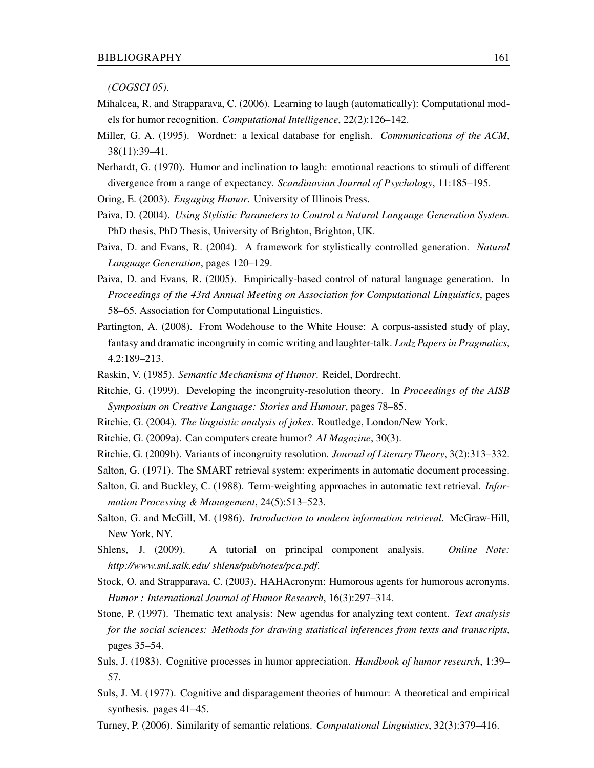*(COGSCI 05)*.

- Mihalcea, R. and Strapparava, C. (2006). Learning to laugh (automatically): Computational models for humor recognition. *Computational Intelligence*, 22(2):126–142.
- Miller, G. A. (1995). Wordnet: a lexical database for english. *Communications of the ACM*, 38(11):39–41.
- Nerhardt, G. (1970). Humor and inclination to laugh: emotional reactions to stimuli of different divergence from a range of expectancy. *Scandinavian Journal of Psychology*, 11:185–195.
- Oring, E. (2003). *Engaging Humor*. University of Illinois Press.
- Paiva, D. (2004). *Using Stylistic Parameters to Control a Natural Language Generation System*. PhD thesis, PhD Thesis, University of Brighton, Brighton, UK.
- Paiva, D. and Evans, R. (2004). A framework for stylistically controlled generation. *Natural Language Generation*, pages 120–129.
- Paiva, D. and Evans, R. (2005). Empirically-based control of natural language generation. In *Proceedings of the 43rd Annual Meeting on Association for Computational Linguistics*, pages 58–65. Association for Computational Linguistics.
- Partington, A. (2008). From Wodehouse to the White House: A corpus-assisted study of play, fantasy and dramatic incongruity in comic writing and laughter-talk. *Lodz Papers in Pragmatics*, 4.2:189–213.
- Raskin, V. (1985). *Semantic Mechanisms of Humor*. Reidel, Dordrecht.
- Ritchie, G. (1999). Developing the incongruity-resolution theory. In *Proceedings of the AISB Symposium on Creative Language: Stories and Humour*, pages 78–85.
- Ritchie, G. (2004). *The linguistic analysis of jokes*. Routledge, London/New York.
- Ritchie, G. (2009a). Can computers create humor? *AI Magazine*, 30(3).
- Ritchie, G. (2009b). Variants of incongruity resolution. *Journal of Literary Theory*, 3(2):313–332.
- Salton, G. (1971). The SMART retrieval system: experiments in automatic document processing.
- Salton, G. and Buckley, C. (1988). Term-weighting approaches in automatic text retrieval. *Information Processing & Management*, 24(5):513–523.
- Salton, G. and McGill, M. (1986). *Introduction to modern information retrieval*. McGraw-Hill, New York, NY.
- Shlens, J. (2009). A tutorial on principal component analysis. *Online Note: http://www.snl.salk.edu/ shlens/pub/notes/pca.pdf*.
- Stock, O. and Strapparava, C. (2003). HAHAcronym: Humorous agents for humorous acronyms. *Humor : International Journal of Humor Research*, 16(3):297–314.
- Stone, P. (1997). Thematic text analysis: New agendas for analyzing text content. *Text analysis for the social sciences: Methods for drawing statistical inferences from texts and transcripts*, pages 35–54.
- Suls, J. (1983). Cognitive processes in humor appreciation. *Handbook of humor research*, 1:39– 57.
- Suls, J. M. (1977). Cognitive and disparagement theories of humour: A theoretical and empirical synthesis. pages 41–45.
- Turney, P. (2006). Similarity of semantic relations. *Computational Linguistics*, 32(3):379–416.